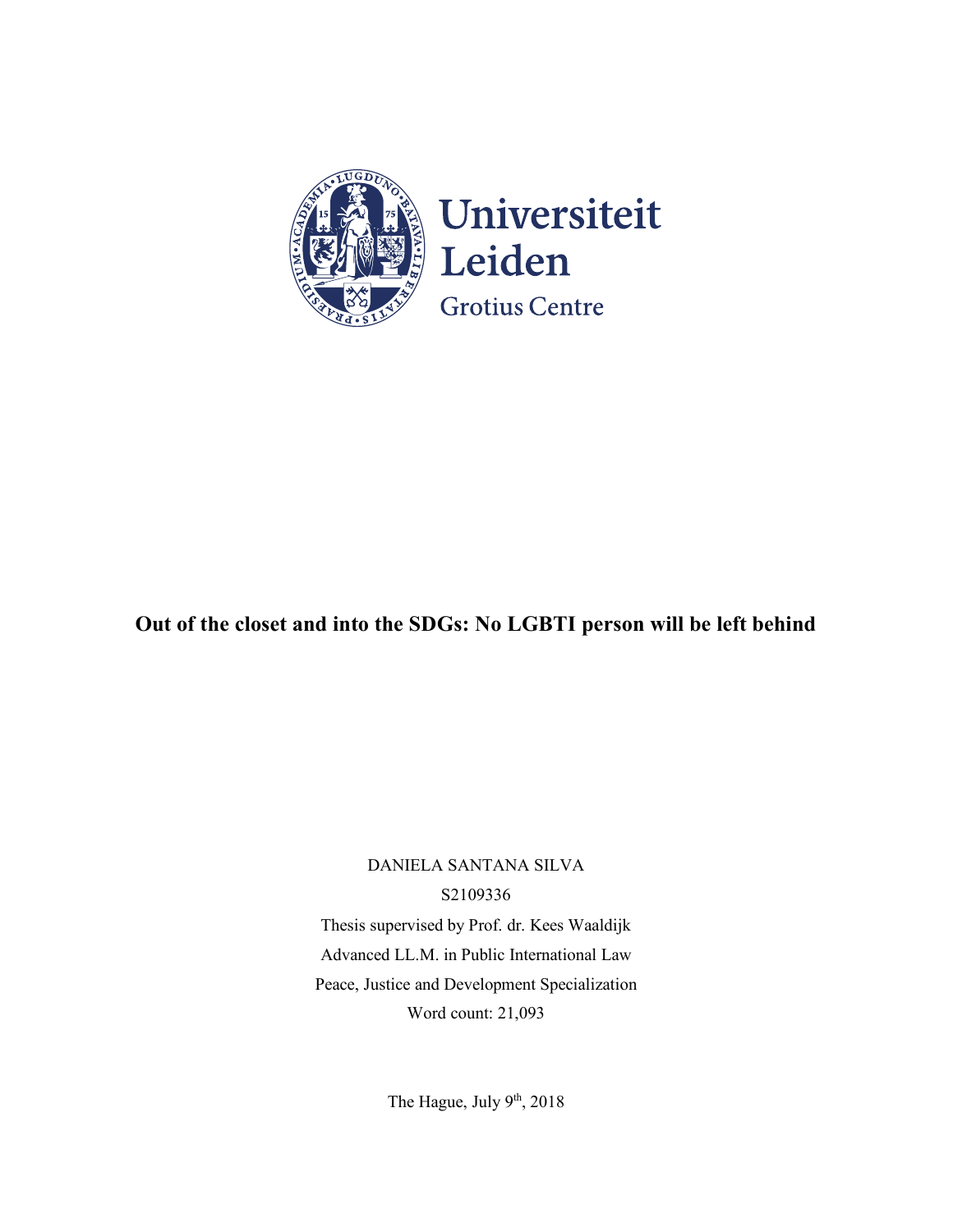

# **Out of the closet and into the SDGs: No LGBTI person will be left behind**

DANIELA SANTANA SILVA S2109336 Thesis supervised by Prof. dr. Kees Waaldijk Advanced LL.M. in Public International Law Peace, Justice and Development Specialization Word count: 21,093

The Hague, July  $9<sup>th</sup>$ , 2018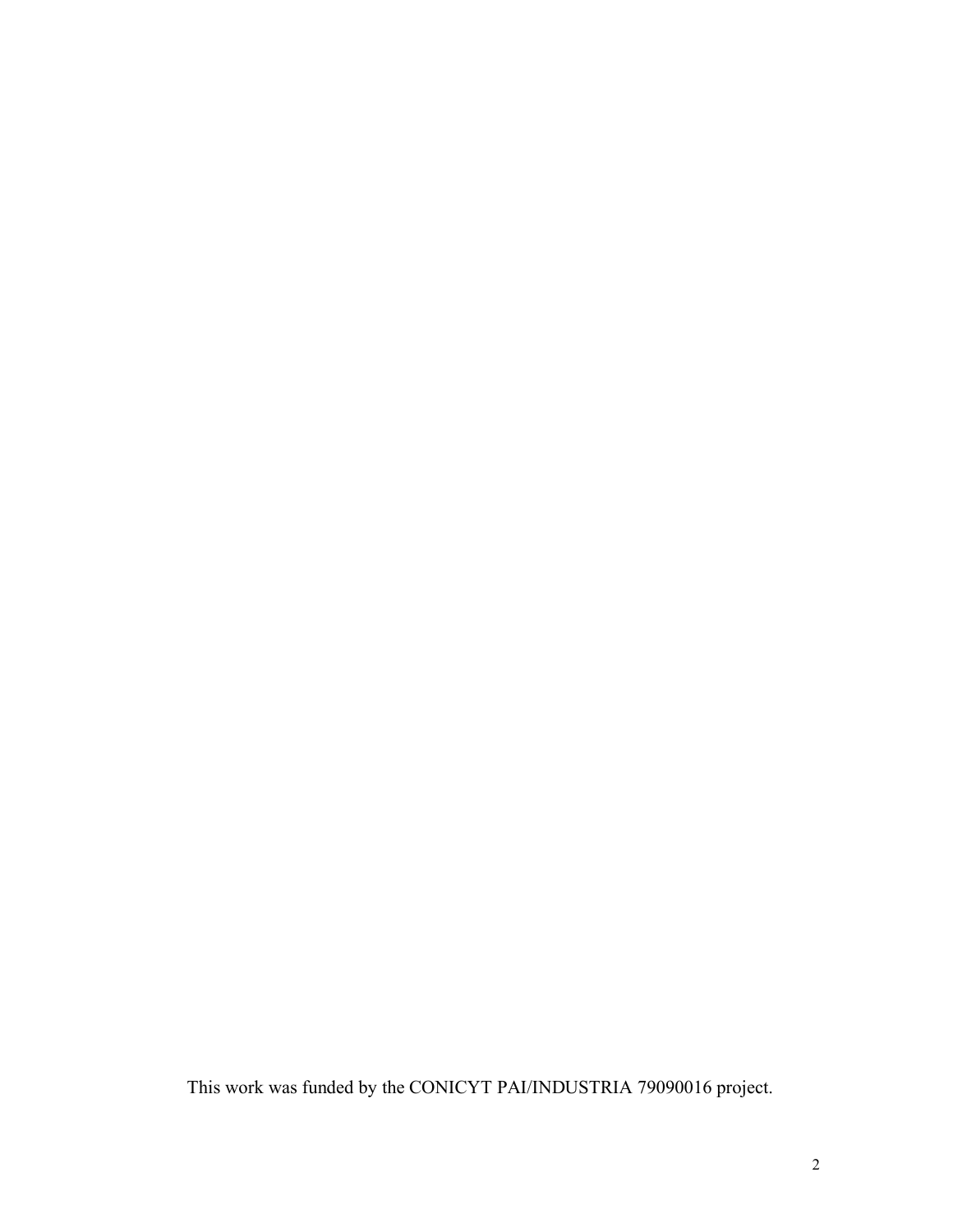This work was funded by the CONICYT PAI/INDUSTRIA 79090016 project.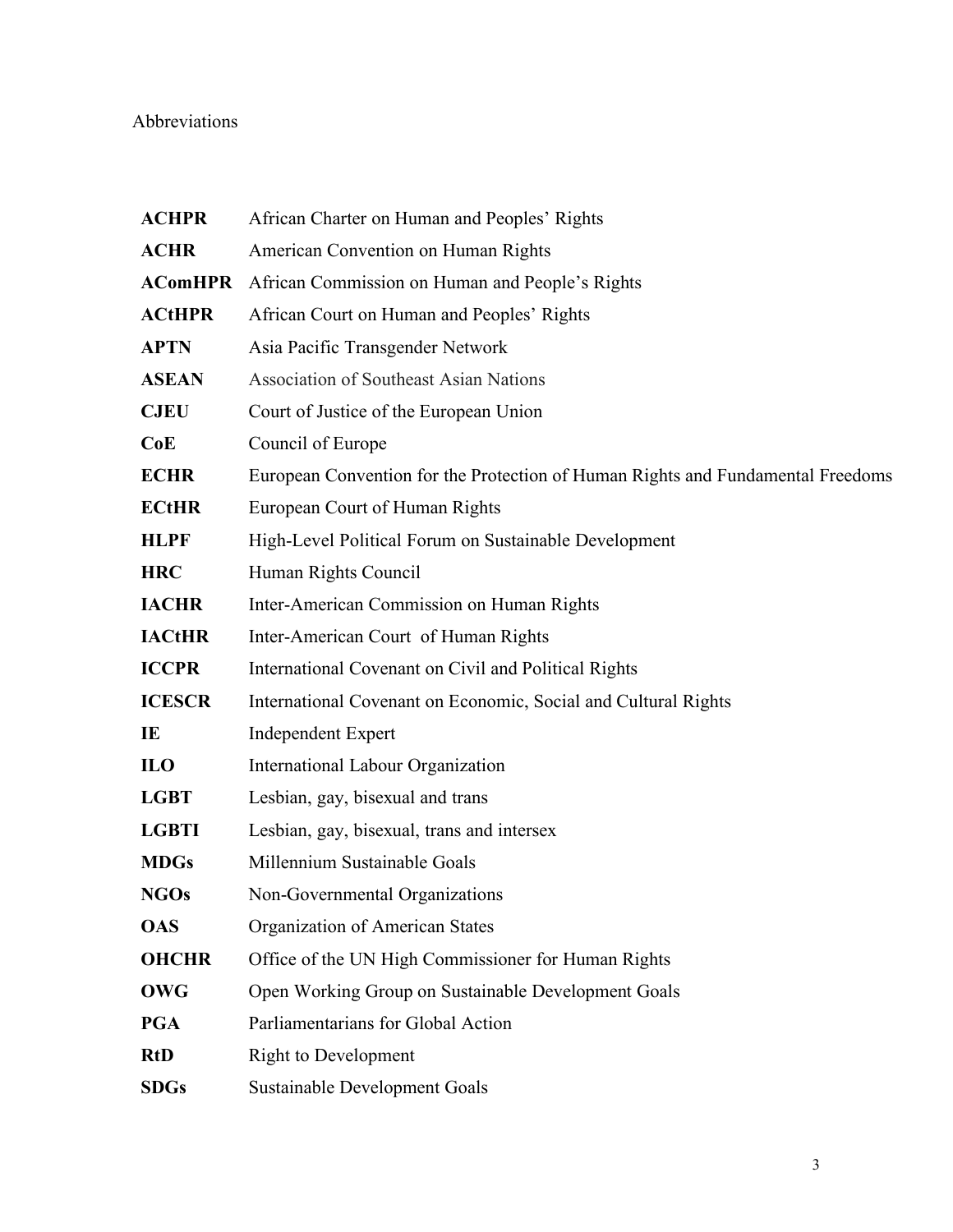# Abbreviations

| <b>ACHPR</b>   | African Charter on Human and Peoples' Rights                                    |
|----------------|---------------------------------------------------------------------------------|
| <b>ACHR</b>    | American Convention on Human Rights                                             |
| <b>AComHPR</b> | African Commission on Human and People's Rights                                 |
| <b>ACtHPR</b>  | African Court on Human and Peoples' Rights                                      |
| <b>APTN</b>    | Asia Pacific Transgender Network                                                |
| <b>ASEAN</b>   | Association of Southeast Asian Nations                                          |
| <b>CJEU</b>    | Court of Justice of the European Union                                          |
| CoE            | Council of Europe                                                               |
| <b>ECHR</b>    | European Convention for the Protection of Human Rights and Fundamental Freedoms |
| <b>ECtHR</b>   | European Court of Human Rights                                                  |
| <b>HLPF</b>    | High-Level Political Forum on Sustainable Development                           |
| <b>HRC</b>     | Human Rights Council                                                            |
| <b>IACHR</b>   | Inter-American Commission on Human Rights                                       |
| <b>IACtHR</b>  | Inter-American Court of Human Rights                                            |
| <b>ICCPR</b>   | International Covenant on Civil and Political Rights                            |
| <b>ICESCR</b>  | International Covenant on Economic, Social and Cultural Rights                  |
| IE             | <b>Independent Expert</b>                                                       |
| <b>ILO</b>     | International Labour Organization                                               |
| <b>LGBT</b>    | Lesbian, gay, bisexual and trans                                                |
| <b>LGBTI</b>   | Lesbian, gay, bisexual, trans and intersex                                      |
| <b>MDGs</b>    | Millennium Sustainable Goals                                                    |
| <b>NGOs</b>    | Non-Governmental Organizations                                                  |
| <b>OAS</b>     | Organization of American States                                                 |
| <b>OHCHR</b>   | Office of the UN High Commissioner for Human Rights                             |
| <b>OWG</b>     | Open Working Group on Sustainable Development Goals                             |
| <b>PGA</b>     | Parliamentarians for Global Action                                              |
| <b>RtD</b>     | <b>Right to Development</b>                                                     |
| <b>SDGs</b>    | <b>Sustainable Development Goals</b>                                            |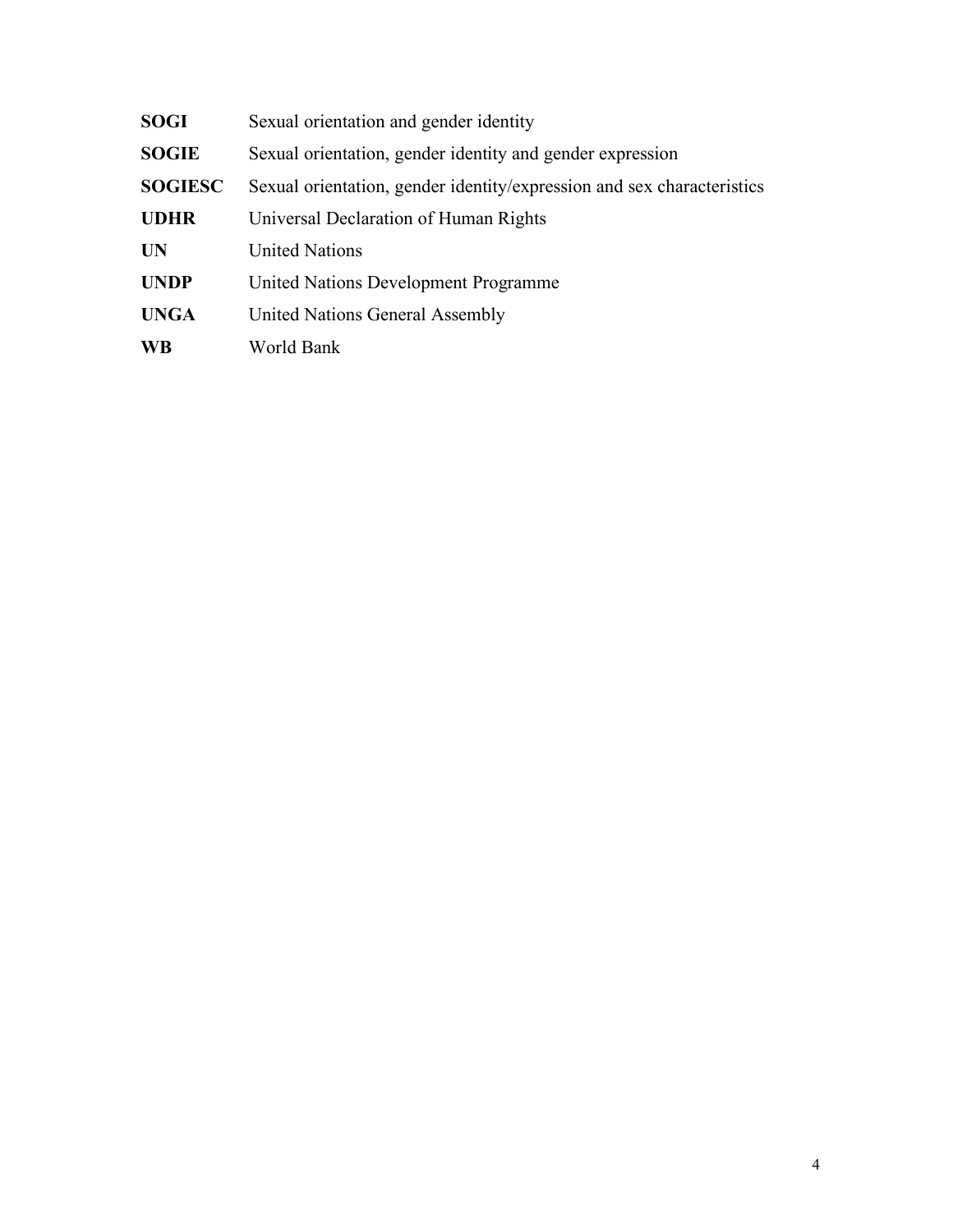| SOGI           | Sexual orientation and gender identity                                 |
|----------------|------------------------------------------------------------------------|
| <b>SOGIE</b>   | Sexual orientation, gender identity and gender expression              |
| <b>SOGIESC</b> | Sexual orientation, gender identity/expression and sex characteristics |
| <b>UDHR</b>    | Universal Declaration of Human Rights                                  |
| <b>UN</b>      | <b>United Nations</b>                                                  |
| <b>UNDP</b>    | United Nations Development Programme                                   |
| <b>UNGA</b>    | United Nations General Assembly                                        |
| <b>WB</b>      | World Bank                                                             |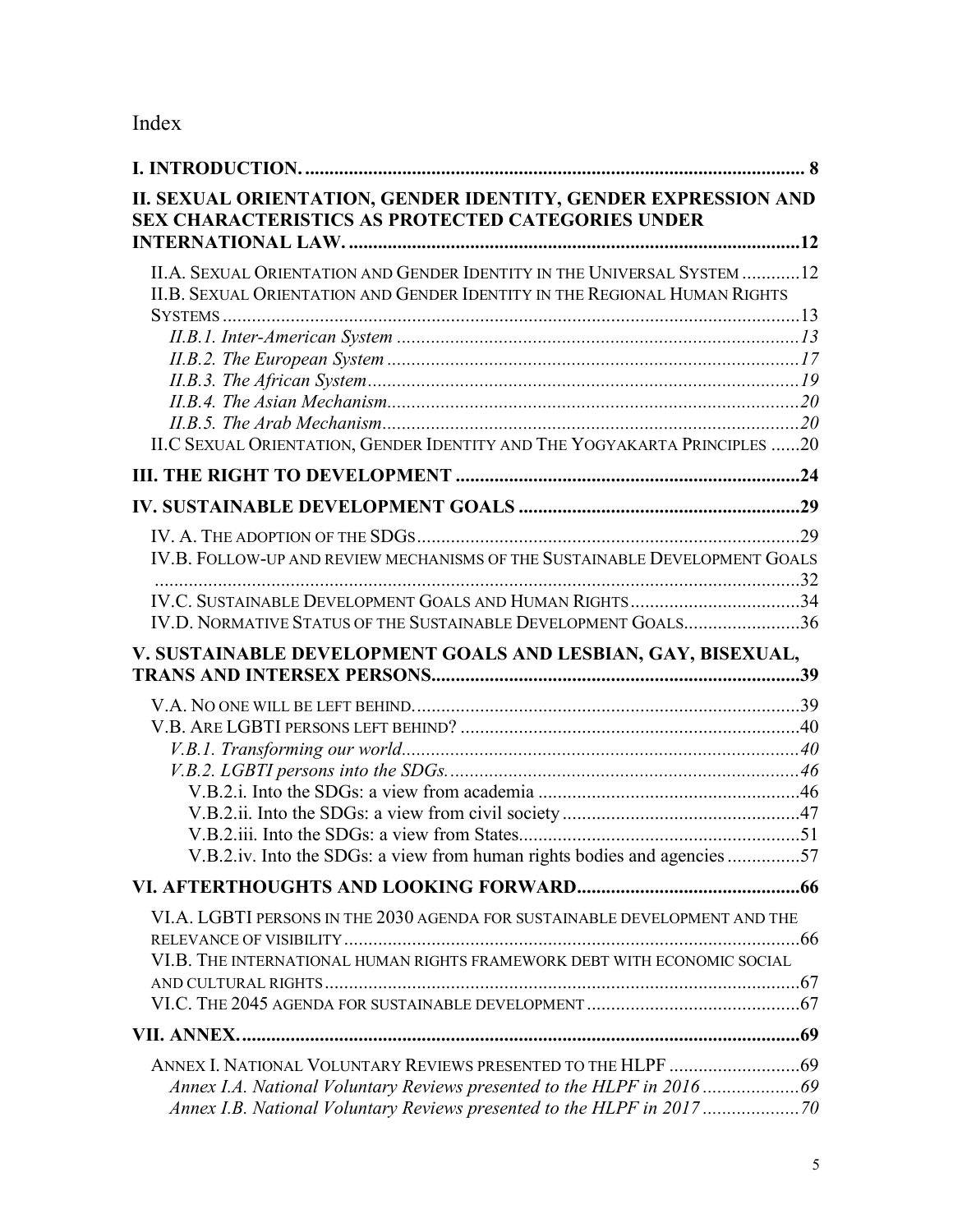# Index

| II. SEXUAL ORIENTATION, GENDER IDENTITY, GENDER EXPRESSION AND<br>SEX CHARACTERISTICS AS PROTECTED CATEGORIES UNDER                                  |  |
|------------------------------------------------------------------------------------------------------------------------------------------------------|--|
|                                                                                                                                                      |  |
| II.A. SEXUAL ORIENTATION AND GENDER IDENTITY IN THE UNIVERSAL SYSTEM 12<br>II.B. SEXUAL ORIENTATION AND GENDER IDENTITY IN THE REGIONAL HUMAN RIGHTS |  |
|                                                                                                                                                      |  |
|                                                                                                                                                      |  |
|                                                                                                                                                      |  |
|                                                                                                                                                      |  |
|                                                                                                                                                      |  |
|                                                                                                                                                      |  |
| II.C SEXUAL ORIENTATION, GENDER IDENTITY AND THE YOGYAKARTA PRINCIPLES 20                                                                            |  |
|                                                                                                                                                      |  |
|                                                                                                                                                      |  |
|                                                                                                                                                      |  |
| IV.B. FOLLOW-UP AND REVIEW MECHANISMS OF THE SUSTAINABLE DEVELOPMENT GOALS                                                                           |  |
|                                                                                                                                                      |  |
| IV.D. NORMATIVE STATUS OF THE SUSTAINABLE DEVELOPMENT GOALS36                                                                                        |  |
| V. SUSTAINABLE DEVELOPMENT GOALS AND LESBIAN, GAY, BISEXUAL,                                                                                         |  |
|                                                                                                                                                      |  |
|                                                                                                                                                      |  |
|                                                                                                                                                      |  |
|                                                                                                                                                      |  |
|                                                                                                                                                      |  |
|                                                                                                                                                      |  |
|                                                                                                                                                      |  |
|                                                                                                                                                      |  |
| V.B.2.iv. Into the SDGs: a view from human rights bodies and agencies 57                                                                             |  |
|                                                                                                                                                      |  |
| VI.A. LGBTI PERSONS IN THE 2030 AGENDA FOR SUSTAINABLE DEVELOPMENT AND THE                                                                           |  |
| VI.B. THE INTERNATIONAL HUMAN RIGHTS FRAMEWORK DEBT WITH ECONOMIC SOCIAL                                                                             |  |
|                                                                                                                                                      |  |
|                                                                                                                                                      |  |
|                                                                                                                                                      |  |
|                                                                                                                                                      |  |
|                                                                                                                                                      |  |
|                                                                                                                                                      |  |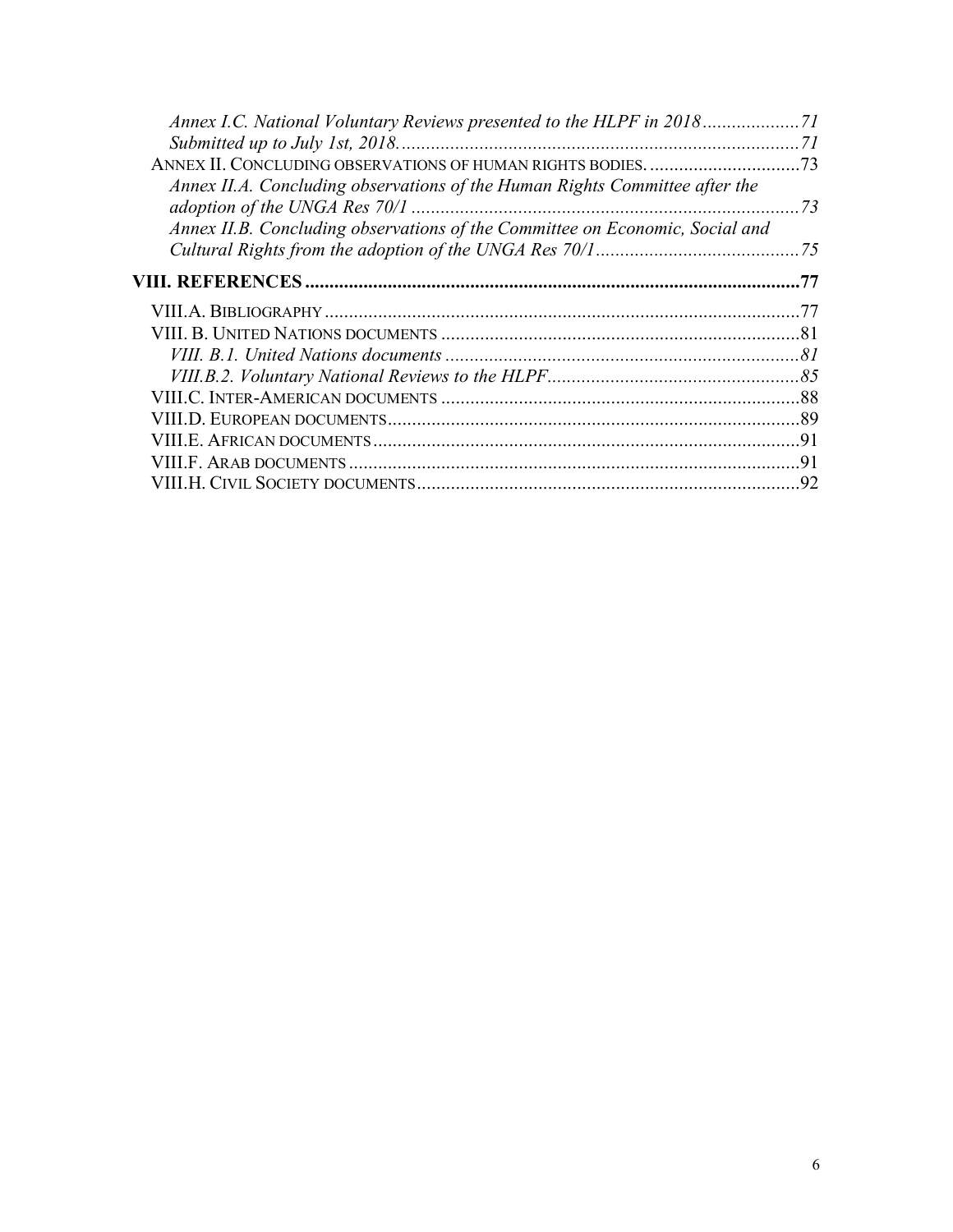| Annex I.C. National Voluntary Reviews presented to the HLPF in 201871        |     |
|------------------------------------------------------------------------------|-----|
|                                                                              |     |
|                                                                              |     |
| Annex II.A. Concluding observations of the Human Rights Committee after the  |     |
| Annex II.B. Concluding observations of the Committee on Economic, Social and |     |
|                                                                              | .77 |
|                                                                              | 77  |
|                                                                              |     |
|                                                                              |     |
|                                                                              |     |
|                                                                              |     |
|                                                                              |     |
|                                                                              | .91 |
|                                                                              | 91  |
|                                                                              |     |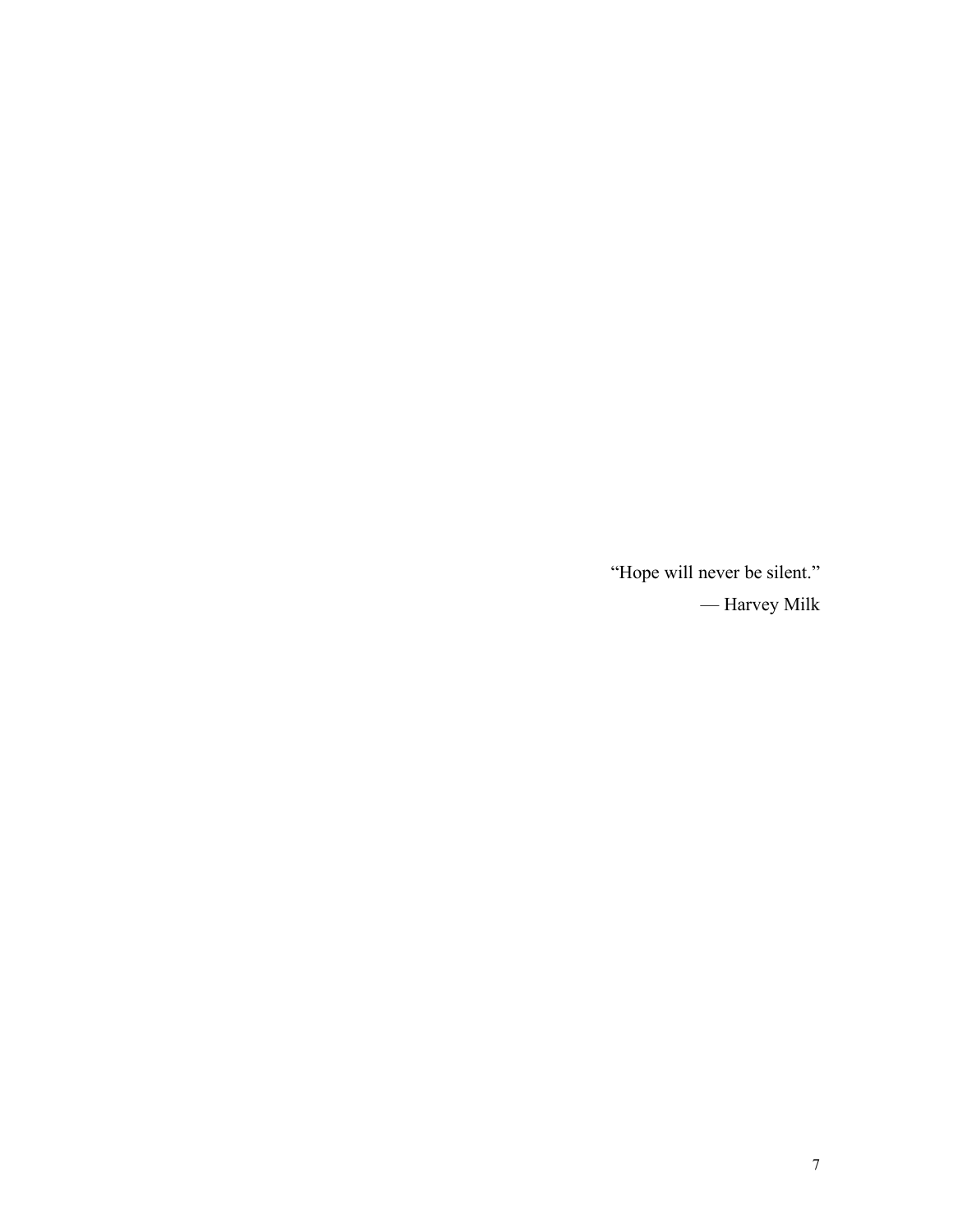"Hope will never be silent." — Harvey Milk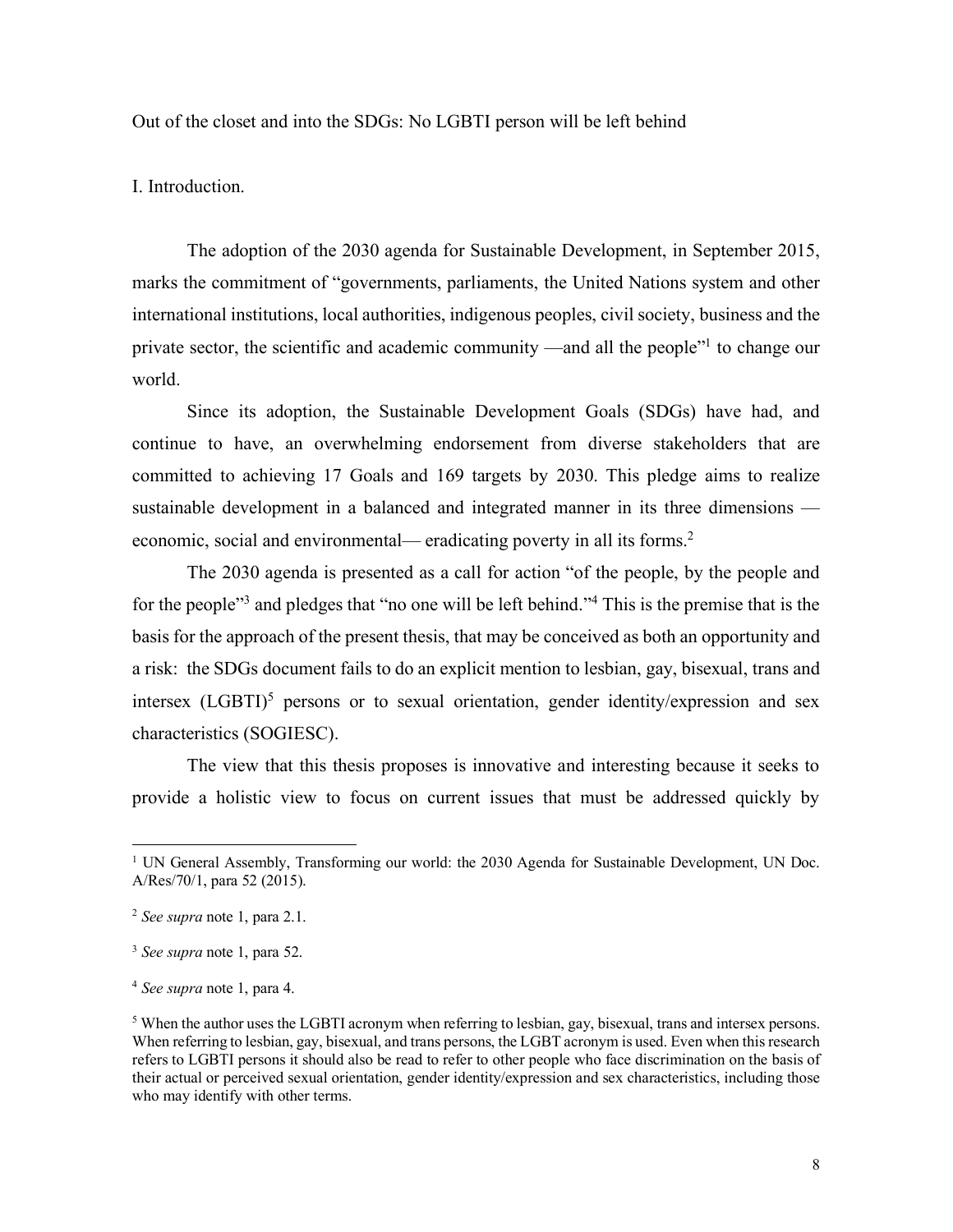Out of the closet and into the SDGs: No LGBTI person will be left behind

I. Introduction.

The adoption of the 2030 agenda for Sustainable Development, in September 2015, marks the commitment of "governments, parliaments, the United Nations system and other international institutions, local authorities, indigenous peoples, civil society, business and the private sector, the scientific and academic community —and all the people"1 to change our world.

Since its adoption, the Sustainable Development Goals (SDGs) have had, and continue to have, an overwhelming endorsement from diverse stakeholders that are committed to achieving 17 Goals and 169 targets by 2030. This pledge aims to realize sustainable development in a balanced and integrated manner in its three dimensions economic, social and environmental— eradicating poverty in all its forms.<sup>2</sup>

The 2030 agenda is presented as a call for action "of the people, by the people and for the people<sup>"3</sup> and pledges that "no one will be left behind."<sup>4</sup> This is the premise that is the basis for the approach of the present thesis, that may be conceived as both an opportunity and a risk: the SDGs document fails to do an explicit mention to lesbian, gay, bisexual, trans and intersex  $(LGBTI)^5$  persons or to sexual orientation, gender identity/expression and sex characteristics (SOGIESC).

The view that this thesis proposes is innovative and interesting because it seeks to provide a holistic view to focus on current issues that must be addressed quickly by

<sup>&</sup>lt;sup>1</sup> UN General Assembly, Transforming our world: the 2030 Agenda for Sustainable Development, UN Doc. A/Res/70/1, para 52 (2015).

<sup>2</sup> *See supra* note 1, para 2.1.

<sup>3</sup> *See supra* note 1, para 52.

<sup>4</sup> *See supra* note 1, para 4.

<sup>5</sup> When the author uses the LGBTI acronym when referring to lesbian, gay, bisexual, trans and intersex persons. When referring to lesbian, gay, bisexual, and trans persons, the LGBT acronym is used. Even when this research refers to LGBTI persons it should also be read to refer to other people who face discrimination on the basis of their actual or perceived sexual orientation, gender identity/expression and sex characteristics, including those who may identify with other terms.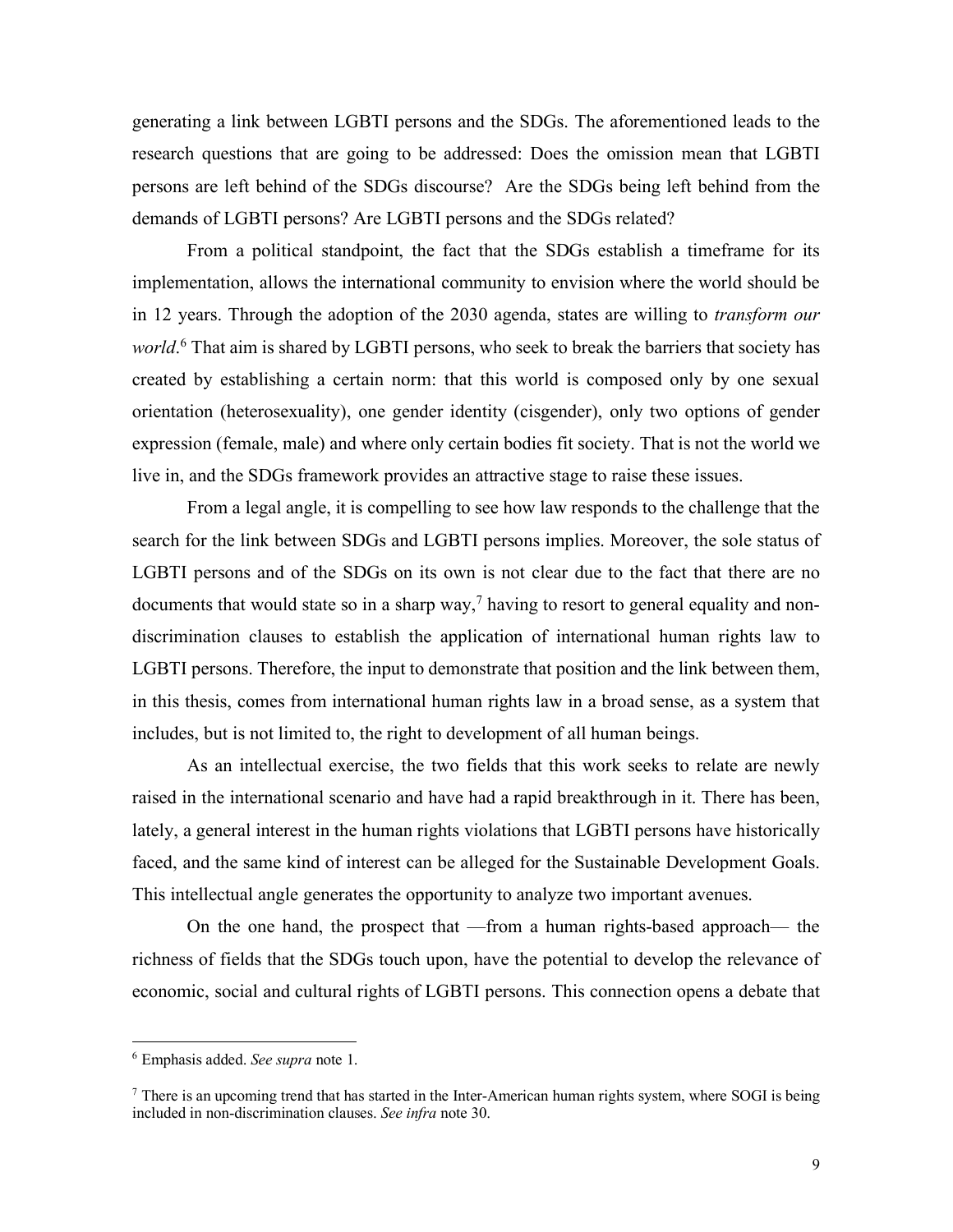generating a link between LGBTI persons and the SDGs. The aforementioned leads to the research questions that are going to be addressed: Does the omission mean that LGBTI persons are left behind of the SDGs discourse? Are the SDGs being left behind from the demands of LGBTI persons? Are LGBTI persons and the SDGs related?

From a political standpoint, the fact that the SDGs establish a timeframe for its implementation, allows the international community to envision where the world should be in 12 years. Through the adoption of the 2030 agenda, states are willing to *transform our world*. <sup>6</sup> That aim is shared by LGBTI persons, who seek to break the barriers that society has created by establishing a certain norm: that this world is composed only by one sexual orientation (heterosexuality), one gender identity (cisgender), only two options of gender expression (female, male) and where only certain bodies fit society. That is not the world we live in, and the SDGs framework provides an attractive stage to raise these issues.

From a legal angle, it is compelling to see how law responds to the challenge that the search for the link between SDGs and LGBTI persons implies. Moreover, the sole status of LGBTI persons and of the SDGs on its own is not clear due to the fact that there are no documents that would state so in a sharp way,<sup>7</sup> having to resort to general equality and nondiscrimination clauses to establish the application of international human rights law to LGBTI persons. Therefore, the input to demonstrate that position and the link between them, in this thesis, comes from international human rights law in a broad sense, as a system that includes, but is not limited to, the right to development of all human beings.

As an intellectual exercise, the two fields that this work seeks to relate are newly raised in the international scenario and have had a rapid breakthrough in it. There has been, lately, a general interest in the human rights violations that LGBTI persons have historically faced, and the same kind of interest can be alleged for the Sustainable Development Goals. This intellectual angle generates the opportunity to analyze two important avenues.

On the one hand, the prospect that —from a human rights-based approach— the richness of fields that the SDGs touch upon, have the potential to develop the relevance of economic, social and cultural rights of LGBTI persons. This connection opens a debate that

 <sup>6</sup> Emphasis added. *See supra* note 1.

<sup>&</sup>lt;sup>7</sup> There is an upcoming trend that has started in the Inter-American human rights system, where SOGI is being included in non-discrimination clauses. *See infra* note 30.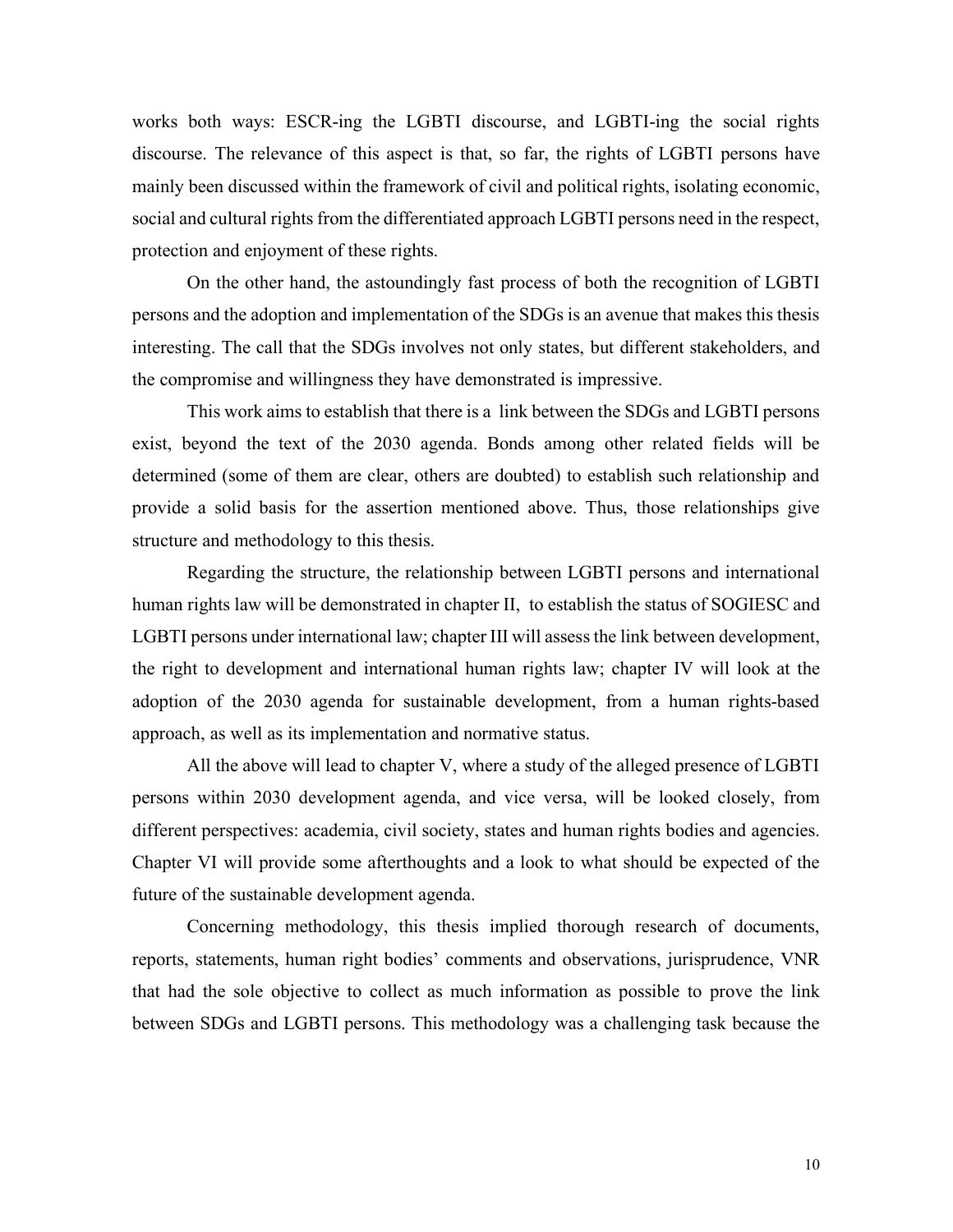works both ways: ESCR-ing the LGBTI discourse, and LGBTI-ing the social rights discourse. The relevance of this aspect is that, so far, the rights of LGBTI persons have mainly been discussed within the framework of civil and political rights, isolating economic, social and cultural rights from the differentiated approach LGBTI persons need in the respect, protection and enjoyment of these rights.

On the other hand, the astoundingly fast process of both the recognition of LGBTI persons and the adoption and implementation of the SDGs is an avenue that makes this thesis interesting. The call that the SDGs involves not only states, but different stakeholders, and the compromise and willingness they have demonstrated is impressive.

This work aims to establish that there is a link between the SDGs and LGBTI persons exist, beyond the text of the 2030 agenda. Bonds among other related fields will be determined (some of them are clear, others are doubted) to establish such relationship and provide a solid basis for the assertion mentioned above. Thus, those relationships give structure and methodology to this thesis.

Regarding the structure, the relationship between LGBTI persons and international human rights law will be demonstrated in chapter II, to establish the status of SOGIESC and LGBTI persons under international law; chapter III will assess the link between development, the right to development and international human rights law; chapter IV will look at the adoption of the 2030 agenda for sustainable development, from a human rights-based approach, as well as its implementation and normative status.

All the above will lead to chapter V, where a study of the alleged presence of LGBTI persons within 2030 development agenda, and vice versa, will be looked closely, from different perspectives: academia, civil society, states and human rights bodies and agencies. Chapter VI will provide some afterthoughts and a look to what should be expected of the future of the sustainable development agenda.

Concerning methodology, this thesis implied thorough research of documents, reports, statements, human right bodies' comments and observations, jurisprudence, VNR that had the sole objective to collect as much information as possible to prove the link between SDGs and LGBTI persons. This methodology was a challenging task because the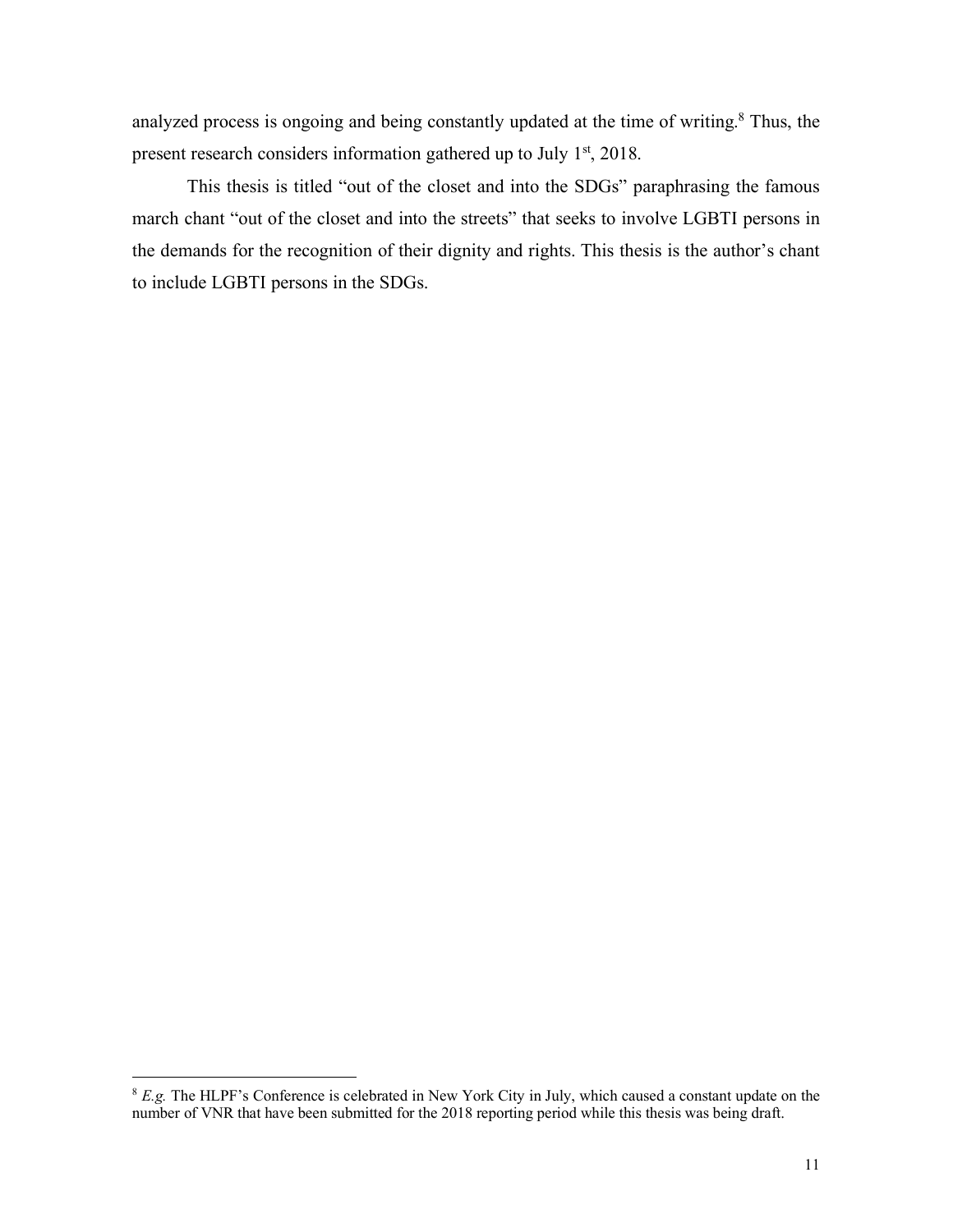analyzed process is ongoing and being constantly updated at the time of writing. <sup>8</sup> Thus, the present research considers information gathered up to July 1<sup>st</sup>, 2018.

This thesis is titled "out of the closet and into the SDGs" paraphrasing the famous march chant "out of the closet and into the streets" that seeks to involve LGBTI persons in the demands for the recognition of their dignity and rights. This thesis is the author's chant to include LGBTI persons in the SDGs.

<sup>&</sup>lt;sup>8</sup> *E.g.* The HLPF's Conference is celebrated in New York City in July, which caused a constant update on the number of VNR that have been submitted for the 2018 reporting period while this thesis was being draft.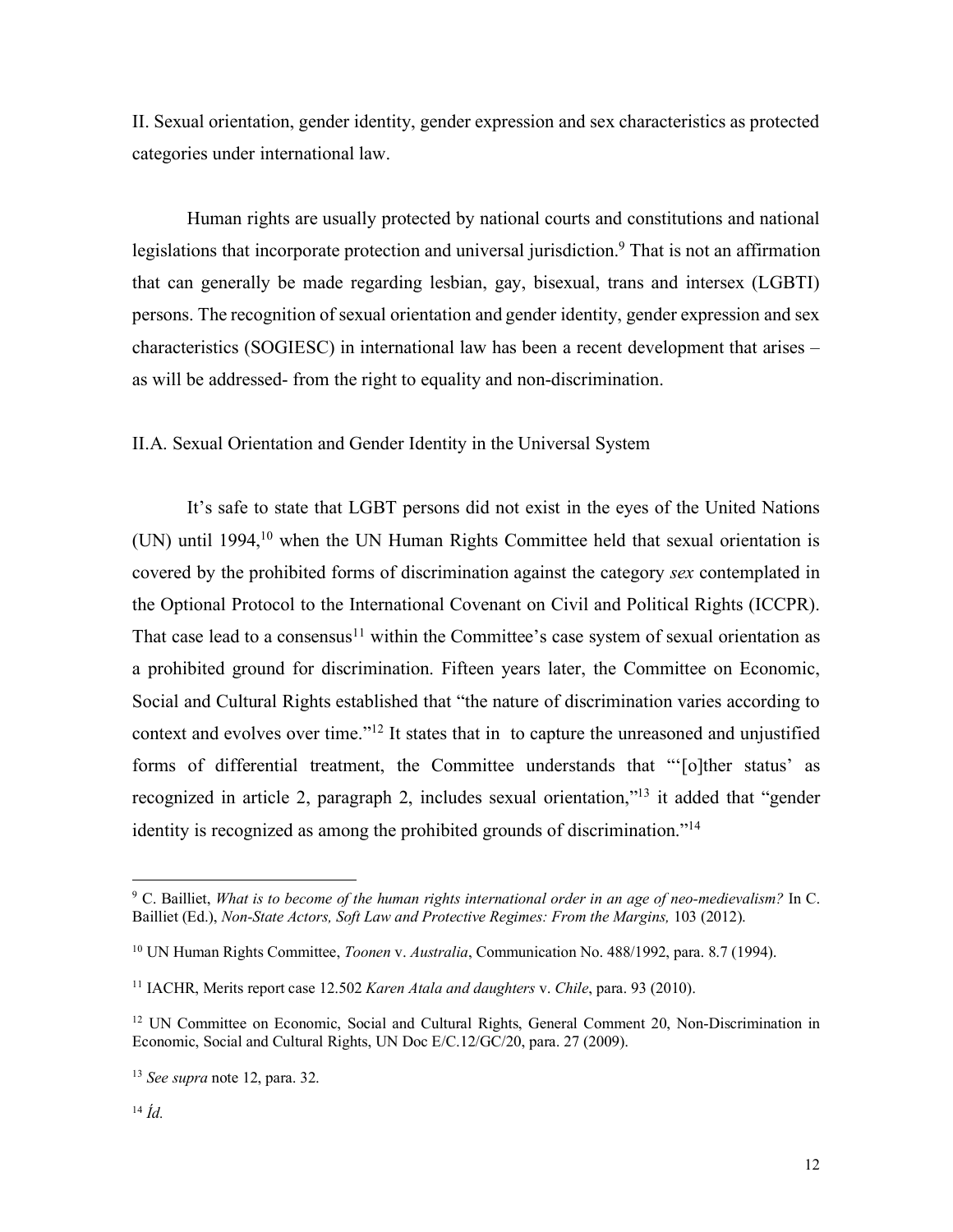II. Sexual orientation, gender identity, gender expression and sex characteristics as protected categories under international law.

Human rights are usually protected by national courts and constitutions and national legislations that incorporate protection and universal jurisdiction.<sup>9</sup> That is not an affirmation that can generally be made regarding lesbian, gay, bisexual, trans and intersex (LGBTI) persons. The recognition of sexual orientation and gender identity, gender expression and sex characteristics (SOGIESC) in international law has been a recent development that arises – as will be addressed- from the right to equality and non-discrimination.

II.A. Sexual Orientation and Gender Identity in the Universal System

It's safe to state that LGBT persons did not exist in the eyes of the United Nations (UN) until 1994, <sup>10</sup> when the UN Human Rights Committee held that sexual orientation is covered by the prohibited forms of discrimination against the category *sex* contemplated in the Optional Protocol to the International Covenant on Civil and Political Rights (ICCPR). That case lead to a consensus<sup>11</sup> within the Committee's case system of sexual orientation as a prohibited ground for discrimination. Fifteen years later, the Committee on Economic, Social and Cultural Rights established that "the nature of discrimination varies according to context and evolves over time."12 It states that in to capture the unreasoned and unjustified forms of differential treatment, the Committee understands that "'[o]ther status' as recognized in article 2, paragraph 2, includes sexual orientation,"13 it added that "gender identity is recognized as among the prohibited grounds of discrimination."14

 <sup>9</sup> C. Bailliet, *What is to become of the human rights international order in an age of neo-medievalism?* In C. Bailliet (Ed.), *Non-State Actors, Soft Law and Protective Regimes: From the Margins,* 103 (2012).

<sup>10</sup> UN Human Rights Committee, *Toonen* v. *Australia*, Communication No. 488/1992, para. 8.7 (1994).

<sup>11</sup> IACHR, Merits report case 12.502 *Karen Atala and daughters* v. *Chile*, para. 93 (2010).

<sup>&</sup>lt;sup>12</sup> UN Committee on Economic, Social and Cultural Rights, General Comment 20, Non-Discrimination in Economic, Social and Cultural Rights, UN Doc E/C.12/GC/20, para. 27 (2009).

<sup>13</sup> *See supra* note 12, para. 32.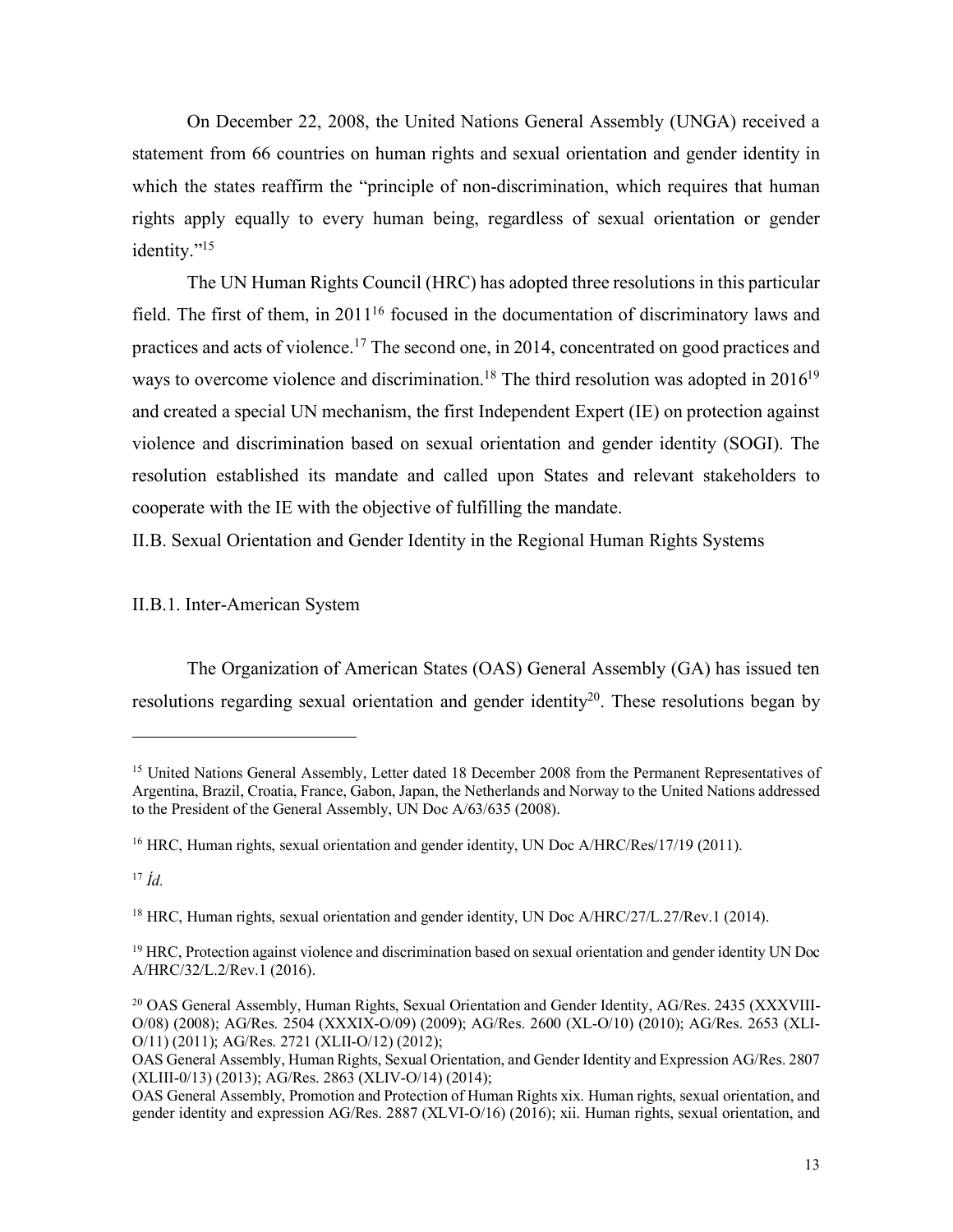On December 22, 2008, the United Nations General Assembly (UNGA) received a statement from 66 countries on human rights and sexual orientation and gender identity in which the states reaffirm the "principle of non-discrimination, which requires that human rights apply equally to every human being, regardless of sexual orientation or gender identity."<sup>15</sup>

The UN Human Rights Council (HRC) has adopted three resolutions in this particular field. The first of them, in 201116 focused in the documentation of discriminatory laws and practices and acts of violence.17 The second one, in 2014, concentrated on good practices and ways to overcome violence and discrimination.<sup>18</sup> The third resolution was adopted in 2016<sup>19</sup> and created a special UN mechanism, the first Independent Expert (IE) on protection against violence and discrimination based on sexual orientation and gender identity (SOGI). The resolution established its mandate and called upon States and relevant stakeholders to cooperate with the IE with the objective of fulfilling the mandate.

II.B. Sexual Orientation and Gender Identity in the Regional Human Rights Systems

II.B.1. Inter-American System

The Organization of American States (OAS) General Assembly (GA) has issued ten resolutions regarding sexual orientation and gender identity<sup>20</sup>. These resolutions began by

1

<sup>&</sup>lt;sup>15</sup> United Nations General Assembly, Letter dated 18 December 2008 from the Permanent Representatives of Argentina, Brazil, Croatia, France, Gabon, Japan, the Netherlands and Norway to the United Nations addressed to the President of the General Assembly, UN Doc A/63/635 (2008).

<sup>&</sup>lt;sup>16</sup> HRC, Human rights, sexual orientation and gender identity, UN Doc A/HRC/Res/17/19 (2011).

<sup>17</sup> *Íd.*

<sup>&</sup>lt;sup>18</sup> HRC, Human rights, sexual orientation and gender identity, UN Doc A/HRC/27/L.27/Rev.1 (2014).

<sup>&</sup>lt;sup>19</sup> HRC, Protection against violence and discrimination based on sexual orientation and gender identity UN Doc A/HRC/32/L.2/Rev.1 (2016).

<sup>&</sup>lt;sup>20</sup> OAS General Assembly, Human Rights, Sexual Orientation and Gender Identity, AG/Res. 2435 (XXXVIII-O/08) (2008); AG/Res. 2504 (XXXIX-O/09) (2009); AG/Res. 2600 (XL-O/10) (2010); AG/Res. 2653 (XLI-O/11) (2011); AG/Res. 2721 (XLII-O/12) (2012);

OAS General Assembly, Human Rights, Sexual Orientation, and Gender Identity and Expression AG/Res. 2807 (XLIII-0/13) (2013); AG/Res. 2863 (XLIV-O/14) (2014);

OAS General Assembly, Promotion and Protection of Human Rights xix. Human rights, sexual orientation, and gender identity and expression AG/Res. 2887 (XLVI-O/16) (2016); xii. Human rights, sexual orientation, and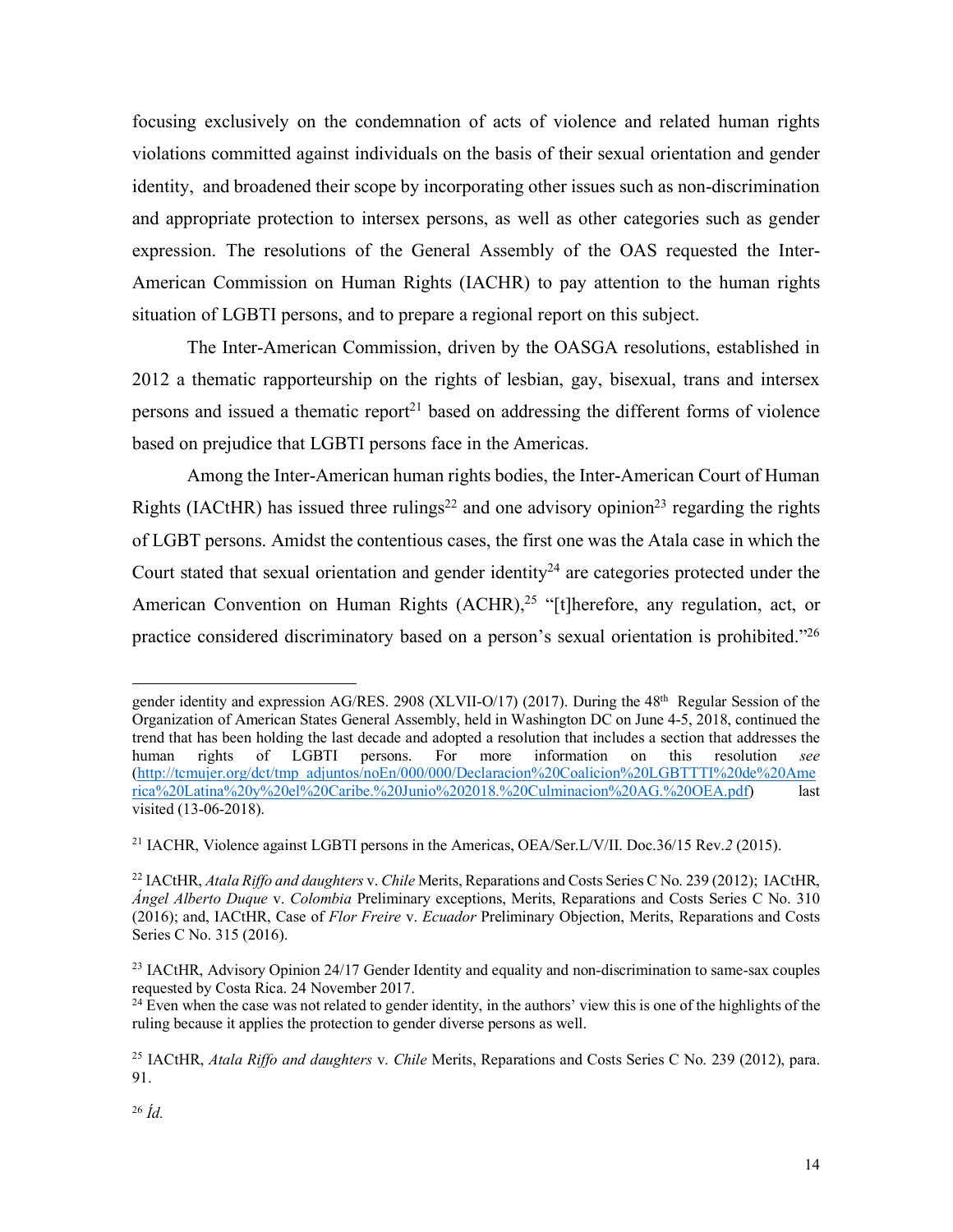focusing exclusively on the condemnation of acts of violence and related human rights violations committed against individuals on the basis of their sexual orientation and gender identity, and broadened their scope by incorporating other issues such as non-discrimination and appropriate protection to intersex persons, as well as other categories such as gender expression. The resolutions of the General Assembly of the OAS requested the Inter-American Commission on Human Rights (IACHR) to pay attention to the human rights situation of LGBTI persons, and to prepare a regional report on this subject.

The Inter-American Commission, driven by the OASGA resolutions, established in 2012 a thematic rapporteurship on the rights of lesbian, gay, bisexual, trans and intersex persons and issued a thematic report<sup>21</sup> based on addressing the different forms of violence based on prejudice that LGBTI persons face in the Americas.

Among the Inter-American human rights bodies, the Inter-American Court of Human Rights (IACtHR) has issued three rulings<sup>22</sup> and one advisory opinion<sup>23</sup> regarding the rights of LGBT persons. Amidst the contentious cases, the first one was the Atala case in which the Court stated that sexual orientation and gender identity<sup>24</sup> are categories protected under the American Convention on Human Rights (ACHR),<sup>25</sup> "[t]herefore, any regulation, act, or practice considered discriminatory based on a person's sexual orientation is prohibited."26

1

gender identity and expression AG/RES. 2908 (XLVII-O/17) (2017). During the 48th Regular Session of the Organization of American States General Assembly, held in Washington DC on June 4-5, 2018, continued the trend that has been holding the last decade and adopted a resolution that includes a section that addresses the human rights of LGBTI persons. For more information on this resolution *see*  (http://tcmujer.org/dct/tmp\_adjuntos/noEn/000/000/Declaracion%20Coalicion%20LGBTTTI%20de%20Ame rica%20Latina%20y%20el%20Caribe.%20Junio%202018.%20Culminacion%20AG.%20OEA.pdf) last visited (13-06-2018).

<sup>21</sup> IACHR, Violence against LGBTI persons in the Americas, OEA/Ser.L/V/II. Doc.36/15 Rev.*2* (2015).

<sup>22</sup> IACtHR, *Atala Riffo and daughters* v. *Chile* Merits, Reparations and Costs Series C No. 239 (2012); IACtHR, *Ángel Alberto Duque* v. *Colombia* Preliminary exceptions, Merits, Reparations and Costs Series C No. 310 (2016); and, IACtHR, Case of *Flor Freire* v. *Ecuador* Preliminary Objection, Merits, Reparations and Costs Series C No. 315 (2016).

<sup>&</sup>lt;sup>23</sup> IACtHR, Advisory Opinion 24/17 Gender Identity and equality and non-discrimination to same-sax couples requested by Costa Rica. 24 November 2017.

<sup>&</sup>lt;sup>24</sup> Even when the case was not related to gender identity, in the authors' view this is one of the highlights of the ruling because it applies the protection to gender diverse persons as well.

<sup>25</sup> IACtHR, *Atala Riffo and daughters* v. *Chile* Merits, Reparations and Costs Series C No. 239 (2012), para. 91.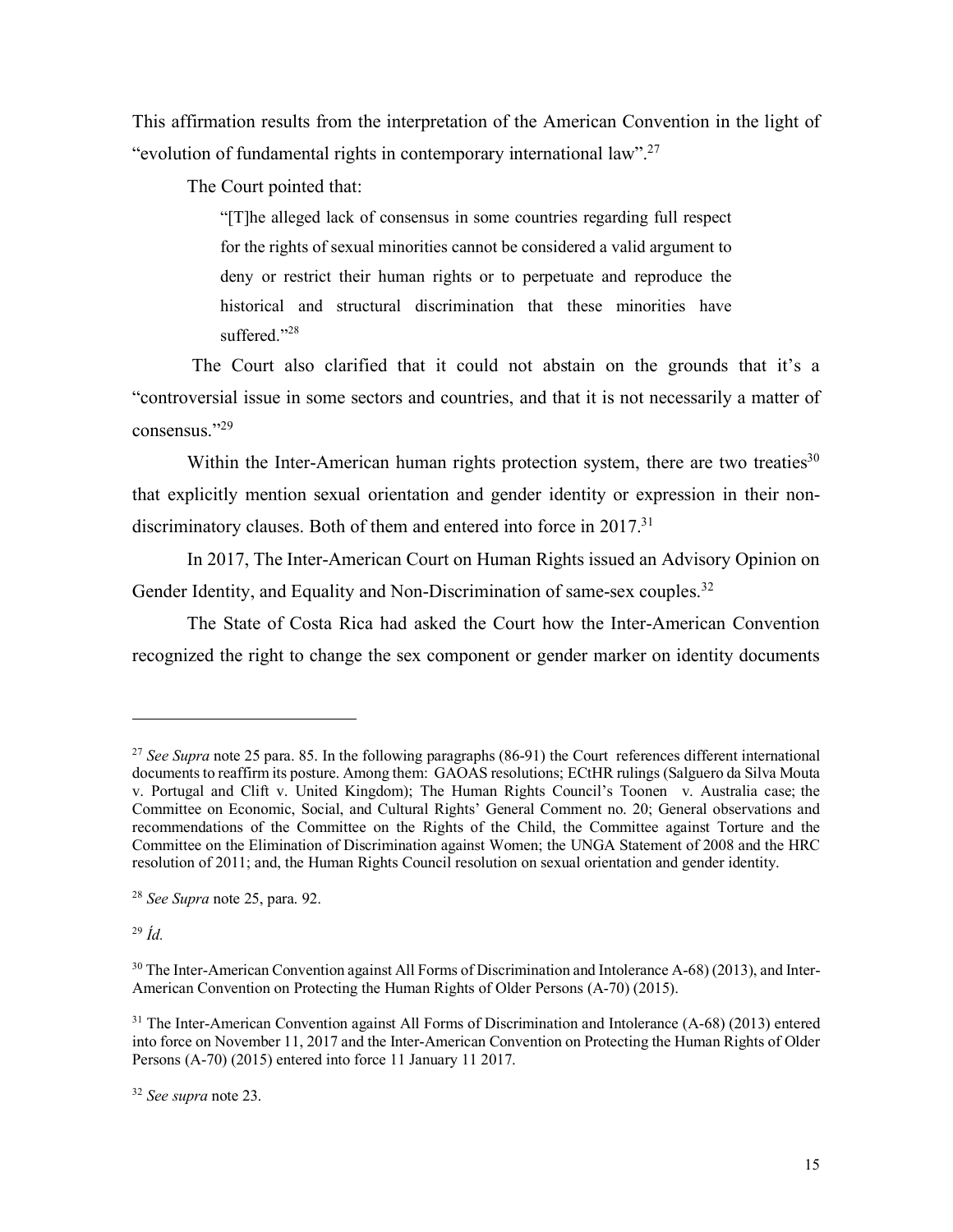This affirmation results from the interpretation of the American Convention in the light of "evolution of fundamental rights in contemporary international law".27

The Court pointed that:

"[T]he alleged lack of consensus in some countries regarding full respect for the rights of sexual minorities cannot be considered a valid argument to deny or restrict their human rights or to perpetuate and reproduce the historical and structural discrimination that these minorities have suffered."<sup>28</sup>

The Court also clarified that it could not abstain on the grounds that it's a "controversial issue in some sectors and countries, and that it is not necessarily a matter of consensus."29

Within the Inter-American human rights protection system, there are two treaties $30$ that explicitly mention sexual orientation and gender identity or expression in their nondiscriminatory clauses. Both of them and entered into force in 2017.<sup>31</sup>

In 2017, The Inter-American Court on Human Rights issued an Advisory Opinion on Gender Identity, and Equality and Non-Discrimination of same-sex couples.<sup>32</sup>

The State of Costa Rica had asked the Court how the Inter-American Convention recognized the right to change the sex component or gender marker on identity documents

<sup>29</sup> *Íd.*

<u>.</u>

<sup>&</sup>lt;sup>27</sup> *See Supra* note 25 para. 85. In the following paragraphs (86-91) the Court references different international documents to reaffirm its posture. Among them: GAOAS resolutions; ECtHR rulings (Salguero da Silva Mouta v. Portugal and Clift v. United Kingdom); The Human Rights Council's Toonen v. Australia case; the Committee on Economic, Social, and Cultural Rights' General Comment no. 20; General observations and recommendations of the Committee on the Rights of the Child, the Committee against Torture and the Committee on the Elimination of Discrimination against Women; the UNGA Statement of 2008 and the HRC resolution of 2011; and, the Human Rights Council resolution on sexual orientation and gender identity.

<sup>28</sup> *See Supra* note 25, para. 92.

<sup>&</sup>lt;sup>30</sup> The Inter-American Convention against All Forms of Discrimination and Intolerance A-68) (2013), and Inter-American Convention on Protecting the Human Rights of Older Persons (A-70) (2015).

<sup>&</sup>lt;sup>31</sup> The Inter-American Convention against All Forms of Discrimination and Intolerance (A-68) (2013) entered into force on November 11, 2017 and the Inter-American Convention on Protecting the Human Rights of Older Persons (A-70) (2015) entered into force 11 January 11 2017.

<sup>32</sup> *See supra* note 23.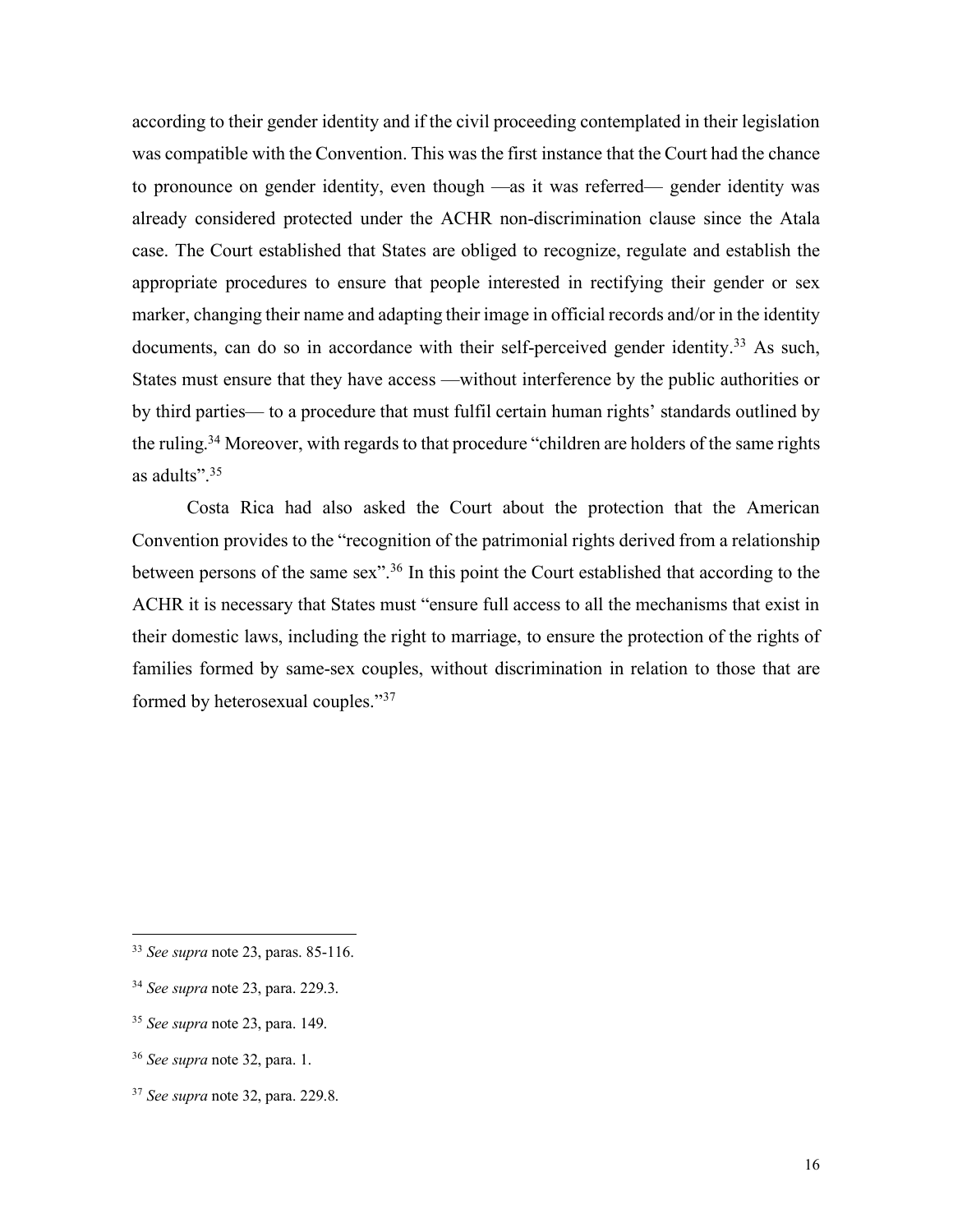according to their gender identity and if the civil proceeding contemplated in their legislation was compatible with the Convention. This was the first instance that the Court had the chance to pronounce on gender identity, even though —as it was referred— gender identity was already considered protected under the ACHR non-discrimination clause since the Atala case. The Court established that States are obliged to recognize, regulate and establish the appropriate procedures to ensure that people interested in rectifying their gender or sex marker, changing their name and adapting their image in official records and/or in the identity documents, can do so in accordance with their self-perceived gender identity.<sup>33</sup> As such, States must ensure that they have access —without interference by the public authorities or by third parties— to a procedure that must fulfil certain human rights' standards outlined by the ruling.34 Moreover, with regards to that procedure "children are holders of the same rights as adults".35

Costa Rica had also asked the Court about the protection that the American Convention provides to the "recognition of the patrimonial rights derived from a relationship between persons of the same sex".<sup>36</sup> In this point the Court established that according to the ACHR it is necessary that States must "ensure full access to all the mechanisms that exist in their domestic laws, including the right to marriage, to ensure the protection of the rights of families formed by same-sex couples, without discrimination in relation to those that are formed by heterosexual couples."37

 <sup>33</sup> *See supra* note 23, paras. 85-116.

<sup>34</sup> *See supra* note 23, para. 229.3.

<sup>35</sup> *See supra* note 23, para. 149.

<sup>36</sup> *See supra* note 32, para. 1.

<sup>37</sup> *See supra* note 32, para. 229.8.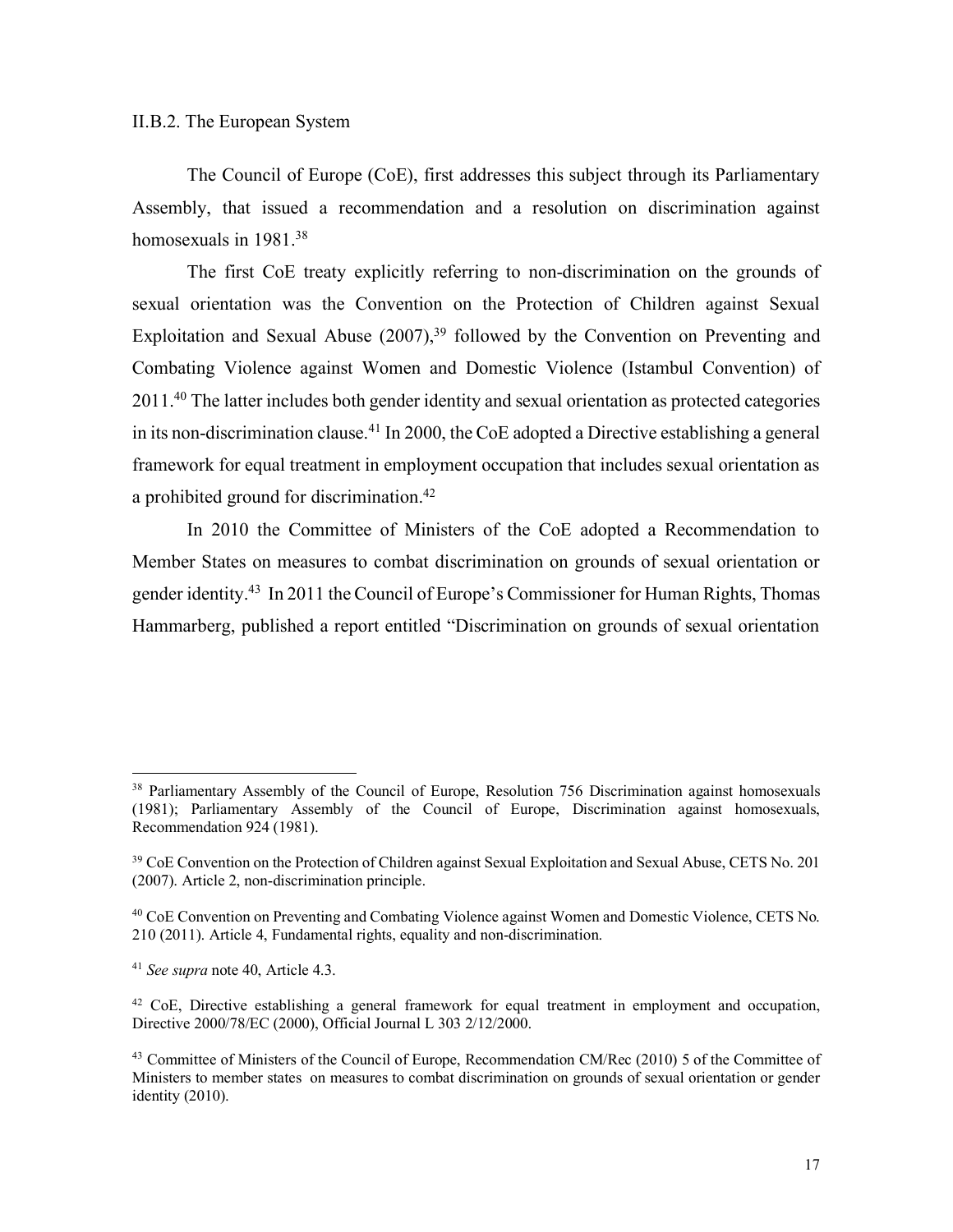### II.B.2. The European System

The Council of Europe (CoE), first addresses this subject through its Parliamentary Assembly, that issued a recommendation and a resolution on discrimination against homosexuals in 1981.<sup>38</sup>

The first CoE treaty explicitly referring to non-discrimination on the grounds of sexual orientation was the Convention on the Protection of Children against Sexual Exploitation and Sexual Abuse  $(2007)$ ,<sup>39</sup> followed by the Convention on Preventing and Combating Violence against Women and Domestic Violence (Istambul Convention) of 2011.40 The latter includes both gender identity and sexual orientation as protected categories in its non-discrimination clause.41 In 2000, the CoE adopted a Directive establishing a general framework for equal treatment in employment occupation that includes sexual orientation as a prohibited ground for discrimination.42

In 2010 the Committee of Ministers of the CoE adopted a Recommendation to Member States on measures to combat discrimination on grounds of sexual orientation or gender identity.43 In 2011 the Council of Europe's Commissioner for Human Rights, Thomas Hammarberg, published a report entitled "Discrimination on grounds of sexual orientation

<sup>&</sup>lt;sup>38</sup> Parliamentary Assembly of the Council of Europe, Resolution 756 Discrimination against homosexuals (1981); Parliamentary Assembly of the Council of Europe, Discrimination against homosexuals, Recommendation 924 (1981).

<sup>&</sup>lt;sup>39</sup> CoE Convention on the Protection of Children against Sexual Exploitation and Sexual Abuse, CETS No. 201 (2007). Article 2, non-discrimination principle.

<sup>40</sup> CoE Convention on Preventing and Combating Violence against Women and Domestic Violence, CETS No. 210 (2011). Article 4, Fundamental rights, equality and non-discrimination.

<sup>41</sup> *See supra* note 40, Article 4.3.

<sup>42</sup> CoE, Directive establishing a general framework for equal treatment in employment and occupation, Directive 2000/78/EC (2000), Official Journal L 303 2/12/2000.

<sup>43</sup> Committee of Ministers of the Council of Europe, Recommendation CM/Rec (2010) 5 of the Committee of Ministers to member states on measures to combat discrimination on grounds of sexual orientation or gender identity (2010).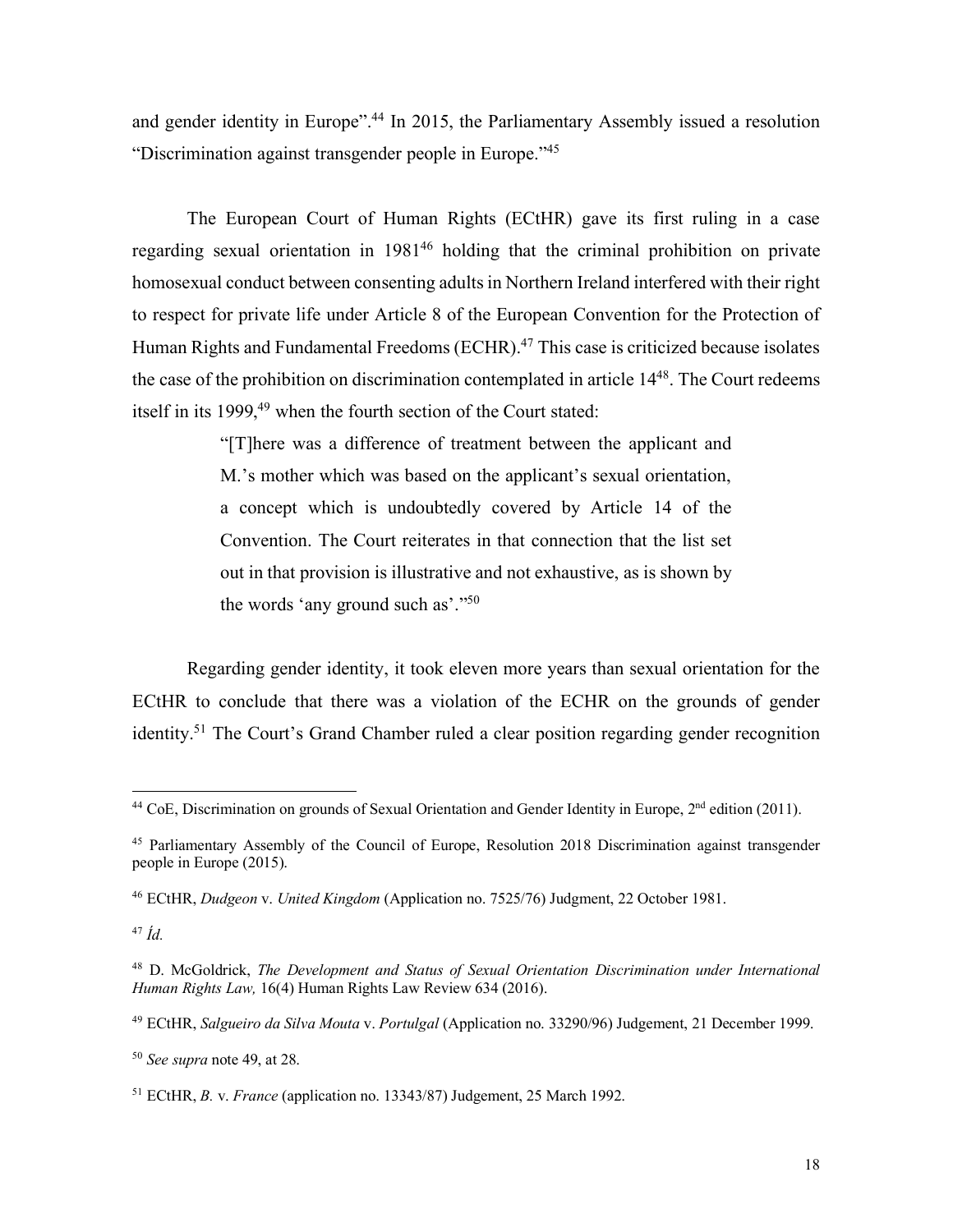and gender identity in Europe". <sup>44</sup> In 2015, the Parliamentary Assembly issued a resolution "Discrimination against transgender people in Europe."45

The European Court of Human Rights (ECtHR) gave its first ruling in a case regarding sexual orientation in 1981<sup>46</sup> holding that the criminal prohibition on private homosexual conduct between consenting adults in Northern Ireland interfered with their right to respect for private life under Article 8 of the European Convention for the Protection of Human Rights and Fundamental Freedoms (ECHR).<sup>47</sup> This case is criticized because isolates the case of the prohibition on discrimination contemplated in article 1448. The Court redeems itself in its 1999,<sup>49</sup> when the fourth section of the Court stated:

> "[T]here was a difference of treatment between the applicant and M.'s mother which was based on the applicant's sexual orientation, a concept which is undoubtedly covered by Article 14 of the Convention. The Court reiterates in that connection that the list set out in that provision is illustrative and not exhaustive, as is shown by the words 'any ground such as'."50

Regarding gender identity, it took eleven more years than sexual orientation for the ECtHR to conclude that there was a violation of the ECHR on the grounds of gender identity.<sup>51</sup> The Court's Grand Chamber ruled a clear position regarding gender recognition

<sup>&</sup>lt;sup>44</sup> CoE, Discrimination on grounds of Sexual Orientation and Gender Identity in Europe, 2<sup>nd</sup> edition (2011).

<sup>45</sup> Parliamentary Assembly of the Council of Europe, Resolution 2018 Discrimination against transgender people in Europe (2015).

<sup>46</sup> ECtHR, *Dudgeon* v. *United Kingdom* (Application no. 7525/76) Judgment, 22 October 1981.

<sup>47</sup> *Íd.*

<sup>48</sup> D. McGoldrick, *The Development and Status of Sexual Orientation Discrimination under International Human Rights Law,* 16(4) Human Rights Law Review 634 (2016).

<sup>49</sup> ECtHR, *Salgueiro da Silva Mouta* v. *Portulgal* (Application no. 33290/96) Judgement, 21 December 1999.

<sup>50</sup> *See supra* note 49, at 28.

<sup>51</sup> ECtHR, *B.* v. *France* (application no. 13343/87) Judgement, 25 March 1992.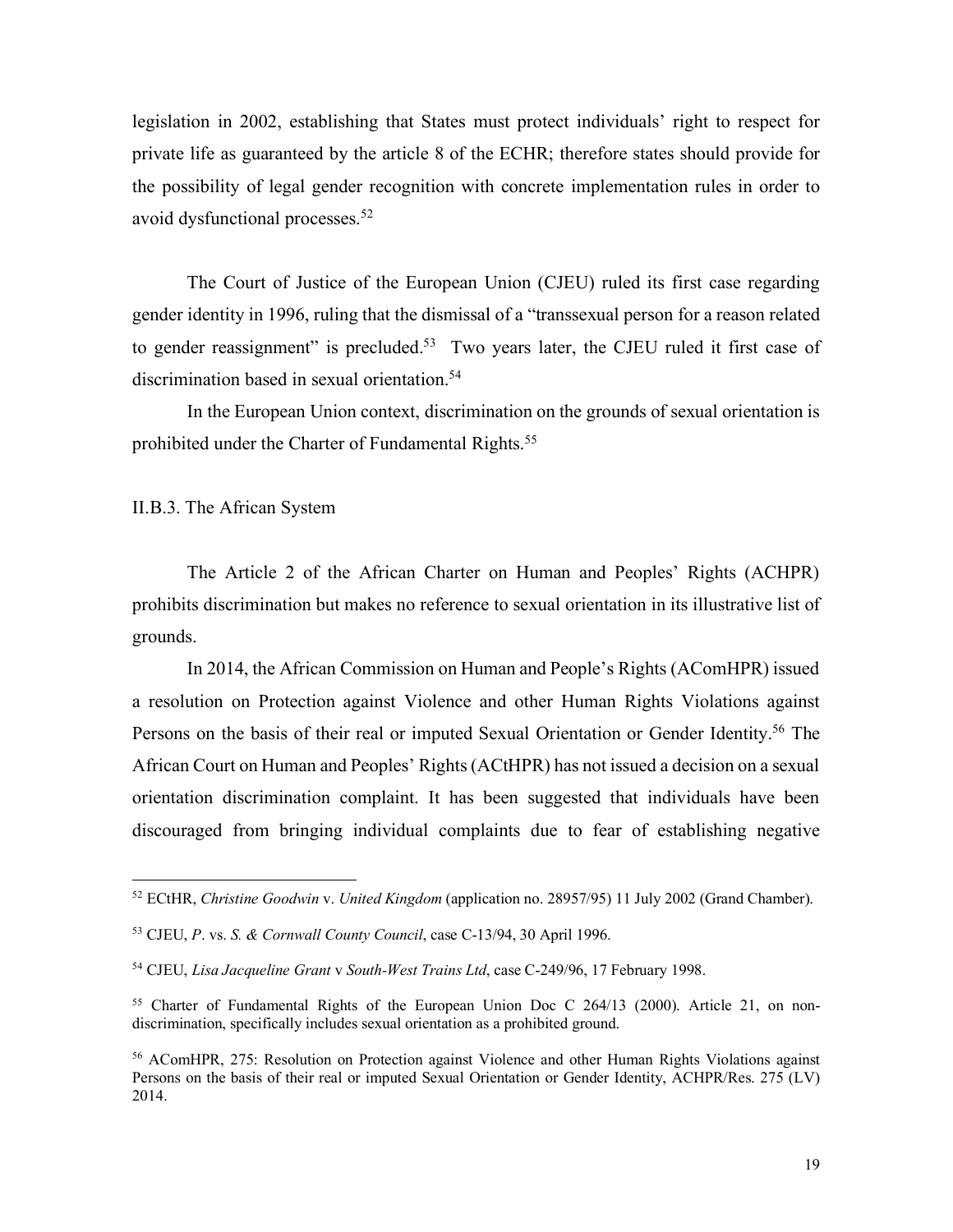legislation in 2002, establishing that States must protect individuals' right to respect for private life as guaranteed by the article 8 of the ECHR; therefore states should provide for the possibility of legal gender recognition with concrete implementation rules in order to avoid dysfunctional processes.52

The Court of Justice of the European Union (CJEU) ruled its first case regarding gender identity in 1996, ruling that the dismissal of a "transsexual person for a reason related to gender reassignment" is precluded.<sup>53</sup> Two years later, the CJEU ruled it first case of discrimination based in sexual orientation.<sup>54</sup>

In the European Union context, discrimination on the grounds of sexual orientation is prohibited under the Charter of Fundamental Rights.<sup>55</sup>

II.B.3. The African System

The Article 2 of the African Charter on Human and Peoples' Rights (ACHPR) prohibits discrimination but makes no reference to sexual orientation in its illustrative list of grounds.

In 2014, the African Commission on Human and People's Rights (AComHPR) issued a resolution on Protection against Violence and other Human Rights Violations against Persons on the basis of their real or imputed Sexual Orientation or Gender Identity.<sup>56</sup> The African Court on Human and Peoples' Rights(ACtHPR) has not issued a decision on a sexual orientation discrimination complaint. It has been suggested that individuals have been discouraged from bringing individual complaints due to fear of establishing negative

 <sup>52</sup> ECtHR, *Christine Goodwin* v. *United Kingdom* (application no. 28957/95) 11 July 2002 (Grand Chamber).

<sup>53</sup> CJEU, *P*. vs. *S. & Cornwall County Council*, case C-13/94, 30 April 1996.

<sup>54</sup> CJEU, *Lisa Jacqueline Grant* v *South-West Trains Ltd*, case C-249/96, 17 February 1998.

<sup>&</sup>lt;sup>55</sup> Charter of Fundamental Rights of the European Union Doc C 264/13 (2000). Article 21, on nondiscrimination, specifically includes sexual orientation as a prohibited ground.

<sup>56</sup> AComHPR, 275: Resolution on Protection against Violence and other Human Rights Violations against Persons on the basis of their real or imputed Sexual Orientation or Gender Identity, ACHPR/Res. 275 (LV) 2014.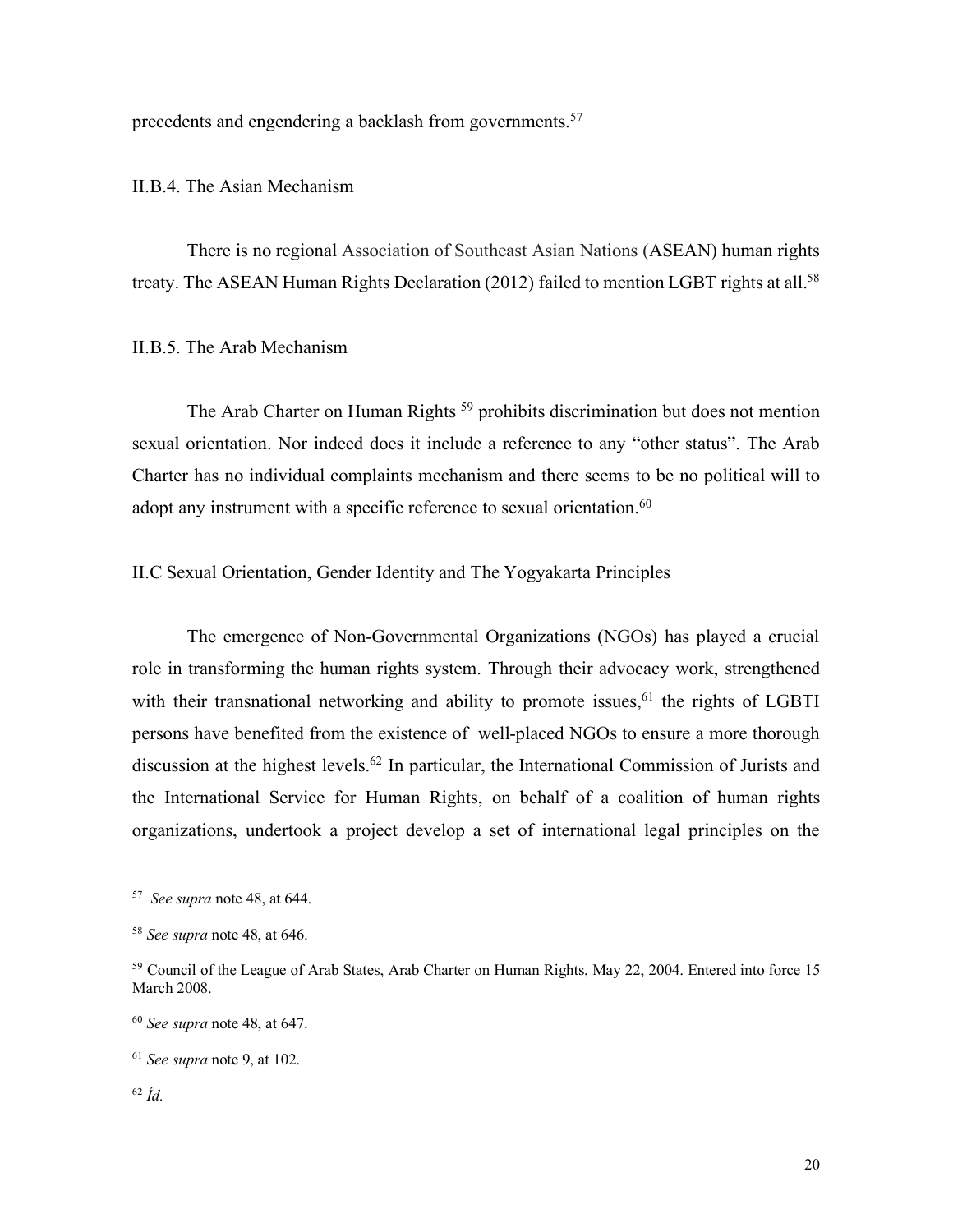precedents and engendering a backlash from governments.<sup>57</sup>

II.B.4. The Asian Mechanism

There is no regional Association of Southeast Asian Nations (ASEAN) human rights treaty. The ASEAN Human Rights Declaration (2012) failed to mention LGBT rights at all.<sup>58</sup>

II.B.5. The Arab Mechanism

The Arab Charter on Human Rights<sup>59</sup> prohibits discrimination but does not mention sexual orientation. Nor indeed does it include a reference to any "other status". The Arab Charter has no individual complaints mechanism and there seems to be no political will to adopt any instrument with a specific reference to sexual orientation.<sup>60</sup>

II.C Sexual Orientation, Gender Identity and The Yogyakarta Principles

The emergence of Non-Governmental Organizations (NGOs) has played a crucial role in transforming the human rights system. Through their advocacy work, strengthened with their transnational networking and ability to promote issues,  $61$  the rights of LGBTI persons have benefited from the existence of well-placed NGOs to ensure a more thorough discussion at the highest levels.62 In particular, the International Commission of Jurists and the International Service for Human Rights, on behalf of a coalition of human rights organizations, undertook a project develop a set of international legal principles on the

 <sup>57</sup> *See supra* note 48, at 644.

<sup>58</sup> *See supra* note 48, at 646.

<sup>&</sup>lt;sup>59</sup> Council of the League of Arab States, Arab Charter on Human Rights, May 22, 2004. Entered into force 15 March 2008.

<sup>60</sup> *See supra* note 48, at 647.

<sup>61</sup> *See supra* note 9, at 102.

<sup>62</sup> *Íd.*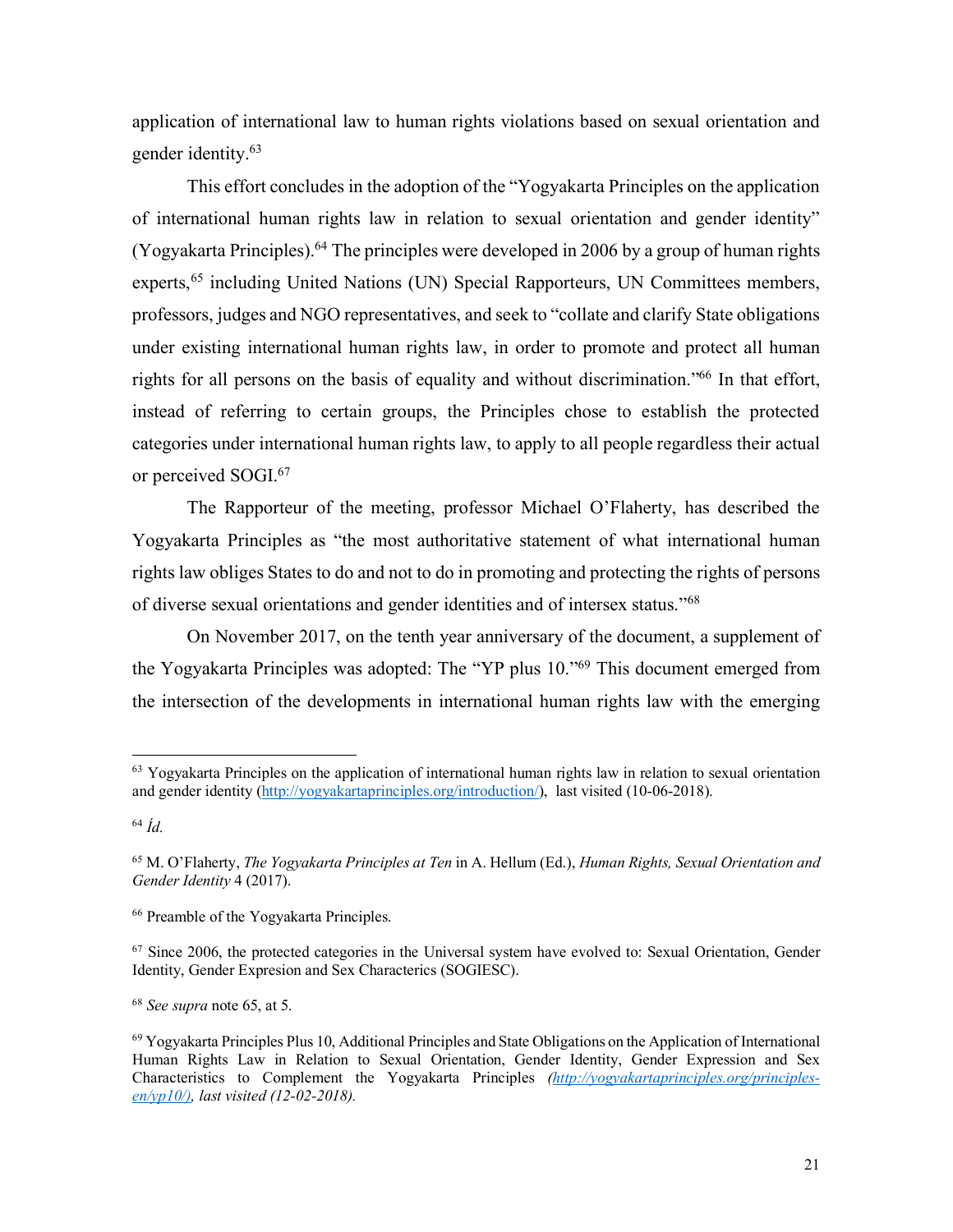application of international law to human rights violations based on sexual orientation and gender identity.63

This effort concludes in the adoption of the "Yogyakarta Principles on the application of international human rights law in relation to sexual orientation and gender identity" (Yogyakarta Principles).64 The principles were developed in 2006 by a group of human rights experts,<sup>65</sup> including United Nations (UN) Special Rapporteurs, UN Committees members, professors, judges and NGO representatives, and seek to "collate and clarify State obligations under existing international human rights law, in order to promote and protect all human rights for all persons on the basis of equality and without discrimination."66 In that effort, instead of referring to certain groups, the Principles chose to establish the protected categories under international human rights law, to apply to all people regardless their actual or perceived SOGI. 67

The Rapporteur of the meeting, professor Michael O'Flaherty, has described the Yogyakarta Principles as "the most authoritative statement of what international human rights law obliges States to do and not to do in promoting and protecting the rights of persons of diverse sexual orientations and gender identities and of intersex status."68

On November 2017, on the tenth year anniversary of the document, a supplement of the Yogyakarta Principles was adopted: The "YP plus 10."69 This document emerged from the intersection of the developments in international human rights law with the emerging

<sup>68</sup> *See supra* note 65, at 5.

 <sup>63</sup> Yogyakarta Principles on the application of international human rights law in relation to sexual orientation and gender identity (http://yogyakartaprinciples.org/introduction/), last visited (10-06-2018).

<sup>64</sup> *Íd.*

<sup>65</sup> M. O'Flaherty, *The Yogyakarta Principles at Ten* in A. Hellum (Ed.), *Human Rights, Sexual Orientation and Gender Identity* 4 (2017).

<sup>66</sup> Preamble of the Yogyakarta Principles.

<sup>&</sup>lt;sup>67</sup> Since 2006, the protected categories in the Universal system have evolved to: Sexual Orientation, Gender Identity, Gender Expresion and Sex Characterics (SOGIESC).

<sup>69</sup> Yogyakarta Principles Plus 10, Additional Principles and State Obligations on the Application of International Human Rights Law in Relation to Sexual Orientation, Gender Identity, Gender Expression and Sex Characteristics to Complement the Yogyakarta Principles *(http://yogyakartaprinciples.org/principlesen/yp10/), last visited (12-02-2018).*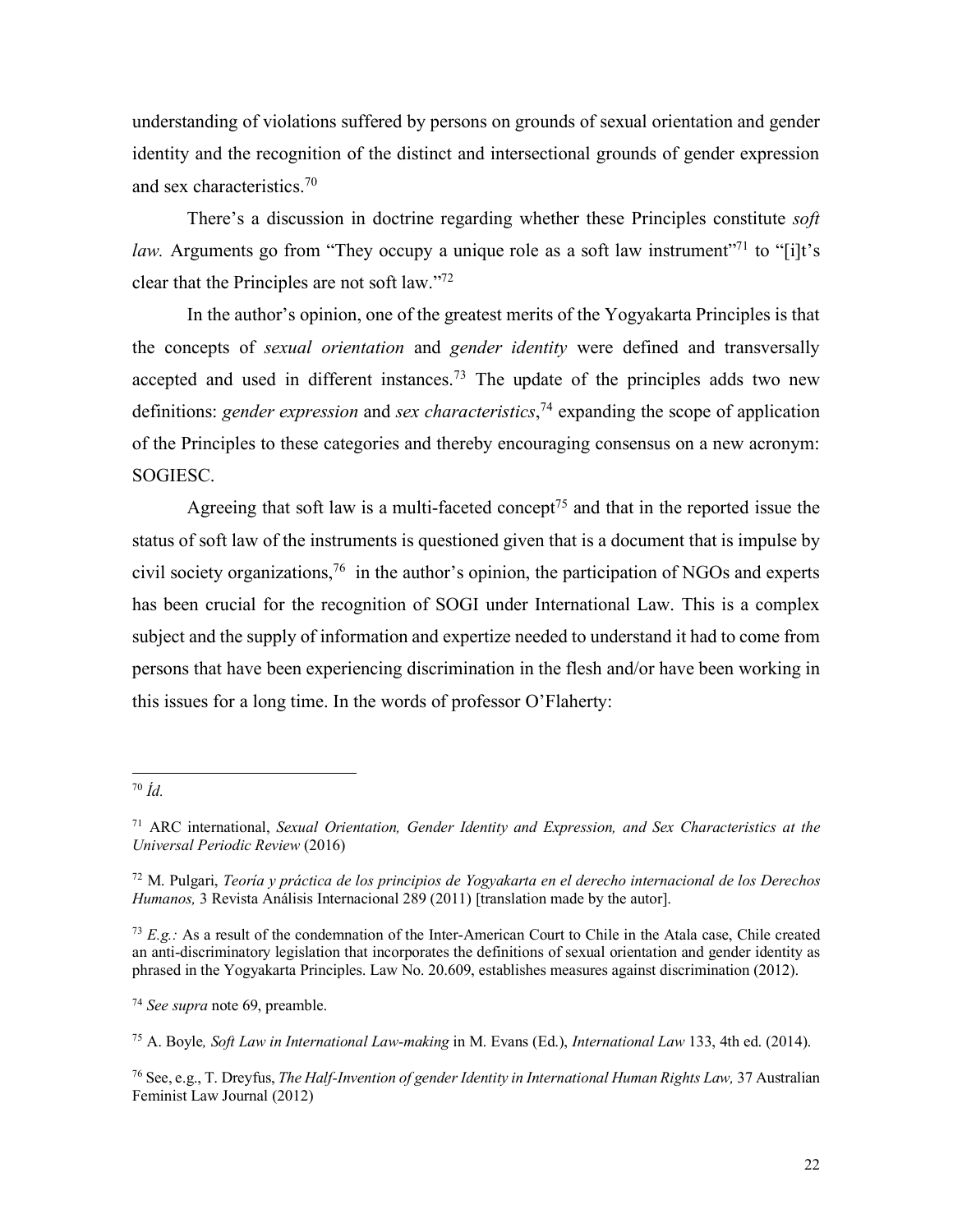understanding of violations suffered by persons on grounds of sexual orientation and gender identity and the recognition of the distinct and intersectional grounds of gender expression and sex characteristics.70

There's a discussion in doctrine regarding whether these Principles constitute *soft law.* Arguments go from "They occupy a unique role as a soft law instrument"<sup>71</sup> to "[i]t's clear that the Principles are not soft law."72

In the author's opinion, one of the greatest merits of the Yogyakarta Principles is that the concepts of *sexual orientation* and *gender identity* were defined and transversally accepted and used in different instances.73 The update of the principles adds two new definitions: *gender expression* and *sex characteristics*, <sup>74</sup> expanding the scope of application of the Principles to these categories and thereby encouraging consensus on a new acronym: SOGIESC.

Agreeing that soft law is a multi-faceted concept<sup>75</sup> and that in the reported issue the status of soft law of the instruments is questioned given that is a document that is impulse by civil society organizations,76 in the author's opinion, the participation of NGOs and experts has been crucial for the recognition of SOGI under International Law. This is a complex subject and the supply of information and expertize needed to understand it had to come from persons that have been experiencing discrimination in the flesh and/or have been working in this issues for a long time. In the words of professor O'Flaherty:

 <sup>70</sup> *Íd.*

<sup>71</sup> ARC international, *Sexual Orientation, Gender Identity and Expression, and Sex Characteristics at the Universal Periodic Review* (2016)

<sup>72</sup> M. Pulgari, *Teoría y práctica de los principios de Yogyakarta en el derecho internacional de los Derechos Humanos,* 3 Revista Análisis Internacional 289 (2011) [translation made by the autor].

<sup>&</sup>lt;sup>73</sup> *E.g.*: As a result of the condemnation of the Inter-American Court to Chile in the Atala case, Chile created an anti-discriminatory legislation that incorporates the definitions of sexual orientation and gender identity as phrased in the Yogyakarta Principles. Law No. 20.609, establishes measures against discrimination (2012).

<sup>74</sup> *See supra* note 69, preamble.

<sup>75</sup> A. Boyle*, Soft Law in International Law-making* in M. Evans (Ed.), *International Law* 133, 4th ed. (2014).

<sup>76</sup> See, e.g., T. Dreyfus, *The Half-Invention of gender Identity in International Human Rights Law,* 37 Australian Feminist Law Journal (2012)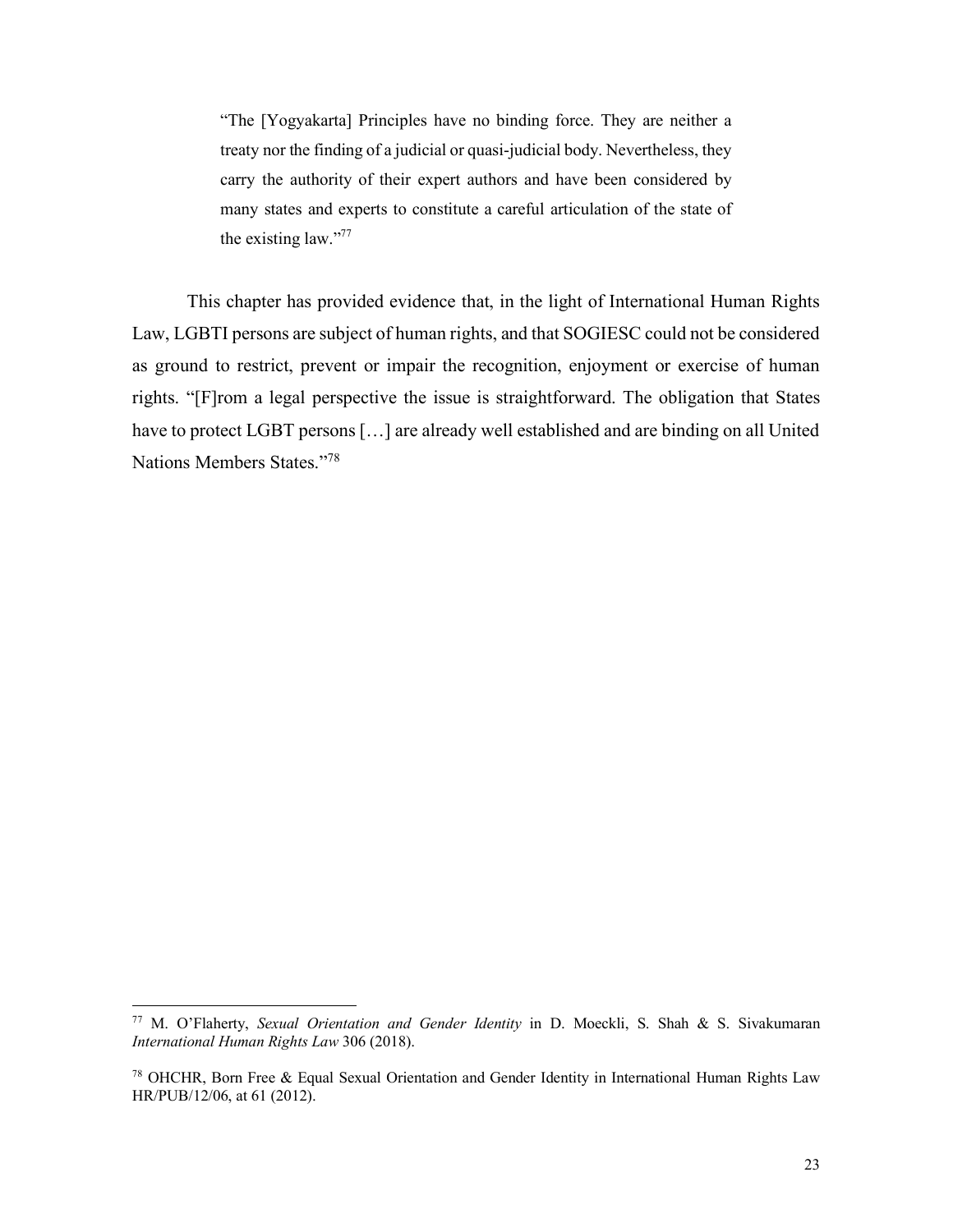"The [Yogyakarta] Principles have no binding force. They are neither a treaty nor the finding of a judicial or quasi-judicial body. Nevertheless, they carry the authority of their expert authors and have been considered by many states and experts to constitute a careful articulation of the state of the existing law."77

This chapter has provided evidence that, in the light of International Human Rights Law, LGBTI persons are subject of human rights, and that SOGIESC could not be considered as ground to restrict, prevent or impair the recognition, enjoyment or exercise of human rights. "[F]rom a legal perspective the issue is straightforward. The obligation that States have to protect LGBT persons […] are already well established and are binding on all United Nations Members States."78

 <sup>77</sup> M. O'Flaherty, *Sexual Orientation and Gender Identity* in D. Moeckli, S. Shah & S. Sivakumaran *International Human Rights Law* 306 (2018).

<sup>78</sup> OHCHR, Born Free & Equal Sexual Orientation and Gender Identity in International Human Rights Law HR/PUB/12/06, at 61 (2012).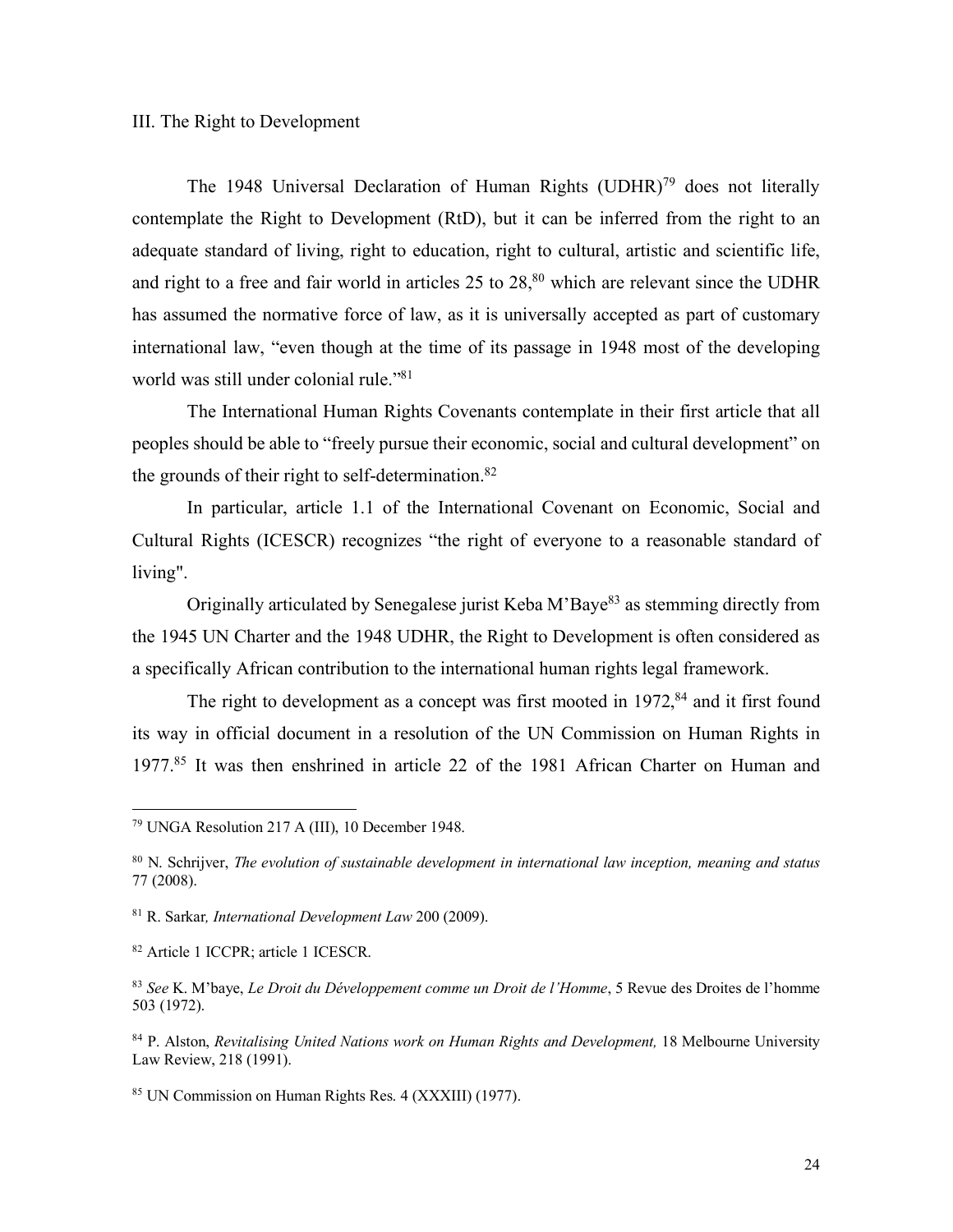## III. The Right to Development

The 1948 Universal Declaration of Human Rights (UDHR)<sup>79</sup> does not literally contemplate the Right to Development (RtD), but it can be inferred from the right to an adequate standard of living, right to education, right to cultural, artistic and scientific life, and right to a free and fair world in articles  $25$  to  $28$ ,<sup>80</sup> which are relevant since the UDHR has assumed the normative force of law, as it is universally accepted as part of customary international law, "even though at the time of its passage in 1948 most of the developing world was still under colonial rule."81

The International Human Rights Covenants contemplate in their first article that all peoples should be able to "freely pursue their economic, social and cultural development" on the grounds of their right to self-determination. $82$ 

In particular, article 1.1 of the International Covenant on Economic, Social and Cultural Rights (ICESCR) recognizes "the right of everyone to a reasonable standard of living".

Originally articulated by Senegalese jurist Keba M'Baye83 as stemming directly from the 1945 UN Charter and the 1948 UDHR, the Right to Development is often considered as a specifically African contribution to the international human rights legal framework.

The right to development as a concept was first mooted in  $1972$ ,  $84$  and it first found its way in official document in a resolution of the UN Commission on Human Rights in 1977.85 It was then enshrined in article 22 of the 1981 African Charter on Human and

 <sup>79</sup> UNGA Resolution 217 A (III), 10 December 1948.

<sup>80</sup> N. Schrijver, *The evolution of sustainable development in international law inception, meaning and status*  77 (2008).

<sup>81</sup> R. Sarkar*, International Development Law* 200 (2009).

<sup>82</sup> Article 1 ICCPR; article 1 ICESCR.

<sup>83</sup> *See* K. M'baye, *Le Droit du Développement comme un Droit de l'Homme*, 5 Revue des Droites de l'homme 503 (1972).

<sup>84</sup> P. Alston, *Revitalising United Nations work on Human Rights and Development,* 18 Melbourne University Law Review, 218 (1991).

<sup>85</sup> UN Commission on Human Rights Res. 4 (XXXIII) (1977).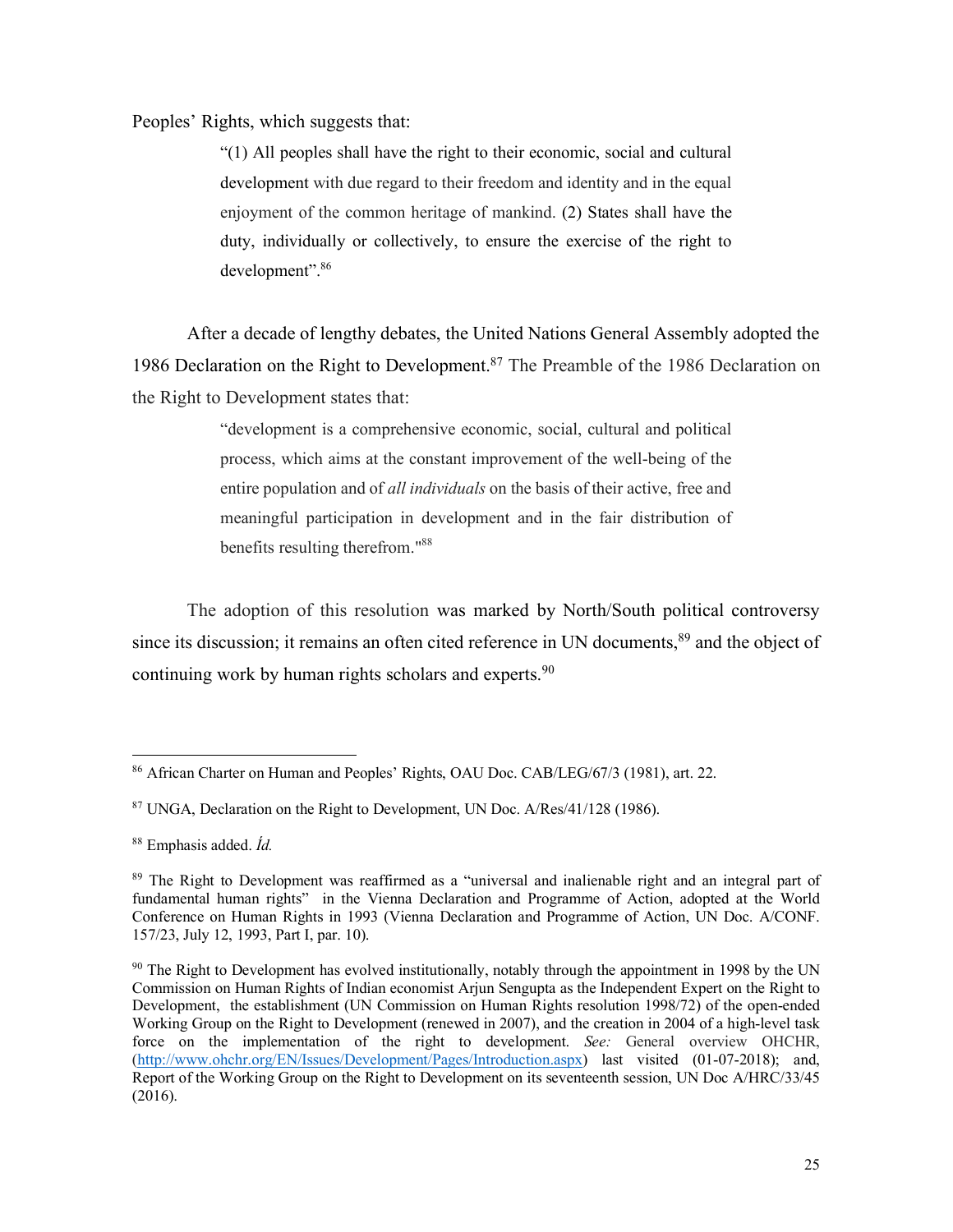Peoples' Rights, which suggests that:

"(1) All peoples shall have the right to their economic, social and cultural development with due regard to their freedom and identity and in the equal enjoyment of the common heritage of mankind. (2) States shall have the duty, individually or collectively, to ensure the exercise of the right to development".86

After a decade of lengthy debates, the United Nations General Assembly adopted the 1986 Declaration on the Right to Development.<sup>87</sup> The Preamble of the 1986 Declaration on the Right to Development states that:

> "development is a comprehensive economic, social, cultural and political process, which aims at the constant improvement of the well-being of the entire population and of *all individuals* on the basis of their active, free and meaningful participation in development and in the fair distribution of benefits resulting therefrom."88

The adoption of this resolution was marked by North/South political controversy since its discussion; it remains an often cited reference in UN documents,<sup>89</sup> and the object of continuing work by human rights scholars and experts.<sup>90</sup>

 <sup>86</sup> African Charter on Human and Peoples' Rights, OAU Doc. CAB/LEG/67/3 (1981), art. 22.

<sup>87</sup> UNGA, Declaration on the Right to Development, UN Doc. A/Res/41/128 (1986).

<sup>88</sup> Emphasis added. *Íd.*

<sup>89</sup> The Right to Development was reaffirmed as a "universal and inalienable right and an integral part of fundamental human rights" in the Vienna Declaration and Programme of Action, adopted at the World Conference on Human Rights in 1993 (Vienna Declaration and Programme of Action, UN Doc. A/CONF. 157/23, July 12, 1993, Part I, par. 10).

<sup>&</sup>lt;sup>90</sup> The Right to Development has evolved institutionally, notably through the appointment in 1998 by the UN Commission on Human Rights of Indian economist Arjun Sengupta as the Independent Expert on the Right to Development, the establishment (UN Commission on Human Rights resolution 1998/72) of the open-ended Working Group on the Right to Development (renewed in 2007), and the creation in 2004 of a high-level task force on the implementation of the right to development. *See:* General overview OHCHR, (http://www.ohchr.org/EN/Issues/Development/Pages/Introduction.aspx) last visited (01-07-2018); and, Report of the Working Group on the Right to Development on its seventeenth session, UN Doc A/HRC/33/45 (2016).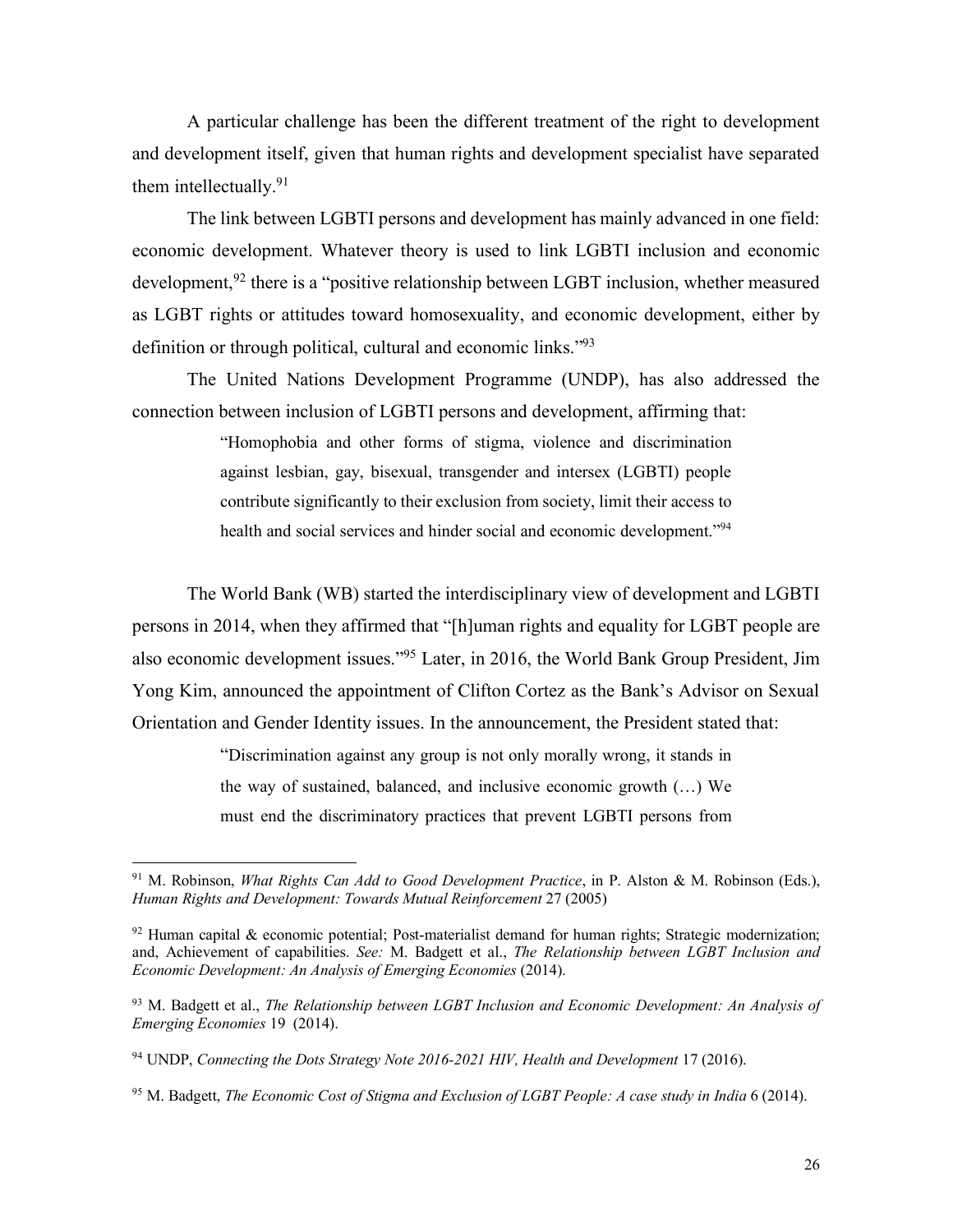A particular challenge has been the different treatment of the right to development and development itself, given that human rights and development specialist have separated them intellectually.<sup>91</sup>

The link between LGBTI persons and development has mainly advanced in one field: economic development. Whatever theory is used to link LGBTI inclusion and economic development,<sup>92</sup> there is a "positive relationship between LGBT inclusion, whether measured as LGBT rights or attitudes toward homosexuality, and economic development, either by definition or through political, cultural and economic links."93

The United Nations Development Programme (UNDP), has also addressed the connection between inclusion of LGBTI persons and development, affirming that:

> "Homophobia and other forms of stigma, violence and discrimination against lesbian, gay, bisexual, transgender and intersex (LGBTI) people contribute significantly to their exclusion from society, limit their access to health and social services and hinder social and economic development."<sup>94</sup>

The World Bank (WB) started the interdisciplinary view of development and LGBTI persons in 2014, when they affirmed that "[h]uman rights and equality for LGBT people are also economic development issues."95 Later, in 2016, the World Bank Group President, Jim Yong Kim, announced the appointment of Clifton Cortez as the Bank's Advisor on Sexual Orientation and Gender Identity issues. In the announcement, the President stated that:

> "Discrimination against any group is not only morally wrong, it stands in the way of sustained, balanced, and inclusive economic growth (…) We must end the discriminatory practices that prevent LGBTI persons from

 <sup>91</sup> M. Robinson, *What Rights Can Add to Good Development Practice*, in P. Alston & M. Robinson (Eds.), *Human Rights and Development: Towards Mutual Reinforcement* 27 (2005)

 $92$  Human capital & economic potential; Post-materialist demand for human rights; Strategic modernization; and, Achievement of capabilities. *See:* M. Badgett et al., *The Relationship between LGBT Inclusion and Economic Development: An Analysis of Emerging Economies* (2014).

<sup>93</sup> M. Badgett et al., *The Relationship between LGBT Inclusion and Economic Development: An Analysis of Emerging Economies* 19 (2014).

<sup>&</sup>lt;sup>94</sup> UNDP, *Connecting the Dots Strategy Note 2016-2021 HIV, Health and Development 17 (2016).* 

<sup>95</sup> M. Badgett, *The Economic Cost of Stigma and Exclusion of LGBT People: A case study in India* 6 (2014).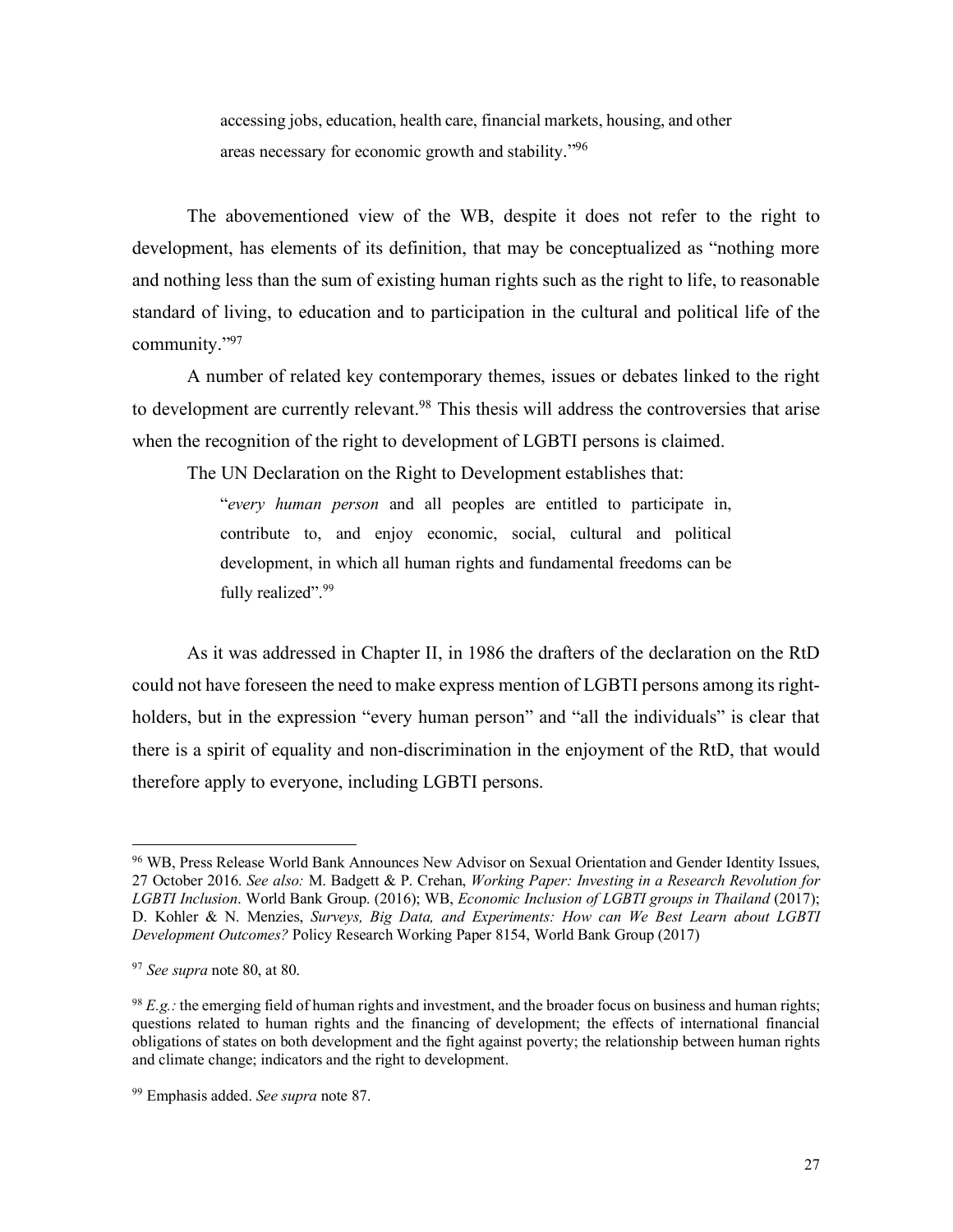accessing jobs, education, health care, financial markets, housing, and other areas necessary for economic growth and stability."96

The abovementioned view of the WB, despite it does not refer to the right to development, has elements of its definition, that may be conceptualized as "nothing more and nothing less than the sum of existing human rights such as the right to life, to reasonable standard of living, to education and to participation in the cultural and political life of the community."97

A number of related key contemporary themes, issues or debates linked to the right to development are currently relevant.<sup>98</sup> This thesis will address the controversies that arise when the recognition of the right to development of LGBTI persons is claimed.

The UN Declaration on the Right to Development establishes that:

"*every human person* and all peoples are entitled to participate in, contribute to, and enjoy economic, social, cultural and political development, in which all human rights and fundamental freedoms can be fully realized".<sup>99</sup>

As it was addressed in Chapter II, in 1986 the drafters of the declaration on the RtD could not have foreseen the need to make express mention of LGBTI persons among its rightholders, but in the expression "every human person" and "all the individuals" is clear that there is a spirit of equality and non-discrimination in the enjoyment of the RtD, that would therefore apply to everyone, including LGBTI persons.

 <sup>96</sup> WB, Press Release World Bank Announces New Advisor on Sexual Orientation and Gender Identity Issues, 27 October 2016. *See also:* M. Badgett & P. Crehan, *Working Paper: Investing in a Research Revolution for LGBTI Inclusion*. World Bank Group. (2016); WB, *Economic Inclusion of LGBTI groups in Thailand* (2017); D. Kohler & N. Menzies, *Surveys, Big Data, and Experiments: How can We Best Learn about LGBTI Development Outcomes?* Policy Research Working Paper 8154, World Bank Group (2017)

<sup>97</sup> *See supra* note 80, at 80.

<sup>98</sup> *E.g.:* the emerging field of human rights and investment, and the broader focus on business and human rights; questions related to human rights and the financing of development; the effects of international financial obligations of states on both development and the fight against poverty; the relationship between human rights and climate change; indicators and the right to development.

<sup>99</sup> Emphasis added. *See supra* note 87.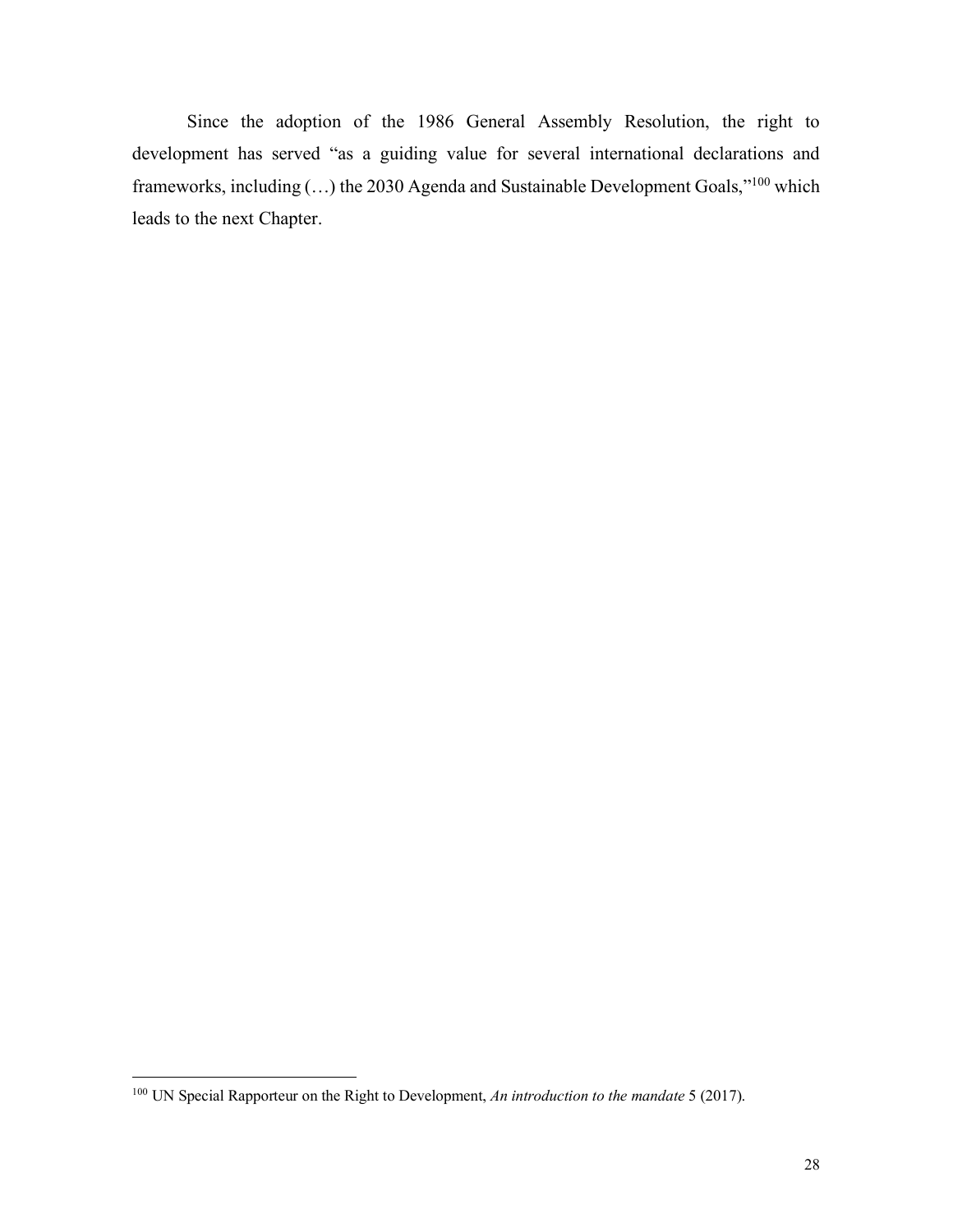Since the adoption of the 1986 General Assembly Resolution, the right to development has served "as a guiding value for several international declarations and frameworks, including (…) the 2030 Agenda and Sustainable Development Goals,"100 which leads to the next Chapter.

<sup>&</sup>lt;sup>100</sup> UN Special Rapporteur on the Right to Development, *An introduction to the mandate* 5 (2017).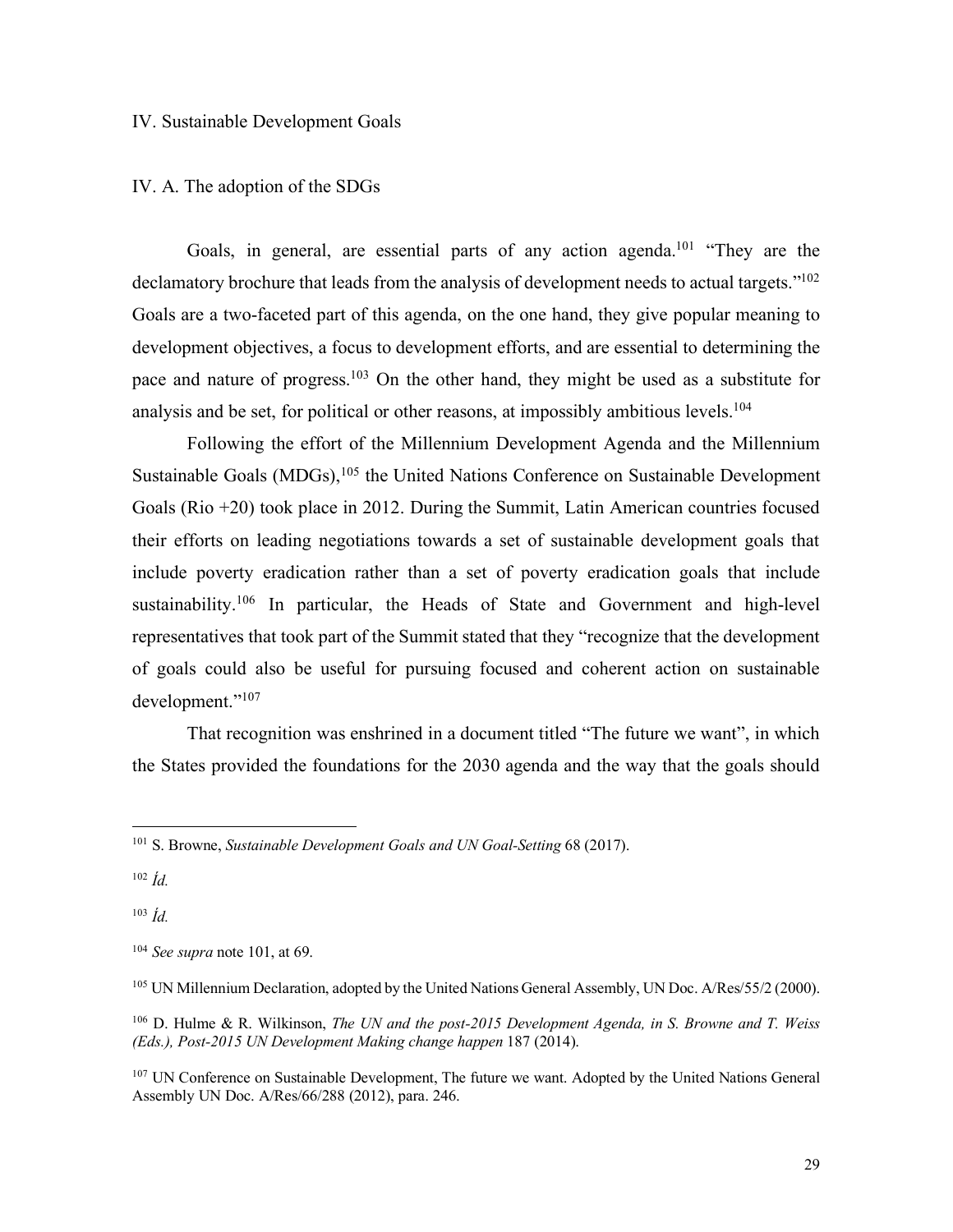#### IV. Sustainable Development Goals

#### IV. A. The adoption of the SDGs

Goals, in general, are essential parts of any action agenda.<sup>101</sup> "They are the declamatory brochure that leads from the analysis of development needs to actual targets."<sup>102</sup> Goals are a two-faceted part of this agenda, on the one hand, they give popular meaning to development objectives, a focus to development efforts, and are essential to determining the pace and nature of progress.103 On the other hand, they might be used as a substitute for analysis and be set, for political or other reasons, at impossibly ambitious levels.<sup>104</sup>

Following the effort of the Millennium Development Agenda and the Millennium Sustainable Goals (MDGs),<sup>105</sup> the United Nations Conference on Sustainable Development Goals (Rio +20) took place in 2012. During the Summit, Latin American countries focused their efforts on leading negotiations towards a set of sustainable development goals that include poverty eradication rather than a set of poverty eradication goals that include sustainability.<sup>106</sup> In particular, the Heads of State and Government and high-level representatives that took part of the Summit stated that they "recognize that the development of goals could also be useful for pursuing focused and coherent action on sustainable development."107

That recognition was enshrined in a document titled "The future we want", in which the States provided the foundations for the 2030 agenda and the way that the goals should

<sup>103</sup> *Íd.*

<sup>&</sup>lt;sup>101</sup> S. Browne, *Sustainable Development Goals and UN Goal-Setting 68 (2017).* 

<sup>102</sup> *Íd.*

<sup>104</sup> *See supra* note 101, at 69.

<sup>105</sup> UN Millennium Declaration, adopted by the United Nations General Assembly, UN Doc. A/Res/55/2 (2000).

<sup>106</sup> D. Hulme & R. Wilkinson, *The UN and the post-2015 Development Agenda, in S. Browne and T. Weiss (Eds.), Post-2015 UN Development Making change happen* 187 (2014).

<sup>&</sup>lt;sup>107</sup> UN Conference on Sustainable Development, The future we want. Adopted by the United Nations General Assembly UN Doc. A/Res/66/288 (2012), para. 246.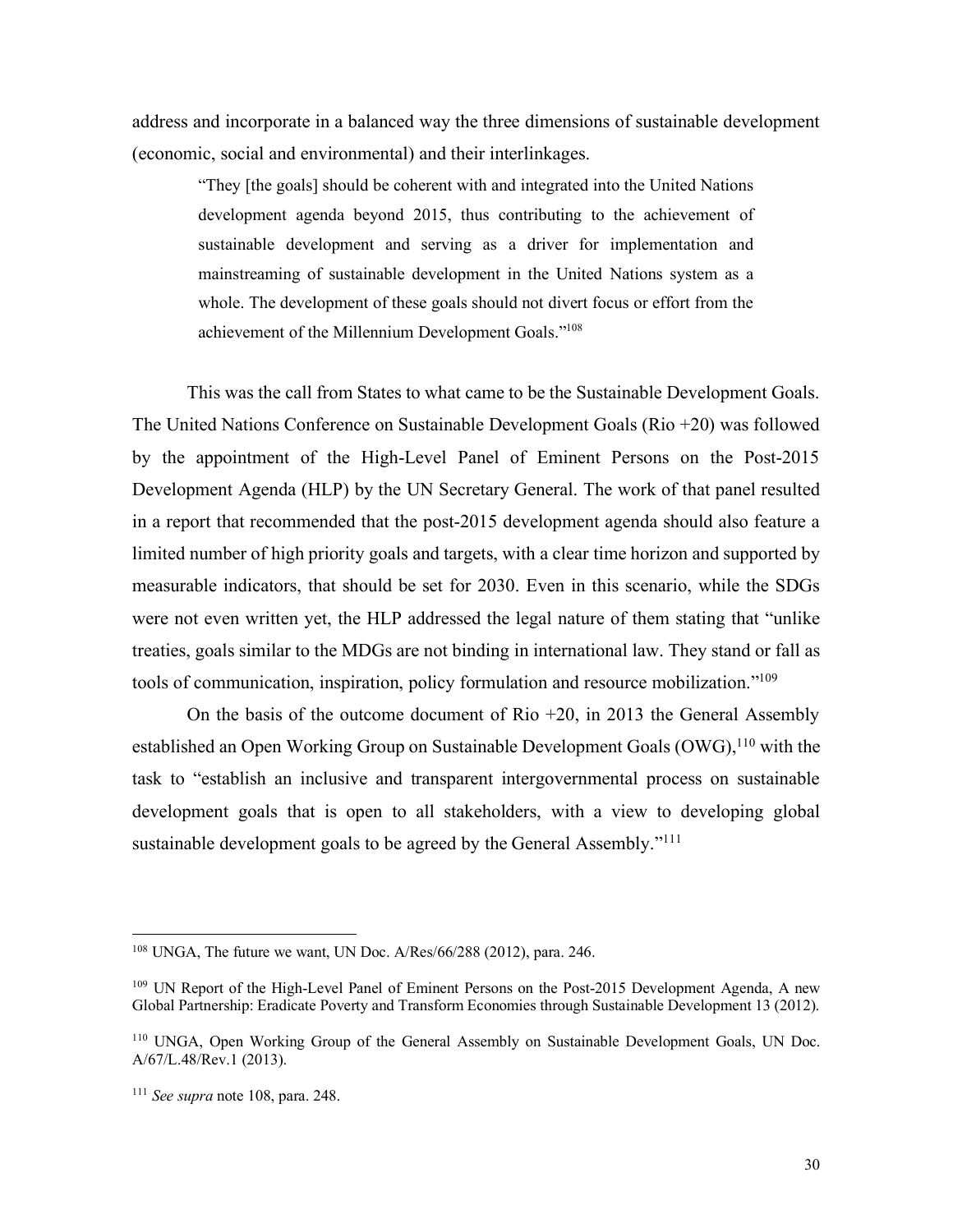address and incorporate in a balanced way the three dimensions of sustainable development (economic, social and environmental) and their interlinkages.

"They [the goals] should be coherent with and integrated into the United Nations development agenda beyond 2015, thus contributing to the achievement of sustainable development and serving as a driver for implementation and mainstreaming of sustainable development in the United Nations system as a whole. The development of these goals should not divert focus or effort from the achievement of the Millennium Development Goals."108

This was the call from States to what came to be the Sustainable Development Goals. The United Nations Conference on Sustainable Development Goals (Rio +20) was followed by the appointment of the High-Level Panel of Eminent Persons on the Post-2015 Development Agenda (HLP) by the UN Secretary General. The work of that panel resulted in a report that recommended that the post-2015 development agenda should also feature a limited number of high priority goals and targets, with a clear time horizon and supported by measurable indicators, that should be set for 2030. Even in this scenario, while the SDGs were not even written yet, the HLP addressed the legal nature of them stating that "unlike treaties, goals similar to the MDGs are not binding in international law. They stand or fall as tools of communication, inspiration, policy formulation and resource mobilization."109

On the basis of the outcome document of Rio +20, in 2013 the General Assembly established an Open Working Group on Sustainable Development Goals (OWG),<sup>110</sup> with the task to "establish an inclusive and transparent intergovernmental process on sustainable development goals that is open to all stakeholders, with a view to developing global sustainable development goals to be agreed by the General Assembly."<sup>111</sup>

 <sup>108</sup> UNGA, The future we want, UN Doc. A/Res/66/288 (2012), para. 246.

<sup>&</sup>lt;sup>109</sup> UN Report of the High-Level Panel of Eminent Persons on the Post-2015 Development Agenda, A new Global Partnership: Eradicate Poverty and Transform Economies through Sustainable Development 13 (2012).

<sup>110</sup> UNGA, Open Working Group of the General Assembly on Sustainable Development Goals, UN Doc. A/67/L.48/Rev.1 (2013).

<sup>111</sup> *See supra* note 108, para. 248.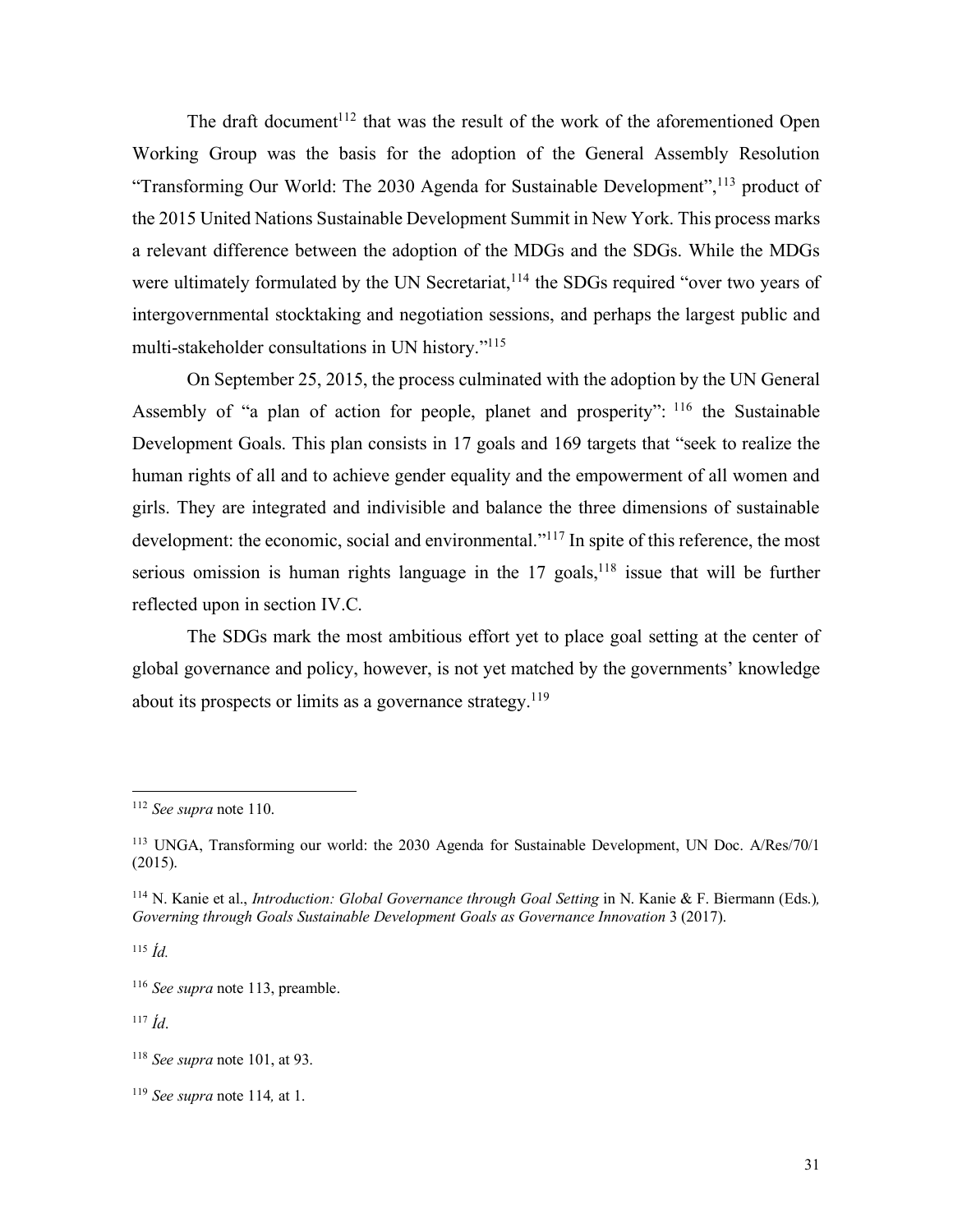The draft document<sup> $112$ </sup> that was the result of the work of the aforementioned Open Working Group was the basis for the adoption of the General Assembly Resolution "Transforming Our World: The 2030 Agenda for Sustainable Development",113 product of the 2015 United Nations Sustainable Development Summit in New York. This process marks a relevant difference between the adoption of the MDGs and the SDGs. While the MDGs were ultimately formulated by the UN Secretariat,<sup>114</sup> the SDGs required "over two vears of intergovernmental stocktaking and negotiation sessions, and perhaps the largest public and multi-stakeholder consultations in UN history."115

On September 25, 2015, the process culminated with the adoption by the UN General Assembly of "a plan of action for people, planet and prosperity": <sup>116</sup> the Sustainable Development Goals. This plan consists in 17 goals and 169 targets that "seek to realize the human rights of all and to achieve gender equality and the empowerment of all women and girls. They are integrated and indivisible and balance the three dimensions of sustainable development: the economic, social and environmental."<sup>117</sup> In spite of this reference, the most serious omission is human rights language in the  $17$  goals,  $118$  issue that will be further reflected upon in section IV.C.

The SDGs mark the most ambitious effort yet to place goal setting at the center of global governance and policy, however, is not yet matched by the governments' knowledge about its prospects or limits as a governance strategy.119

<sup>115</sup> *Íd.*

<sup>117</sup> *Íd*.

 <sup>112</sup> *See supra* note 110.

<sup>113</sup> UNGA, Transforming our world: the 2030 Agenda for Sustainable Development, UN Doc. A/Res/70/1 (2015).

<sup>&</sup>lt;sup>114</sup> N. Kanie et al., *Introduction: Global Governance through Goal Setting* in N. Kanie & F. Biermann (Eds.), *Governing through Goals Sustainable Development Goals as Governance Innovation* 3 (2017).

<sup>116</sup> *See supra* note 113, preamble.

<sup>118</sup> *See supra* note 101, at 93.

<sup>119</sup> *See supra* note 114*,* at 1.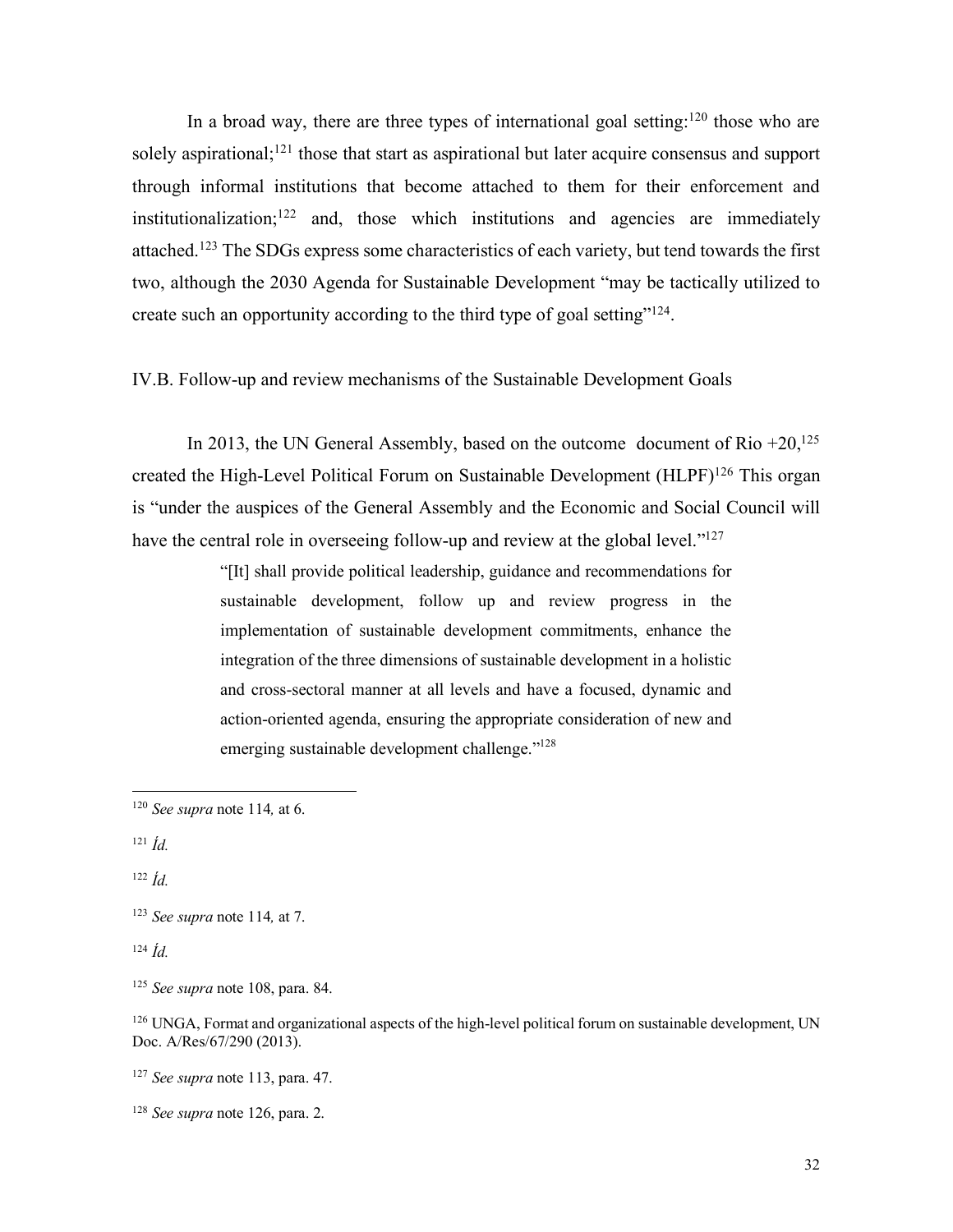In a broad way, there are three types of international goal setting:<sup>120</sup> those who are solely aspirational;<sup>121</sup> those that start as aspirational but later acquire consensus and support through informal institutions that become attached to them for their enforcement and institutionalization;<sup>122</sup> and, those which institutions and agencies are immediately attached.123 The SDGs express some characteristics of each variety, but tend towards the first two, although the 2030 Agenda for Sustainable Development "may be tactically utilized to create such an opportunity according to the third type of goal setting"124.

IV.B. Follow-up and review mechanisms of the Sustainable Development Goals

In 2013, the UN General Assembly, based on the outcome document of Rio  $+20$ ,  $125$ created the High-Level Political Forum on Sustainable Development (HLPF)<sup>126</sup> This organ is "under the auspices of the General Assembly and the Economic and Social Council will have the central role in overseeing follow-up and review at the global level."<sup>127</sup>

> "[It] shall provide political leadership, guidance and recommendations for sustainable development, follow up and review progress in the implementation of sustainable development commitments, enhance the integration of the three dimensions of sustainable development in a holistic and cross-sectoral manner at all levels and have a focused, dynamic and action-oriented agenda, ensuring the appropriate consideration of new and emerging sustainable development challenge."<sup>128</sup>

<sup>124</sup> *Íd.*

<sup>128</sup> *See supra* note 126, para. 2.

 <sup>120</sup> *See supra* note 114*,* at 6.

<sup>121</sup> *Íd.*

<sup>122</sup> *Íd.*

<sup>123</sup> *See supra* note 114*,* at 7.

<sup>125</sup> *See supra* note 108, para. 84.

<sup>&</sup>lt;sup>126</sup> UNGA, Format and organizational aspects of the high-level political forum on sustainable development, UN Doc. A/Res/67/290 (2013).

<sup>127</sup> *See supra* note 113, para. 47.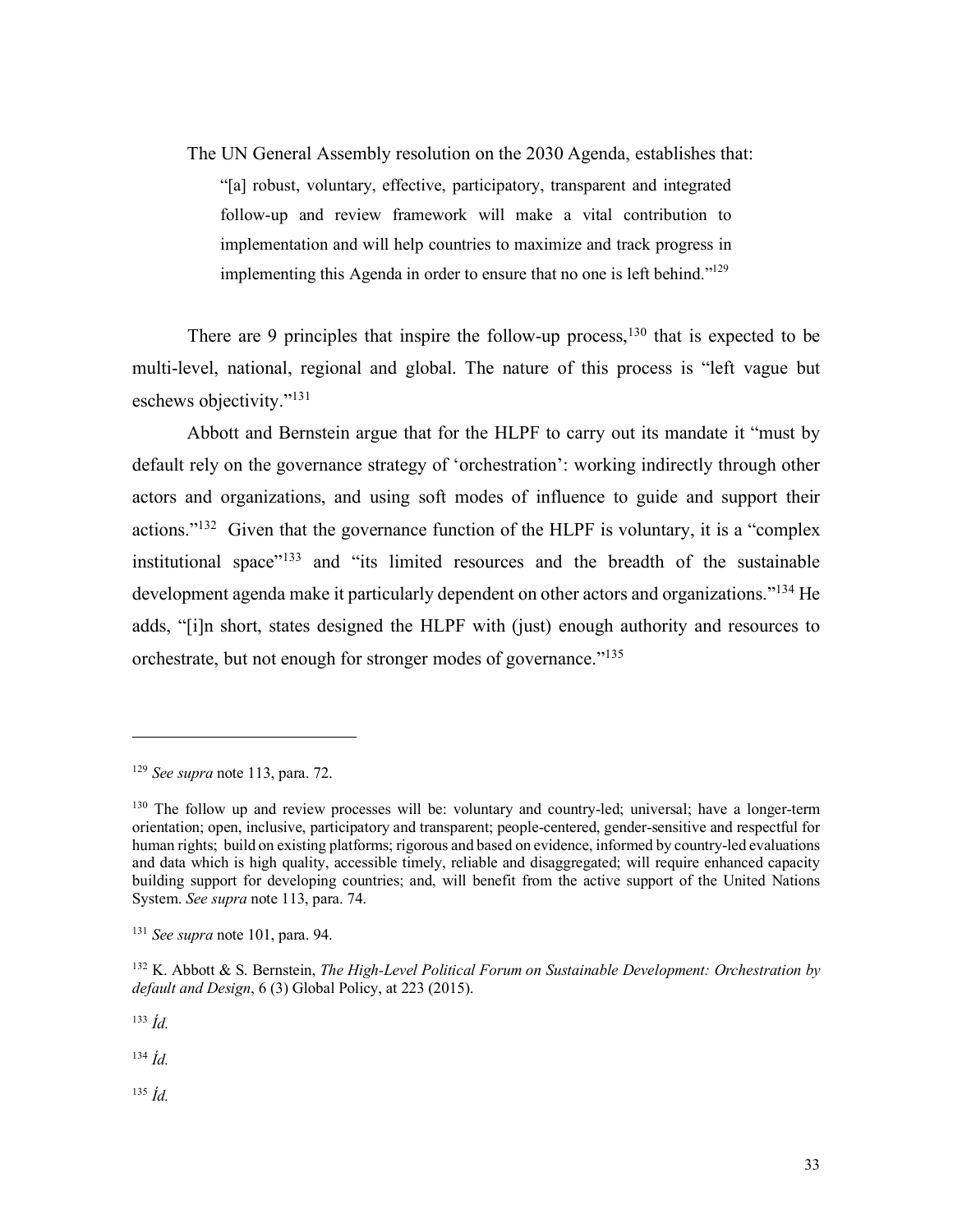The UN General Assembly resolution on the 2030 Agenda, establishes that: "[a] robust, voluntary, effective, participatory, transparent and integrated follow-up and review framework will make a vital contribution to implementation and will help countries to maximize and track progress in implementing this Agenda in order to ensure that no one is left behind."129

There are 9 principles that inspire the follow-up process,<sup>130</sup> that is expected to be multi-level, national, regional and global. The nature of this process is "left vague but eschews objectivity."131

Abbott and Bernstein argue that for the HLPF to carry out its mandate it "must by default rely on the governance strategy of 'orchestration': working indirectly through other actors and organizations, and using soft modes of influence to guide and support their actions."132 Given that the governance function of the HLPF is voluntary, it is a "complex institutional space"133 and "its limited resources and the breadth of the sustainable development agenda make it particularly dependent on other actors and organizations."134 He adds, "[i]n short, states designed the HLPF with (just) enough authority and resources to orchestrate, but not enough for stronger modes of governance."135

<sup>133</sup> *Íd.*

1

<sup>134</sup> *Íd.*

<sup>135</sup> *Íd.*

<sup>129</sup> *See supra* note 113, para. 72.

<sup>&</sup>lt;sup>130</sup> The follow up and review processes will be: voluntary and country-led; universal; have a longer-term orientation; open, inclusive, participatory and transparent; people-centered, gender-sensitive and respectful for human rights; build on existing platforms; rigorous and based on evidence, informed by country-led evaluations and data which is high quality, accessible timely, reliable and disaggregated; will require enhanced capacity building support for developing countries; and, will benefit from the active support of the United Nations System. *See supra* note 113, para. 74.

<sup>131</sup> *See supra* note 101, para. 94.

<sup>132</sup> K. Abbott & S. Bernstein, *The High-Level Political Forum on Sustainable Development: Orchestration by default and Design*, 6 (3) Global Policy, at 223 (2015).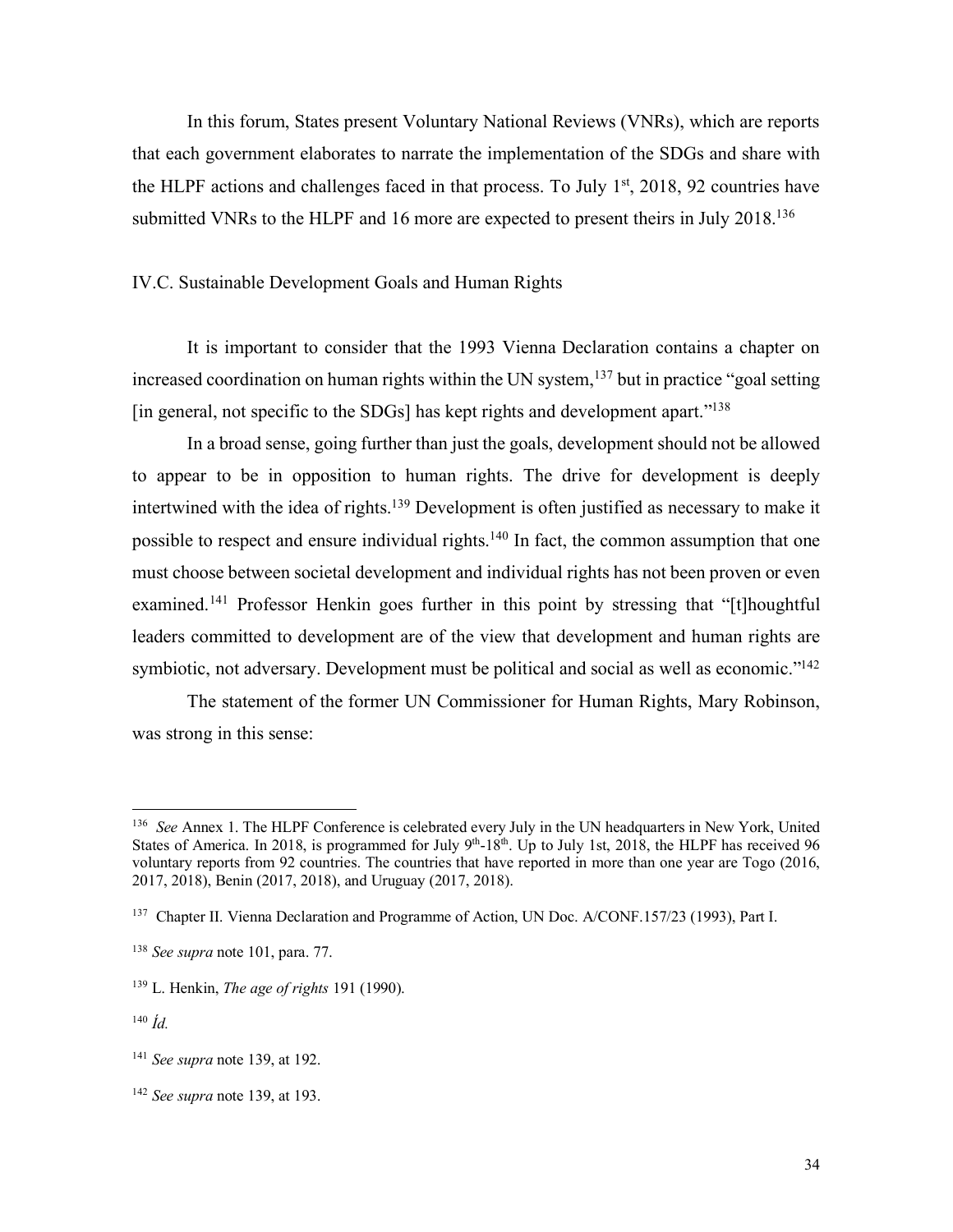In this forum, States present Voluntary National Reviews (VNRs), which are reports that each government elaborates to narrate the implementation of the SDGs and share with the HLPF actions and challenges faced in that process. To July  $1<sup>st</sup>$ , 2018, 92 countries have submitted VNRs to the HLPF and 16 more are expected to present theirs in July 2018.<sup>136</sup>

## IV.C. Sustainable Development Goals and Human Rights

It is important to consider that the 1993 Vienna Declaration contains a chapter on increased coordination on human rights within the UN system,<sup>137</sup> but in practice "goal setting"  $\left[$ in general, not specific to the SDGs $\left[$  has kept rights and development apart.<sup> $\frac{138}{138}$ </sup>

In a broad sense, going further than just the goals, development should not be allowed to appear to be in opposition to human rights. The drive for development is deeply intertwined with the idea of rights.139 Development is often justified as necessary to make it possible to respect and ensure individual rights.<sup>140</sup> In fact, the common assumption that one must choose between societal development and individual rights has not been proven or even examined.141 Professor Henkin goes further in this point by stressing that "[t]houghtful leaders committed to development are of the view that development and human rights are symbiotic, not adversary. Development must be political and social as well as economic."<sup>142</sup>

The statement of the former UN Commissioner for Human Rights, Mary Robinson, was strong in this sense:

 <sup>136</sup> *See* Annex 1. The HLPF Conference is celebrated every July in the UN headquarters in New York, United States of America. In 2018, is programmed for July 9<sup>th</sup>-18<sup>th</sup>. Up to July 1st, 2018, the HLPF has received 96 voluntary reports from 92 countries. The countries that have reported in more than one year are Togo (2016, 2017, 2018), Benin (2017, 2018), and Uruguay (2017, 2018).

<sup>137</sup> Chapter II. Vienna Declaration and Programme of Action, UN Doc. A/CONF.157/23 (1993), Part I.

<sup>138</sup> *See supra* note 101, para. 77.

<sup>139</sup> L. Henkin, *The age of rights* 191 (1990).

<sup>140</sup> *Íd.*

<sup>141</sup> *See supra* note 139, at 192.

<sup>142</sup> *See supra* note 139, at 193.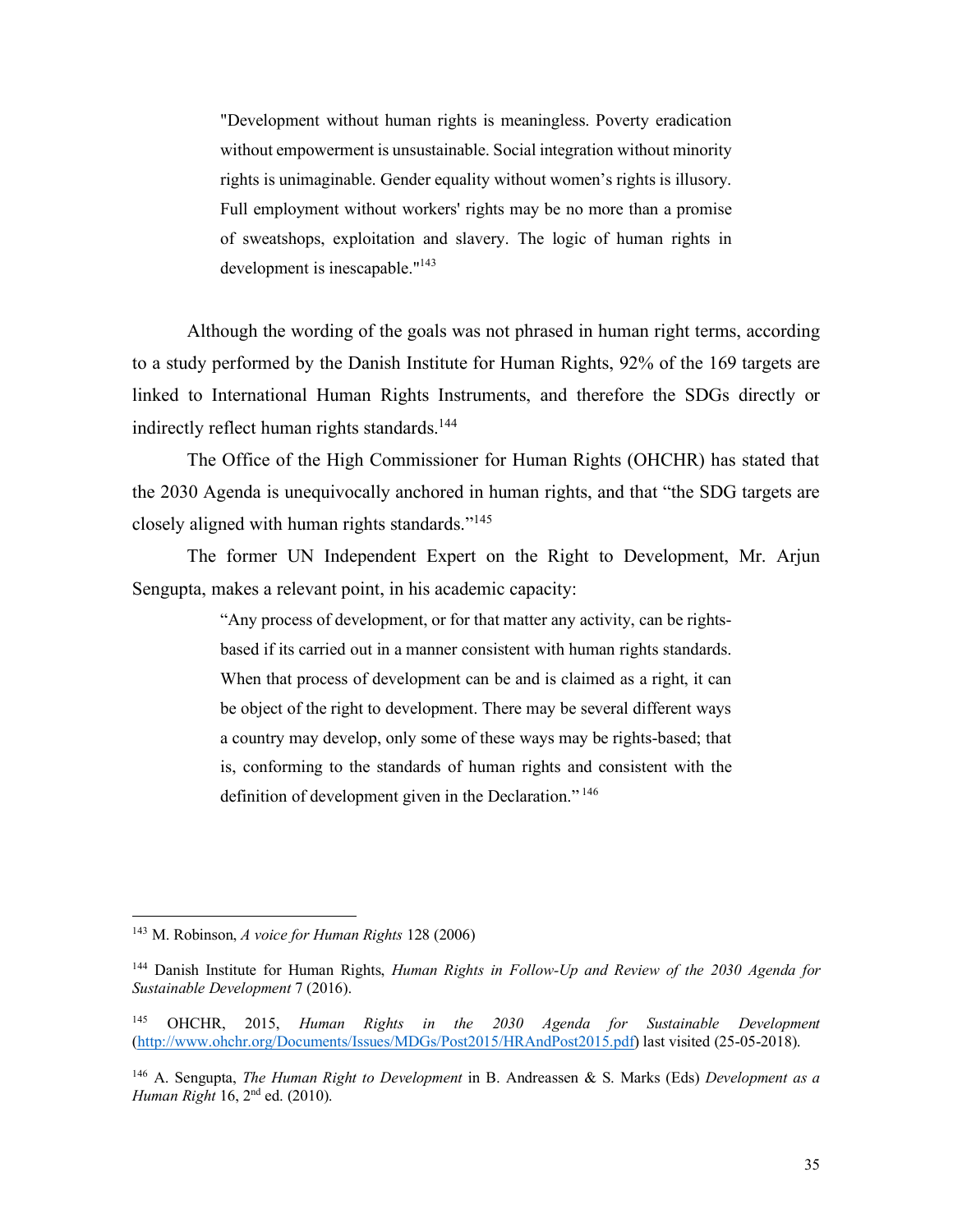"Development without human rights is meaningless. Poverty eradication without empowerment is unsustainable. Social integration without minority rights is unimaginable. Gender equality without women's rights is illusory. Full employment without workers' rights may be no more than a promise of sweatshops, exploitation and slavery. The logic of human rights in development is inescapable."<sup>143</sup>

Although the wording of the goals was not phrased in human right terms, according to a study performed by the Danish Institute for Human Rights, 92% of the 169 targets are linked to International Human Rights Instruments, and therefore the SDGs directly or indirectly reflect human rights standards.<sup>144</sup>

The Office of the High Commissioner for Human Rights (OHCHR) has stated that the 2030 Agenda is unequivocally anchored in human rights, and that "the SDG targets are closely aligned with human rights standards."145

The former UN Independent Expert on the Right to Development, Mr. Arjun Sengupta, makes a relevant point, in his academic capacity:

> "Any process of development, or for that matter any activity, can be rightsbased if its carried out in a manner consistent with human rights standards. When that process of development can be and is claimed as a right, it can be object of the right to development. There may be several different ways a country may develop, only some of these ways may be rights-based; that is, conforming to the standards of human rights and consistent with the definition of development given in the Declaration."<sup>146</sup>

 <sup>143</sup> M. Robinson, *A voice for Human Rights* 128 (2006)

<sup>144</sup> Danish Institute for Human Rights, *Human Rights in Follow-Up and Review of the 2030 Agenda for Sustainable Development* 7 (2016).

<sup>&</sup>lt;sup>145</sup> OHCHR, 2015, *Human Rights in the 2030 Agenda for Sustainable Development* (http://www.ohchr.org/Documents/Issues/MDGs/Post2015/HRAndPost2015.pdf) last visited (25-05-2018).

<sup>146</sup> A. Sengupta, *The Human Right to Development* in B. Andreassen & S. Marks (Eds) *Development as a Human Right* 16, 2<sup>nd</sup> ed. (2010).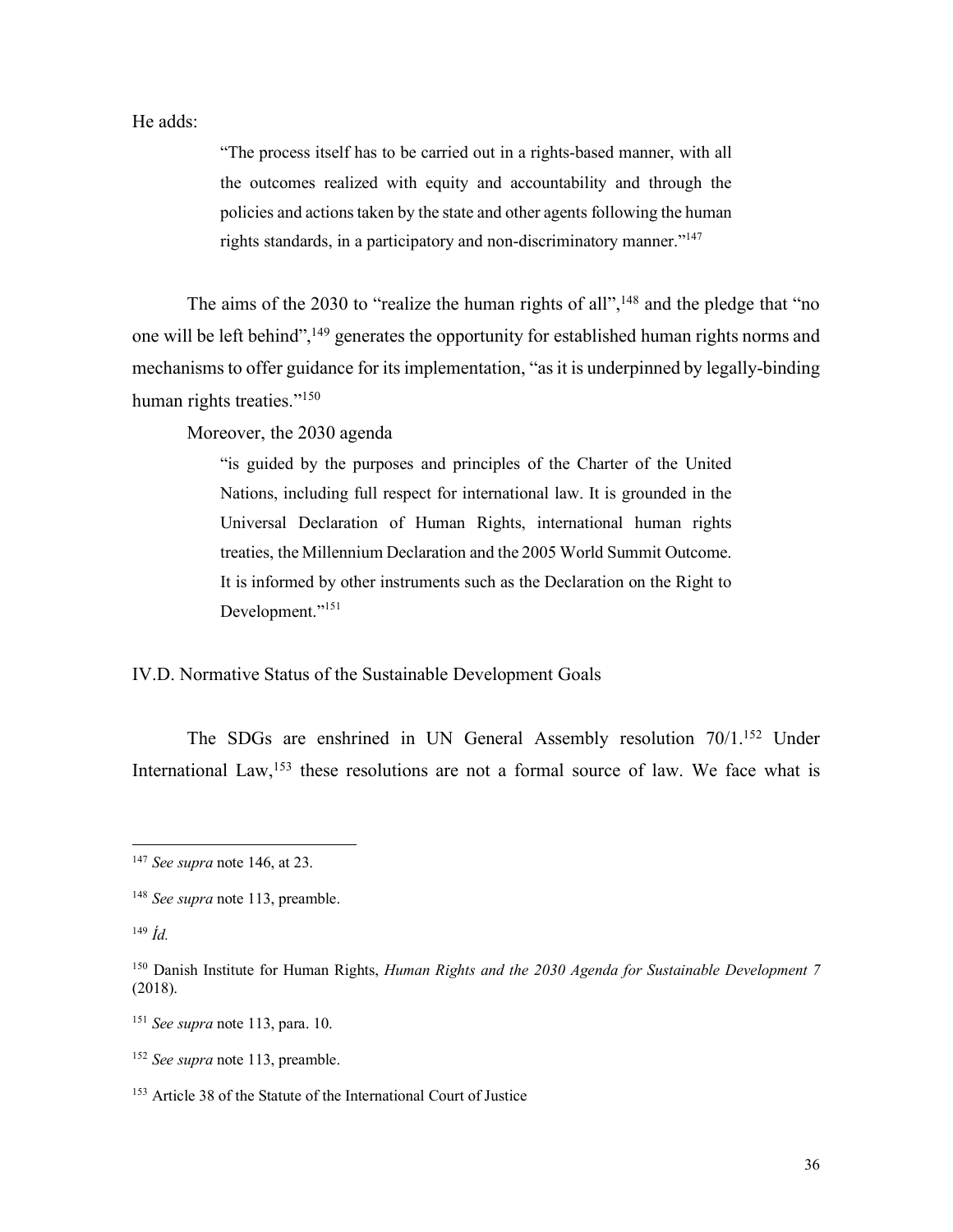He adds:

"The process itself has to be carried out in a rights-based manner, with all the outcomes realized with equity and accountability and through the policies and actions taken by the state and other agents following the human rights standards, in a participatory and non-discriminatory manner."147

The aims of the 2030 to "realize the human rights of all",<sup>148</sup> and the pledge that "no one will be left behind",149 generates the opportunity for established human rights norms and mechanisms to offer guidance for its implementation, "as it is underpinned by legally-binding human rights treaties."<sup>150</sup>

Moreover, the 2030 agenda

"is guided by the purposes and principles of the Charter of the United Nations, including full respect for international law. It is grounded in the Universal Declaration of Human Rights, international human rights treaties, the Millennium Declaration and the 2005 World Summit Outcome. It is informed by other instruments such as the Declaration on the Right to Development."<sup>151</sup>

IV.D. Normative Status of the Sustainable Development Goals

The SDGs are enshrined in UN General Assembly resolution 70/1.152 Under International Law,<sup>153</sup> these resolutions are not a formal source of law. We face what is

 <sup>147</sup> *See supra* note 146, at 23.

<sup>148</sup> *See supra* note 113, preamble.

<sup>149</sup> *Íd.*

<sup>150</sup> Danish Institute for Human Rights, *Human Rights and the 2030 Agenda for Sustainable Development 7*  (2018).

<sup>151</sup> *See supra* note 113, para. 10.

<sup>152</sup> *See supra* note 113, preamble.

<sup>153</sup> Article 38 of the Statute of the International Court of Justice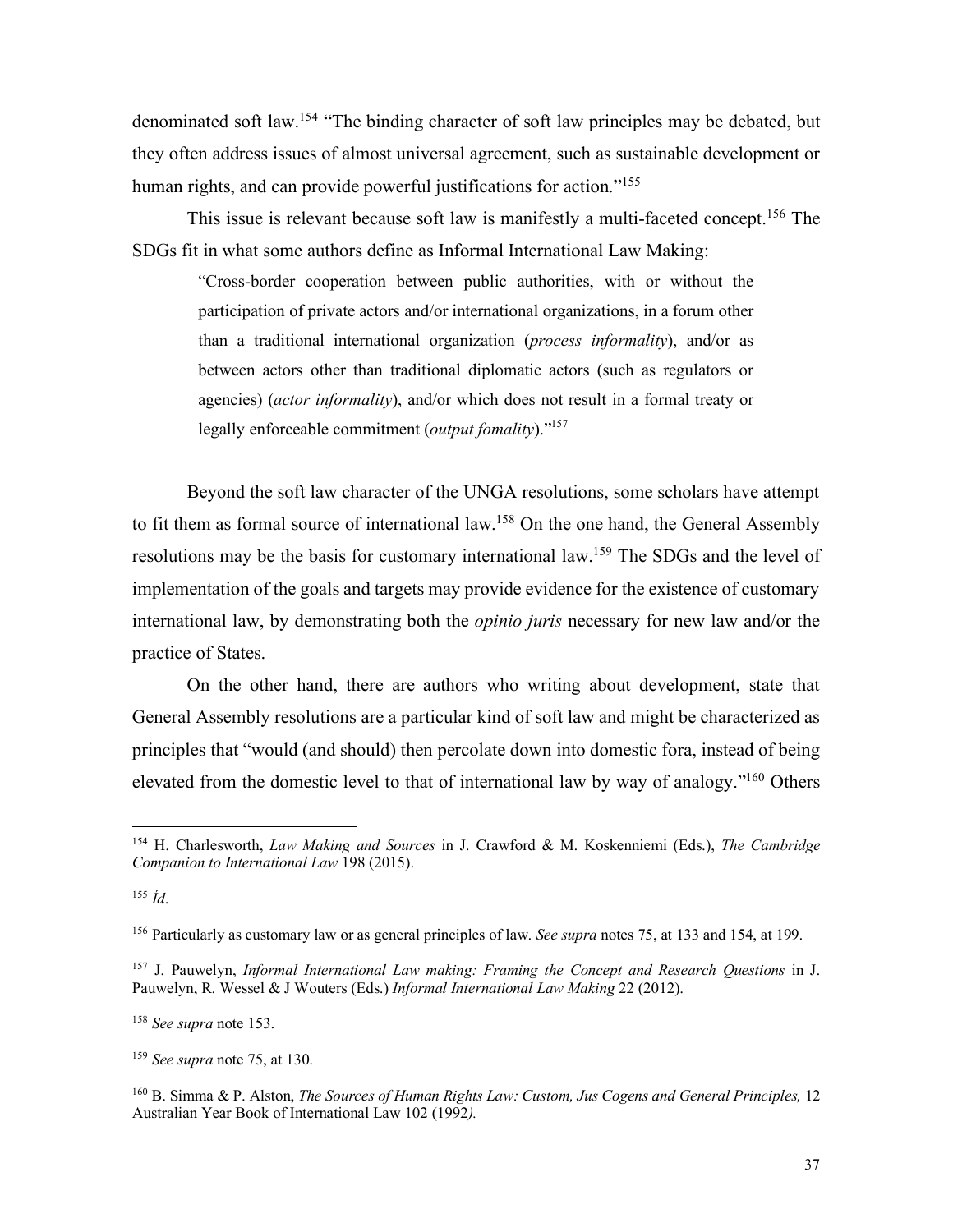denominated soft law.154 "The binding character of soft law principles may be debated, but they often address issues of almost universal agreement, such as sustainable development or human rights, and can provide powerful justifications for action."<sup>155</sup>

This issue is relevant because soft law is manifestly a multi-faceted concept.<sup>156</sup> The SDGs fit in what some authors define as Informal International Law Making:

"Cross-border cooperation between public authorities, with or without the participation of private actors and/or international organizations, in a forum other than a traditional international organization (*process informality*), and/or as between actors other than traditional diplomatic actors (such as regulators or agencies) (*actor informality*), and/or which does not result in a formal treaty or legally enforceable commitment (*output fomality*)."157

Beyond the soft law character of the UNGA resolutions, some scholars have attempt to fit them as formal source of international law.158 On the one hand, the General Assembly resolutions may be the basis for customary international law.159 The SDGs and the level of implementation of the goals and targets may provide evidence for the existence of customary international law, by demonstrating both the *opinio juris* necessary for new law and/or the practice of States.

On the other hand, there are authors who writing about development, state that General Assembly resolutions are a particular kind of soft law and might be characterized as principles that "would (and should) then percolate down into domestic fora, instead of being elevated from the domestic level to that of international law by way of analogy."160 Others

 <sup>154</sup> H. Charlesworth, *Law Making and Sources* in J. Crawford & M. Koskenniemi (Eds.), *The Cambridge Companion to International Law* 198 (2015).

<sup>155</sup> *Íd*.

<sup>156</sup> Particularly as customary law or as general principles of law. *See supra* notes 75, at 133 and 154, at 199.

<sup>157</sup> J. Pauwelyn, *Informal International Law making: Framing the Concept and Research Questions* in J. Pauwelyn, R. Wessel & J Wouters (Eds.) *Informal International Law Making* 22 (2012).

<sup>158</sup> *See supra* note 153.

<sup>159</sup> *See supra* note 75, at 130.

<sup>160</sup> B. Simma & P. Alston, *The Sources of Human Rights Law: Custom, Jus Cogens and General Principles,* 12 Australian Year Book of International Law 102 (1992*).*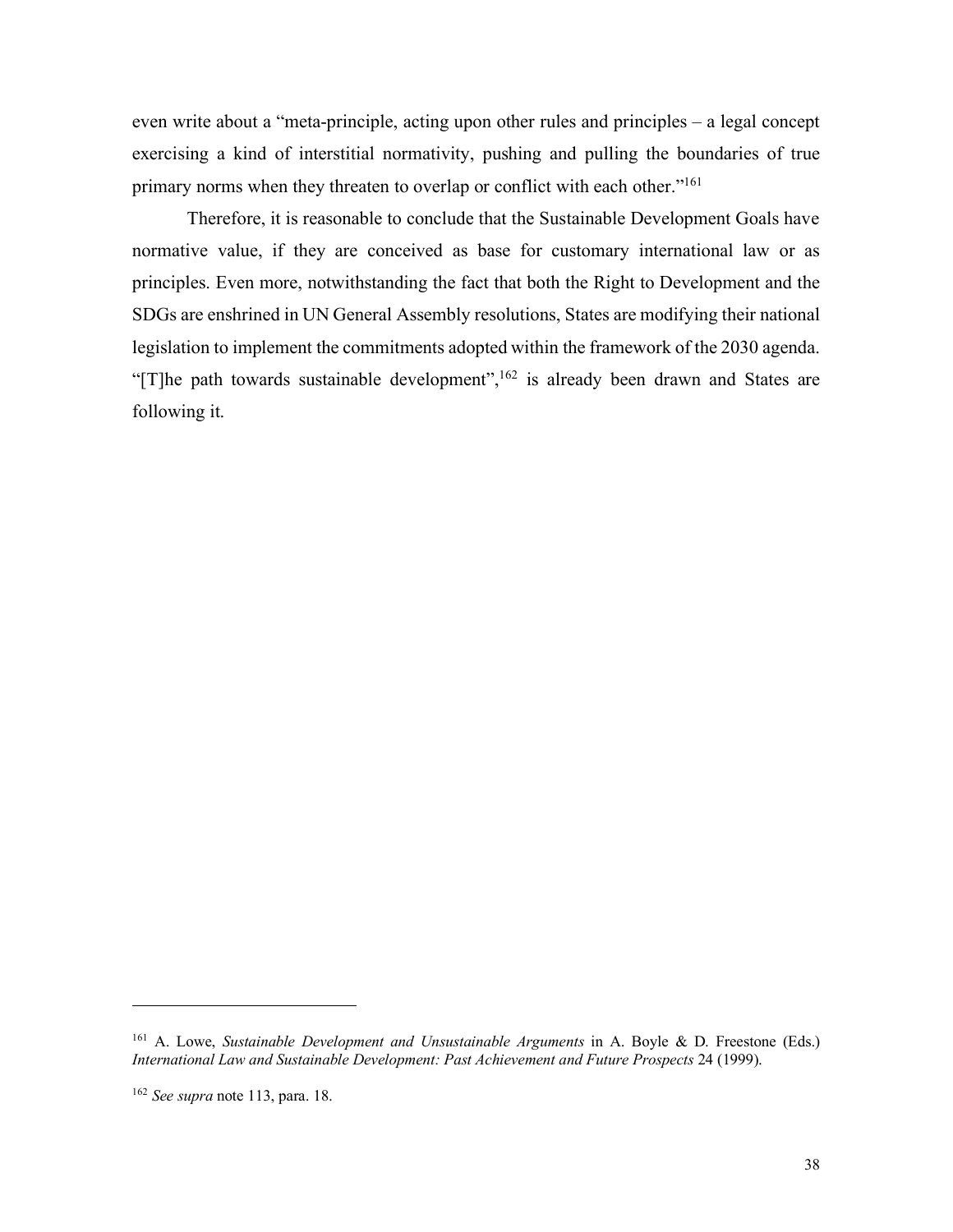even write about a "meta-principle, acting upon other rules and principles – a legal concept exercising a kind of interstitial normativity, pushing and pulling the boundaries of true primary norms when they threaten to overlap or conflict with each other."161

Therefore, it is reasonable to conclude that the Sustainable Development Goals have normative value, if they are conceived as base for customary international law or as principles. Even more, notwithstanding the fact that both the Right to Development and the SDGs are enshrined in UN General Assembly resolutions, States are modifying their national legislation to implement the commitments adopted within the framework of the 2030 agenda. "[T]he path towards sustainable development",<sup>162</sup> is already been drawn and States are following it.

<u>.</u>

<sup>&</sup>lt;sup>161</sup> A. Lowe, *Sustainable Development and Unsustainable Arguments* in A. Boyle & D. Freestone (Eds.) *International Law and Sustainable Development: Past Achievement and Future Prospects* 24 (1999).

<sup>162</sup> *See supra* note 113, para. 18.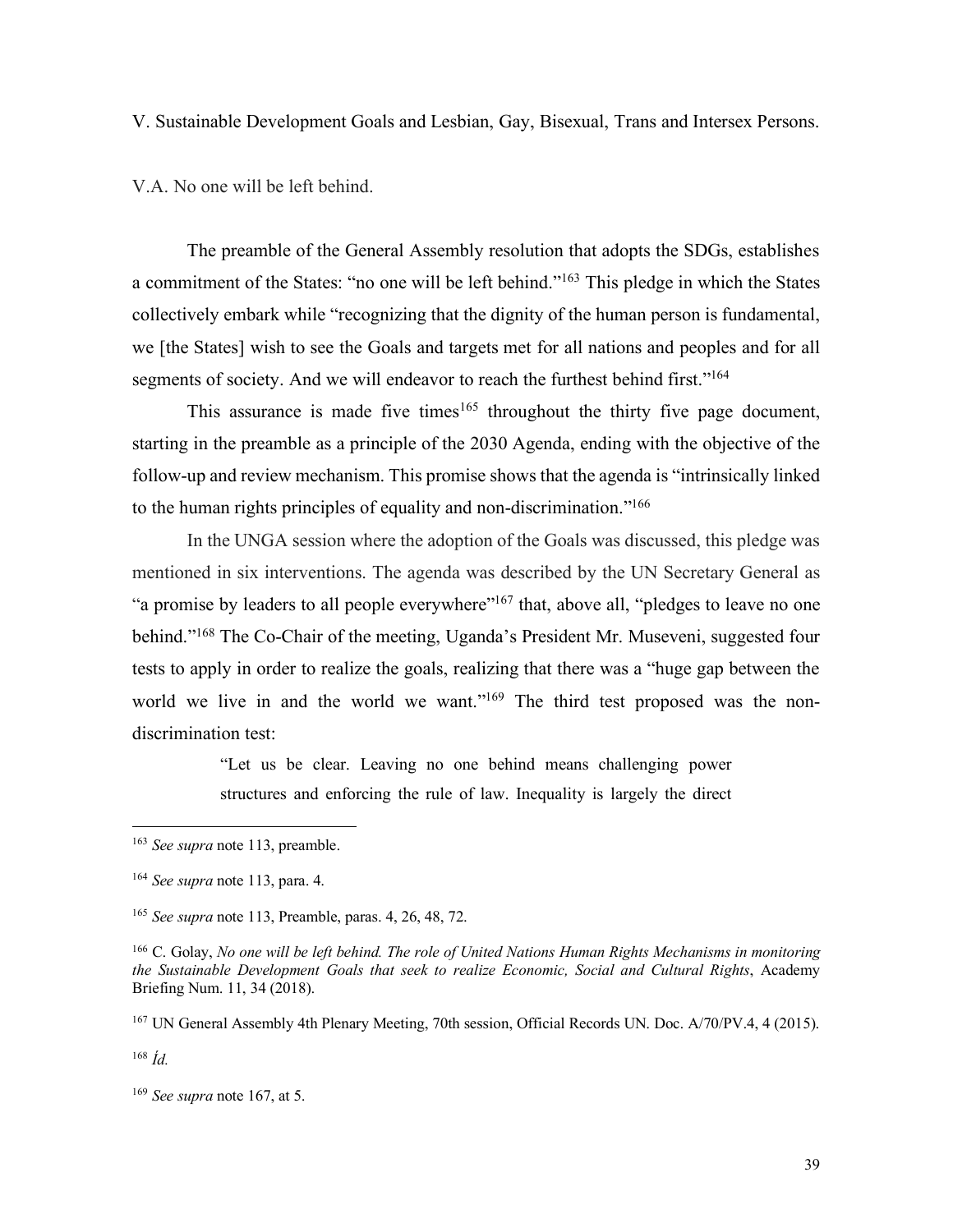V. Sustainable Development Goals and Lesbian, Gay, Bisexual, Trans and Intersex Persons.

V.A. No one will be left behind.

The preamble of the General Assembly resolution that adopts the SDGs, establishes a commitment of the States: "no one will be left behind."163 This pledge in which the States collectively embark while "recognizing that the dignity of the human person is fundamental, we [the States] wish to see the Goals and targets met for all nations and peoples and for all segments of society. And we will endeavor to reach the furthest behind first."<sup>164</sup>

This assurance is made five times<sup>165</sup> throughout the thirty five page document, starting in the preamble as a principle of the 2030 Agenda, ending with the objective of the follow-up and review mechanism. This promise shows that the agenda is "intrinsically linked to the human rights principles of equality and non-discrimination."166

In the UNGA session where the adoption of the Goals was discussed, this pledge was mentioned in six interventions. The agenda was described by the UN Secretary General as "a promise by leaders to all people everywhere"<sup>167</sup> that, above all, "pledges to leave no one" behind."168 The Co-Chair of the meeting, Uganda's President Mr. Museveni, suggested four tests to apply in order to realize the goals, realizing that there was a "huge gap between the world we live in and the world we want."<sup>169</sup> The third test proposed was the nondiscrimination test:

> "Let us be clear. Leaving no one behind means challenging power structures and enforcing the rule of law. Inequality is largely the direct

<sup>168</sup> *Íd.*

 <sup>163</sup> *See supra* note 113, preamble.

<sup>164</sup> *See supra* note 113, para. 4.

<sup>165</sup> *See supra* note 113, Preamble, paras. 4, 26, 48, 72.

<sup>166</sup> C. Golay, *No one will be left behind. The role of United Nations Human Rights Mechanisms in monitoring the Sustainable Development Goals that seek to realize Economic, Social and Cultural Rights*, Academy Briefing Num. 11, 34 (2018).

<sup>&</sup>lt;sup>167</sup> UN General Assembly 4th Plenary Meeting, 70th session, Official Records UN. Doc. A/70/PV.4, 4 (2015).

<sup>169</sup> *See supra* note 167, at 5.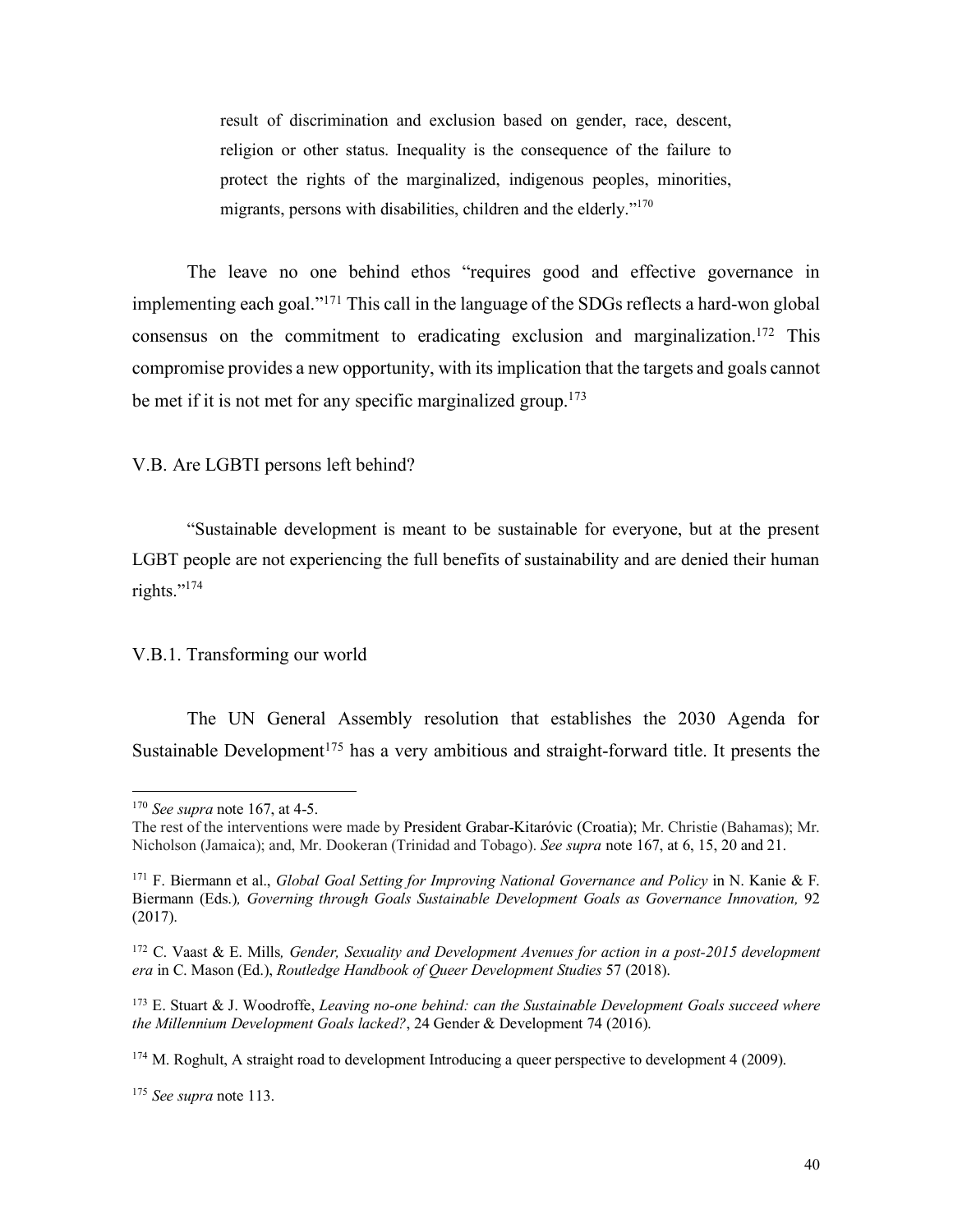result of discrimination and exclusion based on gender, race, descent, religion or other status. Inequality is the consequence of the failure to protect the rights of the marginalized, indigenous peoples, minorities, migrants, persons with disabilities, children and the elderly."<sup>170</sup>

The leave no one behind ethos "requires good and effective governance in implementing each goal."171 This call in the language of the SDGs reflects a hard-won global consensus on the commitment to eradicating exclusion and marginalization.<sup>172</sup> This compromise provides a new opportunity, with its implication that the targets and goals cannot be met if it is not met for any specific marginalized group.<sup>173</sup>

## V.B. Are LGBTI persons left behind?

"Sustainable development is meant to be sustainable for everyone, but at the present LGBT people are not experiencing the full benefits of sustainability and are denied their human rights."174

## V.B.1. Transforming our world

The UN General Assembly resolution that establishes the 2030 Agenda for Sustainable Development<sup>175</sup> has a very ambitious and straight-forward title. It presents the

<sup>175</sup> *See supra* note 113.

 <sup>170</sup> *See supra* note 167, at 4-5.

The rest of the interventions were made by President Grabar-Kitaróvic (Croatia); Mr. Christie (Bahamas); Mr. Nicholson (Jamaica); and, Mr. Dookeran (Trinidad and Tobago). *See supra* note 167, at 6, 15, 20 and 21.

<sup>171</sup> F. Biermann et al., *Global Goal Setting for Improving National Governance and Policy* in N. Kanie & F. Biermann (Eds.)*, Governing through Goals Sustainable Development Goals as Governance Innovation,* 92 (2017).

<sup>172</sup> C. Vaast & E. Mills*, Gender, Sexuality and Development Avenues for action in a post-2015 development era* in C. Mason (Ed.), *Routledge Handbook of Queer Development Studies* 57 (2018).

<sup>173</sup> E. Stuart & J. Woodroffe, *Leaving no-one behind: can the Sustainable Development Goals succeed where the Millennium Development Goals lacked?*, 24 Gender & Development 74 (2016).

<sup>&</sup>lt;sup>174</sup> M. Roghult, A straight road to development Introducing a queer perspective to development 4 (2009).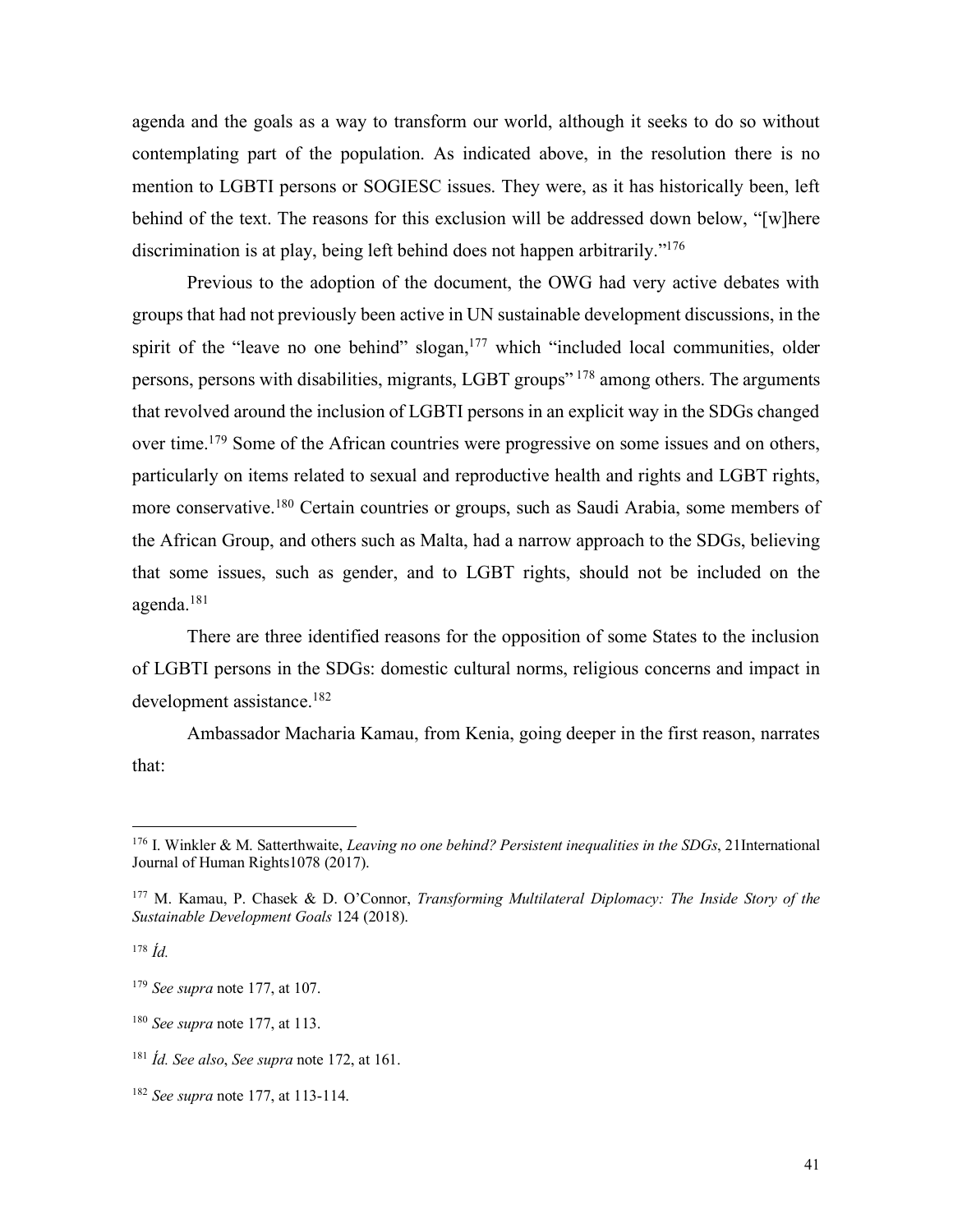agenda and the goals as a way to transform our world, although it seeks to do so without contemplating part of the population. As indicated above, in the resolution there is no mention to LGBTI persons or SOGIESC issues. They were, as it has historically been, left behind of the text. The reasons for this exclusion will be addressed down below, "[w]here discrimination is at play, being left behind does not happen arbitrarily."176

Previous to the adoption of the document, the OWG had very active debates with groups that had not previously been active in UN sustainable development discussions, in the spirit of the "leave no one behind" slogan,<sup>177</sup> which "included local communities, older persons, persons with disabilities, migrants, LGBT groups" <sup>178</sup> among others. The arguments that revolved around the inclusion of LGBTI persons in an explicit way in the SDGs changed over time.<sup>179</sup> Some of the African countries were progressive on some issues and on others, particularly on items related to sexual and reproductive health and rights and LGBT rights, more conservative.180 Certain countries or groups, such as Saudi Arabia, some members of the African Group, and others such as Malta, had a narrow approach to the SDGs, believing that some issues, such as gender, and to LGBT rights, should not be included on the agenda.181

There are three identified reasons for the opposition of some States to the inclusion of LGBTI persons in the SDGs: domestic cultural norms, religious concerns and impact in development assistance.182

Ambassador Macharia Kamau, from Kenia, going deeper in the first reason, narrates that:

 <sup>176</sup> I. Winkler & M. Satterthwaite, *Leaving no one behind? Persistent inequalities in the SDGs*, 21International Journal of Human Rights1078 (2017).

<sup>177</sup> M. Kamau, P. Chasek & D. O'Connor, *Transforming Multilateral Diplomacy: The Inside Story of the Sustainable Development Goals* 124 (2018).

<sup>178</sup> *Íd.*

<sup>179</sup> *See supra* note 177, at 107.

<sup>180</sup> *See supra* note 177, at 113.

<sup>181</sup> *Íd. See also*, *See supra* note 172, at 161.

<sup>182</sup> *See supra* note 177, at 113-114.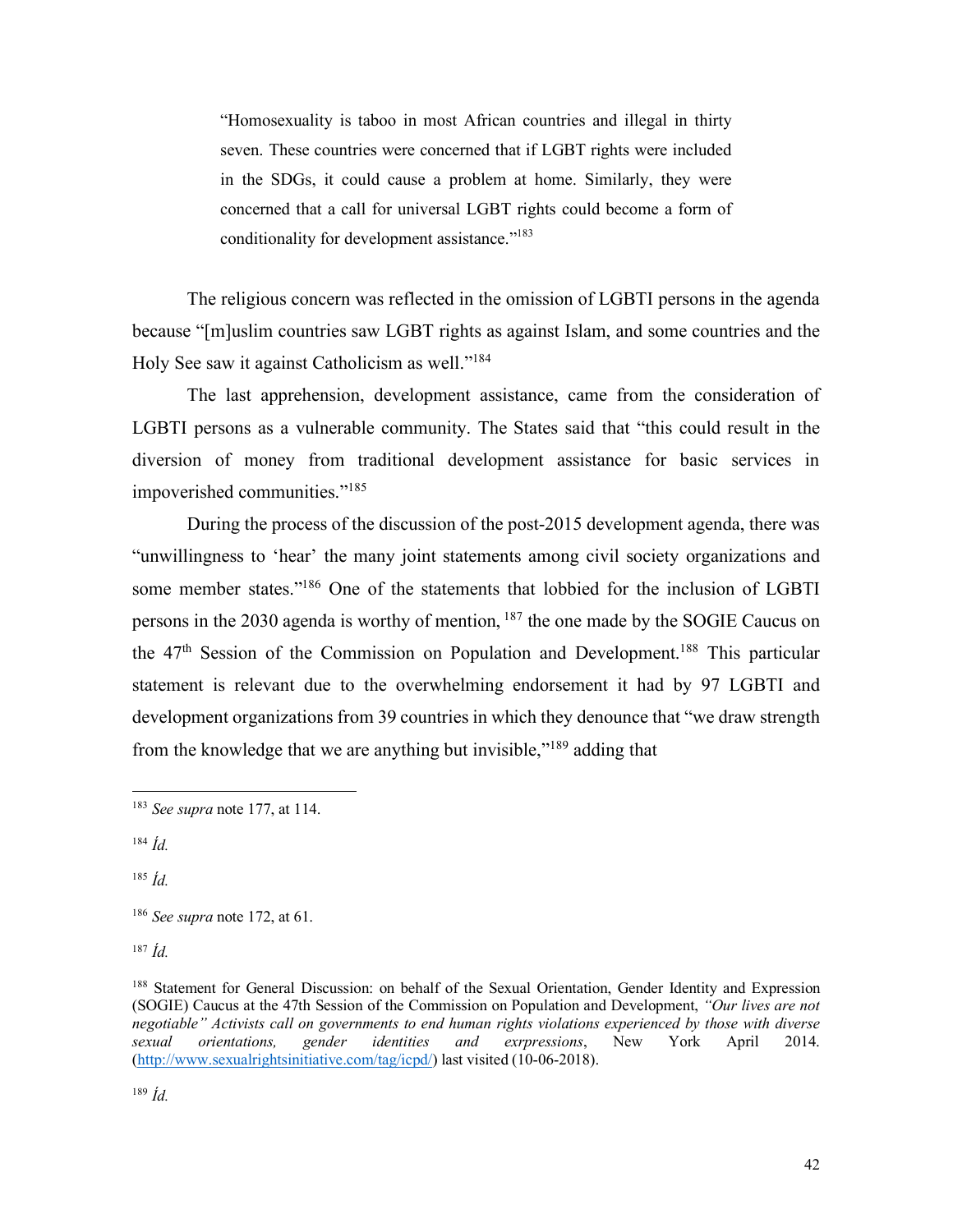"Homosexuality is taboo in most African countries and illegal in thirty seven. These countries were concerned that if LGBT rights were included in the SDGs, it could cause a problem at home. Similarly, they were concerned that a call for universal LGBT rights could become a form of conditionality for development assistance."<sup>183</sup>

The religious concern was reflected in the omission of LGBTI persons in the agenda because "[m]uslim countries saw LGBT rights as against Islam, and some countries and the Holy See saw it against Catholicism as well."184

The last apprehension, development assistance, came from the consideration of LGBTI persons as a vulnerable community. The States said that "this could result in the diversion of money from traditional development assistance for basic services in impoverished communities."185

During the process of the discussion of the post-2015 development agenda, there was "unwillingness to 'hear' the many joint statements among civil society organizations and some member states."<sup>186</sup> One of the statements that lobbied for the inclusion of LGBTI persons in the 2030 agenda is worthy of mention, <sup>187</sup> the one made by the SOGIE Caucus on the  $47<sup>th</sup>$  Session of the Commission on Population and Development.<sup>188</sup> This particular statement is relevant due to the overwhelming endorsement it had by 97 LGBTI and development organizations from 39 countries in which they denounce that "we draw strength from the knowledge that we are anything but invisible,"189 adding that

<sup>185</sup> *Íd.*

<sup>187</sup> *Íd.*

<sup>189</sup> *Íd.*

 <sup>183</sup> *See supra* note 177, at 114.

<sup>184</sup> *Íd.*

<sup>186</sup> *See supra* note 172, at 61.

<sup>&</sup>lt;sup>188</sup> Statement for General Discussion: on behalf of the Sexual Orientation, Gender Identity and Expression (SOGIE) Caucus at the 47th Session of the Commission on Population and Development, *"Our lives are not negotiable" Activists call on governments to end human rights violations experienced by those with diverse sexual orientations, gender identities and exrpressions*, New York April 2014. (http://www.sexualrightsinitiative.com/tag/icpd/) last visited (10-06-2018).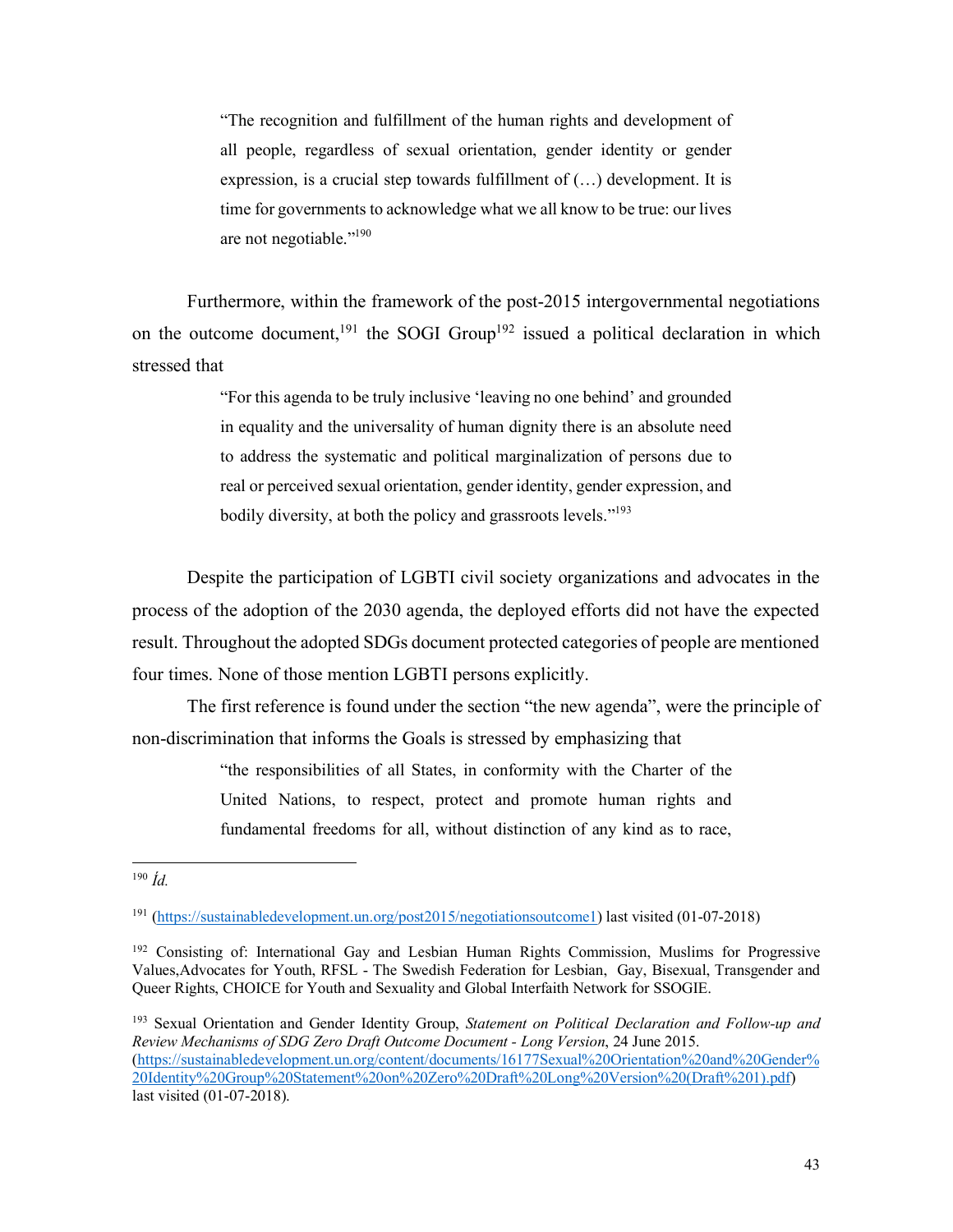"The recognition and fulfillment of the human rights and development of all people, regardless of sexual orientation, gender identity or gender expression, is a crucial step towards fulfillment of (…) development. It is time for governments to acknowledge what we all know to be true: our lives are not negotiable."190

Furthermore, within the framework of the post-2015 intergovernmental negotiations on the outcome document,<sup>191</sup> the SOGI Group<sup>192</sup> issued a political declaration in which stressed that

> "For this agenda to be truly inclusive 'leaving no one behind' and grounded in equality and the universality of human dignity there is an absolute need to address the systematic and political marginalization of persons due to real or perceived sexual orientation, gender identity, gender expression, and bodily diversity, at both the policy and grassroots levels."<sup>193</sup>

Despite the participation of LGBTI civil society organizations and advocates in the process of the adoption of the 2030 agenda, the deployed efforts did not have the expected result. Throughout the adopted SDGs document protected categories of people are mentioned four times. None of those mention LGBTI persons explicitly.

The first reference is found under the section "the new agenda", were the principle of non-discrimination that informs the Goals is stressed by emphasizing that

> "the responsibilities of all States, in conformity with the Charter of the United Nations, to respect, protect and promote human rights and fundamental freedoms for all, without distinction of any kind as to race,

 <sup>190</sup> *Íd.*

<sup>191</sup> (https://sustainabledevelopment.un.org/post2015/negotiationsoutcome1) last visited (01-07-2018)

<sup>&</sup>lt;sup>192</sup> Consisting of: International Gay and Lesbian Human Rights Commission, Muslims for Progressive Values,Advocates for Youth, RFSL - The Swedish Federation for Lesbian, Gay, Bisexual, Transgender and Queer Rights, CHOICE for Youth and Sexuality and Global Interfaith Network for SSOGIE.

<sup>193</sup> Sexual Orientation and Gender Identity Group, *Statement on Political Declaration and Follow-up and Review Mechanisms of SDG Zero Draft Outcome Document - Long Version*, 24 June 2015. (https://sustainabledevelopment.un.org/content/documents/16177Sexual%20Orientation%20and%20Gender% 20Identity%20Group%20Statement%20on%20Zero%20Draft%20Long%20Version%20(Draft%201).pdf) last visited (01-07-2018).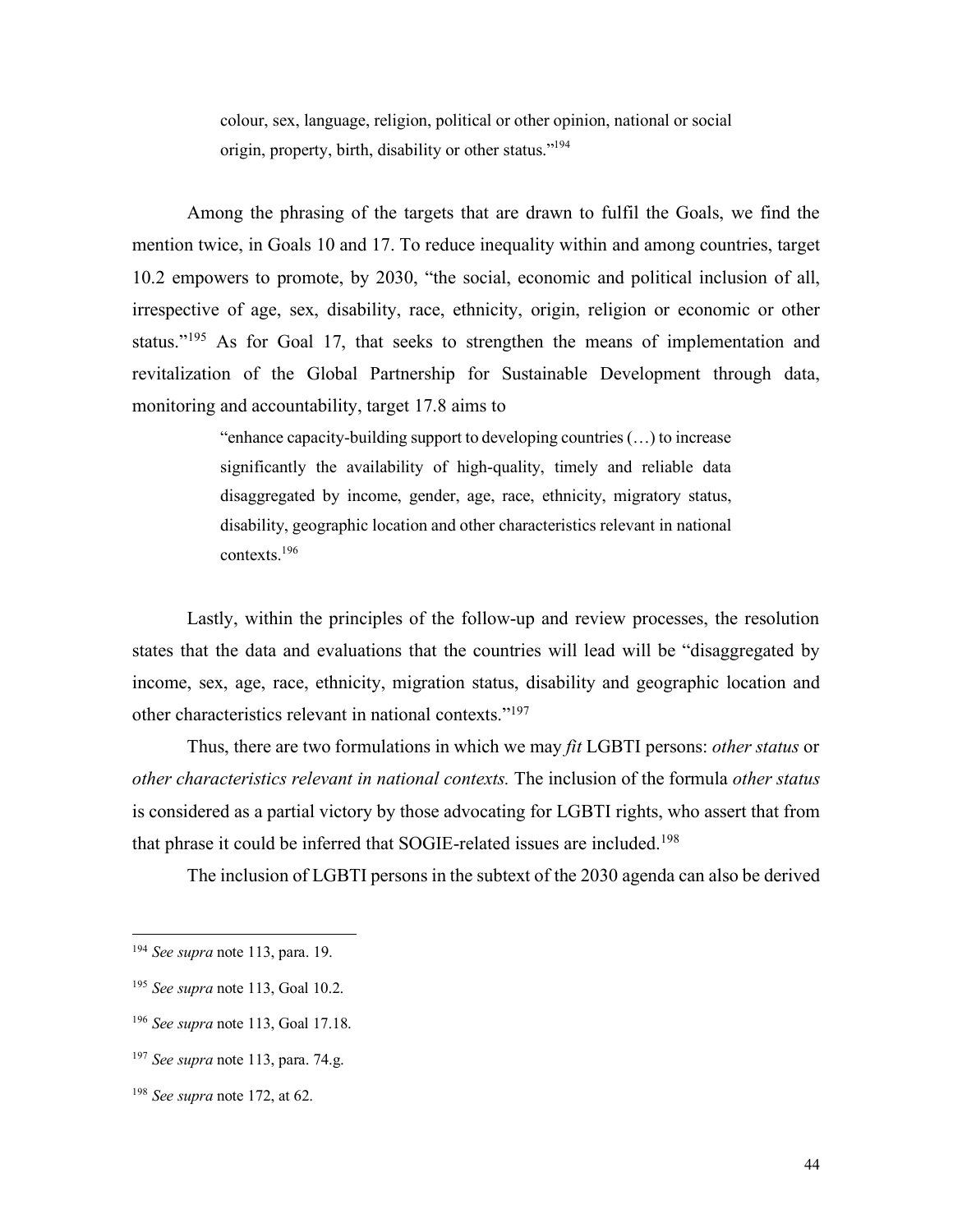colour, sex, language, religion, political or other opinion, national or social origin, property, birth, disability or other status."194

Among the phrasing of the targets that are drawn to fulfil the Goals, we find the mention twice, in Goals 10 and 17. To reduce inequality within and among countries, target 10.2 empowers to promote, by 2030, "the social, economic and political inclusion of all, irrespective of age, sex, disability, race, ethnicity, origin, religion or economic or other status."<sup>195</sup> As for Goal 17, that seeks to strengthen the means of implementation and revitalization of the Global Partnership for Sustainable Development through data, monitoring and accountability, target 17.8 aims to

> "enhance capacity-building support to developing countries (…) to increase significantly the availability of high-quality, timely and reliable data disaggregated by income, gender, age, race, ethnicity, migratory status, disability, geographic location and other characteristics relevant in national contexts.196

Lastly, within the principles of the follow-up and review processes, the resolution states that the data and evaluations that the countries will lead will be "disaggregated by income, sex, age, race, ethnicity, migration status, disability and geographic location and other characteristics relevant in national contexts."197

Thus, there are two formulations in which we may *fit* LGBTI persons: *other status* or *other characteristics relevant in national contexts.* The inclusion of the formula *other status*  is considered as a partial victory by those advocating for LGBTI rights, who assert that from that phrase it could be inferred that SOGIE-related issues are included.198

The inclusion of LGBTI persons in the subtext of the 2030 agenda can also be derived

 <sup>194</sup> *See supra* note 113, para. 19.

<sup>195</sup> *See supra* note 113, Goal 10.2.

<sup>196</sup> *See supra* note 113, Goal 17.18.

<sup>197</sup> *See supra* note 113, para. 74.g.

<sup>198</sup> *See supra* note 172, at 62.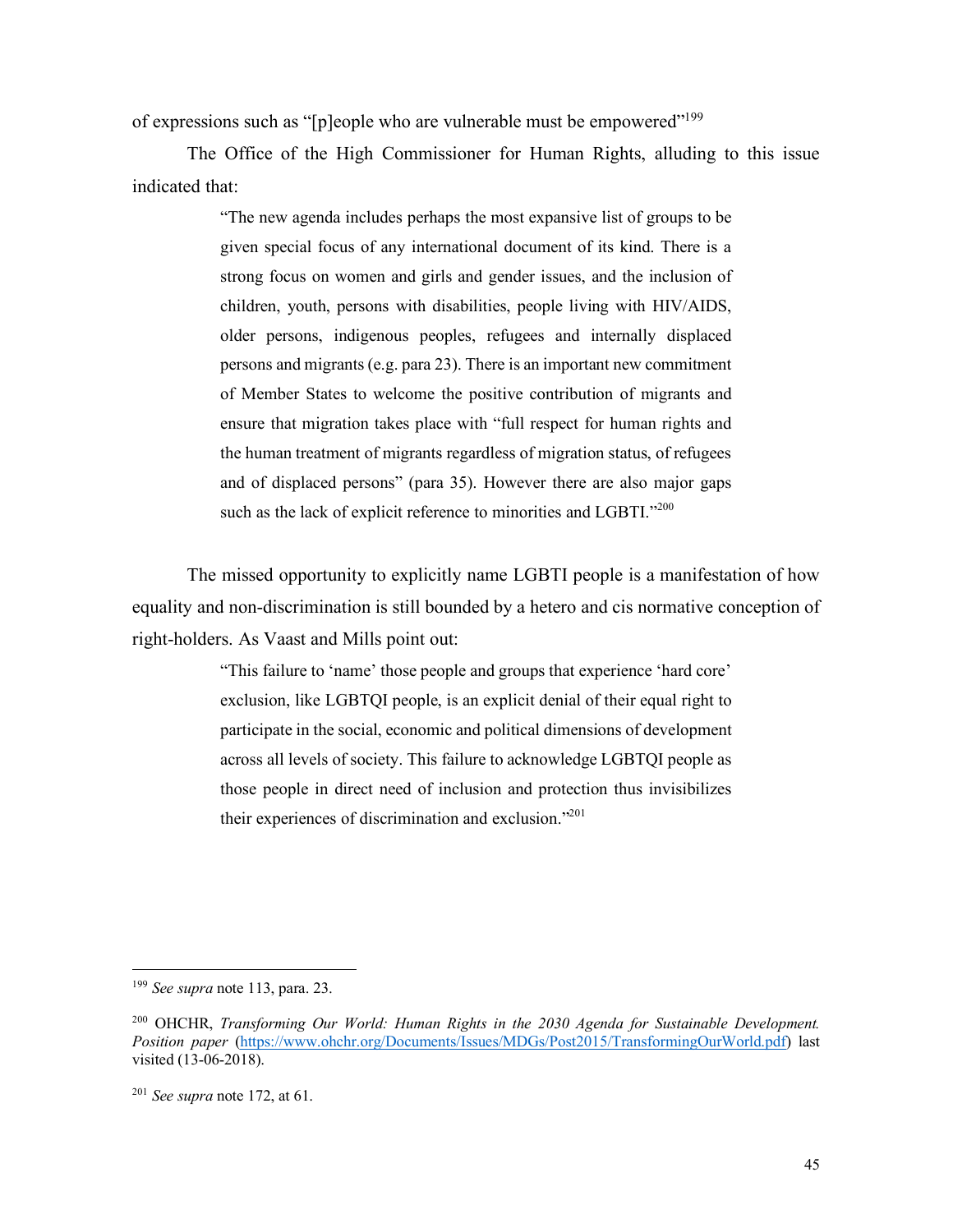of expressions such as "[p]eople who are vulnerable must be empowered"199

The Office of the High Commissioner for Human Rights, alluding to this issue indicated that:

> "The new agenda includes perhaps the most expansive list of groups to be given special focus of any international document of its kind. There is a strong focus on women and girls and gender issues, and the inclusion of children, youth, persons with disabilities, people living with HIV/AIDS, older persons, indigenous peoples, refugees and internally displaced persons and migrants (e.g. para 23). There is an important new commitment of Member States to welcome the positive contribution of migrants and ensure that migration takes place with "full respect for human rights and the human treatment of migrants regardless of migration status, of refugees and of displaced persons" (para 35). However there are also major gaps such as the lack of explicit reference to minorities and LGBTI."200

The missed opportunity to explicitly name LGBTI people is a manifestation of how equality and non-discrimination is still bounded by a hetero and cis normative conception of right-holders. As Vaast and Mills point out:

> "This failure to 'name' those people and groups that experience 'hard core' exclusion, like LGBTQI people, is an explicit denial of their equal right to participate in the social, economic and political dimensions of development across all levels of society. This failure to acknowledge LGBTQI people as those people in direct need of inclusion and protection thus invisibilizes their experiences of discrimination and exclusion."201

 <sup>199</sup> *See supra* note 113, para. 23.

<sup>200</sup> OHCHR, *Transforming Our World: Human Rights in the 2030 Agenda for Sustainable Development. Position paper* (https://www.ohchr.org/Documents/Issues/MDGs/Post2015/TransformingOurWorld.pdf) last visited (13-06-2018).

<sup>201</sup> *See supra* note 172, at 61.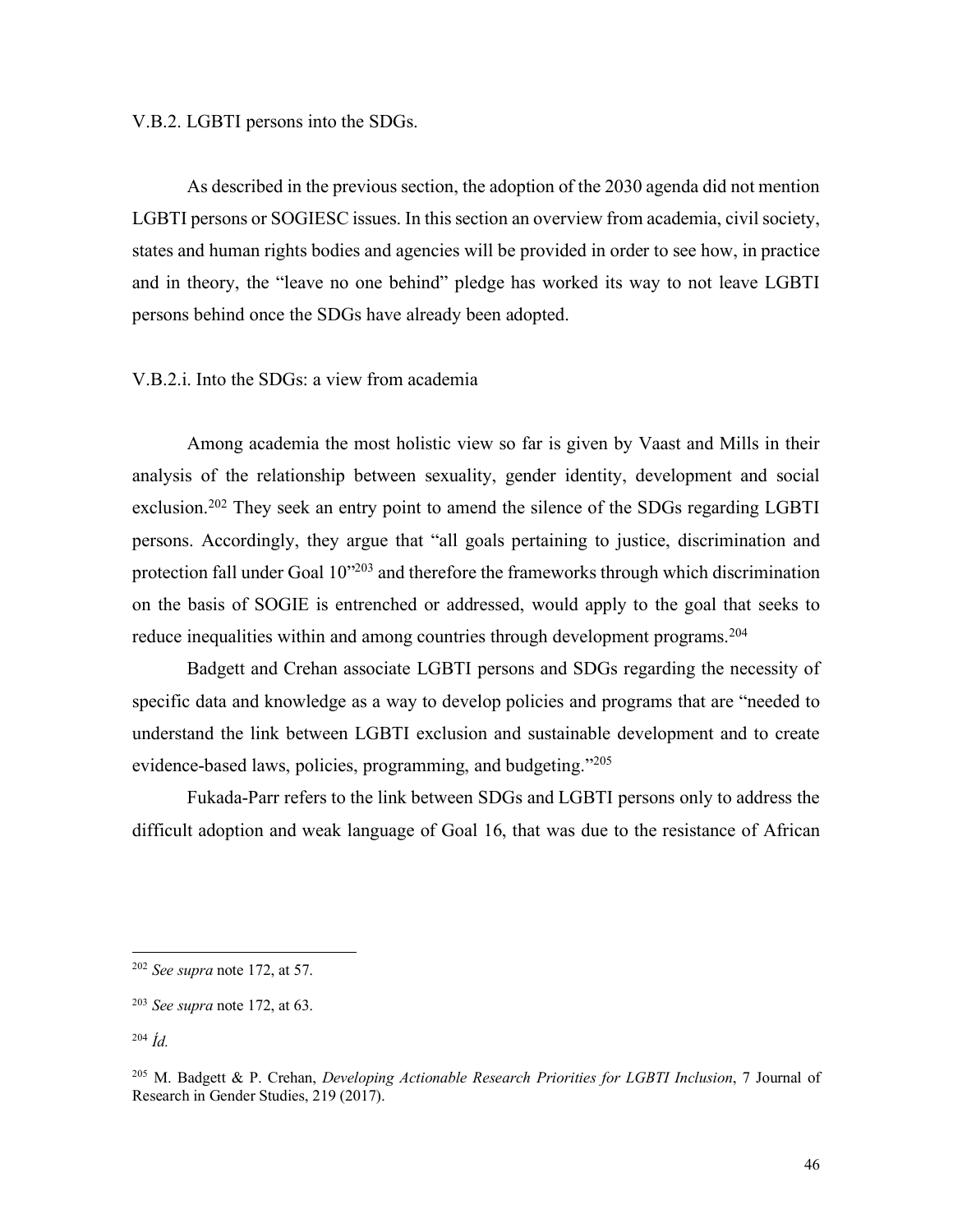## V.B.2. LGBTI persons into the SDGs.

As described in the previous section, the adoption of the 2030 agenda did not mention LGBTI persons or SOGIESC issues. In this section an overview from academia, civil society, states and human rights bodies and agencies will be provided in order to see how, in practice and in theory, the "leave no one behind" pledge has worked its way to not leave LGBTI persons behind once the SDGs have already been adopted.

V.B.2.i. Into the SDGs: a view from academia

Among academia the most holistic view so far is given by Vaast and Mills in their analysis of the relationship between sexuality, gender identity, development and social exclusion.<sup>202</sup> They seek an entry point to amend the silence of the SDGs regarding LGBTI persons. Accordingly, they argue that "all goals pertaining to justice, discrimination and protection fall under Goal 10"203 and therefore the frameworks through which discrimination on the basis of SOGIE is entrenched or addressed, would apply to the goal that seeks to reduce inequalities within and among countries through development programs.<sup>204</sup>

Badgett and Crehan associate LGBTI persons and SDGs regarding the necessity of specific data and knowledge as a way to develop policies and programs that are "needed to understand the link between LGBTI exclusion and sustainable development and to create evidence-based laws, policies, programming, and budgeting."205

Fukada-Parr refers to the link between SDGs and LGBTI persons only to address the difficult adoption and weak language of Goal 16, that was due to the resistance of African

 <sup>202</sup> *See supra* note 172, at 57.

<sup>203</sup> *See supra* note 172, at 63.

<sup>204</sup> *Íd.*

<sup>205</sup> M. Badgett & P. Crehan, *Developing Actionable Research Priorities for LGBTI Inclusion*, 7 Journal of Research in Gender Studies, 219 (2017).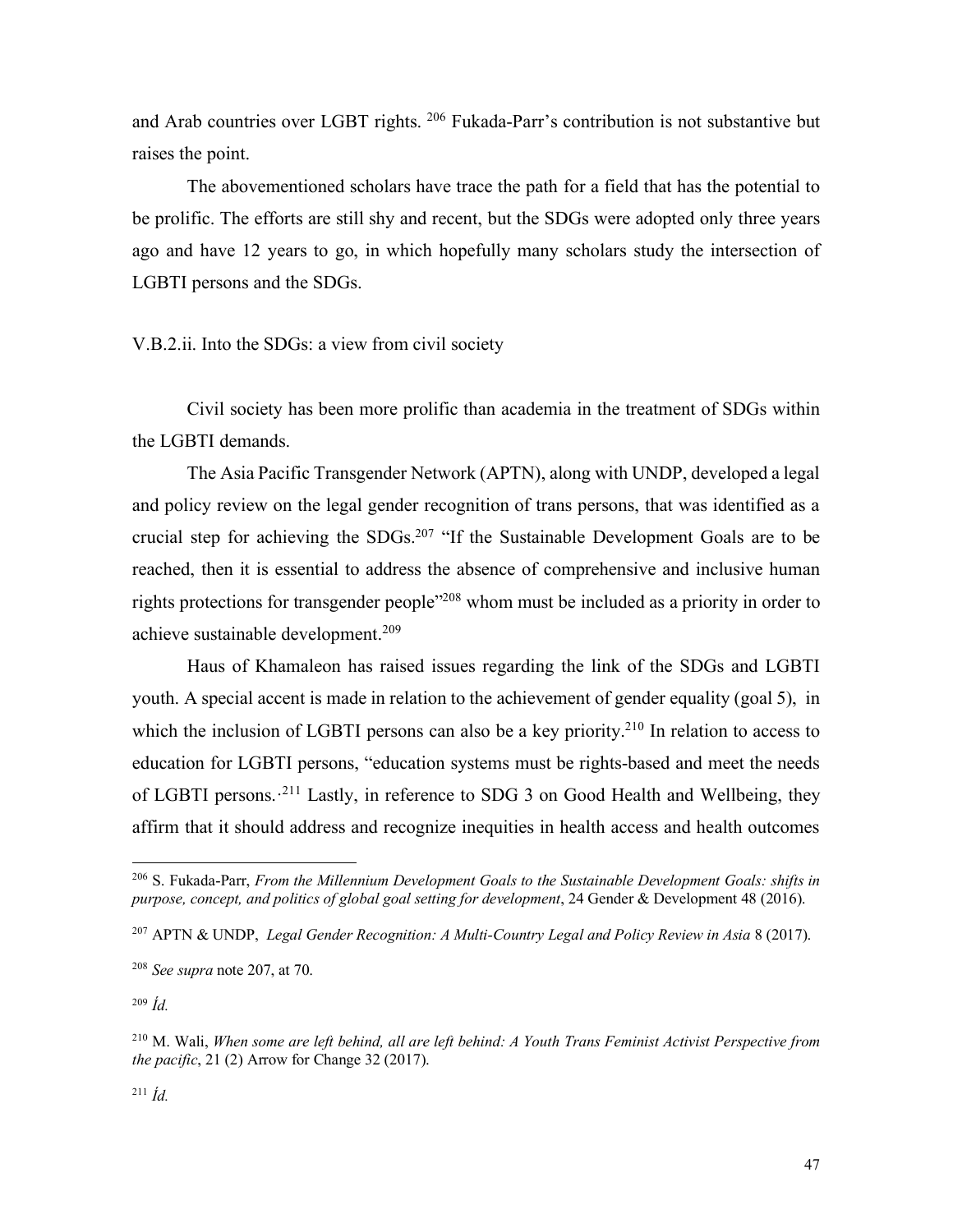and Arab countries over LGBT rights. 206 Fukada-Parr's contribution is not substantive but raises the point.

The abovementioned scholars have trace the path for a field that has the potential to be prolific. The efforts are still shy and recent, but the SDGs were adopted only three years ago and have 12 years to go, in which hopefully many scholars study the intersection of LGBTI persons and the SDGs.

V.B.2.ii. Into the SDGs: a view from civil society

Civil society has been more prolific than academia in the treatment of SDGs within the LGBTI demands.

The Asia Pacific Transgender Network (APTN), along with UNDP, developed a legal and policy review on the legal gender recognition of trans persons, that was identified as a crucial step for achieving the SDGs.<sup>207</sup> "If the Sustainable Development Goals are to be reached, then it is essential to address the absence of comprehensive and inclusive human rights protections for transgender people<sup>"208</sup> whom must be included as a priority in order to achieve sustainable development.209

Haus of Khamaleon has raised issues regarding the link of the SDGs and LGBTI youth. A special accent is made in relation to the achievement of gender equality (goal 5), in which the inclusion of LGBTI persons can also be a key priority.<sup>210</sup> In relation to access to education for LGBTI persons, "education systems must be rights-based and meet the needs of LGBTI persons.<sup>211</sup> Lastly, in reference to SDG 3 on Good Health and Wellbeing, they affirm that it should address and recognize inequities in health access and health outcomes

<sup>209</sup> *Íd.*

 <sup>206</sup> S. Fukada-Parr, *From the Millennium Development Goals to the Sustainable Development Goals: shifts in purpose, concept, and politics of global goal setting for development*, 24 Gender & Development 48 (2016).

<sup>207</sup> APTN & UNDP, *Legal Gender Recognition: A Multi-Country Legal and Policy Review in Asia* 8 (2017).

<sup>208</sup> *See supra* note 207, at 70.

<sup>210</sup> M. Wali, *When some are left behind, all are left behind: A Youth Trans Feminist Activist Perspective from the pacific*, 21 (2) Arrow for Change 32 (2017).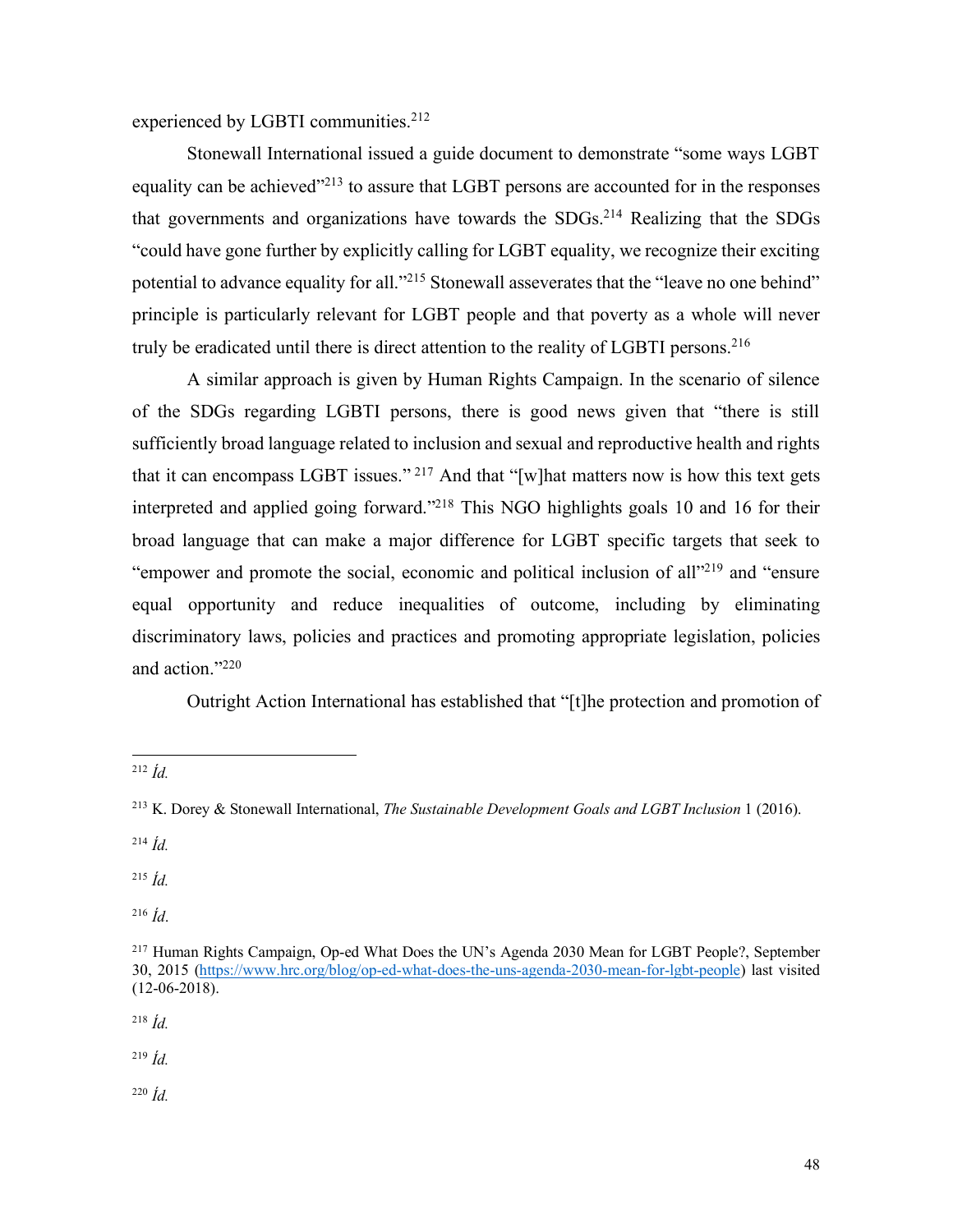experienced by LGBTI communities.<sup>212</sup>

Stonewall International issued a guide document to demonstrate "some ways LGBT equality can be achieved"213 to assure that LGBT persons are accounted for in the responses that governments and organizations have towards the SDGs.214 Realizing that the SDGs "could have gone further by explicitly calling for LGBT equality, we recognize their exciting potential to advance equality for all."<sup>215</sup> Stonewall asseverates that the "leave no one behind" principle is particularly relevant for LGBT people and that poverty as a whole will never truly be eradicated until there is direct attention to the reality of LGBTI persons. 216

A similar approach is given by Human Rights Campaign. In the scenario of silence of the SDGs regarding LGBTI persons, there is good news given that "there is still sufficiently broad language related to inclusion and sexual and reproductive health and rights that it can encompass LGBT issues." <sup>217</sup> And that "[w]hat matters now is how this text gets interpreted and applied going forward."218 This NGO highlights goals 10 and 16 for their broad language that can make a major difference for LGBT specific targets that seek to "empower and promote the social, economic and political inclusion of all"219 and "ensure equal opportunity and reduce inequalities of outcome, including by eliminating discriminatory laws, policies and practices and promoting appropriate legislation, policies and action."220

Outright Action International has established that "[t]he protection and promotion of

<sup>215</sup> *Íd.*

<sup>216</sup> *Íd*.

<sup>218</sup> *Íd.*

<sup>219</sup> *Íd.*

<sup>220</sup> *Íd.*

 <sup>212</sup> *Íd.*

<sup>213</sup> K. Dorey & Stonewall International, *The Sustainable Development Goals and LGBT Inclusion* 1 (2016).

<sup>214</sup> *Íd.*

<sup>217</sup> Human Rights Campaign, Op-ed What Does the UN's Agenda 2030 Mean for LGBT People?, September 30, 2015 (https://www.hrc.org/blog/op-ed-what-does-the-uns-agenda-2030-mean-for-lgbt-people) last visited (12-06-2018).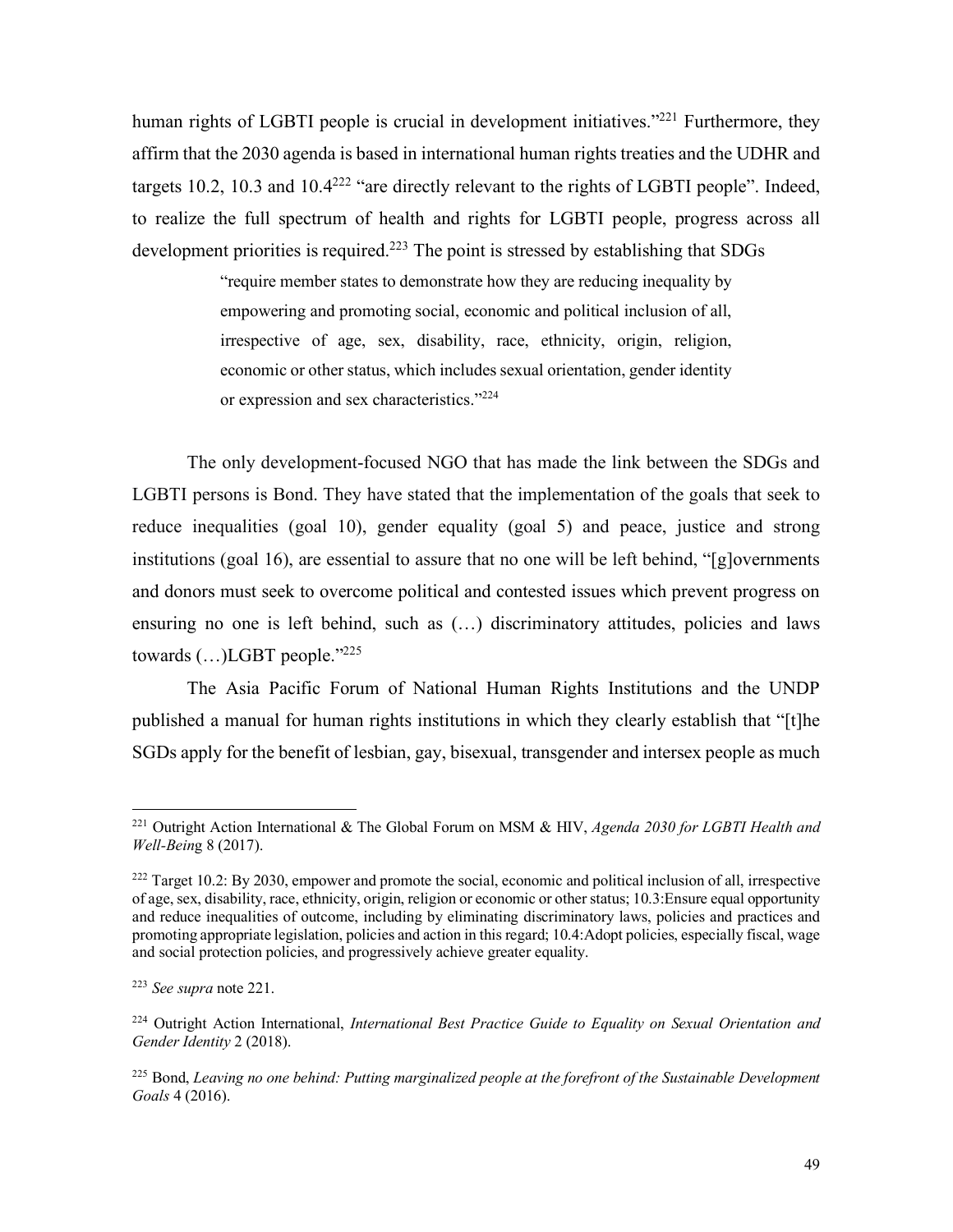human rights of LGBTI people is crucial in development initiatives.<sup>"221</sup> Furthermore, they affirm that the 2030 agenda is based in international human rights treaties and the UDHR and targets 10.2, 10.3 and  $10.4^{222}$  "are directly relevant to the rights of LGBTI people". Indeed, to realize the full spectrum of health and rights for LGBTI people, progress across all development priorities is required.<sup>223</sup> The point is stressed by establishing that SDGs

> "require member states to demonstrate how they are reducing inequality by empowering and promoting social, economic and political inclusion of all, irrespective of age, sex, disability, race, ethnicity, origin, religion, economic or other status, which includes sexual orientation, gender identity or expression and sex characteristics."224

The only development-focused NGO that has made the link between the SDGs and LGBTI persons is Bond. They have stated that the implementation of the goals that seek to reduce inequalities (goal 10), gender equality (goal 5) and peace, justice and strong institutions (goal 16), are essential to assure that no one will be left behind, "[g]overnments and donors must seek to overcome political and contested issues which prevent progress on ensuring no one is left behind, such as (…) discriminatory attitudes, policies and laws towards  $(...)$ LGBT people." $^{225}$ 

The Asia Pacific Forum of National Human Rights Institutions and the UNDP published a manual for human rights institutions in which they clearly establish that "[t]he SGDs apply for the benefit of lesbian, gay, bisexual, transgender and intersex people as much

 <sup>221</sup> Outright Action International & The Global Forum on MSM & HIV, *Agenda 2030 for LGBTI Health and Well-Bein*g 8 (2017).

 $222$  Target 10.2: By 2030, empower and promote the social, economic and political inclusion of all, irrespective of age, sex, disability, race, ethnicity, origin, religion or economic or other status; 10.3:Ensure equal opportunity and reduce inequalities of outcome, including by eliminating discriminatory laws, policies and practices and promoting appropriate legislation, policies and action in this regard; 10.4:Adopt policies, especially fiscal, wage and social protection policies, and progressively achieve greater equality.

<sup>223</sup> *See supra* note 221.

<sup>224</sup> Outright Action International, *International Best Practice Guide to Equality on Sexual Orientation and Gender Identity* 2 (2018).

<sup>225</sup> Bond, *Leaving no one behind: Putting marginalized people at the forefront of the Sustainable Development Goals* 4 (2016).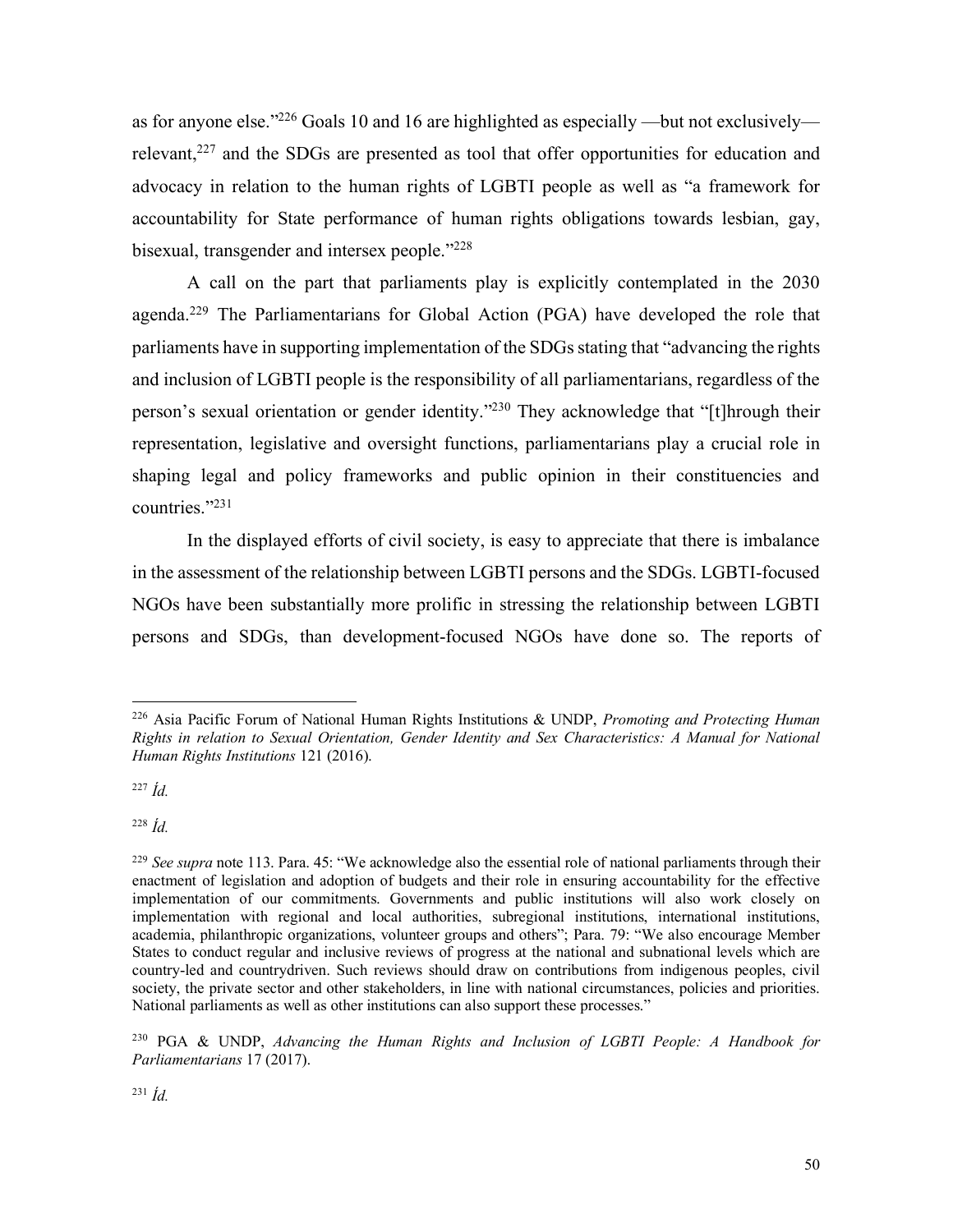as for anyone else."226 Goals 10 and 16 are highlighted as especially —but not exclusively relevant,<sup>227</sup> and the SDGs are presented as tool that offer opportunities for education and advocacy in relation to the human rights of LGBTI people as well as "a framework for accountability for State performance of human rights obligations towards lesbian, gay, bisexual, transgender and intersex people."228

A call on the part that parliaments play is explicitly contemplated in the 2030 agenda.229 The Parliamentarians for Global Action (PGA) have developed the role that parliaments have in supporting implementation of the SDGs stating that "advancing the rights and inclusion of LGBTI people is the responsibility of all parliamentarians, regardless of the person's sexual orientation or gender identity."230 They acknowledge that "[t]hrough their representation, legislative and oversight functions, parliamentarians play a crucial role in shaping legal and policy frameworks and public opinion in their constituencies and countries."231

In the displayed efforts of civil society, is easy to appreciate that there is imbalance in the assessment of the relationship between LGBTI persons and the SDGs. LGBTI-focused NGOs have been substantially more prolific in stressing the relationship between LGBTI persons and SDGs, than development-focused NGOs have done so. The reports of

<sup>228</sup> *Íd.*

 <sup>226</sup> Asia Pacific Forum of National Human Rights Institutions & UNDP, *Promoting and Protecting Human Rights in relation to Sexual Orientation, Gender Identity and Sex Characteristics: A Manual for National Human Rights Institutions* 121 (2016).

<sup>227</sup> *Íd.*

<sup>&</sup>lt;sup>229</sup> *See supra* note 113. Para. 45: "We acknowledge also the essential role of national parliaments through their enactment of legislation and adoption of budgets and their role in ensuring accountability for the effective implementation of our commitments. Governments and public institutions will also work closely on implementation with regional and local authorities, subregional institutions, international institutions, academia, philanthropic organizations, volunteer groups and others"; Para. 79: "We also encourage Member States to conduct regular and inclusive reviews of progress at the national and subnational levels which are country-led and countrydriven. Such reviews should draw on contributions from indigenous peoples, civil society, the private sector and other stakeholders, in line with national circumstances, policies and priorities. National parliaments as well as other institutions can also support these processes."

<sup>230</sup> PGA & UNDP, *Advancing the Human Rights and Inclusion of LGBTI People: A Handbook for Parliamentarians* 17 (2017).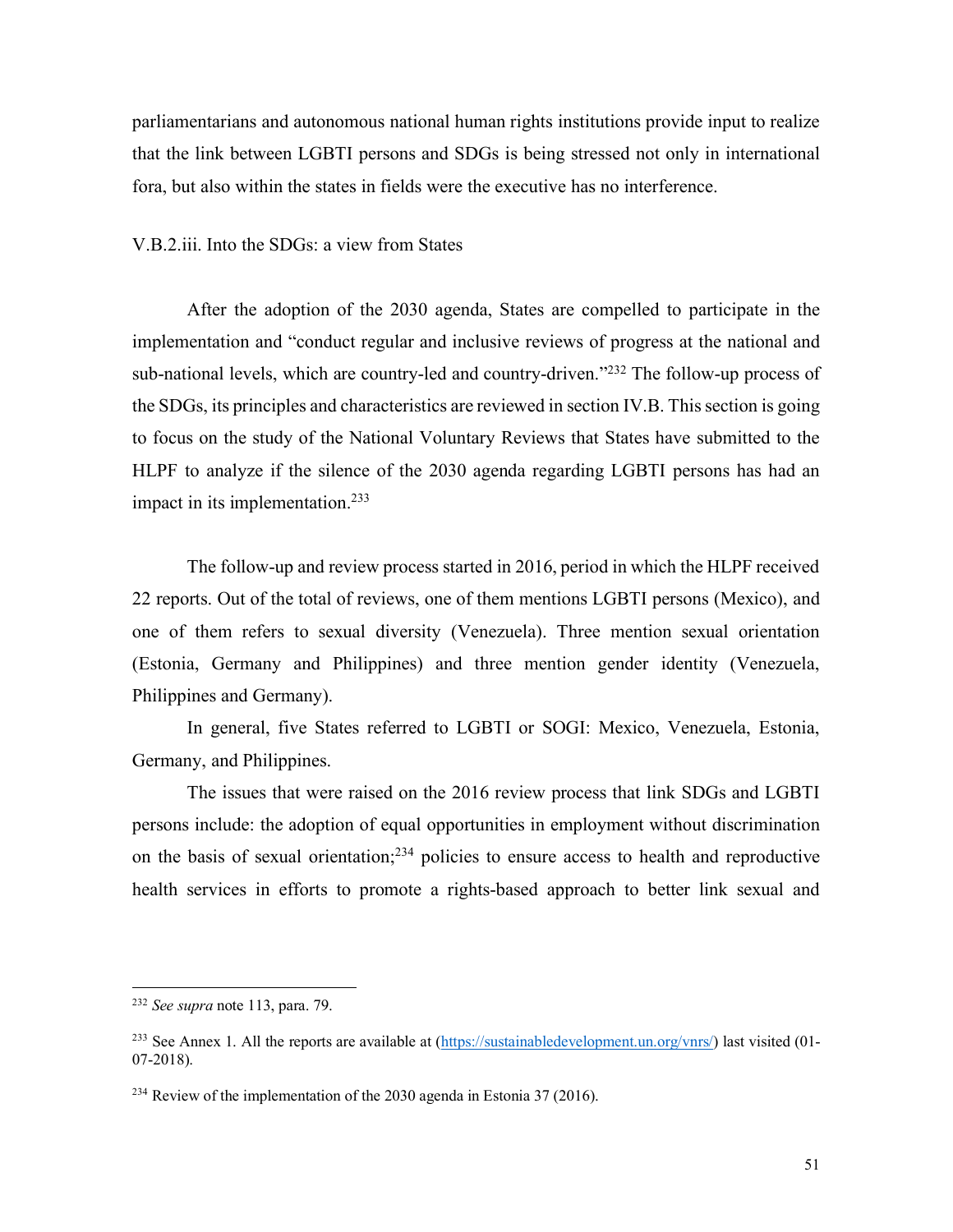parliamentarians and autonomous national human rights institutions provide input to realize that the link between LGBTI persons and SDGs is being stressed not only in international fora, but also within the states in fields were the executive has no interference.

V.B.2.iii. Into the SDGs: a view from States

After the adoption of the 2030 agenda, States are compelled to participate in the implementation and "conduct regular and inclusive reviews of progress at the national and sub-national levels, which are country-led and country-driven."232 The follow-up process of the SDGs, its principles and characteristics are reviewed in section IV.B. This section is going to focus on the study of the National Voluntary Reviews that States have submitted to the HLPF to analyze if the silence of the 2030 agenda regarding LGBTI persons has had an impact in its implementation.<sup>233</sup>

The follow-up and review process started in 2016, period in which the HLPF received 22 reports. Out of the total of reviews, one of them mentions LGBTI persons (Mexico), and one of them refers to sexual diversity (Venezuela). Three mention sexual orientation (Estonia, Germany and Philippines) and three mention gender identity (Venezuela, Philippines and Germany).

In general, five States referred to LGBTI or SOGI: Mexico, Venezuela, Estonia, Germany, and Philippines.

The issues that were raised on the 2016 review process that link SDGs and LGBTI persons include: the adoption of equal opportunities in employment without discrimination on the basis of sexual orientation;234 policies to ensure access to health and reproductive health services in efforts to promote a rights-based approach to better link sexual and

 <sup>232</sup> *See supra* note 113, para. 79.

<sup>&</sup>lt;sup>233</sup> See Annex 1. All the reports are available at  $(\frac{https://sustainabledevelopment.un.org/vnrs/}{https://sustainabledevelopment.un.org/vnrs/}{\theta}$  last visited (01-07-2018).

<sup>&</sup>lt;sup>234</sup> Review of the implementation of the 2030 agenda in Estonia 37 (2016).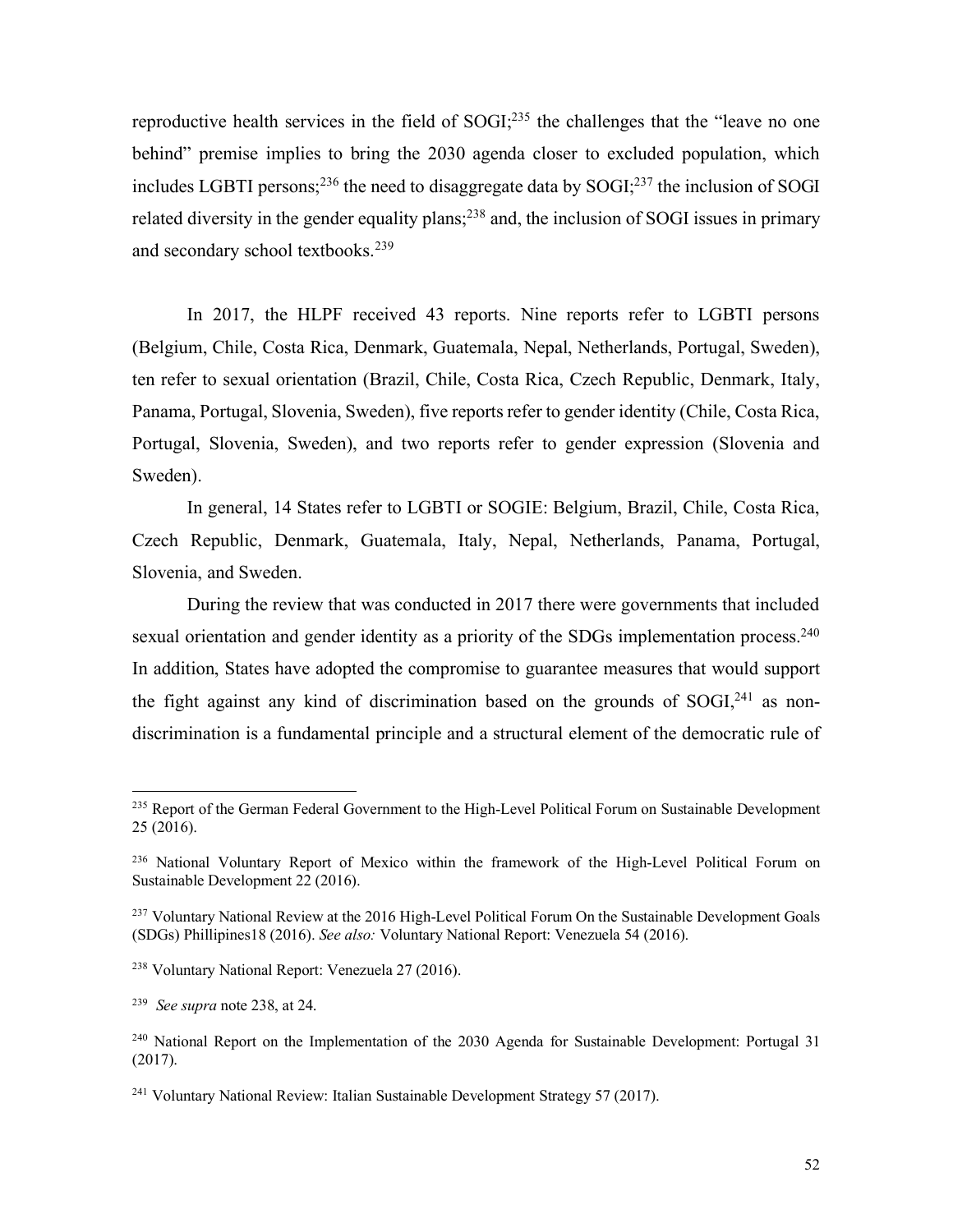reproductive health services in the field of SOGI;<sup>235</sup> the challenges that the "leave no one" behind" premise implies to bring the 2030 agenda closer to excluded population, which includes LGBTI persons;<sup>236</sup> the need to disaggregate data by  $S OGI$ ;<sup>237</sup> the inclusion of SOGI related diversity in the gender equality plans;<sup>238</sup> and, the inclusion of SOGI issues in primary and secondary school textbooks.239

In 2017, the HLPF received 43 reports. Nine reports refer to LGBTI persons (Belgium, Chile, Costa Rica, Denmark, Guatemala, Nepal, Netherlands, Portugal, Sweden), ten refer to sexual orientation (Brazil, Chile, Costa Rica, Czech Republic, Denmark, Italy, Panama, Portugal, Slovenia, Sweden), five reports refer to gender identity (Chile, Costa Rica, Portugal, Slovenia, Sweden), and two reports refer to gender expression (Slovenia and Sweden).

In general, 14 States refer to LGBTI or SOGIE: Belgium, Brazil, Chile, Costa Rica, Czech Republic, Denmark, Guatemala, Italy, Nepal, Netherlands, Panama, Portugal, Slovenia, and Sweden.

During the review that was conducted in 2017 there were governments that included sexual orientation and gender identity as a priority of the SDGs implementation process.<sup>240</sup> In addition, States have adopted the compromise to guarantee measures that would support the fight against any kind of discrimination based on the grounds of SOGI,<sup>241</sup> as nondiscrimination is a fundamental principle and a structural element of the democratic rule of

<sup>&</sup>lt;sup>235</sup> Report of the German Federal Government to the High-Level Political Forum on Sustainable Development 25 (2016).

<sup>&</sup>lt;sup>236</sup> National Voluntary Report of Mexico within the framework of the High-Level Political Forum on Sustainable Development 22 (2016).

<sup>&</sup>lt;sup>237</sup> Voluntary National Review at the 2016 High-Level Political Forum On the Sustainable Development Goals (SDGs) Phillipines18 (2016). *See also:* Voluntary National Report: Venezuela 54 (2016).

<sup>238</sup> Voluntary National Report: Venezuela 27 (2016).

<sup>239</sup> *See supra* note 238, at 24.

<sup>&</sup>lt;sup>240</sup> National Report on the Implementation of the 2030 Agenda for Sustainable Development: Portugal 31 (2017).

<sup>241</sup> Voluntary National Review: Italian Sustainable Development Strategy 57 (2017).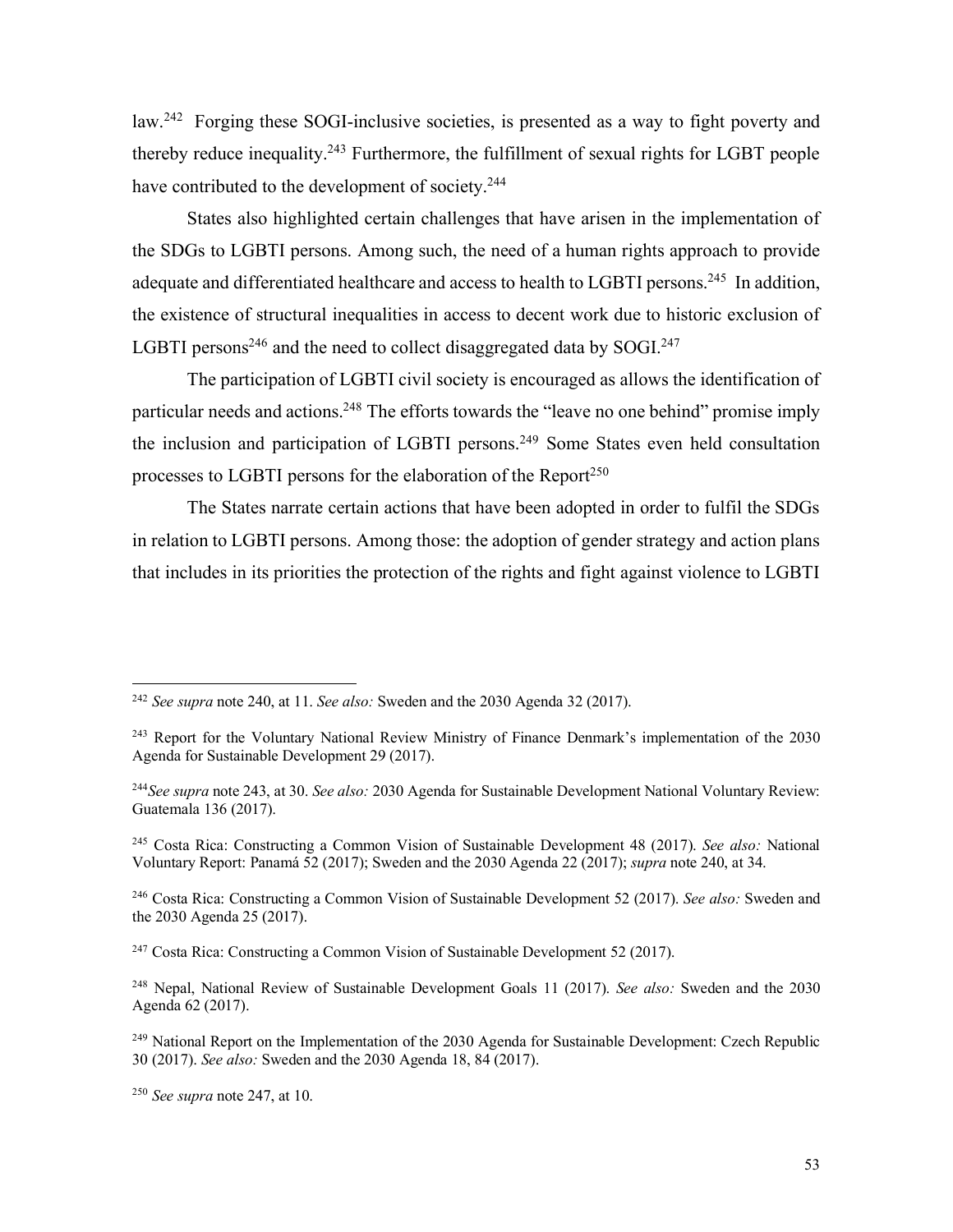law.242 Forging these SOGI-inclusive societies, is presented as a way to fight poverty and thereby reduce inequality.243 Furthermore, the fulfillment of sexual rights for LGBT people have contributed to the development of society.<sup>244</sup>

States also highlighted certain challenges that have arisen in the implementation of the SDGs to LGBTI persons. Among such, the need of a human rights approach to provide adequate and differentiated healthcare and access to health to LGBTI persons.<sup>245</sup> In addition, the existence of structural inequalities in access to decent work due to historic exclusion of LGBTI persons<sup>246</sup> and the need to collect disaggregated data by SOGI.<sup>247</sup>

The participation of LGBTI civil society is encouraged as allows the identification of particular needs and actions.<sup>248</sup> The efforts towards the "leave no one behind" promise imply the inclusion and participation of LGBTI persons.<sup>249</sup> Some States even held consultation processes to LGBTI persons for the elaboration of the Report<sup>250</sup>

The States narrate certain actions that have been adopted in order to fulfil the SDGs in relation to LGBTI persons. Among those: the adoption of gender strategy and action plans that includes in its priorities the protection of the rights and fight against violence to LGBTI

<sup>247</sup> Costa Rica: Constructing a Common Vision of Sustainable Development 52 (2017).

 <sup>242</sup> *See supra* note 240, at 11. *See also:* Sweden and the 2030 Agenda 32 (2017).

<sup>&</sup>lt;sup>243</sup> Report for the Voluntary National Review Ministry of Finance Denmark's implementation of the 2030 Agenda for Sustainable Development 29 (2017).

<sup>244</sup>*See supra* note 243, at 30. *See also:* 2030 Agenda for Sustainable Development National Voluntary Review: Guatemala 136 (2017).

<sup>245</sup> Costa Rica: Constructing a Common Vision of Sustainable Development 48 (2017). *See also:* National Voluntary Report: Panamá 52 (2017); Sweden and the 2030 Agenda 22 (2017); *supra* note 240, at 34.

<sup>246</sup> Costa Rica: Constructing a Common Vision of Sustainable Development 52 (2017). *See also:* Sweden and the 2030 Agenda 25 (2017).

<sup>248</sup> Nepal, National Review of Sustainable Development Goals 11 (2017). *See also:* Sweden and the 2030 Agenda 62 (2017).

<sup>&</sup>lt;sup>249</sup> National Report on the Implementation of the 2030 Agenda for Sustainable Development: Czech Republic 30 (2017). *See also:* Sweden and the 2030 Agenda 18, 84 (2017).

<sup>250</sup> *See supra* note 247, at 10.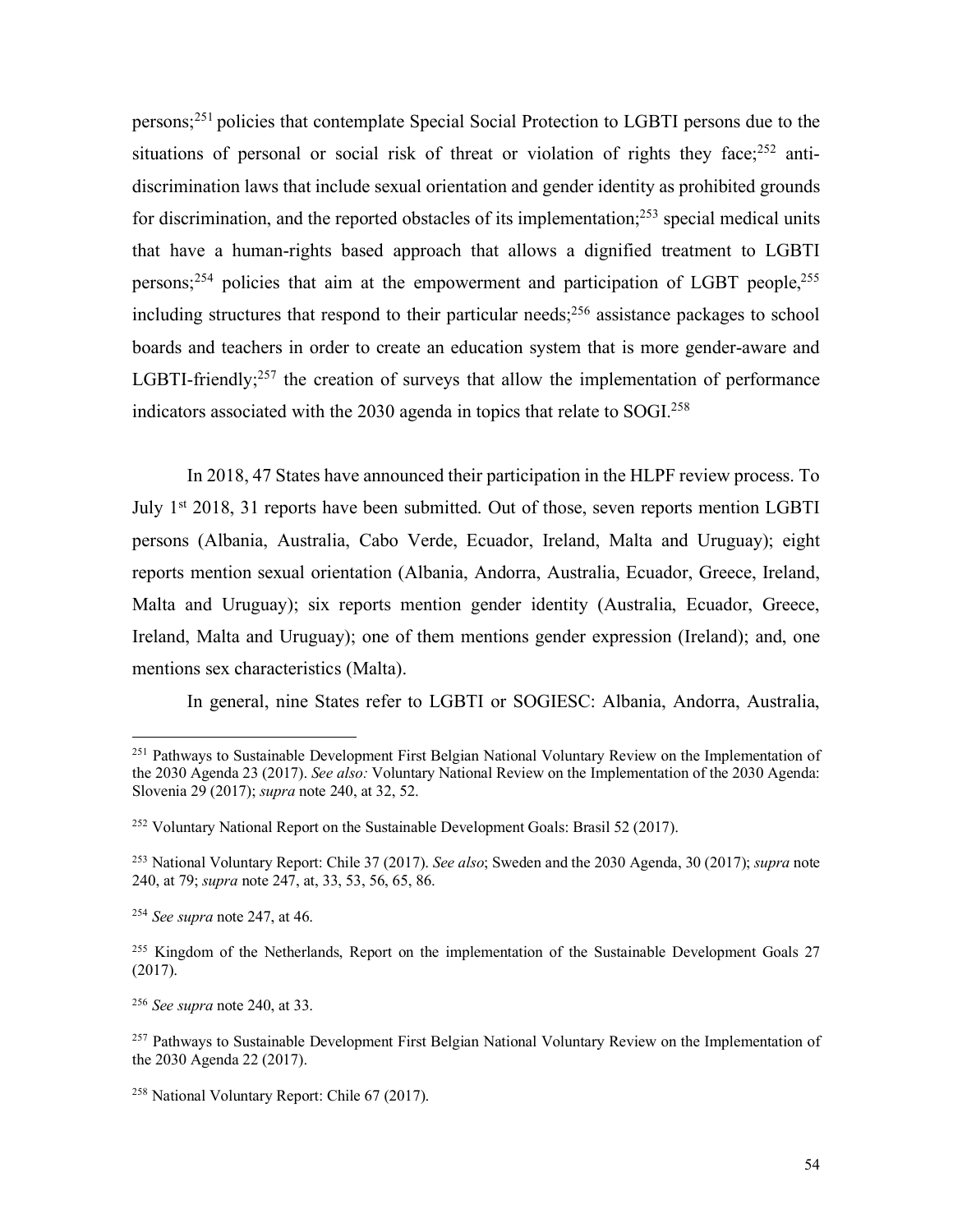persons;251 policies that contemplate Special Social Protection to LGBTI persons due to the situations of personal or social risk of threat or violation of rights they face;<sup>252</sup> antidiscrimination laws that include sexual orientation and gender identity as prohibited grounds for discrimination, and the reported obstacles of its implementation; $^{253}$  special medical units that have a human-rights based approach that allows a dignified treatment to LGBTI persons;254 policies that aim at the empowerment and participation of LGBT people,255 including structures that respond to their particular needs;256 assistance packages to school boards and teachers in order to create an education system that is more gender-aware and LGBTI-friendly; $257$  the creation of surveys that allow the implementation of performance indicators associated with the 2030 agenda in topics that relate to SOGI.258

In 2018, 47 States have announced their participation in the HLPF review process. To July 1<sup>st</sup> 2018, 31 reports have been submitted. Out of those, seven reports mention LGBTI persons (Albania, Australia, Cabo Verde, Ecuador, Ireland, Malta and Uruguay); eight reports mention sexual orientation (Albania, Andorra, Australia, Ecuador, Greece, Ireland, Malta and Uruguay); six reports mention gender identity (Australia, Ecuador, Greece, Ireland, Malta and Uruguay); one of them mentions gender expression (Ireland); and, one mentions sex characteristics (Malta).

In general, nine States refer to LGBTI or SOGIESC: Albania, Andorra, Australia,

<sup>&</sup>lt;sup>251</sup> Pathways to Sustainable Development First Belgian National Voluntary Review on the Implementation of the 2030 Agenda 23 (2017). *See also:* Voluntary National Review on the Implementation of the 2030 Agenda: Slovenia 29 (2017); *supra* note 240, at 32, 52.

<sup>&</sup>lt;sup>252</sup> Voluntary National Report on the Sustainable Development Goals: Brasil 52 (2017).

<sup>253</sup> National Voluntary Report: Chile 37 (2017). *See also*; Sweden and the 2030 Agenda, 30 (2017); *supra* note 240, at 79; *supra* note 247, at, 33, 53, 56, 65, 86.

<sup>254</sup> *See supra* note 247, at 46.

<sup>&</sup>lt;sup>255</sup> Kingdom of the Netherlands, Report on the implementation of the Sustainable Development Goals 27 (2017).

<sup>256</sup> *See supra* note 240, at 33.

<sup>&</sup>lt;sup>257</sup> Pathways to Sustainable Development First Belgian National Voluntary Review on the Implementation of the 2030 Agenda 22 (2017).

<sup>258</sup> National Voluntary Report: Chile 67 (2017).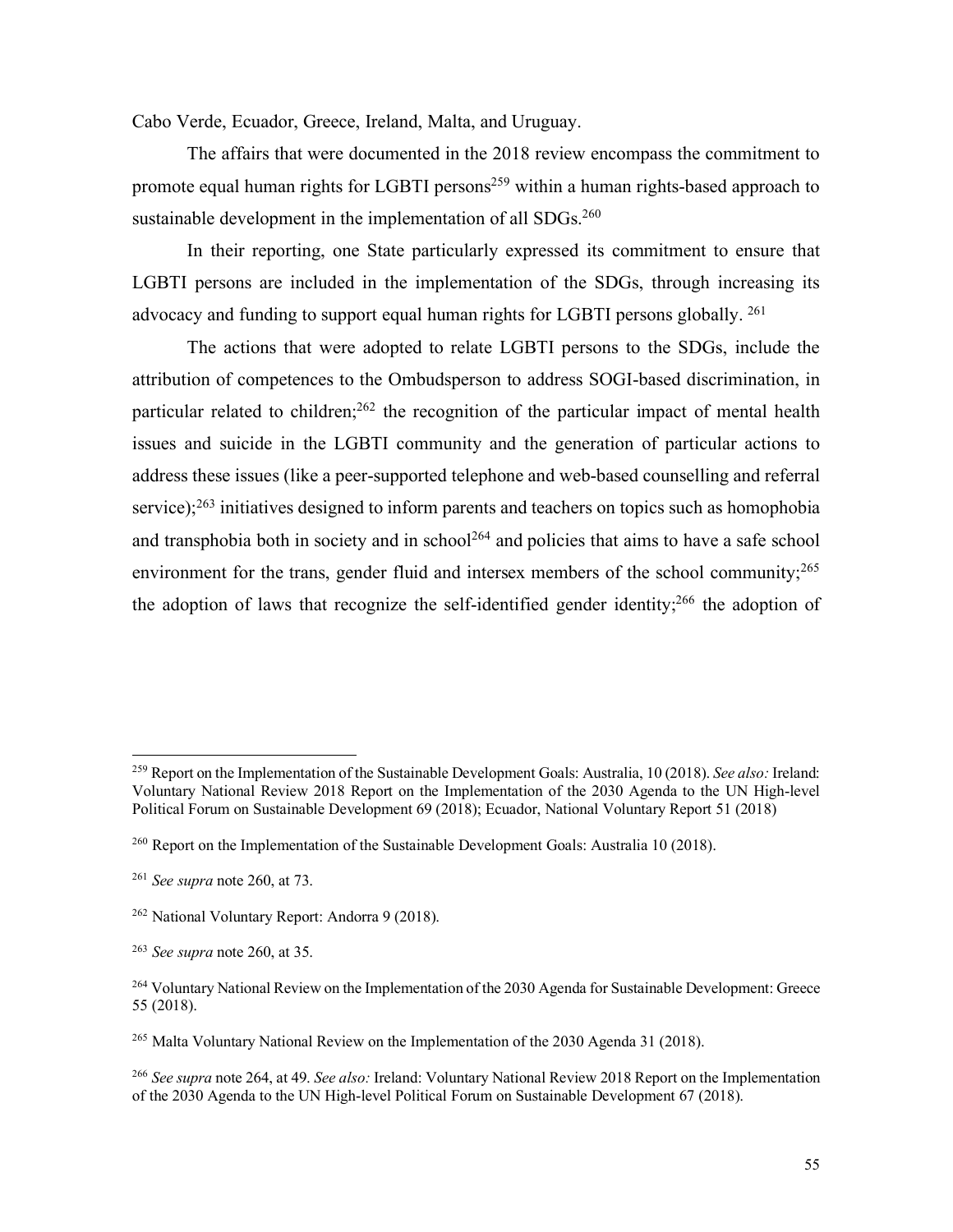Cabo Verde, Ecuador, Greece, Ireland, Malta, and Uruguay.

The affairs that were documented in the 2018 review encompass the commitment to promote equal human rights for LGBTI persons<sup>259</sup> within a human rights-based approach to sustainable development in the implementation of all SDGs.<sup>260</sup>

In their reporting, one State particularly expressed its commitment to ensure that LGBTI persons are included in the implementation of the SDGs, through increasing its advocacy and funding to support equal human rights for LGBTI persons globally. 261

The actions that were adopted to relate LGBTI persons to the SDGs, include the attribution of competences to the Ombudsperson to address SOGI-based discrimination, in particular related to children;<sup>262</sup> the recognition of the particular impact of mental health issues and suicide in the LGBTI community and the generation of particular actions to address these issues (like a peer-supported telephone and web-based counselling and referral service);<sup>263</sup> initiatives designed to inform parents and teachers on topics such as homophobia and transphobia both in society and in school<sup>264</sup> and policies that aims to have a safe school environment for the trans, gender fluid and intersex members of the school community;<sup>265</sup> the adoption of laws that recognize the self-identified gender identity;<sup>266</sup> the adoption of

 <sup>259</sup> Report on the Implementation of the Sustainable Development Goals: Australia, 10 (2018). *See also:* Ireland: Voluntary National Review 2018 Report on the Implementation of the 2030 Agenda to the UN High-level Political Forum on Sustainable Development 69 (2018); Ecuador, National Voluntary Report 51 (2018)

<sup>260</sup> Report on the Implementation of the Sustainable Development Goals: Australia 10 (2018).

<sup>261</sup> *See supra* note 260, at 73.

<sup>262</sup> National Voluntary Report: Andorra 9 (2018).

<sup>263</sup> *See supra* note 260, at 35.

<sup>&</sup>lt;sup>264</sup> Voluntary National Review on the Implementation of the 2030 Agenda for Sustainable Development: Greece 55 (2018).

<sup>&</sup>lt;sup>265</sup> Malta Voluntary National Review on the Implementation of the 2030 Agenda 31 (2018).

<sup>266</sup> *See supra* note 264, at 49. *See also:* Ireland: Voluntary National Review 2018 Report on the Implementation of the 2030 Agenda to the UN High-level Political Forum on Sustainable Development 67 (2018).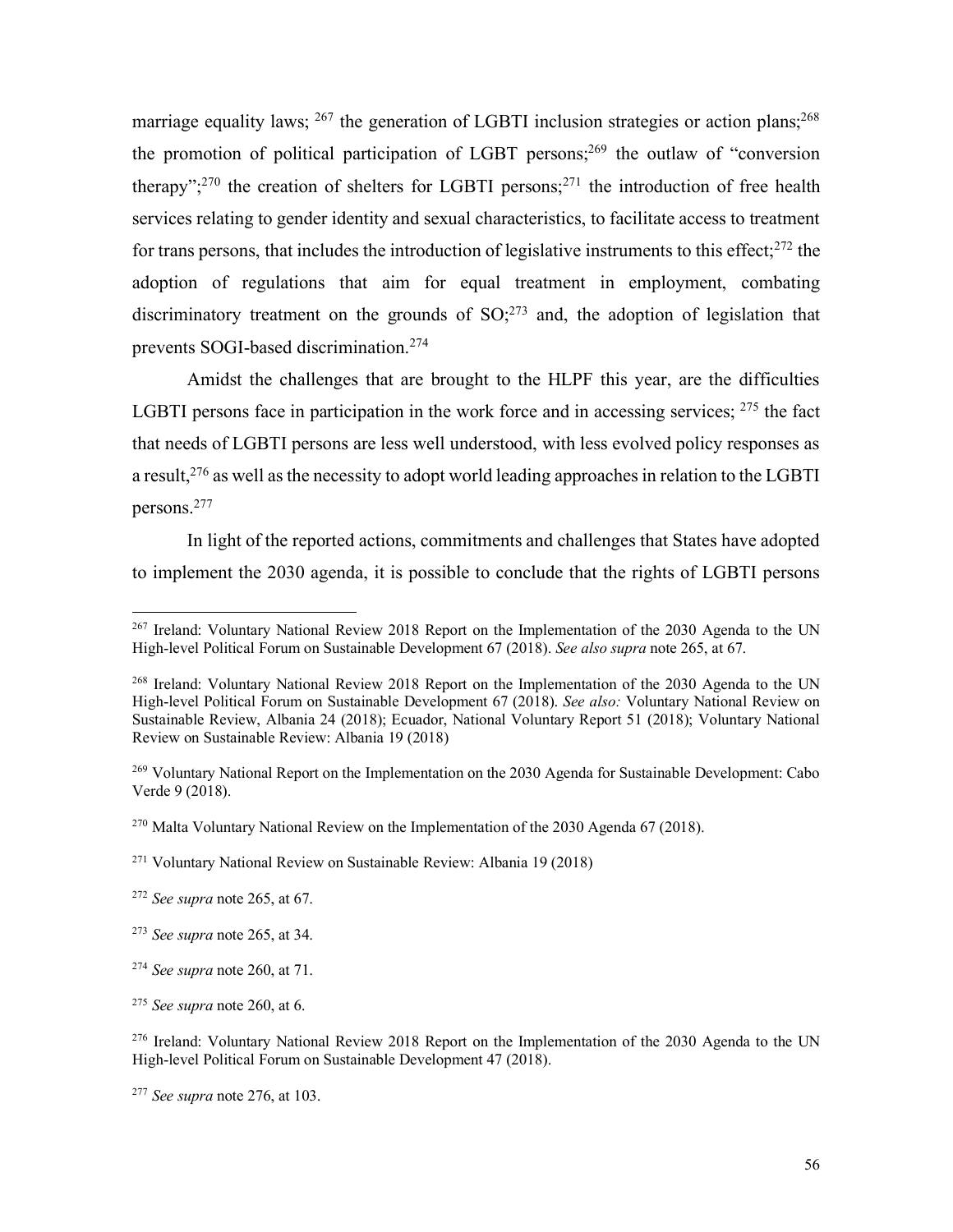marriage equality laws;  $^{267}$  the generation of LGBTI inclusion strategies or action plans;  $^{268}$ the promotion of political participation of LGBT persons; <sup>269</sup> the outlaw of "conversion therapy";<sup>270</sup> the creation of shelters for LGBTI persons;<sup>271</sup> the introduction of free health services relating to gender identity and sexual characteristics, to facilitate access to treatment for trans persons, that includes the introduction of legislative instruments to this effect;<sup>272</sup> the adoption of regulations that aim for equal treatment in employment, combating discriminatory treatment on the grounds of  $SO<sub>1</sub><sup>273</sup>$  and, the adoption of legislation that prevents SOGI-based discrimination. 274

Amidst the challenges that are brought to the HLPF this year, are the difficulties LGBTI persons face in participation in the work force and in accessing services; <sup>275</sup> the fact that needs of LGBTI persons are less well understood, with less evolved policy responses as a result,  $276$  as well as the necessity to adopt world leading approaches in relation to the LGBTI persons. 277

In light of the reported actions, commitments and challenges that States have adopted to implement the 2030 agenda, it is possible to conclude that the rights of LGBTI persons

 <sup>267</sup> Ireland: Voluntary National Review 2018 Report on the Implementation of the 2030 Agenda to the UN High-level Political Forum on Sustainable Development 67 (2018). *See also supra* note 265, at 67.

<sup>&</sup>lt;sup>268</sup> Ireland: Voluntary National Review 2018 Report on the Implementation of the 2030 Agenda to the UN High-level Political Forum on Sustainable Development 67 (2018). *See also:* Voluntary National Review on Sustainable Review, Albania 24 (2018); Ecuador, National Voluntary Report 51 (2018); Voluntary National Review on Sustainable Review: Albania 19 (2018)

<sup>269</sup> Voluntary National Report on the Implementation on the 2030 Agenda for Sustainable Development: Cabo Verde 9 (2018).

<sup>&</sup>lt;sup>270</sup> Malta Voluntary National Review on the Implementation of the 2030 Agenda 67 (2018).

<sup>271</sup> Voluntary National Review on Sustainable Review: Albania 19 (2018)

<sup>272</sup> *See supra* note 265, at 67.

<sup>273</sup> *See supra* note 265, at 34.

<sup>274</sup> *See supra* note 260, at 71.

<sup>275</sup> *See supra* note 260, at 6.

<sup>&</sup>lt;sup>276</sup> Ireland: Voluntary National Review 2018 Report on the Implementation of the 2030 Agenda to the UN High-level Political Forum on Sustainable Development 47 (2018).

<sup>277</sup> *See supra* note 276, at 103.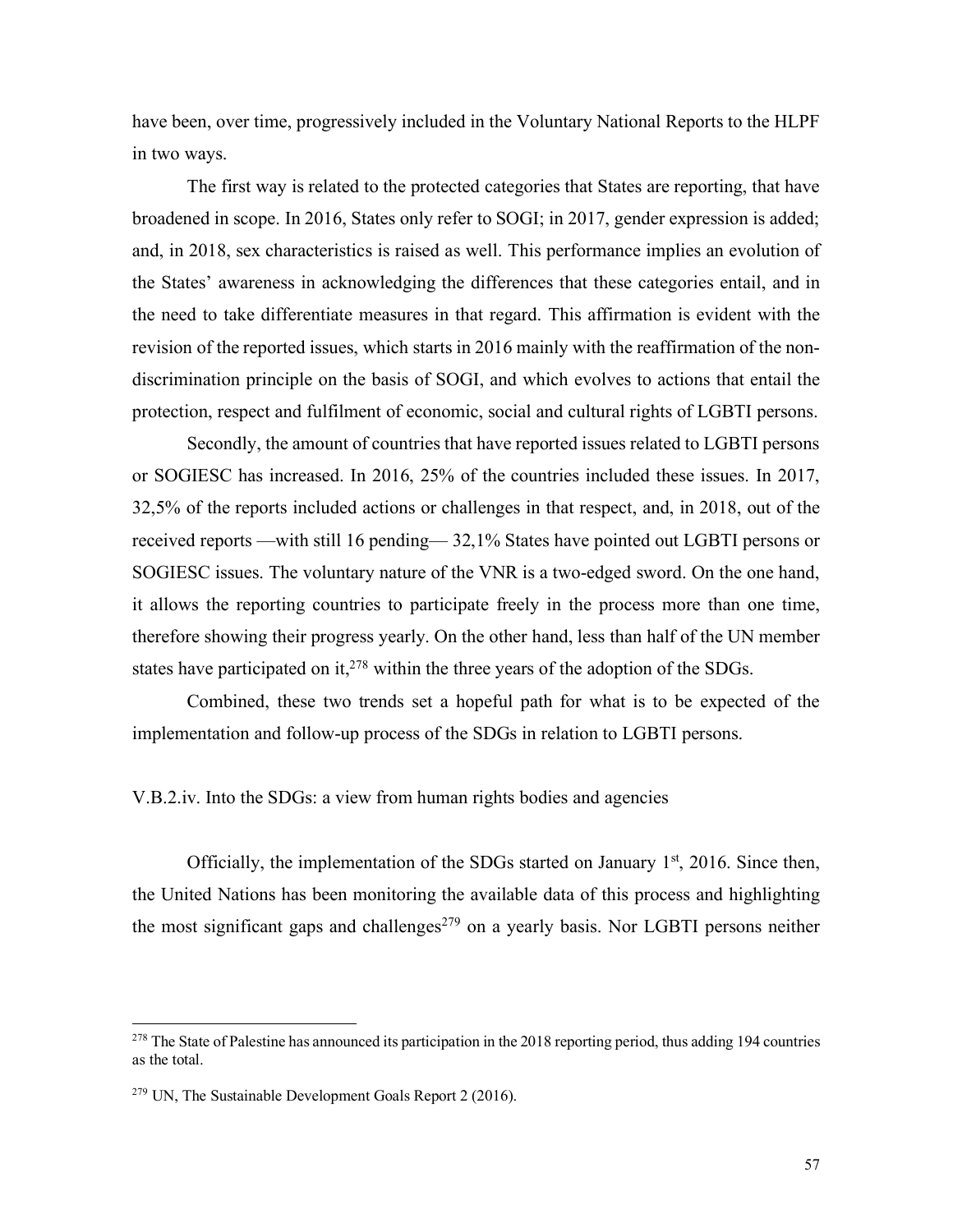have been, over time, progressively included in the Voluntary National Reports to the HLPF in two ways.

The first way is related to the protected categories that States are reporting, that have broadened in scope. In 2016, States only refer to SOGI; in 2017, gender expression is added; and, in 2018, sex characteristics is raised as well. This performance implies an evolution of the States' awareness in acknowledging the differences that these categories entail, and in the need to take differentiate measures in that regard. This affirmation is evident with the revision of the reported issues, which starts in 2016 mainly with the reaffirmation of the nondiscrimination principle on the basis of SOGI, and which evolves to actions that entail the protection, respect and fulfilment of economic, social and cultural rights of LGBTI persons.

Secondly, the amount of countries that have reported issues related to LGBTI persons or SOGIESC has increased. In 2016, 25% of the countries included these issues. In 2017, 32,5% of the reports included actions or challenges in that respect, and, in 2018, out of the received reports —with still 16 pending— 32,1% States have pointed out LGBTI persons or SOGIESC issues. The voluntary nature of the VNR is a two-edged sword. On the one hand, it allows the reporting countries to participate freely in the process more than one time, therefore showing their progress yearly. On the other hand, less than half of the UN member states have participated on it, $278$  within the three years of the adoption of the SDGs.

Combined, these two trends set a hopeful path for what is to be expected of the implementation and follow-up process of the SDGs in relation to LGBTI persons.

V.B.2.iv. Into the SDGs: a view from human rights bodies and agencies

Officially, the implementation of the SDGs started on January  $1<sup>st</sup>$ , 2016. Since then, the United Nations has been monitoring the available data of this process and highlighting the most significant gaps and challenges<sup> $279$ </sup> on a yearly basis. Nor LGBTI persons neither

 $278$  The State of Palestine has announced its participation in the 2018 reporting period, thus adding 194 countries as the total.

<sup>279</sup> UN, The Sustainable Development Goals Report 2 (2016).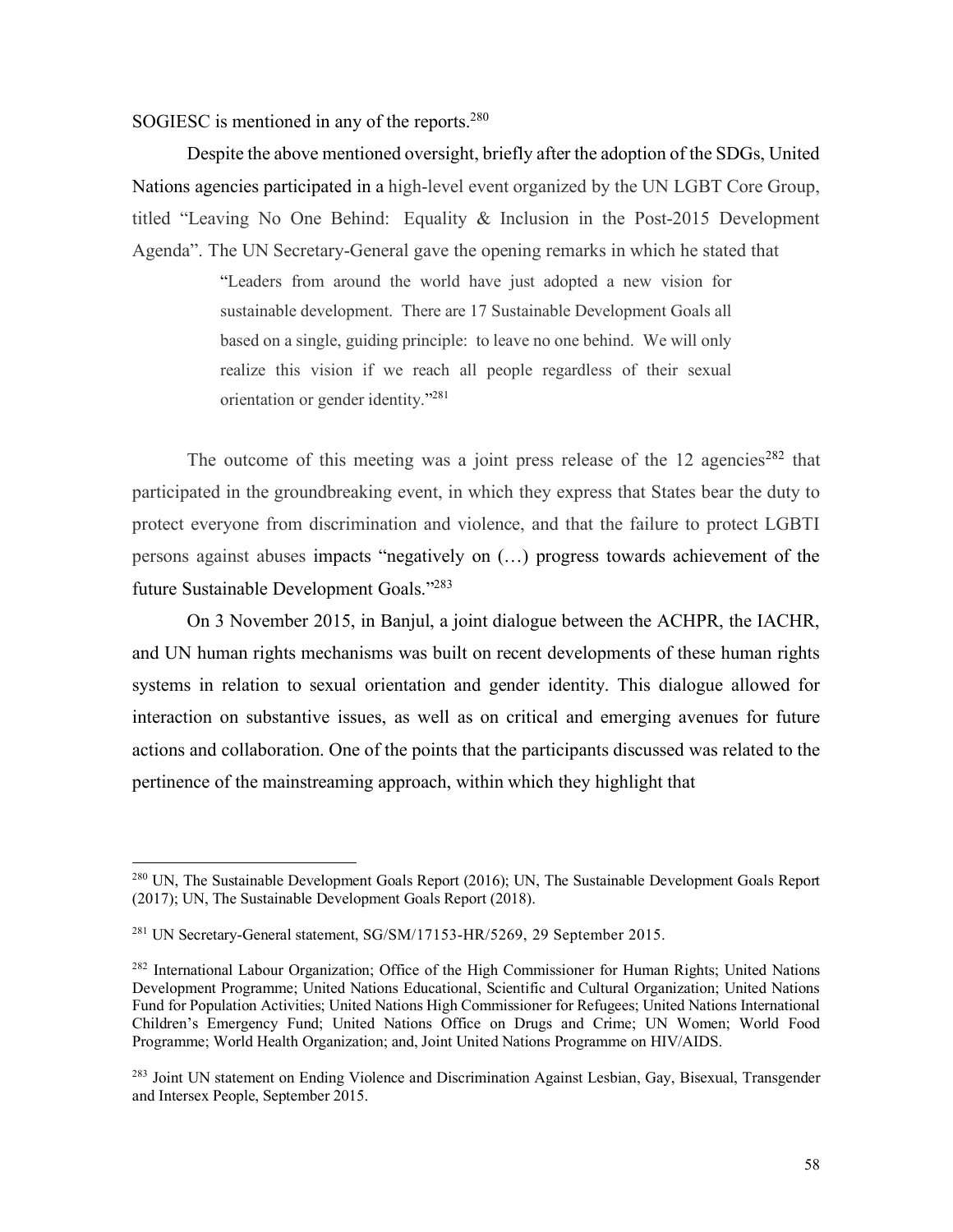SOGIESC is mentioned in any of the reports.<sup>280</sup>

Despite the above mentioned oversight, briefly after the adoption of the SDGs, United Nations agencies participated in a high-level event organized by the UN LGBT Core Group, titled "Leaving No One Behind: Equality & Inclusion in the Post-2015 Development Agenda". The UN Secretary-General gave the opening remarks in which he stated that

> "Leaders from around the world have just adopted a new vision for sustainable development. There are 17 Sustainable Development Goals all based on a single, guiding principle: to leave no one behind. We will only realize this vision if we reach all people regardless of their sexual orientation or gender identity."281

The outcome of this meeting was a joint press release of the  $12$  agencies<sup>282</sup> that participated in the groundbreaking event, in which they express that States bear the duty to protect everyone from discrimination and violence, and that the failure to protect LGBTI persons against abuses impacts "negatively on (…) progress towards achievement of the future Sustainable Development Goals."283

On 3 November 2015, in Banjul, a joint dialogue between the ACHPR, the IACHR, and UN human rights mechanisms was built on recent developments of these human rights systems in relation to sexual orientation and gender identity. This dialogue allowed for interaction on substantive issues, as well as on critical and emerging avenues for future actions and collaboration. One of the points that the participants discussed was related to the pertinence of the mainstreaming approach, within which they highlight that

<sup>&</sup>lt;sup>280</sup> UN, The Sustainable Development Goals Report (2016); UN, The Sustainable Development Goals Report (2017); UN, The Sustainable Development Goals Report (2018).

<sup>281</sup> UN Secretary-General statement, SG/SM/17153-HR/5269, 29 September 2015.

<sup>282</sup> International Labour Organization; Office of the High Commissioner for Human Rights; United Nations Development Programme; United Nations Educational, Scientific and Cultural Organization; United Nations Fund for Population Activities; United Nations High Commissioner for Refugees; United Nations International Children's Emergency Fund; United Nations Office on Drugs and Crime; UN Women; World Food Programme; World Health Organization; and, Joint United Nations Programme on HIV/AIDS.

<sup>&</sup>lt;sup>283</sup> Joint UN statement on Ending Violence and Discrimination Against Lesbian, Gay, Bisexual, Transgender and Intersex People, September 2015.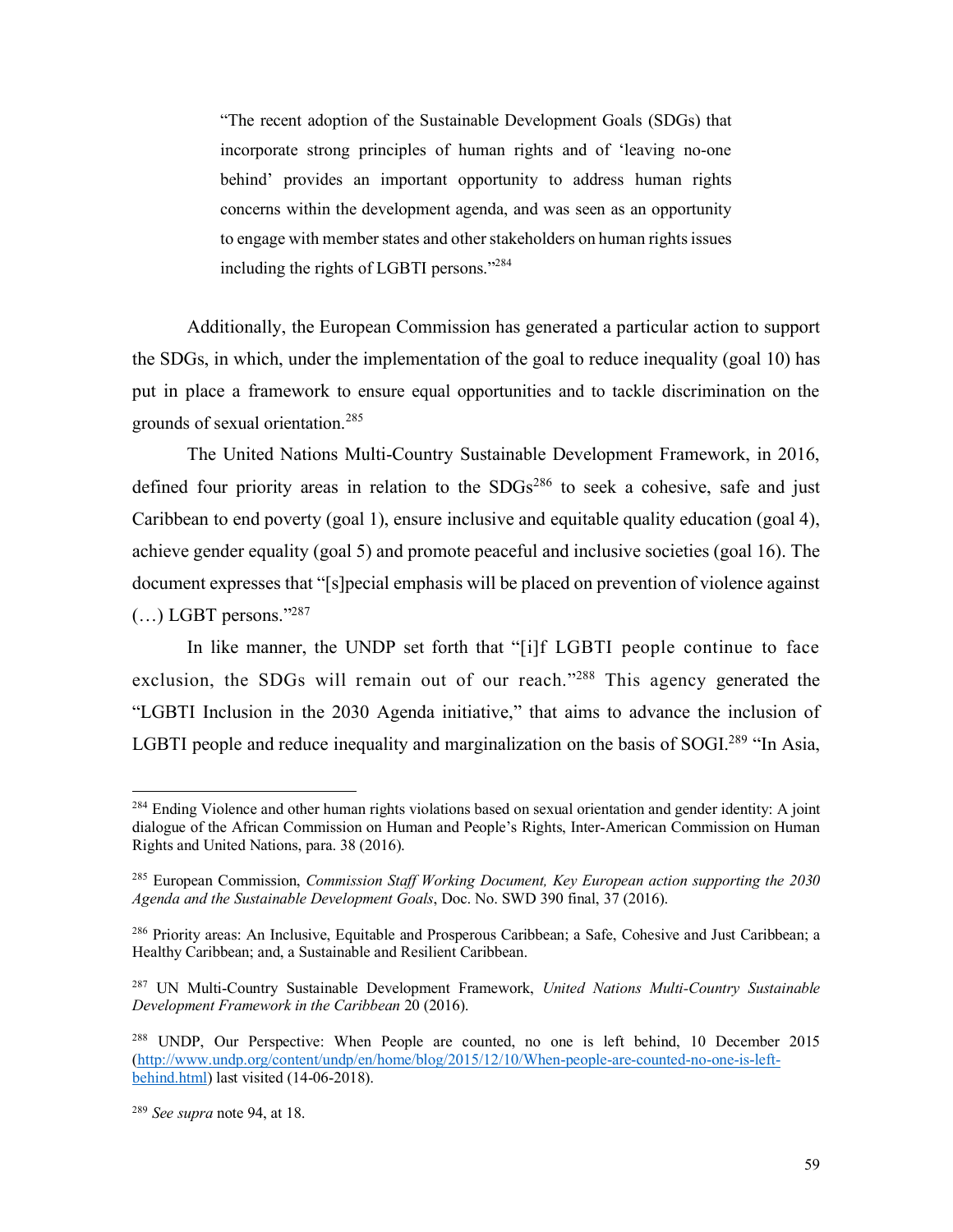"The recent adoption of the Sustainable Development Goals (SDGs) that incorporate strong principles of human rights and of 'leaving no-one behind' provides an important opportunity to address human rights concerns within the development agenda, and was seen as an opportunity to engage with member states and other stakeholders on human rights issues including the rights of LGBTI persons."284

Additionally, the European Commission has generated a particular action to support the SDGs, in which, under the implementation of the goal to reduce inequality (goal 10) has put in place a framework to ensure equal opportunities and to tackle discrimination on the grounds of sexual orientation.<sup>285</sup>

The United Nations Multi-Country Sustainable Development Framework, in 2016, defined four priority areas in relation to the  $SDGs^{286}$  to seek a cohesive, safe and just Caribbean to end poverty (goal 1), ensure inclusive and equitable quality education (goal 4), achieve gender equality (goal 5) and promote peaceful and inclusive societies (goal 16). The document expresses that "[s]pecial emphasis will be placed on prevention of violence against  $(...)$  LGBT persons."<sup>287</sup>

In like manner, the UNDP set forth that "[i]f LGBTI people continue to face exclusion, the SDGs will remain out of our reach."288 This agency generated the "LGBTI Inclusion in the 2030 Agenda initiative," that aims to advance the inclusion of LGBTI people and reduce inequality and marginalization on the basis of SOGI.<sup>289</sup> "In Asia,

<sup>&</sup>lt;sup>284</sup> Ending Violence and other human rights violations based on sexual orientation and gender identity: A joint dialogue of the African Commission on Human and People's Rights, Inter-American Commission on Human Rights and United Nations, para. 38 (2016).

<sup>285</sup> European Commission, *Commission Staff Working Document, Key European action supporting the 2030 Agenda and the Sustainable Development Goals*, Doc. No. SWD 390 final, 37 (2016).

<sup>286</sup> Priority areas: An Inclusive, Equitable and Prosperous Caribbean; a Safe, Cohesive and Just Caribbean; a Healthy Caribbean; and, a Sustainable and Resilient Caribbean.

<sup>287</sup> UN Multi-Country Sustainable Development Framework, *United Nations Multi-Country Sustainable Development Framework in the Caribbean* 20 (2016).

<sup>&</sup>lt;sup>288</sup> UNDP, Our Perspective: When People are counted, no one is left behind, 10 December 2015 (http://www.undp.org/content/undp/en/home/blog/2015/12/10/When-people-are-counted-no-one-is-leftbehind.html) last visited (14-06-2018).

<sup>289</sup> *See supra* note 94, at 18.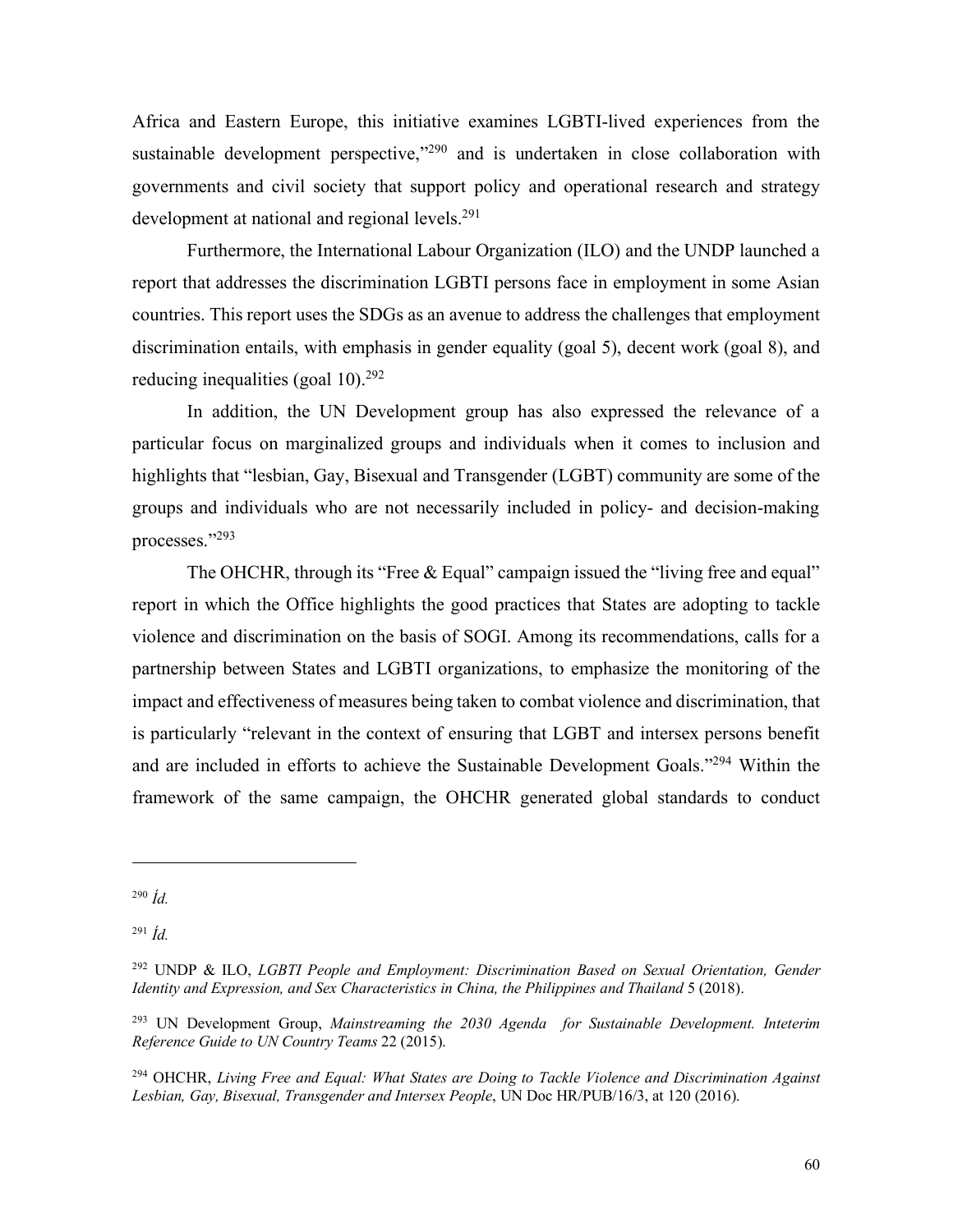Africa and Eastern Europe, this initiative examines LGBTI-lived experiences from the sustainable development perspective,"<sup>290</sup> and is undertaken in close collaboration with governments and civil society that support policy and operational research and strategy development at national and regional levels.<sup>291</sup>

Furthermore, the International Labour Organization (ILO) and the UNDP launched a report that addresses the discrimination LGBTI persons face in employment in some Asian countries. This report uses the SDGs as an avenue to address the challenges that employment discrimination entails, with emphasis in gender equality (goal 5), decent work (goal 8), and reducing inequalities (goal  $10$ ).<sup>292</sup>

In addition, the UN Development group has also expressed the relevance of a particular focus on marginalized groups and individuals when it comes to inclusion and highlights that "lesbian, Gay, Bisexual and Transgender (LGBT) community are some of the groups and individuals who are not necessarily included in policy- and decision-making processes."293

The OHCHR, through its "Free & Equal" campaign issued the "living free and equal" report in which the Office highlights the good practices that States are adopting to tackle violence and discrimination on the basis of SOGI. Among its recommendations, calls for a partnership between States and LGBTI organizations, to emphasize the monitoring of the impact and effectiveness of measures being taken to combat violence and discrimination, that is particularly "relevant in the context of ensuring that LGBT and intersex persons benefit and are included in efforts to achieve the Sustainable Development Goals."294 Within the framework of the same campaign, the OHCHR generated global standards to conduct

1

<sup>290</sup> *Íd.*

<sup>291</sup> *Íd.*

<sup>292</sup> UNDP & ILO, *LGBTI People and Employment: Discrimination Based on Sexual Orientation, Gender Identity and Expression, and Sex Characteristics in China, the Philippines and Thailand* 5 (2018).

<sup>293</sup> UN Development Group, *Mainstreaming the 2030 Agenda for Sustainable Development. Inteterim Reference Guide to UN Country Teams* 22 (2015).

<sup>294</sup> OHCHR, *Living Free and Equal: What States are Doing to Tackle Violence and Discrimination Against Lesbian, Gay, Bisexual, Transgender and Intersex People*, UN Doc HR/PUB/16/3, at 120 (2016).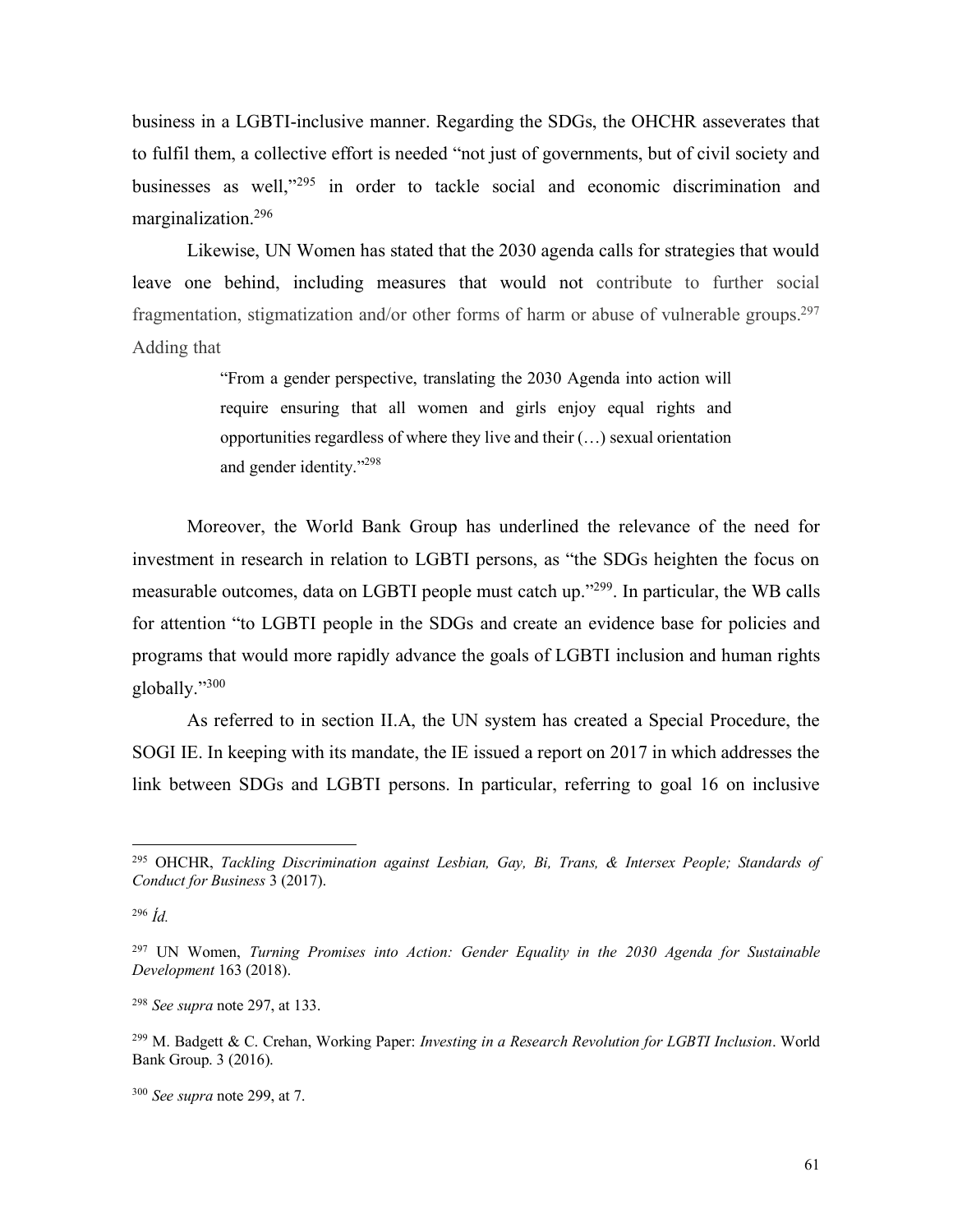business in a LGBTI-inclusive manner. Regarding the SDGs, the OHCHR asseverates that to fulfil them, a collective effort is needed "not just of governments, but of civil society and businesses as well,"<sup>295</sup> in order to tackle social and economic discrimination and marginalization.296

Likewise, UN Women has stated that the 2030 agenda calls for strategies that would leave one behind, including measures that would not contribute to further social fragmentation, stigmatization and/or other forms of harm or abuse of vulnerable groups.<sup>297</sup> Adding that

> "From a gender perspective, translating the 2030 Agenda into action will require ensuring that all women and girls enjoy equal rights and opportunities regardless of where they live and their (…) sexual orientation and gender identity."298

Moreover, the World Bank Group has underlined the relevance of the need for investment in research in relation to LGBTI persons, as "the SDGs heighten the focus on measurable outcomes, data on LGBTI people must catch up."299. In particular, the WB calls for attention "to LGBTI people in the SDGs and create an evidence base for policies and programs that would more rapidly advance the goals of LGBTI inclusion and human rights globally."300

As referred to in section II.A, the UN system has created a Special Procedure, the SOGI IE. In keeping with its mandate, the IE issued a report on 2017 in which addresses the link between SDGs and LGBTI persons. In particular, referring to goal 16 on inclusive

<sup>296</sup> *Íd.*

<sup>298</sup> *See supra* note 297, at 133.

 <sup>295</sup> OHCHR, *Tackling Discrimination against Lesbian, Gay, Bi, Trans, & Intersex People; Standards of Conduct for Business* 3 (2017).

<sup>297</sup> UN Women, *Turning Promises into Action: Gender Equality in the 2030 Agenda for Sustainable Development* 163 (2018).

<sup>299</sup> M. Badgett & C. Crehan, Working Paper: *Investing in a Research Revolution for LGBTI Inclusion*. World Bank Group. 3 (2016).

<sup>300</sup> *See supra* note 299, at 7.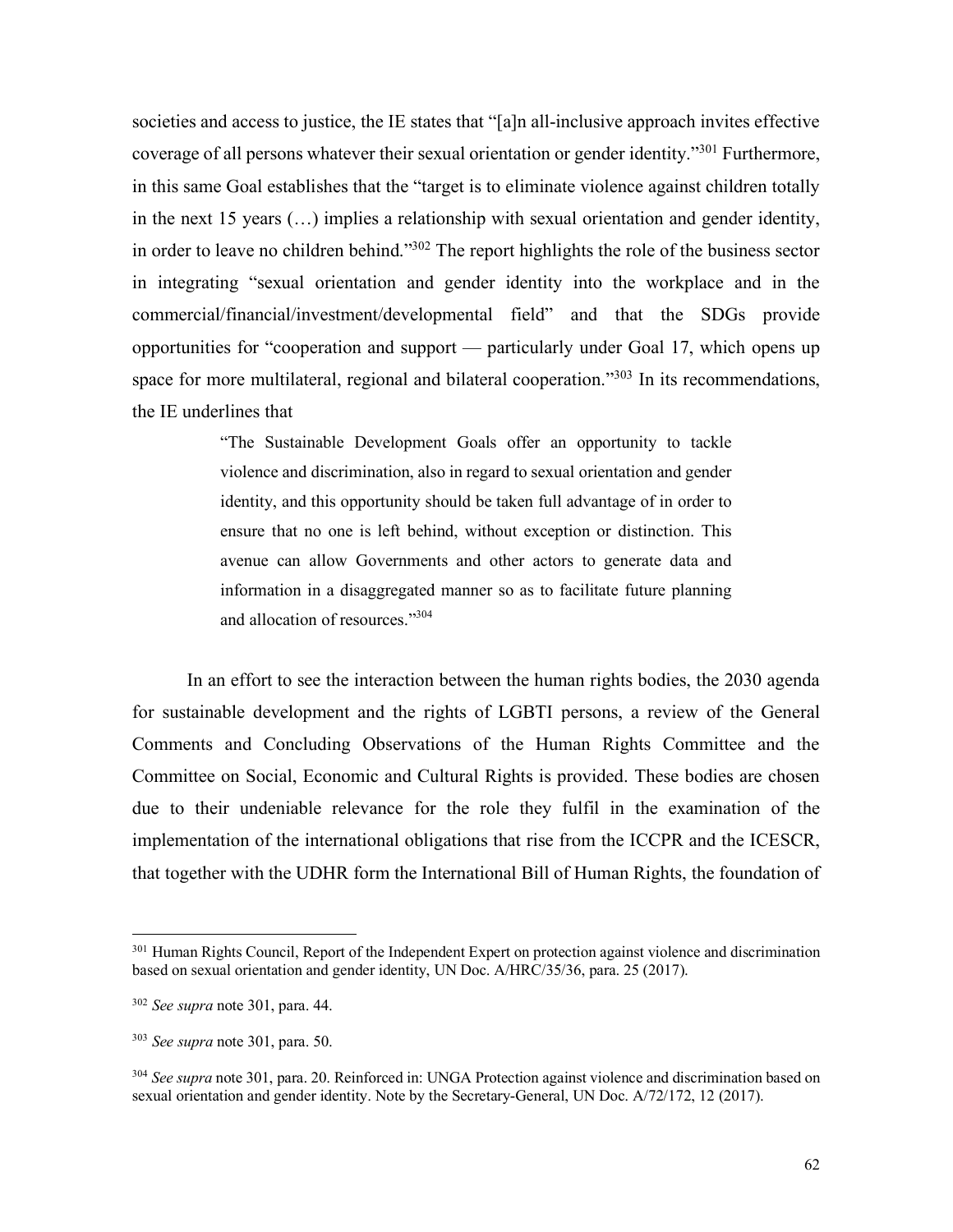societies and access to justice, the IE states that "[a]n all-inclusive approach invites effective coverage of all persons whatever their sexual orientation or gender identity."301 Furthermore, in this same Goal establishes that the "target is to eliminate violence against children totally in the next 15 years (…) implies a relationship with sexual orientation and gender identity, in order to leave no children behind."302 The report highlights the role of the business sector in integrating "sexual orientation and gender identity into the workplace and in the commercial/financial/investment/developmental field" and that the SDGs provide opportunities for "cooperation and support — particularly under Goal 17, which opens up space for more multilateral, regional and bilateral cooperation."<sup>303</sup> In its recommendations, the IE underlines that

> "The Sustainable Development Goals offer an opportunity to tackle violence and discrimination, also in regard to sexual orientation and gender identity, and this opportunity should be taken full advantage of in order to ensure that no one is left behind, without exception or distinction. This avenue can allow Governments and other actors to generate data and information in a disaggregated manner so as to facilitate future planning and allocation of resources."304

In an effort to see the interaction between the human rights bodies, the 2030 agenda for sustainable development and the rights of LGBTI persons, a review of the General Comments and Concluding Observations of the Human Rights Committee and the Committee on Social, Economic and Cultural Rights is provided. These bodies are chosen due to their undeniable relevance for the role they fulfil in the examination of the implementation of the international obligations that rise from the ICCPR and the ICESCR, that together with the UDHR form the International Bill of Human Rights, the foundation of

<sup>&</sup>lt;sup>301</sup> Human Rights Council, Report of the Independent Expert on protection against violence and discrimination based on sexual orientation and gender identity, UN Doc. A/HRC/35/36, para. 25 (2017).

<sup>302</sup> *See supra* note 301, para. 44.

<sup>303</sup> *See supra* note 301, para. 50.

<sup>304</sup> *See supra* note 301, para. 20. Reinforced in: UNGA Protection against violence and discrimination based on sexual orientation and gender identity. Note by the Secretary-General, UN Doc. A/72/172, 12 (2017).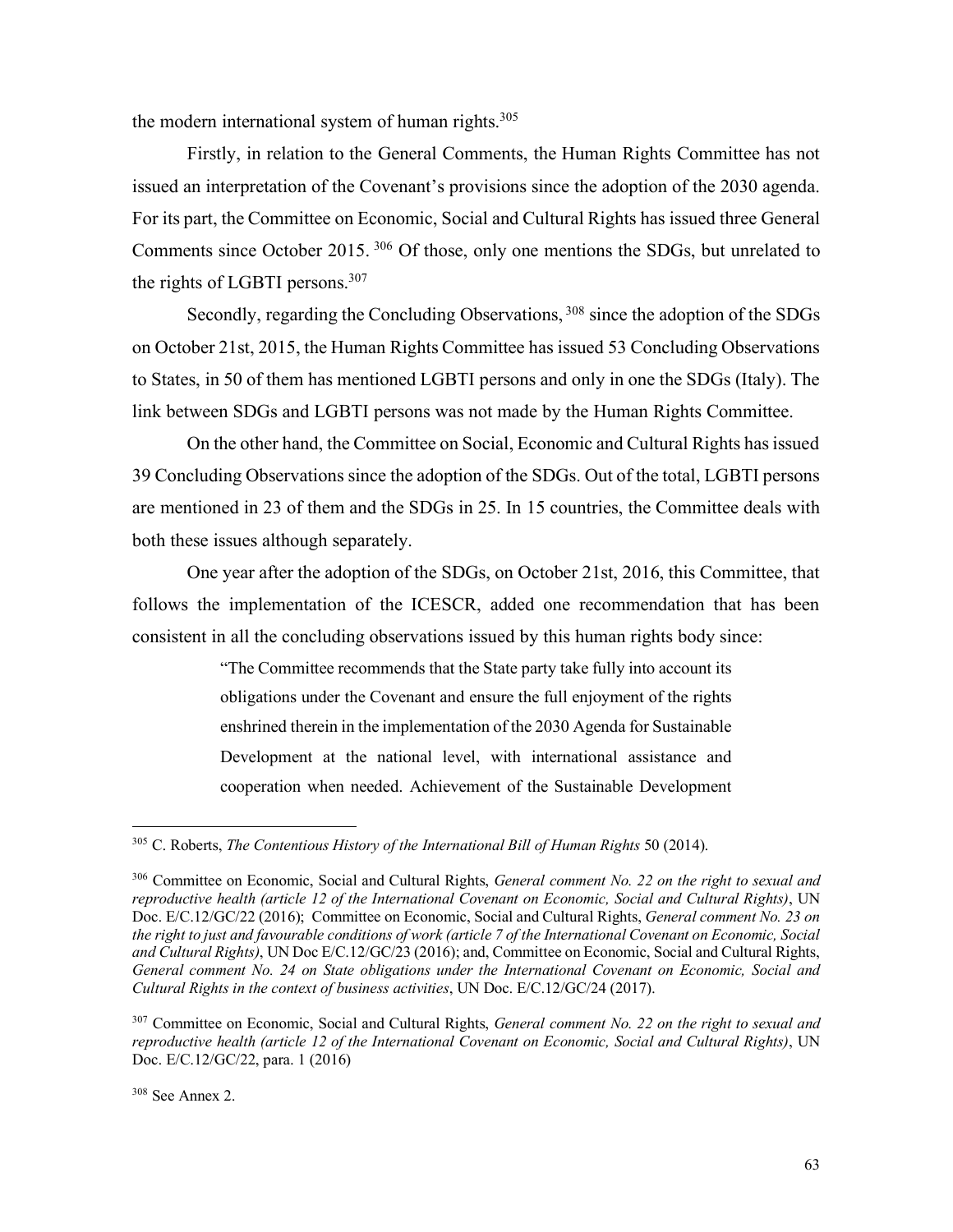the modern international system of human rights. 305

Firstly, in relation to the General Comments, the Human Rights Committee has not issued an interpretation of the Covenant's provisions since the adoption of the 2030 agenda. For its part, the Committee on Economic, Social and Cultural Rights has issued three General Comments since October 2015. <sup>306</sup> Of those, only one mentions the SDGs, but unrelated to the rights of LGBTI persons.307

Secondly, regarding the Concluding Observations, <sup>308</sup> since the adoption of the SDGs on October 21st, 2015, the Human Rights Committee has issued 53 Concluding Observations to States, in 50 of them has mentioned LGBTI persons and only in one the SDGs (Italy). The link between SDGs and LGBTI persons was not made by the Human Rights Committee.

On the other hand, the Committee on Social, Economic and Cultural Rights has issued 39 Concluding Observations since the adoption of the SDGs. Out of the total, LGBTI persons are mentioned in 23 of them and the SDGs in 25. In 15 countries, the Committee deals with both these issues although separately.

One year after the adoption of the SDGs, on October 21st, 2016, this Committee, that follows the implementation of the ICESCR, added one recommendation that has been consistent in all the concluding observations issued by this human rights body since:

> "The Committee recommends that the State party take fully into account its obligations under the Covenant and ensure the full enjoyment of the rights enshrined therein in the implementation of the 2030 Agenda for Sustainable Development at the national level, with international assistance and cooperation when needed. Achievement of the Sustainable Development

<sup>&</sup>lt;sup>305</sup> C. Roberts, *The Contentious History of the International Bill of Human Rights* 50 (2014).

<sup>306</sup> Committee on Economic, Social and Cultural Rights, *General comment No. 22 on the right to sexual and reproductive health (article 12 of the International Covenant on Economic, Social and Cultural Rights)*, UN Doc. E/C.12/GC/22 (2016); Committee on Economic, Social and Cultural Rights, *General comment No. 23 on the right to just and favourable conditions of work (article 7 of the International Covenant on Economic, Social and Cultural Rights)*, UN Doc E/C.12/GC/23 (2016); and, Committee on Economic, Social and Cultural Rights, *General comment No. 24 on State obligations under the International Covenant on Economic, Social and Cultural Rights in the context of business activities*, UN Doc. E/C.12/GC/24 (2017).

<sup>307</sup> Committee on Economic, Social and Cultural Rights, *General comment No. 22 on the right to sexual and reproductive health (article 12 of the International Covenant on Economic, Social and Cultural Rights)*, UN Doc. E/C.12/GC/22, para. 1 (2016)

<sup>308</sup> See Annex 2.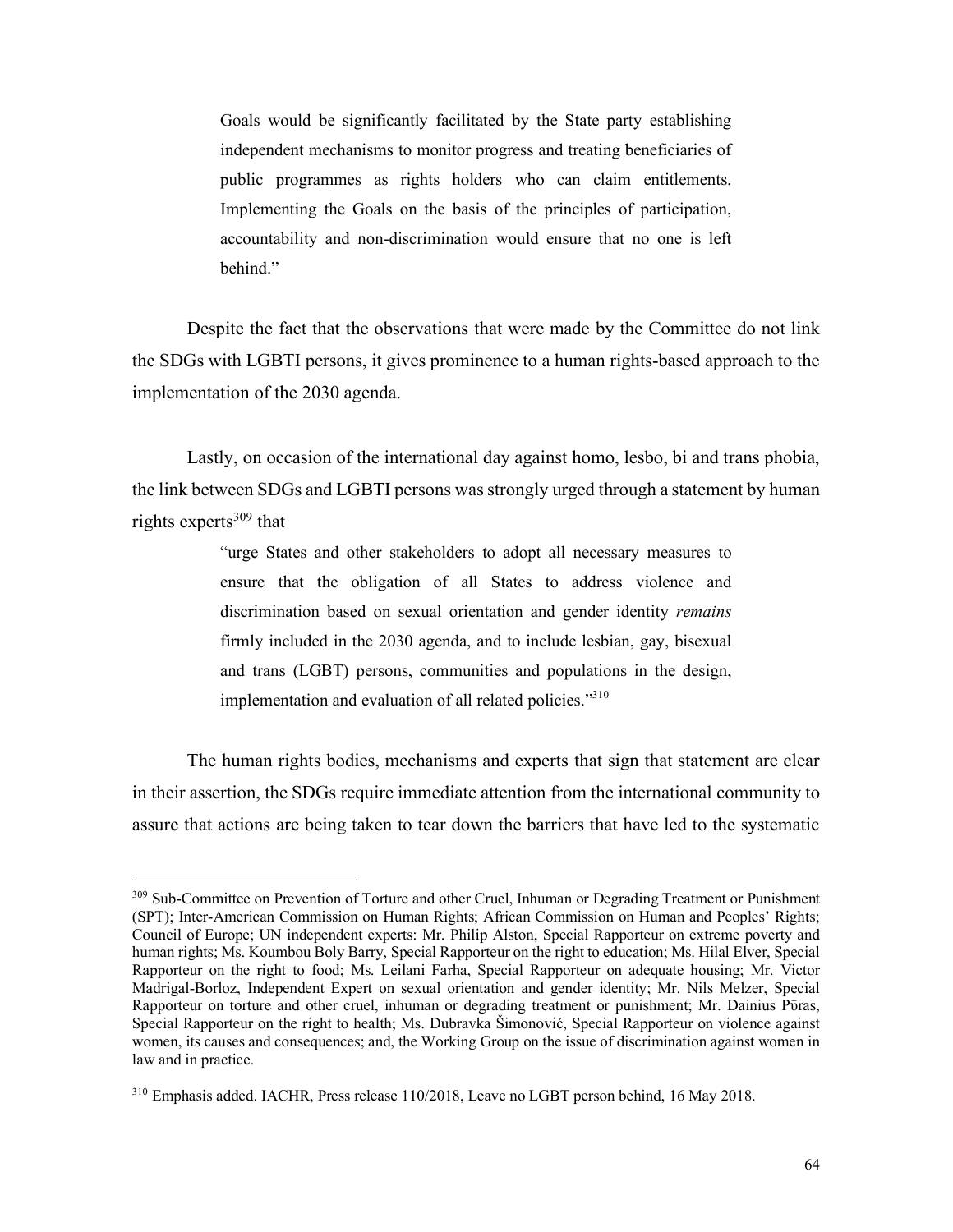Goals would be significantly facilitated by the State party establishing independent mechanisms to monitor progress and treating beneficiaries of public programmes as rights holders who can claim entitlements. Implementing the Goals on the basis of the principles of participation, accountability and non-discrimination would ensure that no one is left behind."

Despite the fact that the observations that were made by the Committee do not link the SDGs with LGBTI persons, it gives prominence to a human rights-based approach to the implementation of the 2030 agenda.

Lastly, on occasion of the international day against homo, lesbo, bi and trans phobia, the link between SDGs and LGBTI persons was strongly urged through a statement by human rights experts $309$  that

> "urge States and other stakeholders to adopt all necessary measures to ensure that the obligation of all States to address violence and discrimination based on sexual orientation and gender identity *remains*  firmly included in the 2030 agenda, and to include lesbian, gay, bisexual and trans (LGBT) persons, communities and populations in the design, implementation and evaluation of all related policies."<sup>310</sup>

The human rights bodies, mechanisms and experts that sign that statement are clear in their assertion, the SDGs require immediate attention from the international community to assure that actions are being taken to tear down the barriers that have led to the systematic

 <sup>309</sup> Sub-Committee on Prevention of Torture and other Cruel, Inhuman or Degrading Treatment or Punishment (SPT); Inter-American Commission on Human Rights; African Commission on Human and Peoples' Rights; Council of Europe; UN independent experts: Mr. Philip Alston, Special Rapporteur on extreme poverty and human rights; Ms. Koumbou Boly Barry, Special Rapporteur on the right to education; Ms. Hilal Elver, Special Rapporteur on the right to food; Ms. Leilani Farha, Special Rapporteur on adequate housing; Mr. Victor Madrigal-Borloz, Independent Expert on sexual orientation and gender identity; Mr. Nils Melzer, Special Rapporteur on torture and other cruel, inhuman or degrading treatment or punishment; Mr. Dainius Pūras, Special Rapporteur on the right to health; Ms. Dubravka Šimonović, Special Rapporteur on violence against women, its causes and consequences; and, the Working Group on the issue of discrimination against women in law and in practice.

<sup>310</sup> Emphasis added. IACHR, Press release 110/2018, Leave no LGBT person behind, 16 May 2018.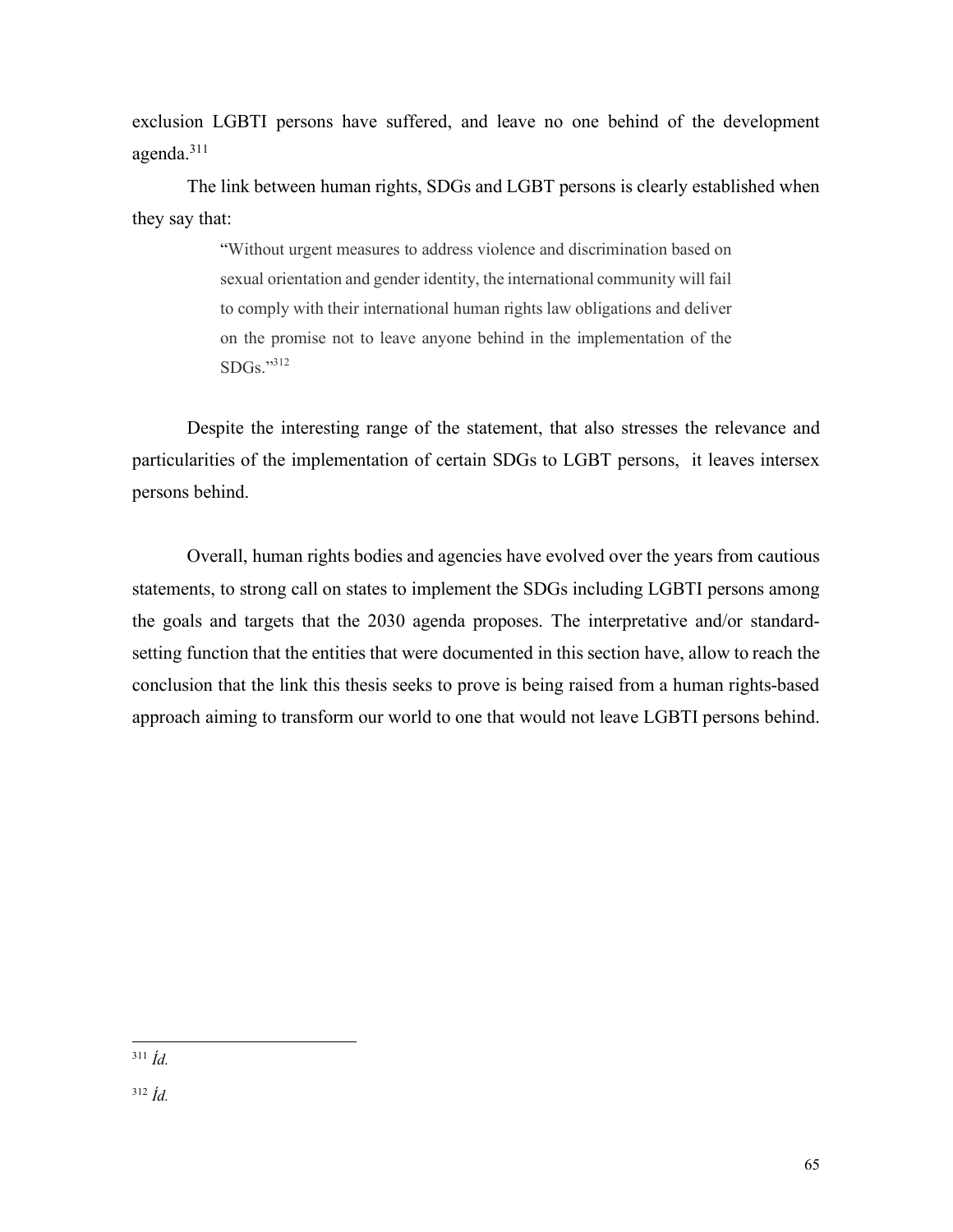exclusion LGBTI persons have suffered, and leave no one behind of the development agenda.311

The link between human rights, SDGs and LGBT persons is clearly established when they say that:

> "Without urgent measures to address violence and discrimination based on sexual orientation and gender identity, the international community will fail to comply with their international human rights law obligations and deliver on the promise not to leave anyone behind in the implementation of the SDGs."312

Despite the interesting range of the statement, that also stresses the relevance and particularities of the implementation of certain SDGs to LGBT persons, it leaves intersex persons behind.

Overall, human rights bodies and agencies have evolved over the years from cautious statements, to strong call on states to implement the SDGs including LGBTI persons among the goals and targets that the 2030 agenda proposes. The interpretative and/or standardsetting function that the entities that were documented in this section have, allow to reach the conclusion that the link this thesis seeks to prove is being raised from a human rights-based approach aiming to transform our world to one that would not leave LGBTI persons behind.

311 *Íd.*

<sup>312</sup> *Íd.*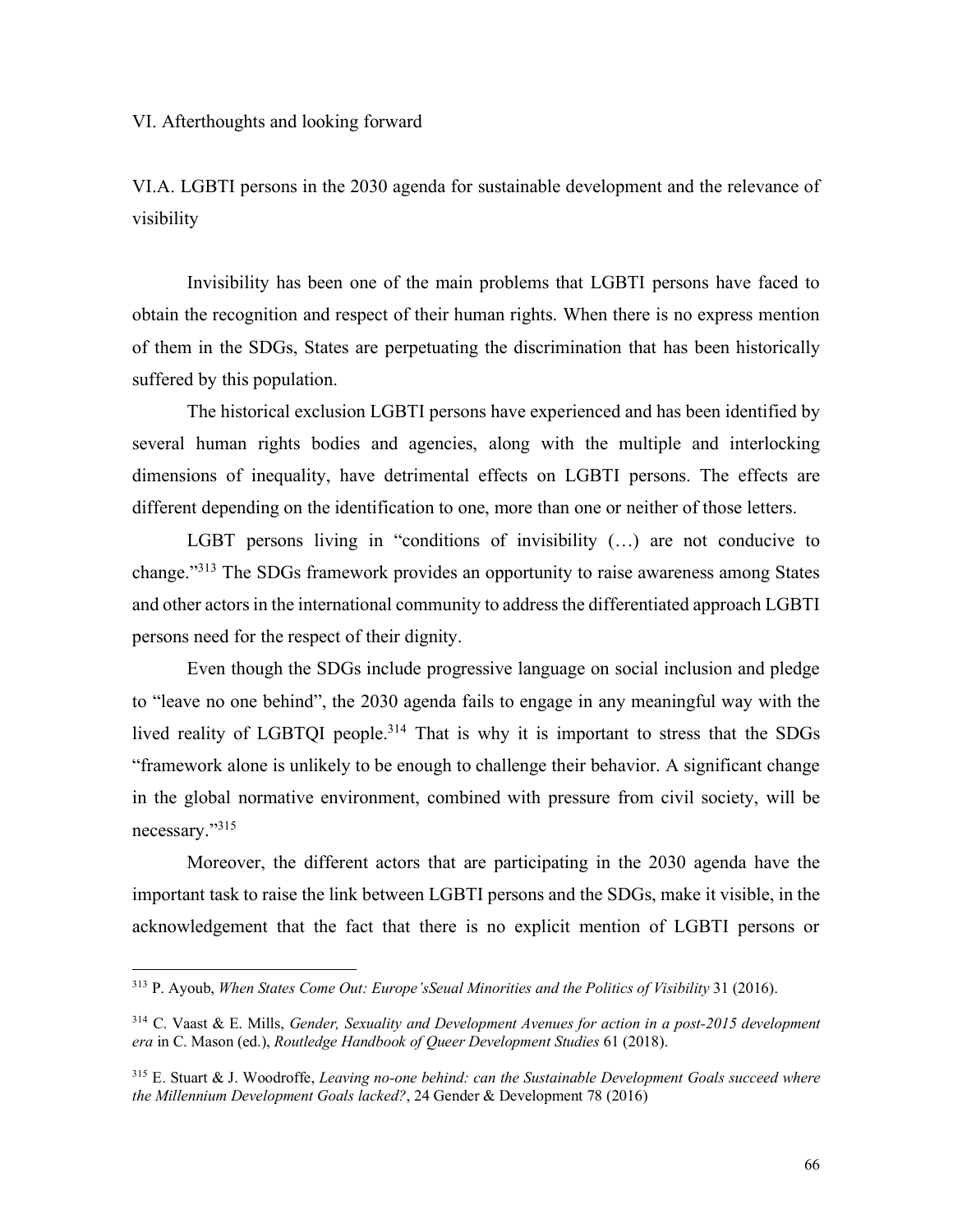VI. Afterthoughts and looking forward

VI.A. LGBTI persons in the 2030 agenda for sustainable development and the relevance of visibility

Invisibility has been one of the main problems that LGBTI persons have faced to obtain the recognition and respect of their human rights. When there is no express mention of them in the SDGs, States are perpetuating the discrimination that has been historically suffered by this population.

The historical exclusion LGBTI persons have experienced and has been identified by several human rights bodies and agencies, along with the multiple and interlocking dimensions of inequality, have detrimental effects on LGBTI persons. The effects are different depending on the identification to one, more than one or neither of those letters.

LGBT persons living in "conditions of invisibility (…) are not conducive to change."313 The SDGs framework provides an opportunity to raise awareness among States and other actors in the international community to address the differentiated approach LGBTI persons need for the respect of their dignity.

Even though the SDGs include progressive language on social inclusion and pledge to "leave no one behind", the 2030 agenda fails to engage in any meaningful way with the lived reality of LGBTQI people.<sup>314</sup> That is why it is important to stress that the SDGs "framework alone is unlikely to be enough to challenge their behavior. A significant change in the global normative environment, combined with pressure from civil society, will be necessary."315

Moreover, the different actors that are participating in the 2030 agenda have the important task to raise the link between LGBTI persons and the SDGs, make it visible, in the acknowledgement that the fact that there is no explicit mention of LGBTI persons or

 <sup>313</sup> P. Ayoub, *When States Come Out: Europe'sSeual Minorities and the Politics of Visibility* 31 (2016).

<sup>314</sup> C. Vaast & E. Mills, *Gender, Sexuality and Development Avenues for action in a post-2015 development era* in C. Mason (ed.), *Routledge Handbook of Queer Development Studies* 61 (2018).

<sup>315</sup> E. Stuart & J. Woodroffe, *Leaving no-one behind: can the Sustainable Development Goals succeed where the Millennium Development Goals lacked?*, 24 Gender & Development 78 (2016)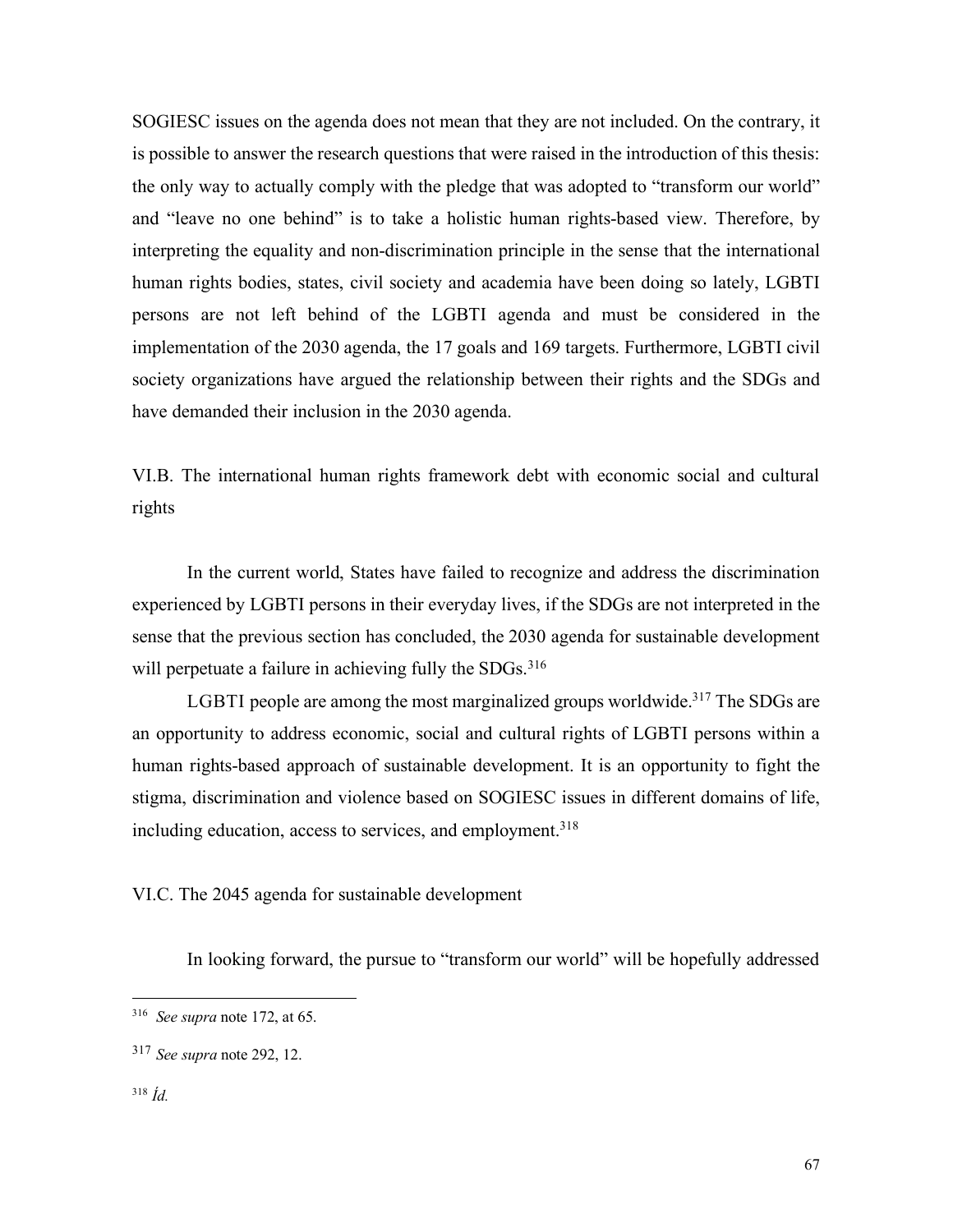SOGIESC issues on the agenda does not mean that they are not included. On the contrary, it is possible to answer the research questions that were raised in the introduction of this thesis: the only way to actually comply with the pledge that was adopted to "transform our world" and "leave no one behind" is to take a holistic human rights-based view. Therefore, by interpreting the equality and non-discrimination principle in the sense that the international human rights bodies, states, civil society and academia have been doing so lately, LGBTI persons are not left behind of the LGBTI agenda and must be considered in the implementation of the 2030 agenda, the 17 goals and 169 targets. Furthermore, LGBTI civil society organizations have argued the relationship between their rights and the SDGs and have demanded their inclusion in the 2030 agenda.

VI.B. The international human rights framework debt with economic social and cultural rights

In the current world, States have failed to recognize and address the discrimination experienced by LGBTI persons in their everyday lives, if the SDGs are not interpreted in the sense that the previous section has concluded, the 2030 agenda for sustainable development will perpetuate a failure in achieving fully the SDGs.<sup>316</sup>

LGBTI people are among the most marginalized groups worldwide.<sup>317</sup> The SDGs are an opportunity to address economic, social and cultural rights of LGBTI persons within a human rights-based approach of sustainable development. It is an opportunity to fight the stigma, discrimination and violence based on SOGIESC issues in different domains of life, including education, access to services, and employment.<sup>318</sup>

VI.C. The 2045 agenda for sustainable development

In looking forward, the pursue to "transform our world" will be hopefully addressed

## <sup>318</sup> *Íd.*

 <sup>316</sup> *See supra* note 172, at 65.

<sup>317</sup> *See supra* note 292, 12.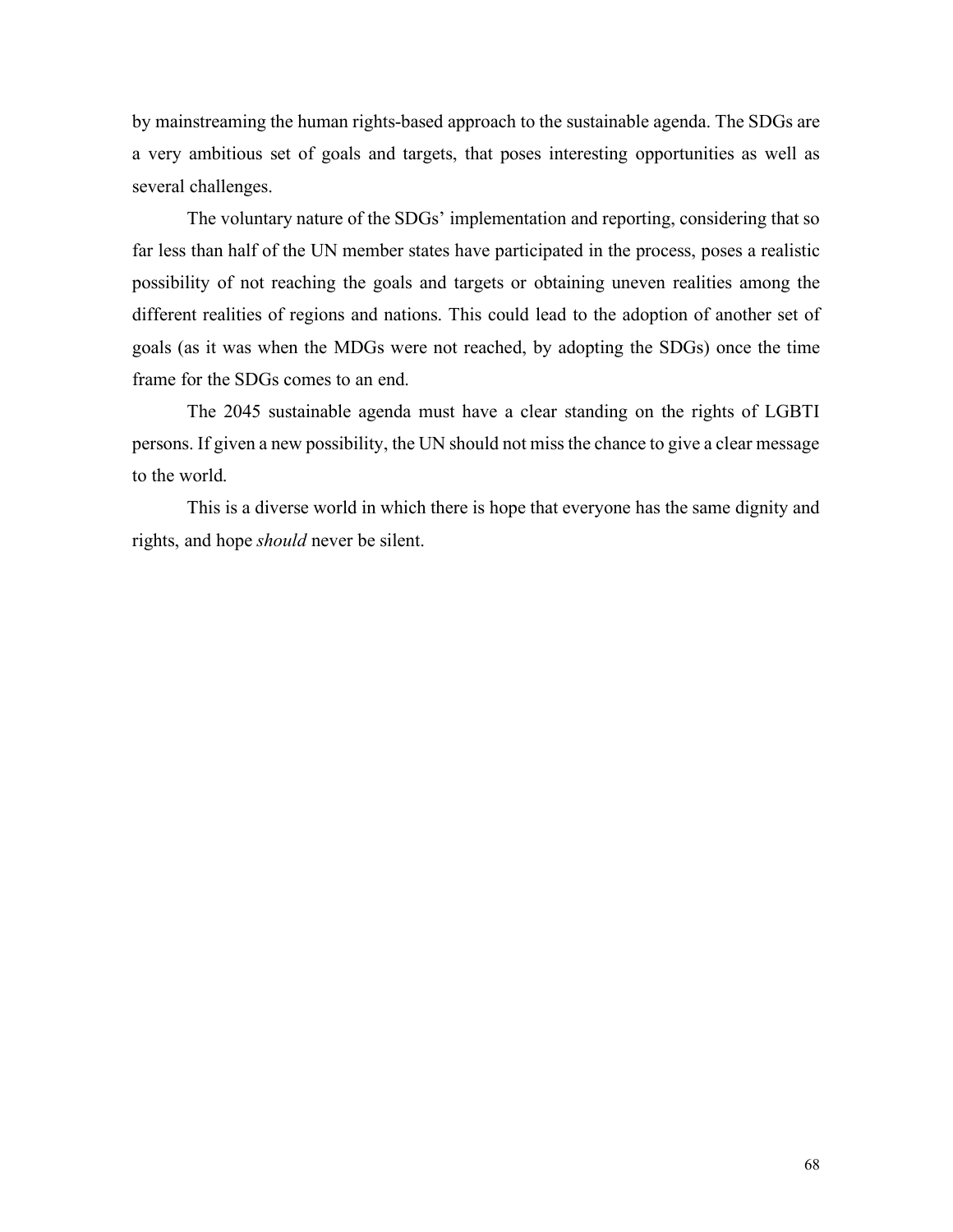by mainstreaming the human rights-based approach to the sustainable agenda. The SDGs are a very ambitious set of goals and targets, that poses interesting opportunities as well as several challenges.

The voluntary nature of the SDGs' implementation and reporting, considering that so far less than half of the UN member states have participated in the process, poses a realistic possibility of not reaching the goals and targets or obtaining uneven realities among the different realities of regions and nations. This could lead to the adoption of another set of goals (as it was when the MDGs were not reached, by adopting the SDGs) once the time frame for the SDGs comes to an end.

The 2045 sustainable agenda must have a clear standing on the rights of LGBTI persons. If given a new possibility, the UN should not miss the chance to give a clear message to the world.

This is a diverse world in which there is hope that everyone has the same dignity and rights, and hope *should* never be silent.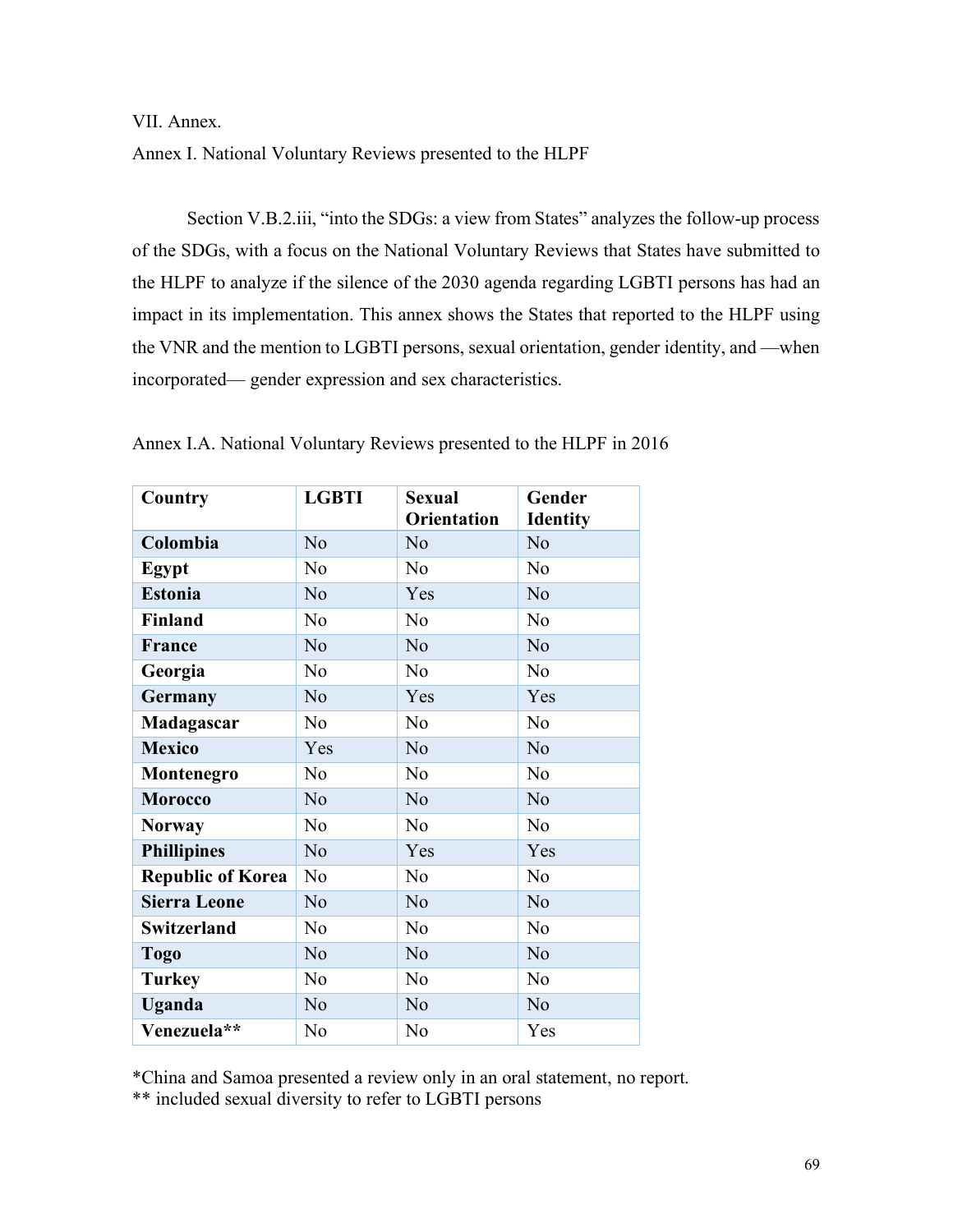VII. Annex.

Annex I. National Voluntary Reviews presented to the HLPF

Section V.B.2.iii, "into the SDGs: a view from States" analyzes the follow-up process of the SDGs, with a focus on the National Voluntary Reviews that States have submitted to the HLPF to analyze if the silence of the 2030 agenda regarding LGBTI persons has had an impact in its implementation. This annex shows the States that reported to the HLPF using the VNR and the mention to LGBTI persons, sexual orientation, gender identity, and —when incorporated— gender expression and sex characteristics.

| Country                  | <b>LGBTI</b>   | <b>Sexual</b><br><b>Orientation</b> | Gender<br><b>Identity</b> |
|--------------------------|----------------|-------------------------------------|---------------------------|
| Colombia                 | N <sub>o</sub> | N <sub>o</sub>                      | N <sub>o</sub>            |
| Egypt                    | N <sub>o</sub> | N <sub>o</sub>                      | N <sub>o</sub>            |
| <b>Estonia</b>           | N <sub>o</sub> | Yes                                 | N <sub>o</sub>            |
| <b>Finland</b>           | N <sub>0</sub> | N <sub>0</sub>                      | N <sub>o</sub>            |
| France                   | N <sub>o</sub> | N <sub>o</sub>                      | N <sub>o</sub>            |
| Georgia                  | N <sub>0</sub> | N <sub>0</sub>                      | N <sub>o</sub>            |
| Germany                  | N <sub>o</sub> | Yes                                 | Yes                       |
| Madagascar               | N <sub>0</sub> | N <sub>0</sub>                      | N <sub>o</sub>            |
| <b>Mexico</b>            | Yes            | N <sub>o</sub>                      | N <sub>o</sub>            |
| Montenegro               | N <sub>0</sub> | N <sub>o</sub>                      | N <sub>o</sub>            |
| <b>Morocco</b>           | N <sub>o</sub> | N <sub>o</sub>                      | N <sub>o</sub>            |
| <b>Norway</b>            | N <sub>o</sub> | N <sub>0</sub>                      | N <sub>o</sub>            |
| <b>Phillipines</b>       | N <sub>o</sub> | Yes                                 | Yes                       |
| <b>Republic of Korea</b> | N <sub>o</sub> | N <sub>o</sub>                      | N <sub>o</sub>            |
| <b>Sierra Leone</b>      | N <sub>o</sub> | N <sub>o</sub>                      | N <sub>o</sub>            |
| <b>Switzerland</b>       | N <sub>o</sub> | N <sub>o</sub>                      | N <sub>o</sub>            |
| <b>Togo</b>              | N <sub>o</sub> | N <sub>o</sub>                      | N <sub>o</sub>            |
| <b>Turkey</b>            | N <sub>o</sub> | N <sub>o</sub>                      | N <sub>o</sub>            |
| Uganda                   | N <sub>o</sub> | N <sub>o</sub>                      | N <sub>o</sub>            |
| Venezuela**              | N <sub>o</sub> | N <sub>o</sub>                      | Yes                       |

Annex I.A. National Voluntary Reviews presented to the HLPF in 2016

\*China and Samoa presented a review only in an oral statement, no report. \*\* included sexual diversity to refer to LGBTI persons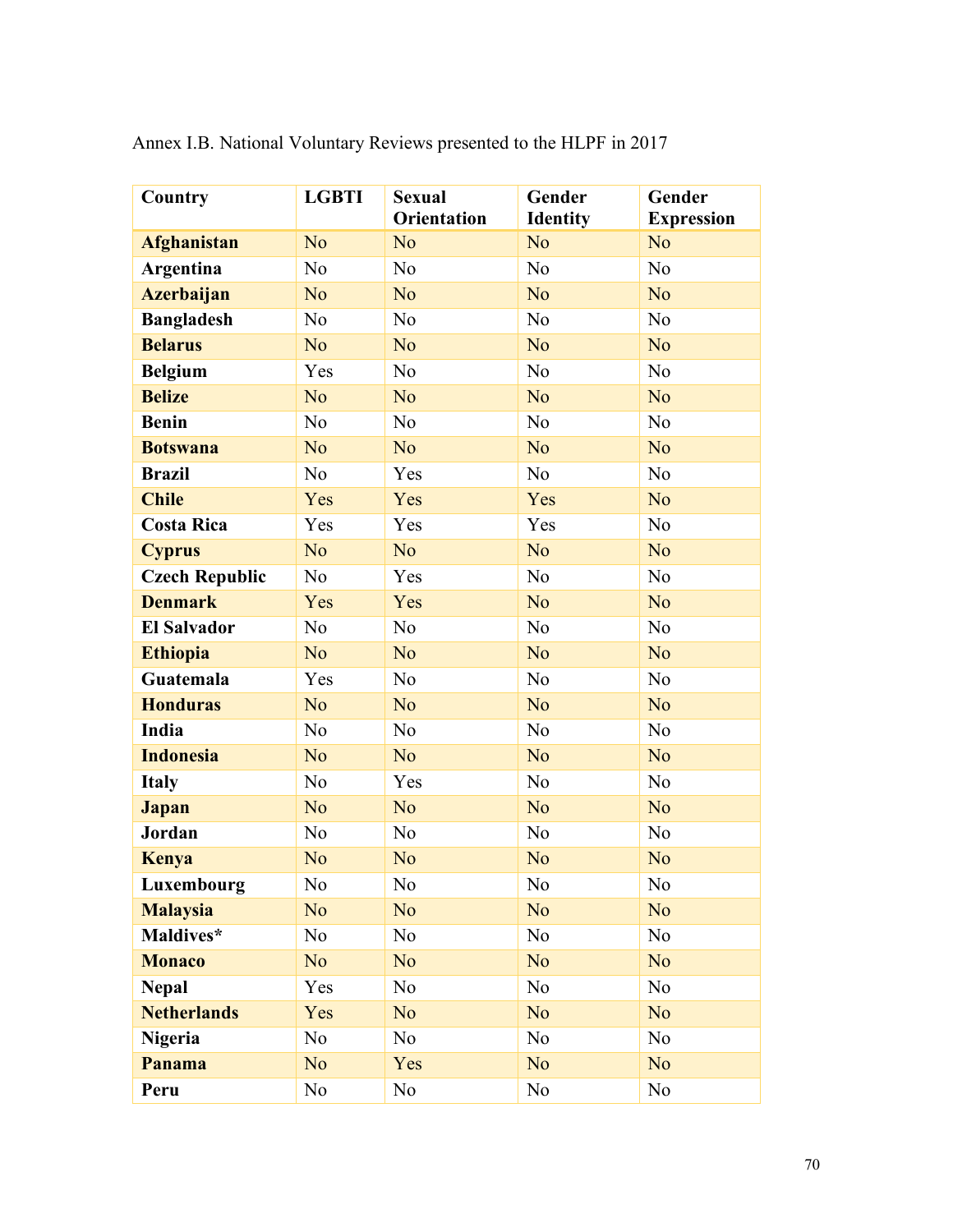| Country               | <b>LGBTI</b>   | <b>Sexual</b><br><b>Orientation</b> | Gender<br><b>Identity</b> | Gender<br><b>Expression</b> |
|-----------------------|----------------|-------------------------------------|---------------------------|-----------------------------|
| <b>Afghanistan</b>    | N <sub>o</sub> | N <sub>o</sub>                      | N <sub>o</sub>            | N <sub>o</sub>              |
| Argentina             | N <sub>o</sub> | N <sub>0</sub>                      | N <sub>0</sub>            | No                          |
| <b>Azerbaijan</b>     | N <sub>o</sub> | N <sub>o</sub>                      | N <sub>o</sub>            | N <sub>o</sub>              |
| <b>Bangladesh</b>     | N <sub>o</sub> | N <sub>0</sub>                      | N <sub>0</sub>            | N <sub>0</sub>              |
| <b>Belarus</b>        | N <sub>o</sub> | N <sub>o</sub>                      | N <sub>o</sub>            | N <sub>o</sub>              |
| <b>Belgium</b>        | Yes            | N <sub>o</sub>                      | N <sub>o</sub>            | N <sub>o</sub>              |
| <b>Belize</b>         | N <sub>o</sub> | N <sub>o</sub>                      | N <sub>o</sub>            | N <sub>o</sub>              |
| <b>Benin</b>          | N <sub>o</sub> | N <sub>o</sub>                      | N <sub>o</sub>            | N <sub>o</sub>              |
| <b>Botswana</b>       | N <sub>o</sub> | N <sub>o</sub>                      | N <sub>o</sub>            | N <sub>o</sub>              |
| <b>Brazil</b>         | N <sub>o</sub> | Yes                                 | N <sub>o</sub>            | N <sub>o</sub>              |
| <b>Chile</b>          | Yes            | Yes                                 | Yes                       | N <sub>o</sub>              |
| <b>Costa Rica</b>     | Yes            | Yes                                 | Yes                       | N <sub>0</sub>              |
| <b>Cyprus</b>         | N <sub>o</sub> | N <sub>o</sub>                      | N <sub>o</sub>            | N <sub>o</sub>              |
| <b>Czech Republic</b> | N <sub>0</sub> | Yes                                 | N <sub>o</sub>            | N <sub>o</sub>              |
| <b>Denmark</b>        | Yes            | Yes                                 | N <sub>o</sub>            | N <sub>o</sub>              |
| <b>El Salvador</b>    | N <sub>o</sub> | N <sub>o</sub>                      | N <sub>o</sub>            | N <sub>o</sub>              |
| <b>Ethiopia</b>       | N <sub>o</sub> | N <sub>o</sub>                      | N <sub>o</sub>            | N <sub>o</sub>              |
| Guatemala             | Yes            | N <sub>o</sub>                      | N <sub>o</sub>            | N <sub>o</sub>              |
| <b>Honduras</b>       | N <sub>o</sub> | N <sub>o</sub>                      | N <sub>o</sub>            | N <sub>o</sub>              |
| India                 | N <sub>o</sub> | N <sub>o</sub>                      | N <sub>0</sub>            | N <sub>0</sub>              |
| <b>Indonesia</b>      | N <sub>o</sub> | N <sub>o</sub>                      | N <sub>o</sub>            | N <sub>o</sub>              |
| <b>Italy</b>          | N <sub>o</sub> | Yes                                 | N <sub>o</sub>            | N <sub>o</sub>              |
| Japan                 | N <sub>o</sub> | N <sub>o</sub>                      | N <sub>o</sub>            | N <sub>o</sub>              |
| Jordan                | N <sub>o</sub> | N <sub>o</sub>                      | N <sub>o</sub>            | N <sub>o</sub>              |
| <b>Kenya</b>          | N <sub>o</sub> | N <sub>o</sub>                      | N <sub>o</sub>            | N <sub>o</sub>              |
| Luxembourg            | No             | $\rm No$                            | $\rm No$                  | $\rm No$                    |
| <b>Malaysia</b>       | N <sub>o</sub> | N <sub>o</sub>                      | N <sub>o</sub>            | N <sub>o</sub>              |
| Maldives*             | N <sub>0</sub> | N <sub>0</sub>                      | No                        | N <sub>o</sub>              |
| <b>Monaco</b>         | N <sub>o</sub> | N <sub>o</sub>                      | N <sub>o</sub>            | N <sub>o</sub>              |
| <b>Nepal</b>          | Yes            | N <sub>0</sub>                      | N <sub>0</sub>            | N <sub>o</sub>              |
| <b>Netherlands</b>    | Yes            | N <sub>o</sub>                      | N <sub>o</sub>            | N <sub>o</sub>              |
| <b>Nigeria</b>        | N <sub>0</sub> | N <sub>0</sub>                      | N <sub>o</sub>            | N <sub>o</sub>              |
| Panama                | N <sub>o</sub> | Yes                                 | N <sub>o</sub>            | N <sub>o</sub>              |
| Peru                  | N <sub>0</sub> | N <sub>0</sub>                      | N <sub>0</sub>            | N <sub>o</sub>              |

Annex I.B. National Voluntary Reviews presented to the HLPF in 2017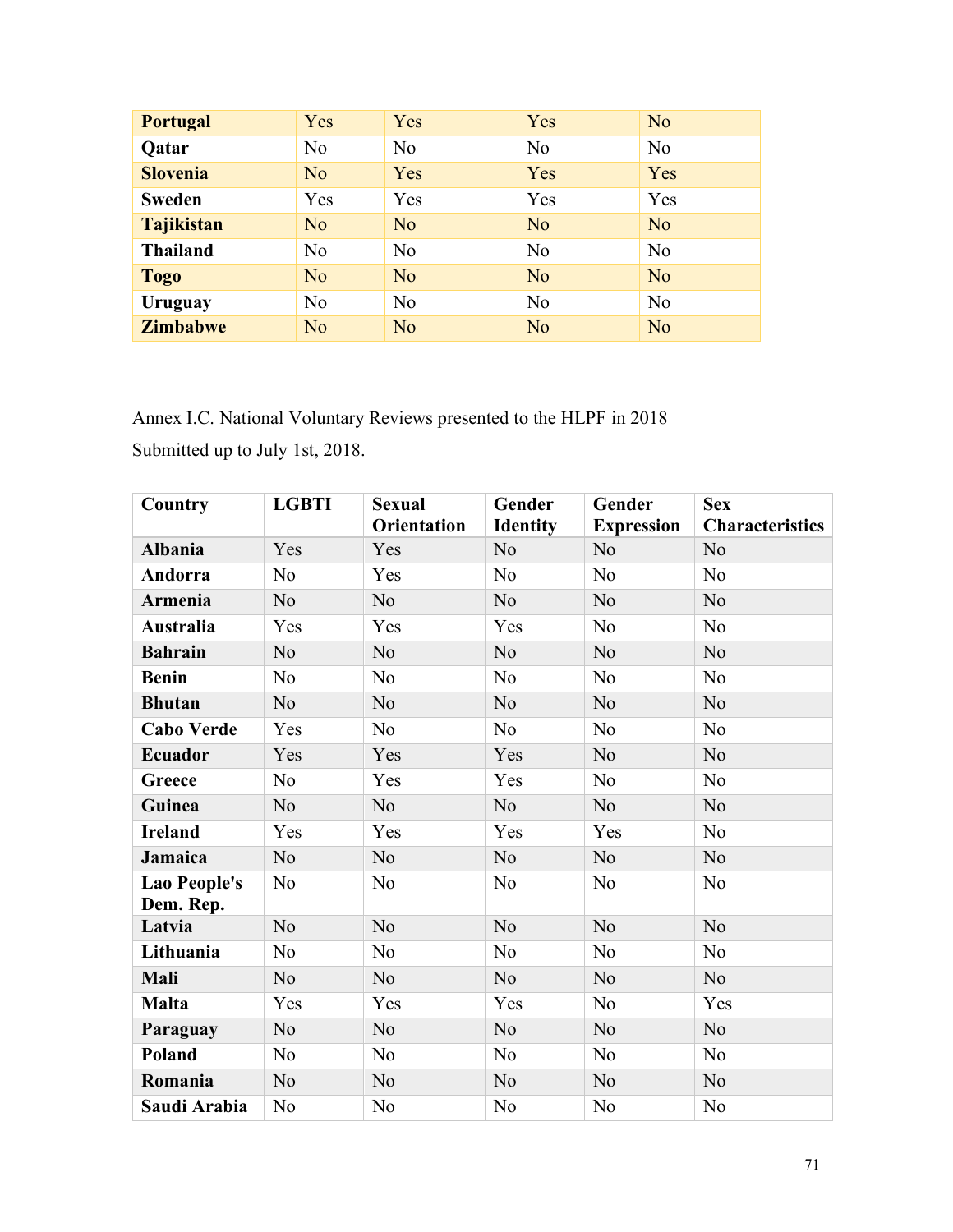| <b>Portugal</b>   | Yes            | Yes            | Yes            | N <sub>o</sub> |
|-------------------|----------------|----------------|----------------|----------------|
| <b>Qatar</b>      | N <sub>0</sub> | N <sub>o</sub> | N <sub>0</sub> | N <sub>0</sub> |
| <b>Slovenia</b>   | N <sub>o</sub> | Yes            | Yes            | Yes            |
| <b>Sweden</b>     | Yes            | Yes            | Yes            | Yes            |
| <b>Tajikistan</b> | N <sub>o</sub> | N <sub>o</sub> | N <sub>o</sub> | N <sub>o</sub> |
| <b>Thailand</b>   | N <sub>0</sub> | N <sub>o</sub> | N <sub>0</sub> | N <sub>0</sub> |
| <b>Togo</b>       | N <sub>o</sub> | N <sub>o</sub> | N <sub>o</sub> | N <sub>o</sub> |
| Uruguay           | N <sub>0</sub> | N <sub>0</sub> | N <sub>0</sub> | N <sub>0</sub> |
| <b>Zimbabwe</b>   | N <sub>o</sub> | N <sub>o</sub> | N <sub>o</sub> | N <sub>o</sub> |

Annex I.C. National Voluntary Reviews presented to the HLPF in 2018 Submitted up to July 1st, 2018.

| Country                          | <b>LGBTI</b>   | <b>Sexual</b><br><b>Orientation</b> | Gender<br><b>Identity</b> | Gender<br><b>Expression</b> | <b>Sex</b><br><b>Characteristics</b> |
|----------------------------------|----------------|-------------------------------------|---------------------------|-----------------------------|--------------------------------------|
| <b>Albania</b>                   | Yes            | Yes                                 | N <sub>o</sub>            | N <sub>o</sub>              | N <sub>o</sub>                       |
| Andorra                          | N <sub>0</sub> | Yes                                 | No                        | N <sub>0</sub>              | N <sub>o</sub>                       |
| Armenia                          | N <sub>0</sub> | N <sub>o</sub>                      | No                        | N <sub>o</sub>              | N <sub>o</sub>                       |
| <b>Australia</b>                 | Yes            | Yes                                 | Yes                       | N <sub>o</sub>              | N <sub>o</sub>                       |
| <b>Bahrain</b>                   | N <sub>o</sub> | N <sub>o</sub>                      | N <sub>o</sub>            | N <sub>o</sub>              | N <sub>o</sub>                       |
| <b>Benin</b>                     | N <sub>0</sub> | N <sub>o</sub>                      | N <sub>o</sub>            | N <sub>0</sub>              | N <sub>o</sub>                       |
| <b>Bhutan</b>                    | No             | N <sub>o</sub>                      | N <sub>o</sub>            | N <sub>o</sub>              | N <sub>o</sub>                       |
| <b>Cabo Verde</b>                | Yes            | N <sub>0</sub>                      | N <sub>o</sub>            | N <sub>o</sub>              | N <sub>o</sub>                       |
| <b>Ecuador</b>                   | Yes            | Yes                                 | Yes                       | N <sub>o</sub>              | N <sub>o</sub>                       |
| Greece                           | N <sub>0</sub> | Yes                                 | Yes                       | N <sub>o</sub>              | N <sub>o</sub>                       |
| Guinea                           | N <sub>o</sub> | N <sub>o</sub>                      | N <sub>o</sub>            | N <sub>o</sub>              | N <sub>o</sub>                       |
| <b>Ireland</b>                   | Yes            | Yes                                 | Yes                       | Yes                         | N <sub>o</sub>                       |
| Jamaica                          | N <sub>o</sub> | N <sub>o</sub>                      | N <sub>o</sub>            | N <sub>o</sub>              | N <sub>o</sub>                       |
| <b>Lao People's</b><br>Dem. Rep. | N <sub>0</sub> | N <sub>o</sub>                      | N <sub>o</sub>            | N <sub>0</sub>              | N <sub>0</sub>                       |
| Latvia                           | N <sub>o</sub> | No                                  | N <sub>o</sub>            | No                          | No                                   |
| Lithuania                        | N <sub>0</sub> | N <sub>o</sub>                      | N <sub>o</sub>            | N <sub>o</sub>              | N <sub>o</sub>                       |
| Mali                             | No             | N <sub>o</sub>                      | N <sub>o</sub>            | N <sub>o</sub>              | N <sub>o</sub>                       |
| <b>Malta</b>                     | Yes            | Yes                                 | Yes                       | N <sub>0</sub>              | Yes                                  |
| Paraguay                         | N <sub>o</sub> | N <sub>o</sub>                      | No                        | N <sub>o</sub>              | N <sub>o</sub>                       |
| Poland                           | N <sub>0</sub> | N <sub>o</sub>                      | N <sub>o</sub>            | N <sub>o</sub>              | N <sub>o</sub>                       |
| Romania                          | N <sub>o</sub> | N <sub>o</sub>                      | N <sub>o</sub>            | N <sub>o</sub>              | N <sub>o</sub>                       |
| Saudi Arabia                     | N <sub>o</sub> | N <sub>o</sub>                      | N <sub>o</sub>            | N <sub>0</sub>              | N <sub>o</sub>                       |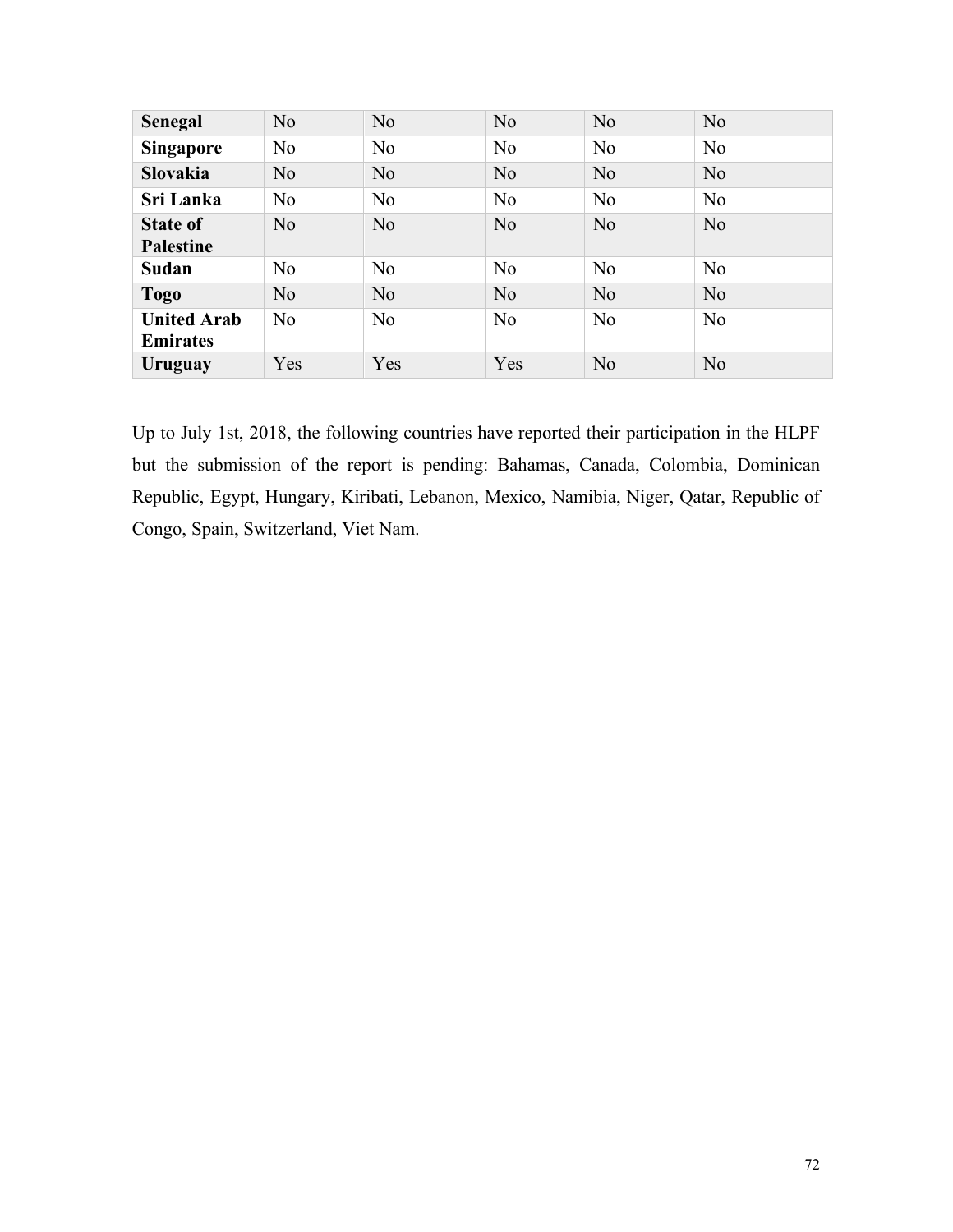| <b>Senegal</b>     | N <sub>o</sub> | N <sub>o</sub> | N <sub>o</sub> | N <sub>o</sub> | N <sub>o</sub> |
|--------------------|----------------|----------------|----------------|----------------|----------------|
| <b>Singapore</b>   | N <sub>o</sub> | N <sub>o</sub> | N <sub>0</sub> | N <sub>0</sub> | N <sub>o</sub> |
| <b>Slovakia</b>    | N <sub>o</sub> | N <sub>o</sub> | N <sub>o</sub> | N <sub>o</sub> | N <sub>o</sub> |
| Sri Lanka          | N <sub>o</sub> | N <sub>0</sub> | N <sub>0</sub> | N <sub>0</sub> | N <sub>o</sub> |
| <b>State of</b>    | No             | N <sub>o</sub> | N <sub>o</sub> | N <sub>o</sub> | N <sub>o</sub> |
| <b>Palestine</b>   |                |                |                |                |                |
| Sudan              | N <sub>o</sub> | N <sub>0</sub> | N <sub>0</sub> | N <sub>0</sub> | N <sub>o</sub> |
| <b>Togo</b>        | No             | N <sub>o</sub> | N <sub>o</sub> | No             | N <sub>o</sub> |
| <b>United Arab</b> | N <sub>o</sub> | N <sub>0</sub> | N <sub>o</sub> | N <sub>0</sub> | N <sub>o</sub> |
| <b>Emirates</b>    |                |                |                |                |                |
| Uruguay            | Yes            | Yes            | Yes            | N <sub>o</sub> | N <sub>0</sub> |

Up to July 1st, 2018, the following countries have reported their participation in the HLPF but the submission of the report is pending: Bahamas, Canada, Colombia, Dominican Republic, Egypt, Hungary, Kiribati, Lebanon, Mexico, Namibia, Niger, Qatar, Republic of Congo, Spain, Switzerland, Viet Nam.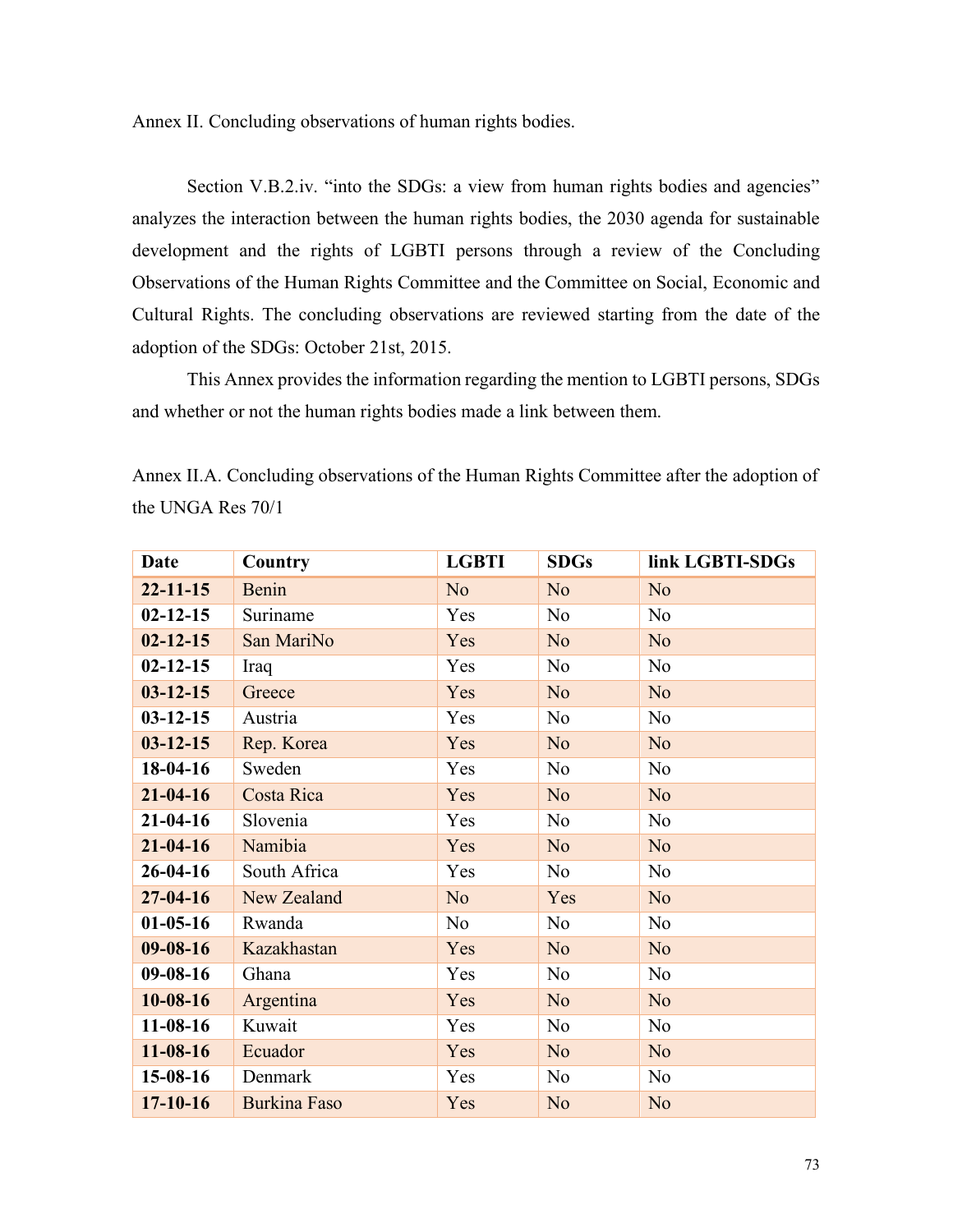Annex II. Concluding observations of human rights bodies.

Section V.B.2.iv. "into the SDGs: a view from human rights bodies and agencies" analyzes the interaction between the human rights bodies, the 2030 agenda for sustainable development and the rights of LGBTI persons through a review of the Concluding Observations of the Human Rights Committee and the Committee on Social, Economic and Cultural Rights. The concluding observations are reviewed starting from the date of the adoption of the SDGs: October 21st, 2015.

This Annex provides the information regarding the mention to LGBTI persons, SDGs and whether or not the human rights bodies made a link between them.

| Date           | Country             | <b>LGBTI</b>   | <b>SDGs</b>    | link LGBTI-SDGs |
|----------------|---------------------|----------------|----------------|-----------------|
| $22 - 11 - 15$ | Benin               | N <sub>o</sub> | N <sub>o</sub> | N <sub>o</sub>  |
| $02 - 12 - 15$ | Suriname            | Yes            | N <sub>o</sub> | N <sub>o</sub>  |
| $02 - 12 - 15$ | San MariNo          | Yes            | N <sub>o</sub> | N <sub>o</sub>  |
| $02 - 12 - 15$ | Iraq                | Yes            | No             | N <sub>o</sub>  |
| $03 - 12 - 15$ | Greece              | Yes            | N <sub>o</sub> | N <sub>o</sub>  |
| $03 - 12 - 15$ | Austria             | Yes            | N <sub>0</sub> | N <sub>o</sub>  |
| $03 - 12 - 15$ | Rep. Korea          | Yes            | N <sub>o</sub> | N <sub>o</sub>  |
| $18-04-16$     | Sweden              | Yes            | N <sub>0</sub> | N <sub>0</sub>  |
| $21 - 04 - 16$ | Costa Rica          | Yes            | N <sub>o</sub> | N <sub>o</sub>  |
| $21 - 04 - 16$ | Slovenia            | Yes            | N <sub>o</sub> | N <sub>0</sub>  |
| $21 - 04 - 16$ | Namibia             | Yes            | N <sub>o</sub> | N <sub>o</sub>  |
| $26 - 04 - 16$ | South Africa        | Yes            | N <sub>o</sub> | N <sub>0</sub>  |
| $27 - 04 - 16$ | New Zealand         | N <sub>o</sub> | Yes            | N <sub>o</sub>  |
| $01-05-16$     | Rwanda              | N <sub>o</sub> | N <sub>0</sub> | N <sub>o</sub>  |
| $09 - 08 - 16$ | Kazakhastan         | Yes            | N <sub>o</sub> | N <sub>o</sub>  |
| $09 - 08 - 16$ | Ghana               | Yes            | N <sub>o</sub> | N <sub>o</sub>  |
| $10 - 08 - 16$ | Argentina           | Yes            | N <sub>o</sub> | N <sub>o</sub>  |
| $11-08-16$     | Kuwait              | Yes            | N <sub>o</sub> | N <sub>0</sub>  |
| $11 - 08 - 16$ | Ecuador             | Yes            | N <sub>o</sub> | N <sub>o</sub>  |
| $15-08-16$     | Denmark             | Yes            | N <sub>o</sub> | N <sub>o</sub>  |
| $17 - 10 - 16$ | <b>Burkina Faso</b> | Yes            | N <sub>o</sub> | N <sub>o</sub>  |

Annex II.A. Concluding observations of the Human Rights Committee after the adoption of the UNGA Res 70/1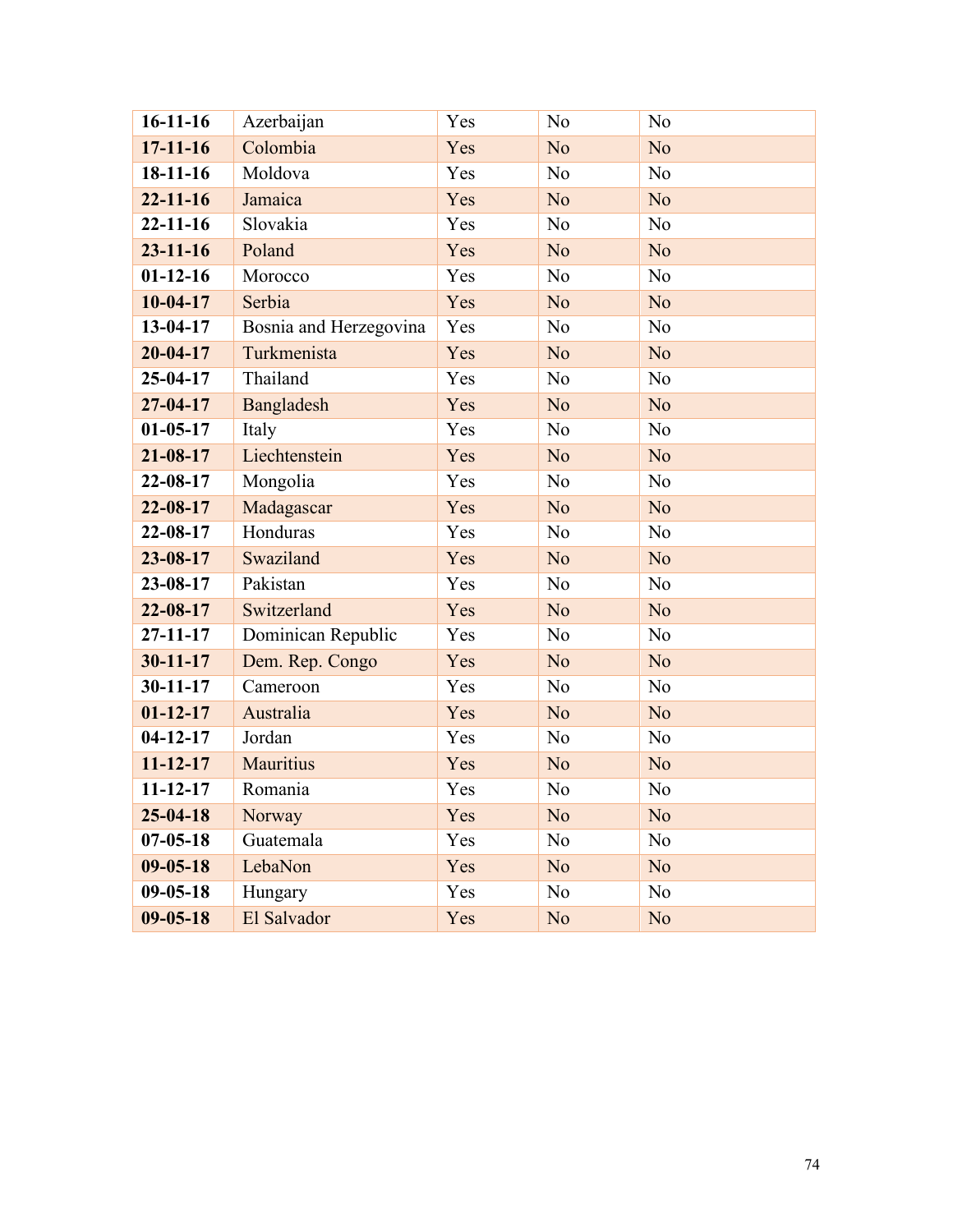| $16-11-16$     | Azerbaijan             | Yes | N <sub>o</sub> | N <sub>o</sub> |
|----------------|------------------------|-----|----------------|----------------|
| $17 - 11 - 16$ | Colombia               | Yes | N <sub>o</sub> | N <sub>o</sub> |
| $18-11-16$     | Moldova                | Yes | N <sub>o</sub> | N <sub>o</sub> |
| $22 - 11 - 16$ | Jamaica                | Yes | N <sub>o</sub> | N <sub>o</sub> |
| $22 - 11 - 16$ | Slovakia               | Yes | N <sub>o</sub> | N <sub>o</sub> |
| $23 - 11 - 16$ | Poland                 | Yes | N <sub>o</sub> | N <sub>o</sub> |
| $01-12-16$     | Morocco                | Yes | N <sub>0</sub> | N <sub>o</sub> |
| $10-04-17$     | Serbia                 | Yes | N <sub>o</sub> | N <sub>o</sub> |
| 13-04-17       | Bosnia and Herzegovina | Yes | N <sub>0</sub> | N <sub>o</sub> |
| $20 - 04 - 17$ | Turkmenista            | Yes | N <sub>o</sub> | N <sub>o</sub> |
| $25 - 04 - 17$ | Thailand               | Yes | N <sub>o</sub> | N <sub>o</sub> |
| $27 - 04 - 17$ | Bangladesh             | Yes | N <sub>o</sub> | No             |
| $01 - 05 - 17$ | Italy                  | Yes | N <sub>o</sub> | N <sub>o</sub> |
| $21 - 08 - 17$ | Liechtenstein          | Yes | N <sub>o</sub> | N <sub>o</sub> |
| $22 - 08 - 17$ | Mongolia               | Yes | N <sub>0</sub> | N <sub>o</sub> |
| $22 - 08 - 17$ | Madagascar             | Yes | N <sub>o</sub> | N <sub>o</sub> |
| 22-08-17       | Honduras               | Yes | N <sub>0</sub> | N <sub>o</sub> |
| 23-08-17       | Swaziland              | Yes | N <sub>o</sub> | N <sub>o</sub> |
| 23-08-17       | Pakistan               | Yes | N <sub>o</sub> | N <sub>o</sub> |
| $22 - 08 - 17$ | Switzerland            | Yes | N <sub>o</sub> | N <sub>o</sub> |
| $27 - 11 - 17$ | Dominican Republic     | Yes | N <sub>o</sub> | N <sub>o</sub> |
| $30 - 11 - 17$ | Dem. Rep. Congo        | Yes | N <sub>o</sub> | N <sub>o</sub> |
| $30 - 11 - 17$ | Cameroon               | Yes | N <sub>0</sub> | N <sub>o</sub> |
| $01 - 12 - 17$ | Australia              | Yes | N <sub>o</sub> | N <sub>o</sub> |
| $04-12-17$     | Jordan                 | Yes | N <sub>0</sub> | N <sub>o</sub> |
| $11 - 12 - 17$ | <b>Mauritius</b>       | Yes | N <sub>o</sub> | N <sub>o</sub> |
| $11 - 12 - 17$ | Romania                | Yes | N <sub>0</sub> | N <sub>o</sub> |
| $25 - 04 - 18$ | Norway                 | Yes | N <sub>o</sub> | No             |
| $07 - 05 - 18$ | Guatemala              | Yes | N <sub>0</sub> | N <sub>0</sub> |
| $09 - 05 - 18$ | LebaNon                | Yes | N <sub>o</sub> | N <sub>o</sub> |
| $09 - 05 - 18$ | Hungary                | Yes | N <sub>0</sub> | N <sub>0</sub> |
| $09 - 05 - 18$ | El Salvador            | Yes | N <sub>o</sub> | N <sub>o</sub> |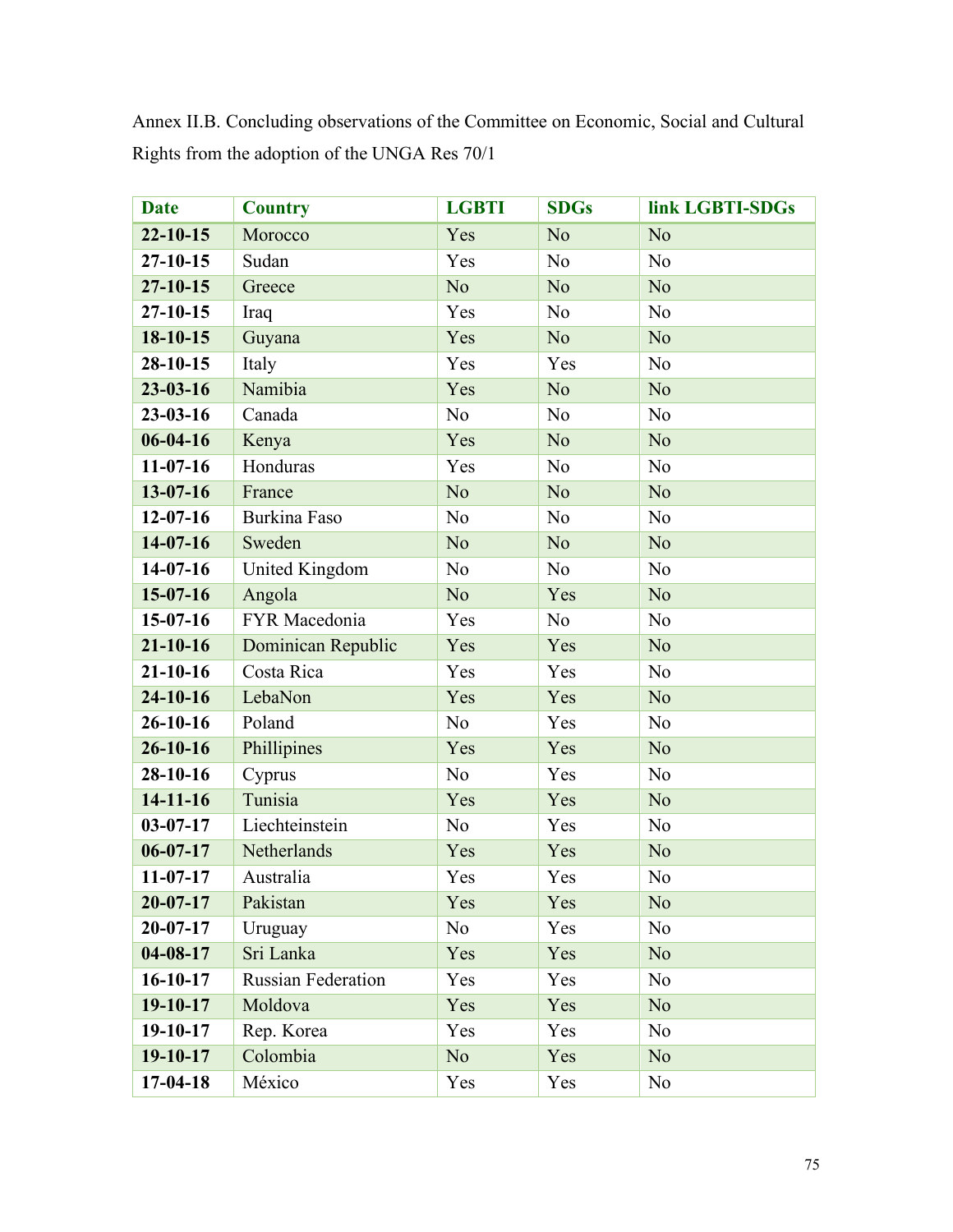| <b>Date</b>    | <b>Country</b>            | <b>LGBTI</b>   | <b>SDGs</b>    | link LGBTI-SDGs |
|----------------|---------------------------|----------------|----------------|-----------------|
| $22 - 10 - 15$ | Morocco                   | Yes            | N <sub>o</sub> | N <sub>o</sub>  |
| $27 - 10 - 15$ | Sudan                     | Yes            | N <sub>0</sub> | N <sub>o</sub>  |
| $27 - 10 - 15$ | Greece                    | N <sub>o</sub> | N <sub>o</sub> | N <sub>o</sub>  |
| $27 - 10 - 15$ | Iraq                      | Yes            | N <sub>o</sub> | N <sub>o</sub>  |
| 18-10-15       | Guyana                    | Yes            | N <sub>o</sub> | N <sub>o</sub>  |
| $28 - 10 - 15$ | Italy                     | Yes            | Yes            | N <sub>o</sub>  |
| $23 - 03 - 16$ | Namibia                   | Yes            | N <sub>o</sub> | N <sub>o</sub>  |
| $23 - 03 - 16$ | Canada                    | N <sub>o</sub> | N <sub>o</sub> | N <sub>o</sub>  |
| $06 - 04 - 16$ | Kenya                     | Yes            | N <sub>o</sub> | N <sub>o</sub>  |
| $11-07-16$     | Honduras                  | Yes            | N <sub>0</sub> | N <sub>o</sub>  |
| $13 - 07 - 16$ | France                    | N <sub>o</sub> | N <sub>o</sub> | N <sub>o</sub>  |
| $12 - 07 - 16$ | Burkina Faso              | N <sub>o</sub> | N <sub>o</sub> | N <sub>o</sub>  |
| $14-07-16$     | Sweden                    | N <sub>o</sub> | N <sub>o</sub> | N <sub>o</sub>  |
| $14-07-16$     | United Kingdom            | N <sub>o</sub> | N <sub>0</sub> | N <sub>o</sub>  |
| $15-07-16$     | Angola                    | N <sub>o</sub> | Yes            | N <sub>o</sub>  |
| $15-07-16$     | FYR Macedonia             | Yes            | N <sub>0</sub> | N <sub>o</sub>  |
| $21 - 10 - 16$ | Dominican Republic        | Yes            | Yes            | N <sub>o</sub>  |
| $21 - 10 - 16$ | Costa Rica                | Yes            | Yes            | N <sub>o</sub>  |
| $24 - 10 - 16$ | LebaNon                   | Yes            | Yes            | N <sub>o</sub>  |
| $26 - 10 - 16$ | Poland                    | N <sub>o</sub> | Yes            | N <sub>o</sub>  |
| $26 - 10 - 16$ | Phillipines               | Yes            | Yes            | N <sub>o</sub>  |
| 28-10-16       | Cyprus                    | N <sub>0</sub> | Yes            | N <sub>o</sub>  |
| $14 - 11 - 16$ | Tunisia                   | Yes            | Yes            | N <sub>o</sub>  |
| $03 - 07 - 17$ | Liechteinstein            | N <sub>0</sub> | Yes            | N <sub>o</sub>  |
| $06 - 07 - 17$ | Netherlands               | Yes            | Yes            | N <sub>o</sub>  |
| $11-07-17$     | Australia                 | Yes            | Yes            | N <sub>o</sub>  |
| $20 - 07 - 17$ | Pakistan                  | Yes            | Yes            | N <sub>o</sub>  |
| $20 - 07 - 17$ | Uruguay                   | N <sub>0</sub> | Yes            | N <sub>0</sub>  |
| $04 - 08 - 17$ | Sri Lanka                 | Yes            | Yes            | N <sub>o</sub>  |
| $16 - 10 - 17$ | <b>Russian Federation</b> | Yes            | Yes            | N <sub>0</sub>  |
| $19 - 10 - 17$ | Moldova                   | Yes            | Yes            | N <sub>o</sub>  |
| $19-10-17$     | Rep. Korea                | Yes            | Yes            | N <sub>0</sub>  |
| $19-10-17$     | Colombia                  | N <sub>o</sub> | Yes            | N <sub>o</sub>  |
| $17-04-18$     | México                    | Yes            | Yes            | N <sub>0</sub>  |

Annex II.B. Concluding observations of the Committee on Economic, Social and Cultural Rights from the adoption of the UNGA Res 70/1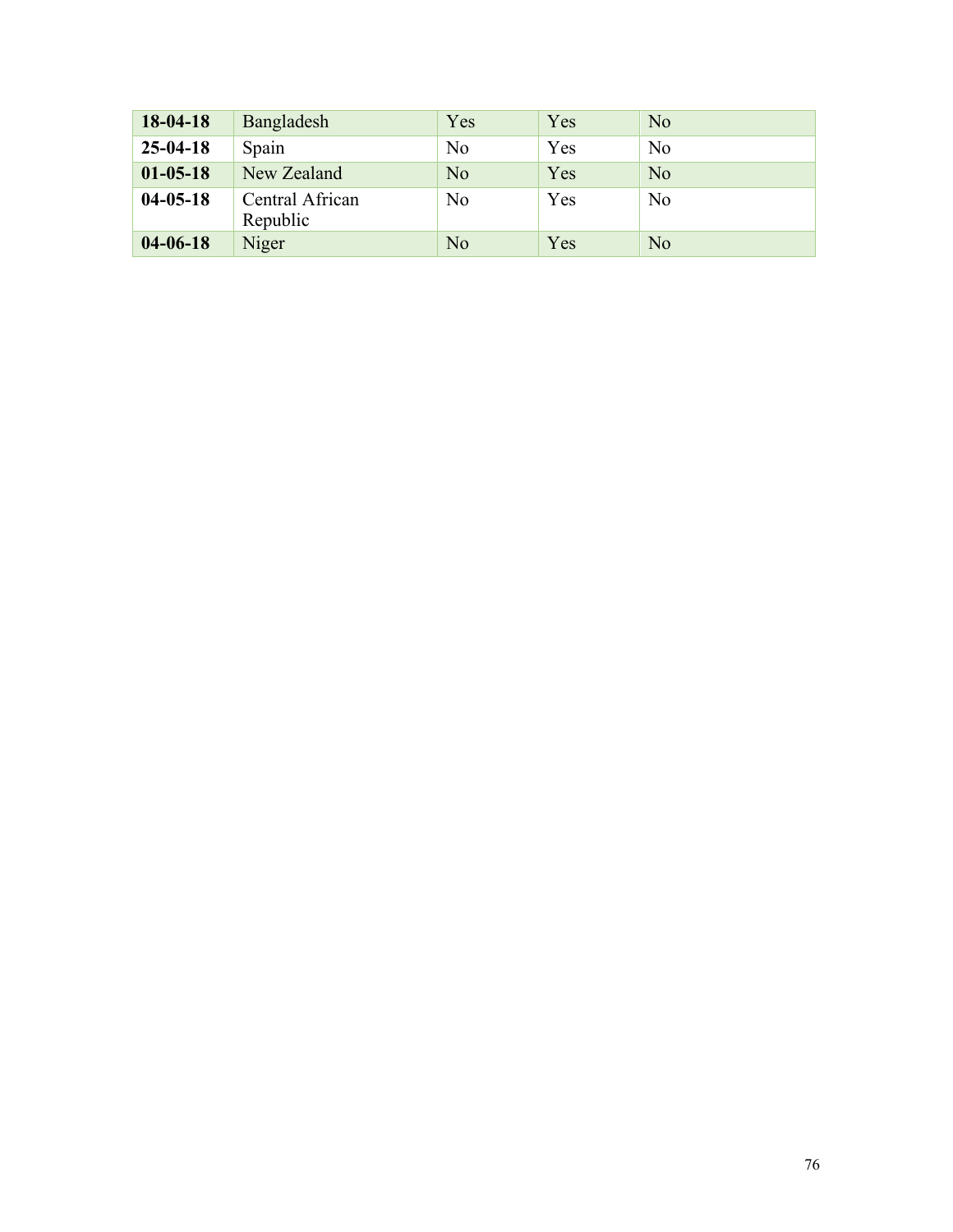| $18-04-18$     | Bangladesh                  | Yes            | Yes | N <sub>o</sub> |
|----------------|-----------------------------|----------------|-----|----------------|
| $25 - 04 - 18$ | Spain                       | N <sub>0</sub> | Yes | N <sub>0</sub> |
| $01 - 05 - 18$ | New Zealand                 | N <sub>0</sub> | Yes | N <sub>o</sub> |
| $04 - 05 - 18$ | Central African<br>Republic | No             | Yes | No             |
| $04 - 06 - 18$ | Niger                       | N <sub>o</sub> | Yes | N <sub>o</sub> |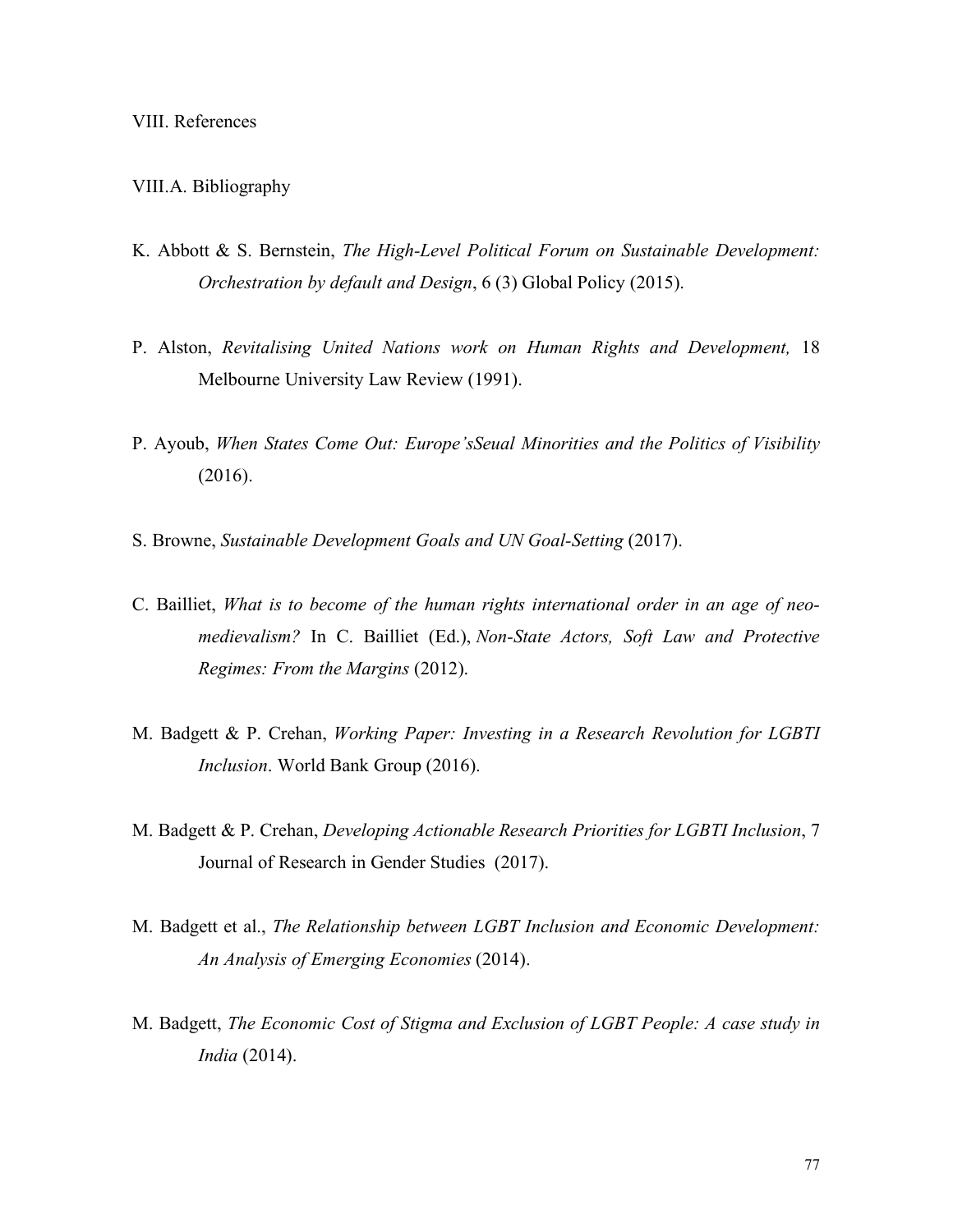## VIII.A. Bibliography

- K. Abbott & S. Bernstein, *The High-Level Political Forum on Sustainable Development: Orchestration by default and Design*, 6 (3) Global Policy (2015).
- P. Alston, *Revitalising United Nations work on Human Rights and Development,* 18 Melbourne University Law Review (1991).
- P. Ayoub, *When States Come Out: Europe'sSeual Minorities and the Politics of Visibility*  (2016).
- S. Browne, *Sustainable Development Goals and UN Goal-Setting* (2017).
- C. Bailliet, *What is to become of the human rights international order in an age of neomedievalism?* In C. Bailliet (Ed.), *Non-State Actors, Soft Law and Protective Regimes: From the Margins* (2012).
- M. Badgett & P. Crehan, *Working Paper: Investing in a Research Revolution for LGBTI Inclusion*. World Bank Group (2016).
- M. Badgett & P. Crehan, *Developing Actionable Research Priorities for LGBTI Inclusion*, 7 Journal of Research in Gender Studies (2017).
- M. Badgett et al., *The Relationship between LGBT Inclusion and Economic Development: An Analysis of Emerging Economies* (2014).
- M. Badgett, *The Economic Cost of Stigma and Exclusion of LGBT People: A case study in India* (2014).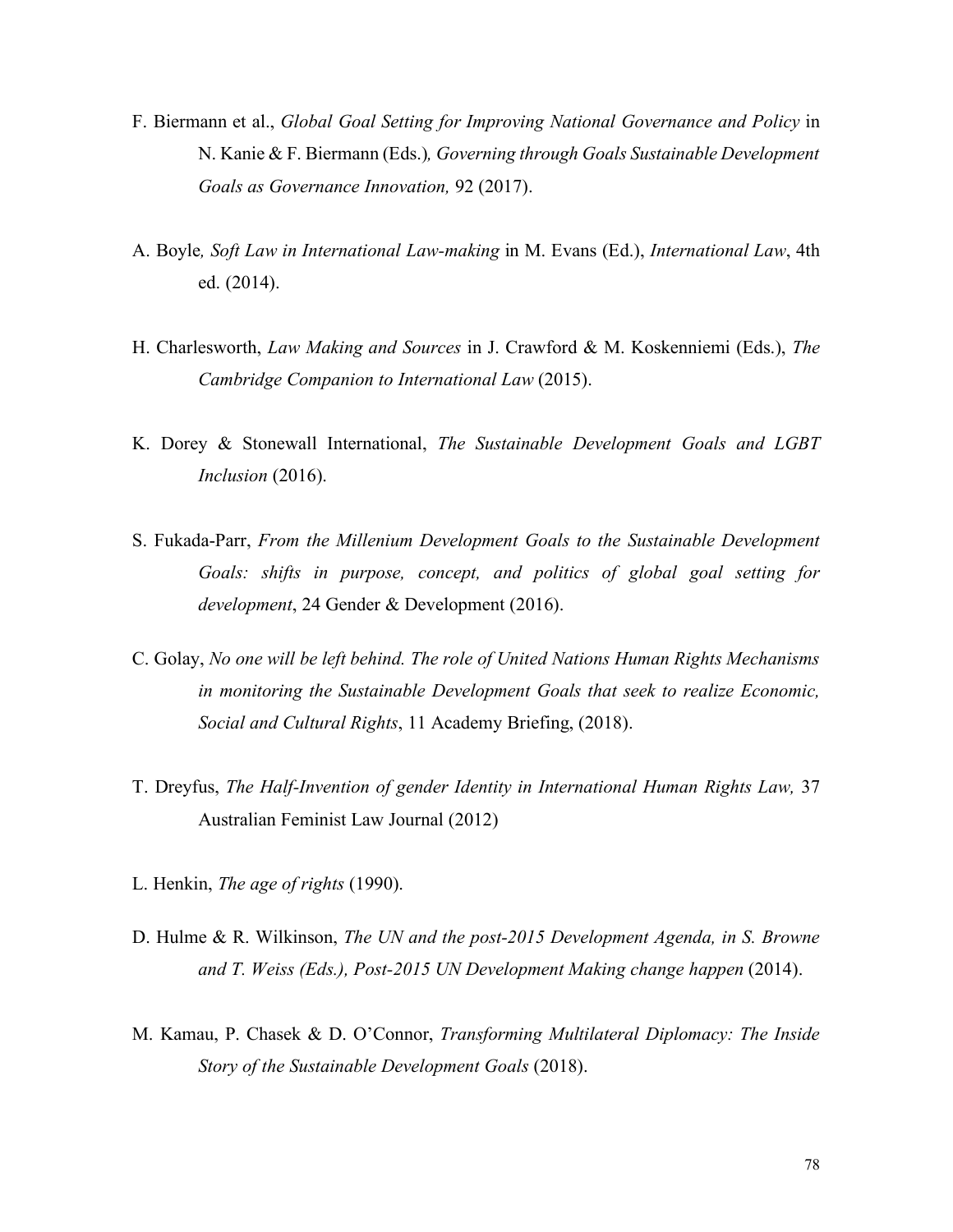- F. Biermann et al., *Global Goal Setting for Improving National Governance and Policy* in N. Kanie & F. Biermann (Eds.)*, Governing through Goals Sustainable Development Goals as Governance Innovation,* 92 (2017).
- A. Boyle*, Soft Law in International Law-making* in M. Evans (Ed.), *International Law*, 4th ed. (2014).
- H. Charlesworth, *Law Making and Sources* in J. Crawford & M. Koskenniemi (Eds.), *The Cambridge Companion to International Law* (2015).
- K. Dorey & Stonewall International, *The Sustainable Development Goals and LGBT Inclusion* (2016).
- S. Fukada-Parr, *From the Millenium Development Goals to the Sustainable Development Goals: shifts in purpose, concept, and politics of global goal setting for development*, 24 Gender & Development (2016).
- C. Golay, *No one will be left behind. The role of United Nations Human Rights Mechanisms in monitoring the Sustainable Development Goals that seek to realize Economic, Social and Cultural Rights*, 11 Academy Briefing, (2018).
- T. Dreyfus, *The Half-Invention of gender Identity in International Human Rights Law,* 37 Australian Feminist Law Journal (2012)
- L. Henkin, *The age of rights* (1990).
- D. Hulme & R. Wilkinson, *The UN and the post-2015 Development Agenda, in S. Browne and T. Weiss (Eds.), Post-2015 UN Development Making change happen* (2014).
- M. Kamau, P. Chasek & D. O'Connor, *Transforming Multilateral Diplomacy: The Inside Story of the Sustainable Development Goals* (2018).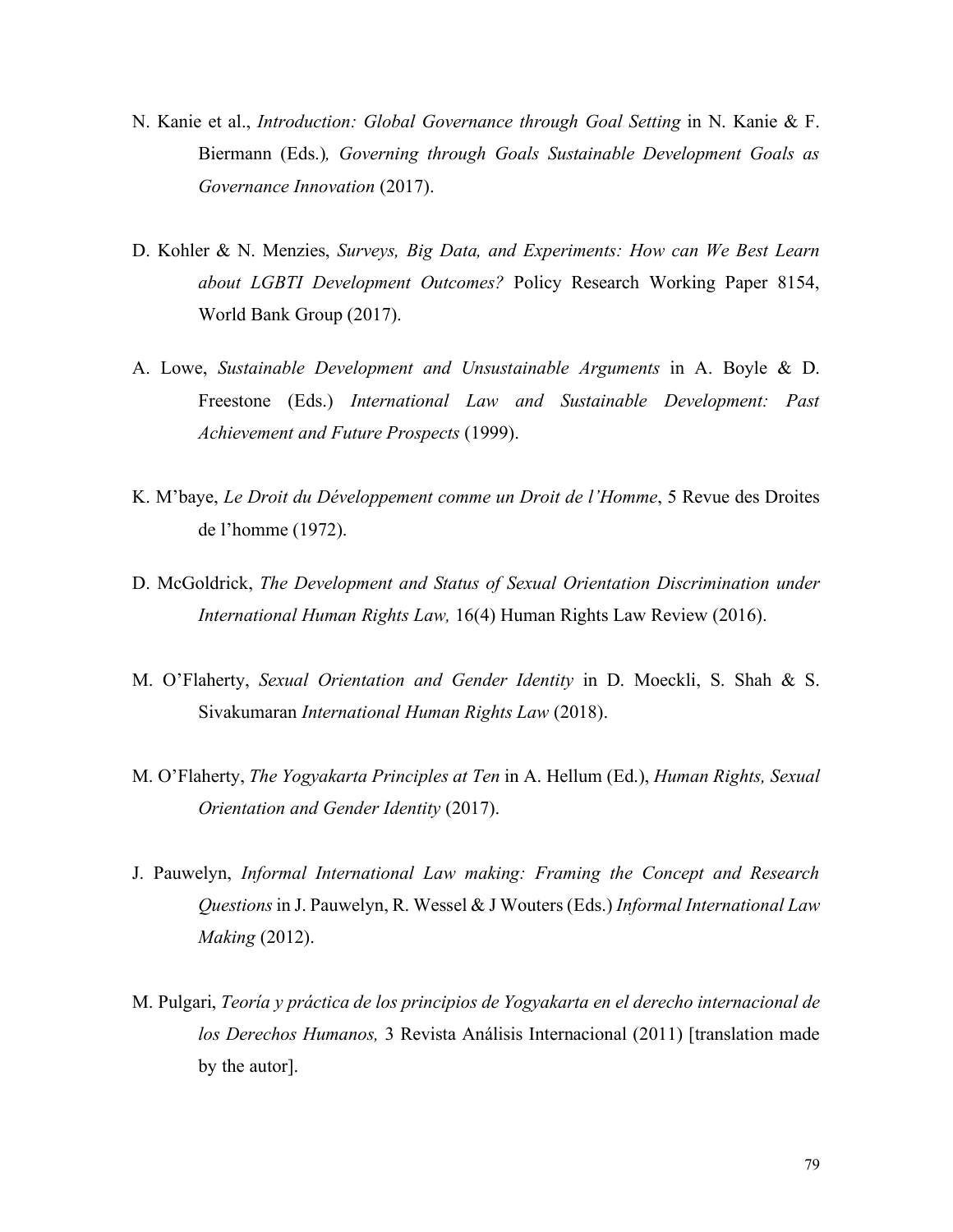- N. Kanie et al., *Introduction: Global Governance through Goal Setting* in N. Kanie & F. Biermann (Eds.)*, Governing through Goals Sustainable Development Goals as Governance Innovation* (2017).
- D. Kohler & N. Menzies, *Surveys, Big Data, and Experiments: How can We Best Learn about LGBTI Development Outcomes?* Policy Research Working Paper 8154, World Bank Group (2017).
- A. Lowe, *Sustainable Development and Unsustainable Arguments* in A. Boyle & D. Freestone (Eds.) *International Law and Sustainable Development: Past Achievement and Future Prospects* (1999).
- K. M'baye, *Le Droit du Développement comme un Droit de l'Homme*, 5 Revue des Droites de l'homme (1972).
- D. McGoldrick, *The Development and Status of Sexual Orientation Discrimination under International Human Rights Law,* 16(4) Human Rights Law Review (2016).
- M. O'Flaherty, *Sexual Orientation and Gender Identity* in D. Moeckli, S. Shah & S. Sivakumaran *International Human Rights Law* (2018).
- M. O'Flaherty, *The Yogyakarta Principles at Ten* in A. Hellum (Ed.), *Human Rights, Sexual Orientation and Gender Identity* (2017).
- J. Pauwelyn, *Informal International Law making: Framing the Concept and Research Questions* in J. Pauwelyn, R. Wessel & J Wouters (Eds.) *Informal International Law Making* (2012).
- M. Pulgari, *Teoría y práctica de los principios de Yogyakarta en el derecho internacional de los Derechos Humanos,* 3 Revista Análisis Internacional (2011) [translation made by the autor].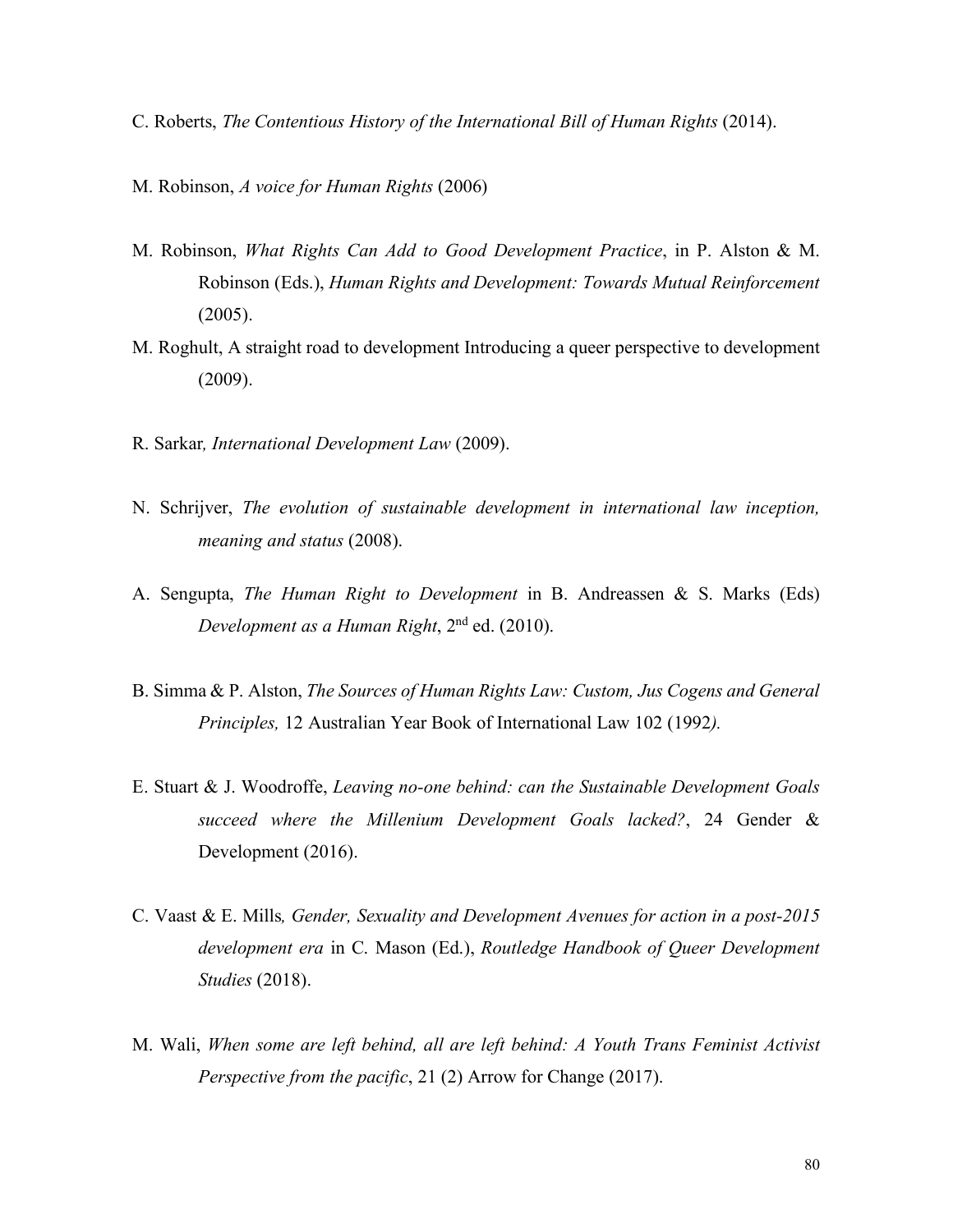- C. Roberts, *The Contentious History of the International Bill of Human Rights* (2014).
- M. Robinson, *A voice for Human Rights* (2006)
- M. Robinson, *What Rights Can Add to Good Development Practice*, in P. Alston & M. Robinson (Eds.), *Human Rights and Development: Towards Mutual Reinforcement* (2005).
- M. Roghult, A straight road to development Introducing a queer perspective to development (2009).
- R. Sarkar*, International Development Law* (2009).
- N. Schrijver, *The evolution of sustainable development in international law inception, meaning and status* (2008).
- A. Sengupta, *The Human Right to Development* in B. Andreassen & S. Marks (Eds) *Development as a Human Right*, 2nd ed. (2010).
- B. Simma & P. Alston, *The Sources of Human Rights Law: Custom, Jus Cogens and General Principles,* 12 Australian Year Book of International Law 102 (1992*).*
- E. Stuart & J. Woodroffe, *Leaving no-one behind: can the Sustainable Development Goals succeed where the Millenium Development Goals lacked?*, 24 Gender & Development (2016).
- C. Vaast & E. Mills*, Gender, Sexuality and Development Avenues for action in a post-2015 development era* in C. Mason (Ed.), *Routledge Handbook of Queer Development Studies* (2018).
- M. Wali, *When some are left behind, all are left behind: A Youth Trans Feminist Activist Perspective from the pacific*, 21 (2) Arrow for Change (2017).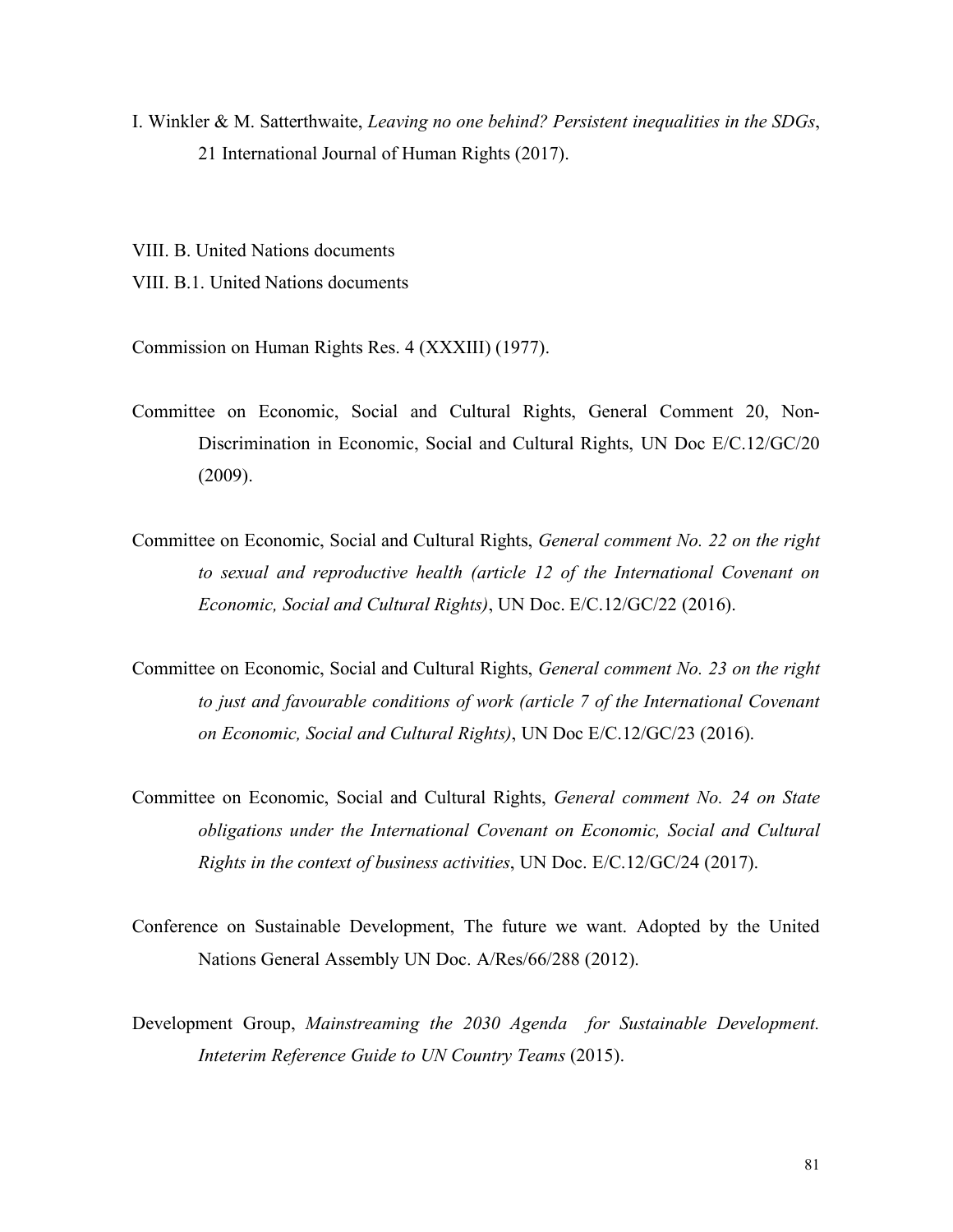I. Winkler & M. Satterthwaite, *Leaving no one behind? Persistent inequalities in the SDGs*, 21 International Journal of Human Rights (2017).

VIII. B. United Nations documents VIII. B.1. United Nations documents

Commission on Human Rights Res. 4 (XXXIII) (1977).

- Committee on Economic, Social and Cultural Rights, General Comment 20, Non-Discrimination in Economic, Social and Cultural Rights, UN Doc E/C.12/GC/20 (2009).
- Committee on Economic, Social and Cultural Rights, *General comment No. 22 on the right to sexual and reproductive health (article 12 of the International Covenant on Economic, Social and Cultural Rights)*, UN Doc. E/C.12/GC/22 (2016).
- Committee on Economic, Social and Cultural Rights, *General comment No. 23 on the right to just and favourable conditions of work (article 7 of the International Covenant on Economic, Social and Cultural Rights)*, UN Doc E/C.12/GC/23 (2016).
- Committee on Economic, Social and Cultural Rights, *General comment No. 24 on State obligations under the International Covenant on Economic, Social and Cultural Rights in the context of business activities*, UN Doc. E/C.12/GC/24 (2017).
- Conference on Sustainable Development, The future we want. Adopted by the United Nations General Assembly UN Doc. A/Res/66/288 (2012).
- Development Group, *Mainstreaming the 2030 Agenda for Sustainable Development. Inteterim Reference Guide to UN Country Teams* (2015).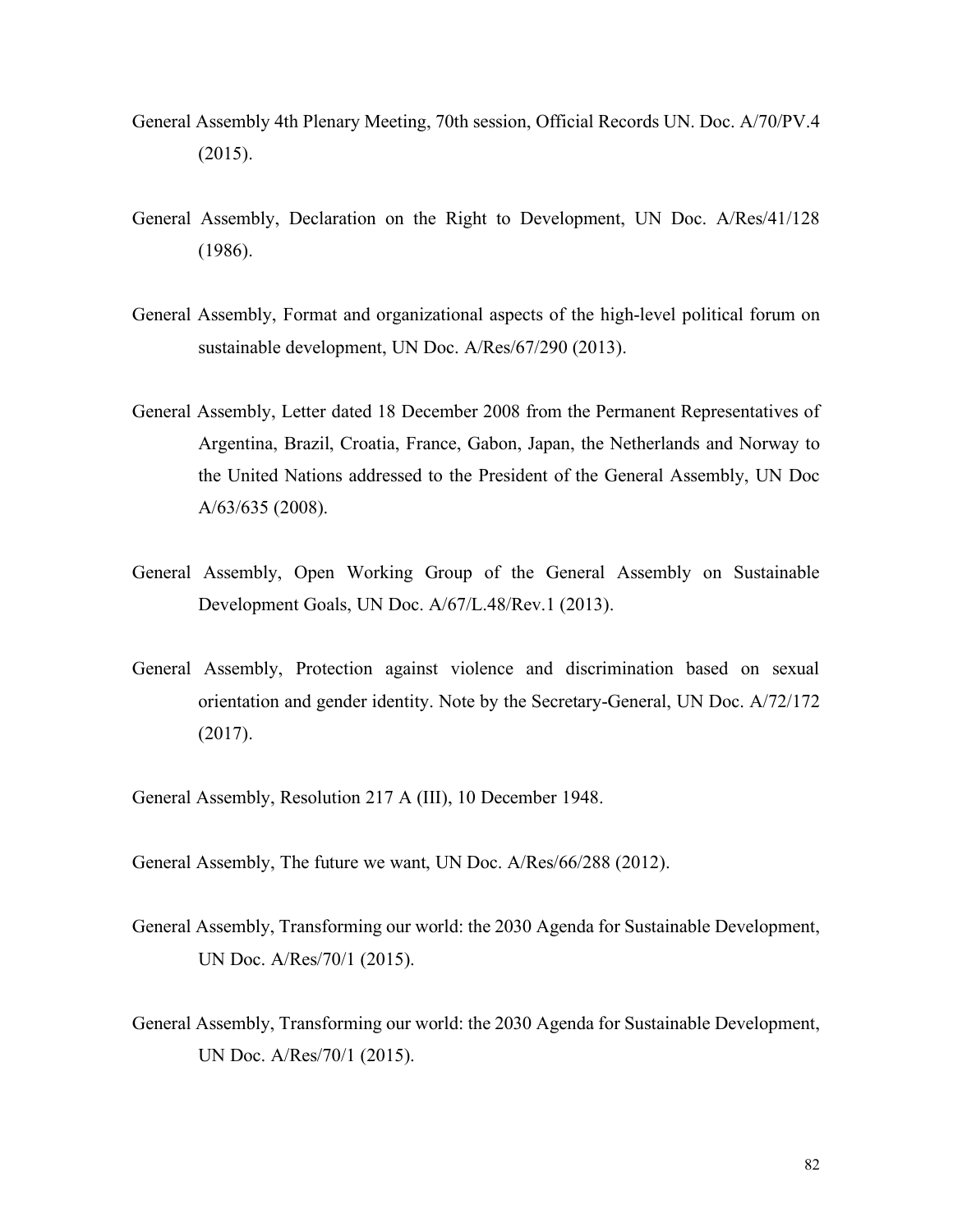- General Assembly 4th Plenary Meeting, 70th session, Official Records UN. Doc. A/70/PV.4 (2015).
- General Assembly, Declaration on the Right to Development, UN Doc. A/Res/41/128 (1986).
- General Assembly, Format and organizational aspects of the high-level political forum on sustainable development, UN Doc. A/Res/67/290 (2013).
- General Assembly, Letter dated 18 December 2008 from the Permanent Representatives of Argentina, Brazil, Croatia, France, Gabon, Japan, the Netherlands and Norway to the United Nations addressed to the President of the General Assembly, UN Doc A/63/635 (2008).
- General Assembly, Open Working Group of the General Assembly on Sustainable Development Goals, UN Doc. A/67/L.48/Rev.1 (2013).
- General Assembly, Protection against violence and discrimination based on sexual orientation and gender identity. Note by the Secretary-General, UN Doc. A/72/172 (2017).
- General Assembly, Resolution 217 A (III), 10 December 1948.
- General Assembly, The future we want, UN Doc. A/Res/66/288 (2012).
- General Assembly, Transforming our world: the 2030 Agenda for Sustainable Development, UN Doc. A/Res/70/1 (2015).
- General Assembly, Transforming our world: the 2030 Agenda for Sustainable Development, UN Doc. A/Res/70/1 (2015).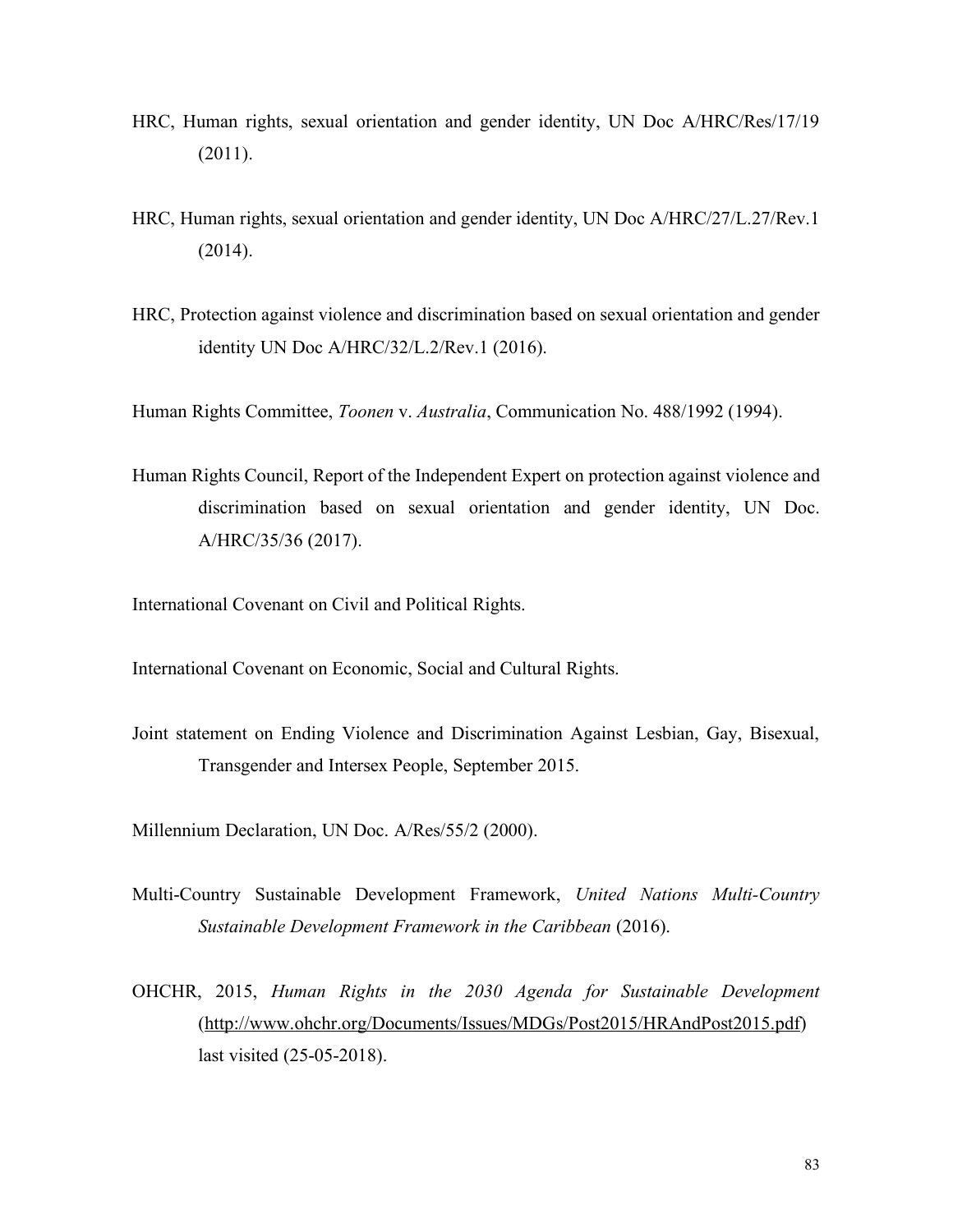- HRC, Human rights, sexual orientation and gender identity, UN Doc A/HRC/Res/17/19 (2011).
- HRC, Human rights, sexual orientation and gender identity, UN Doc A/HRC/27/L.27/Rev.1 (2014).
- HRC, Protection against violence and discrimination based on sexual orientation and gender identity UN Doc A/HRC/32/L.2/Rev.1 (2016).

Human Rights Committee, *Toonen* v. *Australia*, Communication No. 488/1992 (1994).

Human Rights Council, Report of the Independent Expert on protection against violence and discrimination based on sexual orientation and gender identity, UN Doc. A/HRC/35/36 (2017).

International Covenant on Civil and Political Rights.

International Covenant on Economic, Social and Cultural Rights.

Joint statement on Ending Violence and Discrimination Against Lesbian, Gay, Bisexual, Transgender and Intersex People, September 2015.

Millennium Declaration, UN Doc. A/Res/55/2 (2000).

- Multi-Country Sustainable Development Framework, *United Nations Multi-Country Sustainable Development Framework in the Caribbean* (2016).
- OHCHR, 2015, *Human Rights in the 2030 Agenda for Sustainable Development*  (http://www.ohchr.org/Documents/Issues/MDGs/Post2015/HRAndPost2015.pdf) last visited (25-05-2018).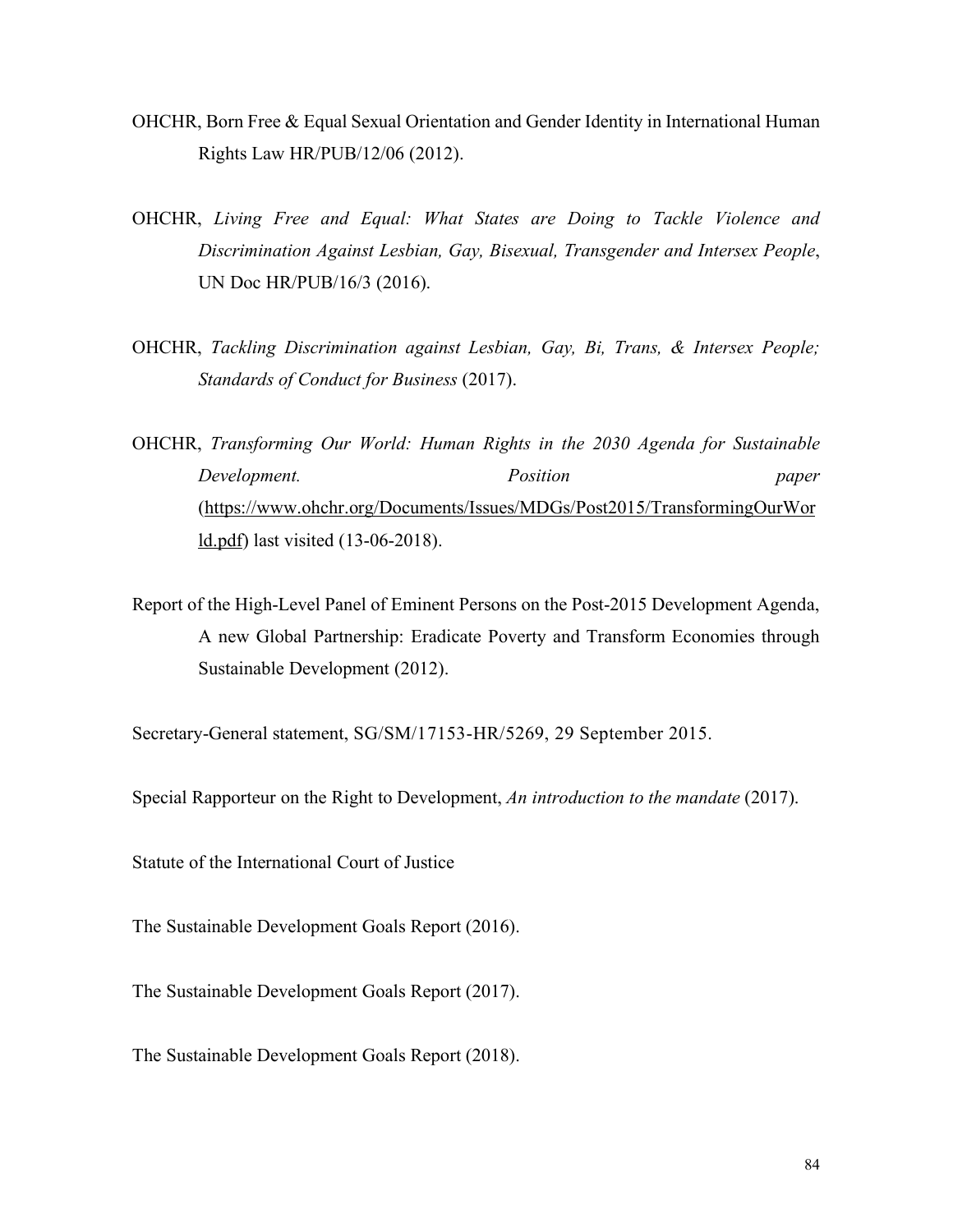- OHCHR, Born Free & Equal Sexual Orientation and Gender Identity in International Human Rights Law HR/PUB/12/06 (2012).
- OHCHR, *Living Free and Equal: What States are Doing to Tackle Violence and Discrimination Against Lesbian, Gay, Bisexual, Transgender and Intersex People*, UN Doc HR/PUB/16/3 (2016).
- OHCHR, *Tackling Discrimination against Lesbian, Gay, Bi, Trans, & Intersex People; Standards of Conduct for Business* (2017).
- OHCHR, *Transforming Our World: Human Rights in the 2030 Agenda for Sustainable Development. Position paper* (https://www.ohchr.org/Documents/Issues/MDGs/Post2015/TransformingOurWor ld.pdf) last visited (13-06-2018).
- Report of the High-Level Panel of Eminent Persons on the Post-2015 Development Agenda, A new Global Partnership: Eradicate Poverty and Transform Economies through Sustainable Development (2012).

Secretary-General statement, SG/SM/17153-HR/5269, 29 September 2015.

Special Rapporteur on the Right to Development, *An introduction to the mandate* (2017).

Statute of the International Court of Justice

The Sustainable Development Goals Report (2016).

The Sustainable Development Goals Report (2017).

The Sustainable Development Goals Report (2018).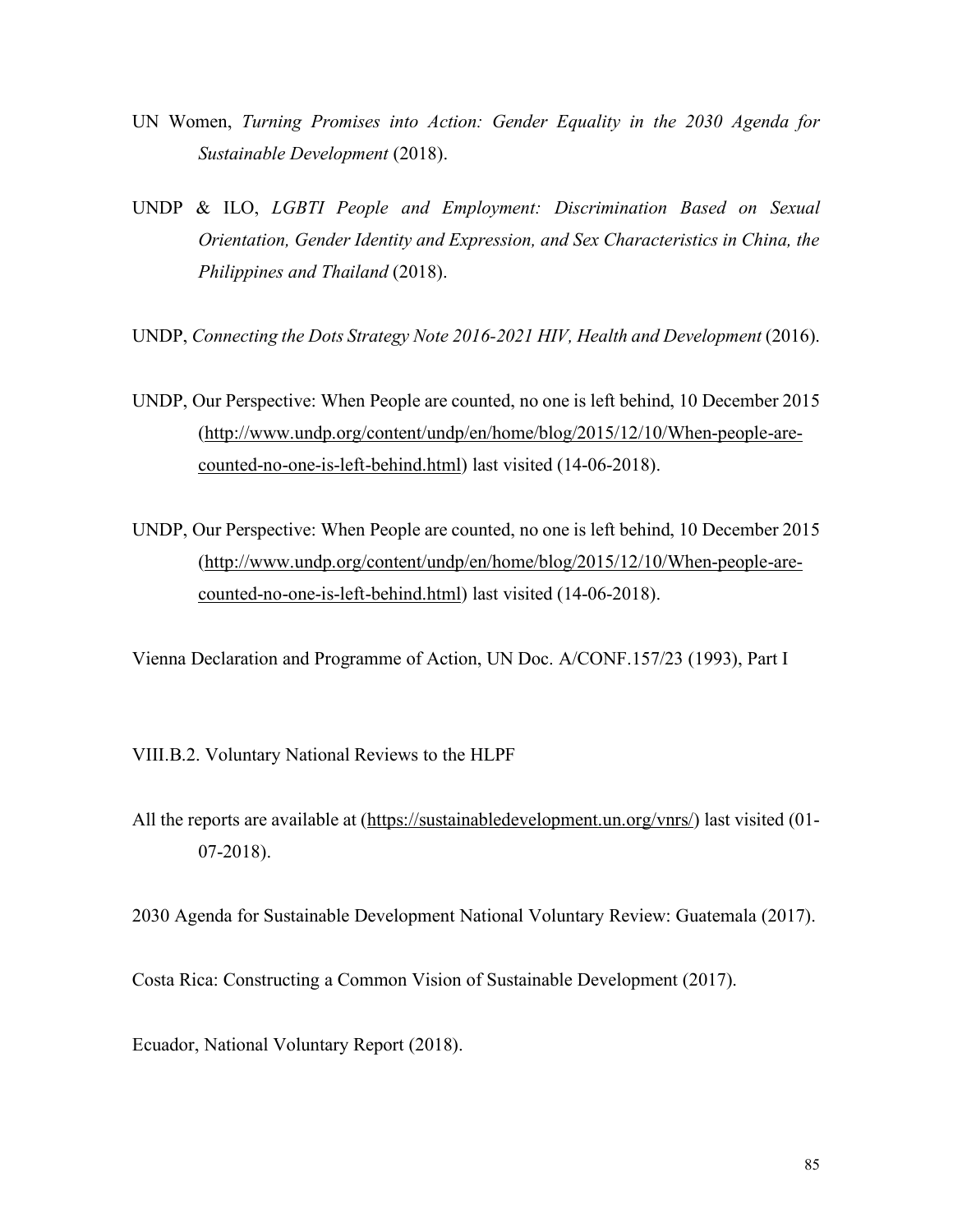- UN Women, *Turning Promises into Action: Gender Equality in the 2030 Agenda for Sustainable Development* (2018).
- UNDP & ILO, *LGBTI People and Employment: Discrimination Based on Sexual Orientation, Gender Identity and Expression, and Sex Characteristics in China, the Philippines and Thailand* (2018).
- UNDP, *Connecting the Dots Strategy Note 2016-2021 HIV, Health and Development* (2016).
- UNDP, Our Perspective: When People are counted, no one is left behind, 10 December 2015 (http://www.undp.org/content/undp/en/home/blog/2015/12/10/When-people-arecounted-no-one-is-left-behind.html) last visited (14-06-2018).
- UNDP, Our Perspective: When People are counted, no one is left behind, 10 December 2015 (http://www.undp.org/content/undp/en/home/blog/2015/12/10/When-people-arecounted-no-one-is-left-behind.html) last visited (14-06-2018).
- Vienna Declaration and Programme of Action, UN Doc. A/CONF.157/23 (1993), Part I
- VIII.B.2. Voluntary National Reviews to the HLPF
- All the reports are available at (https://sustainabledevelopment.un.org/vnrs/) last visited (01-07-2018).
- 2030 Agenda for Sustainable Development National Voluntary Review: Guatemala (2017).
- Costa Rica: Constructing a Common Vision of Sustainable Development (2017).
- Ecuador, National Voluntary Report (2018).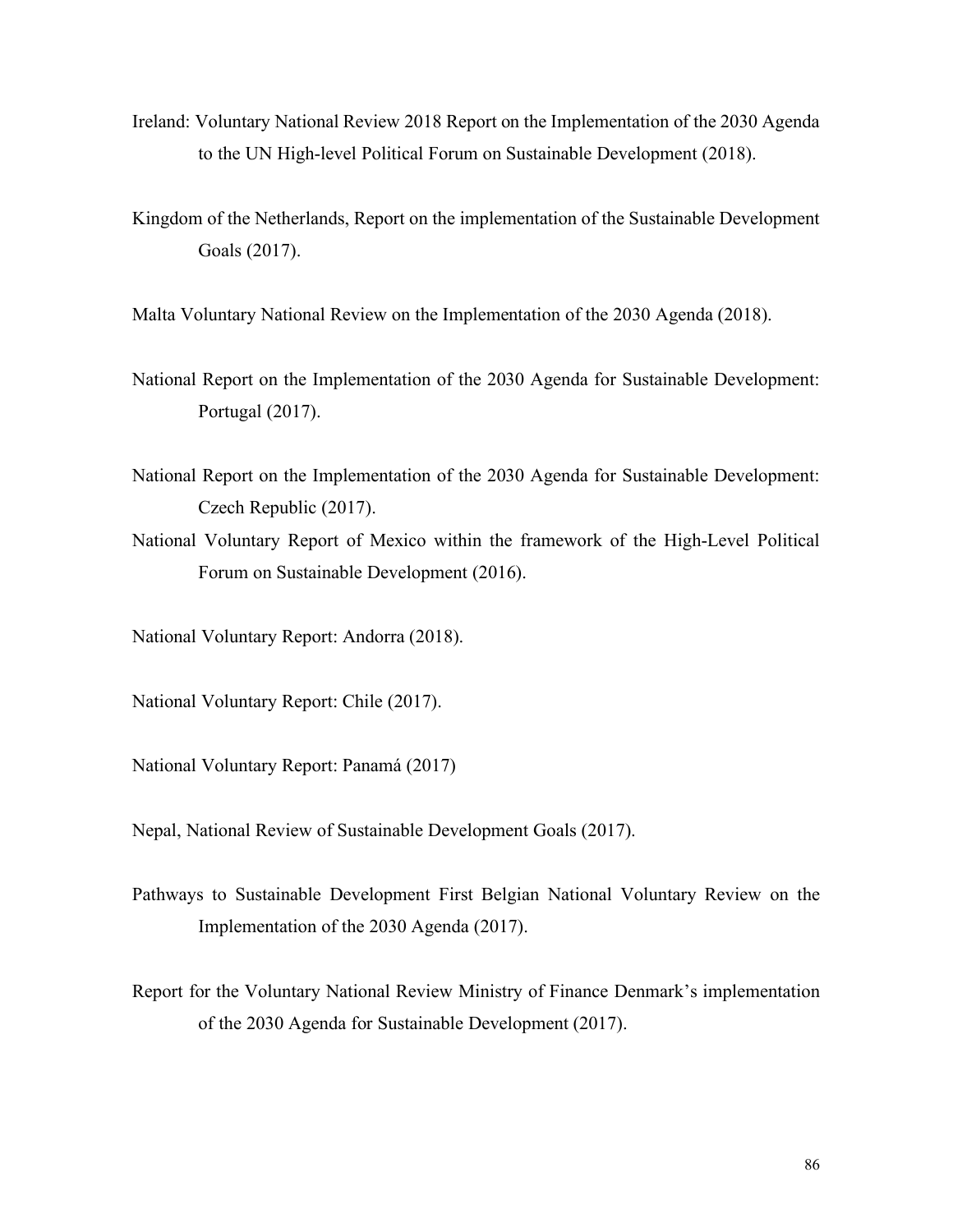- Ireland: Voluntary National Review 2018 Report on the Implementation of the 2030 Agenda to the UN High-level Political Forum on Sustainable Development (2018).
- Kingdom of the Netherlands, Report on the implementation of the Sustainable Development Goals (2017).

Malta Voluntary National Review on the Implementation of the 2030 Agenda (2018).

- National Report on the Implementation of the 2030 Agenda for Sustainable Development: Portugal (2017).
- National Report on the Implementation of the 2030 Agenda for Sustainable Development: Czech Republic (2017).
- National Voluntary Report of Mexico within the framework of the High-Level Political Forum on Sustainable Development (2016).

National Voluntary Report: Andorra (2018).

National Voluntary Report: Chile (2017).

National Voluntary Report: Panamá (2017)

Nepal, National Review of Sustainable Development Goals (2017).

- Pathways to Sustainable Development First Belgian National Voluntary Review on the Implementation of the 2030 Agenda (2017).
- Report for the Voluntary National Review Ministry of Finance Denmark's implementation of the 2030 Agenda for Sustainable Development (2017).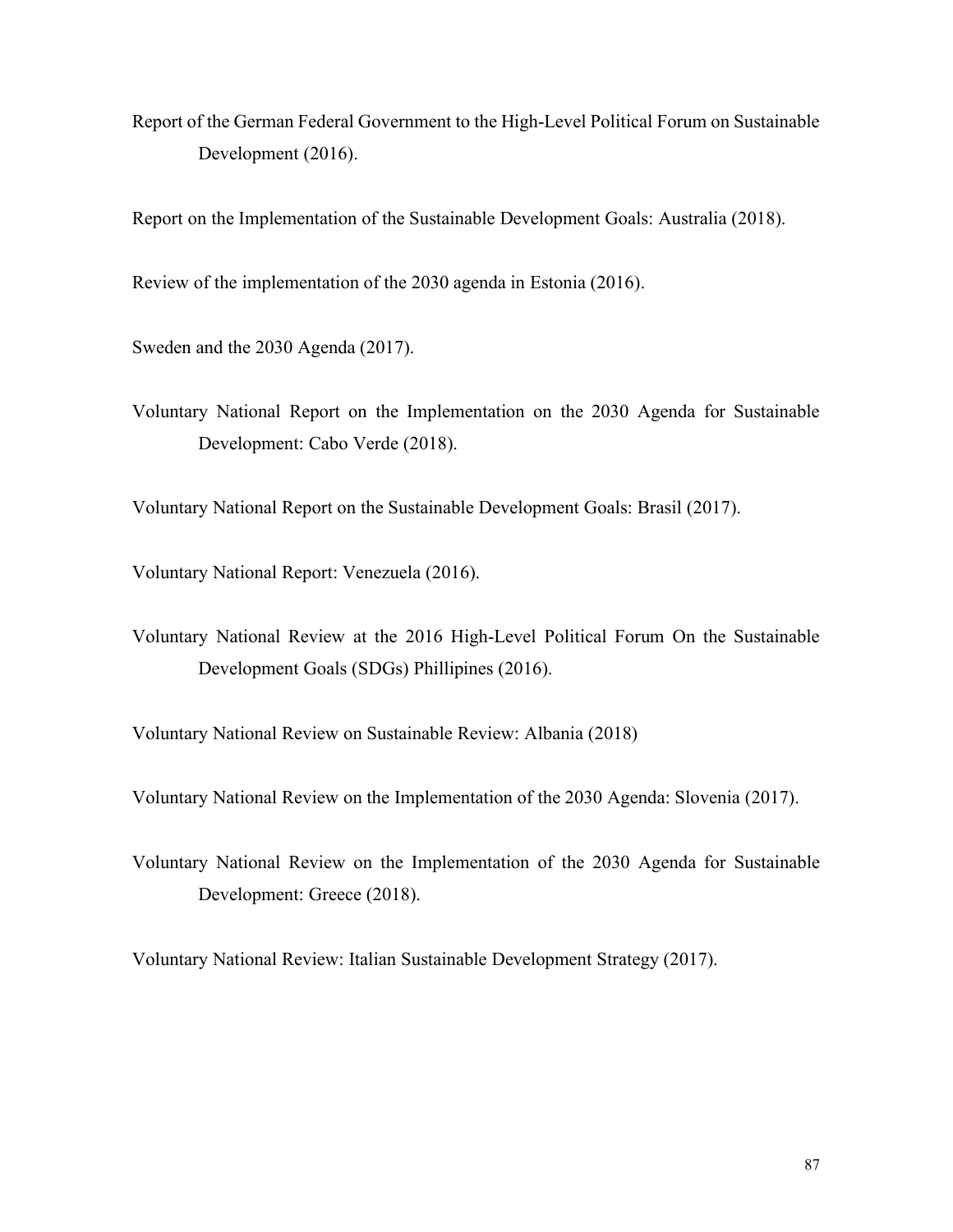Report of the German Federal Government to the High-Level Political Forum on Sustainable Development (2016).

Report on the Implementation of the Sustainable Development Goals: Australia (2018).

Review of the implementation of the 2030 agenda in Estonia (2016).

Sweden and the 2030 Agenda (2017).

Voluntary National Report on the Implementation on the 2030 Agenda for Sustainable Development: Cabo Verde (2018).

Voluntary National Report on the Sustainable Development Goals: Brasil (2017).

Voluntary National Report: Venezuela (2016).

Voluntary National Review at the 2016 High-Level Political Forum On the Sustainable Development Goals (SDGs) Phillipines (2016).

Voluntary National Review on Sustainable Review: Albania (2018)

Voluntary National Review on the Implementation of the 2030 Agenda: Slovenia (2017).

Voluntary National Review on the Implementation of the 2030 Agenda for Sustainable Development: Greece (2018).

Voluntary National Review: Italian Sustainable Development Strategy (2017).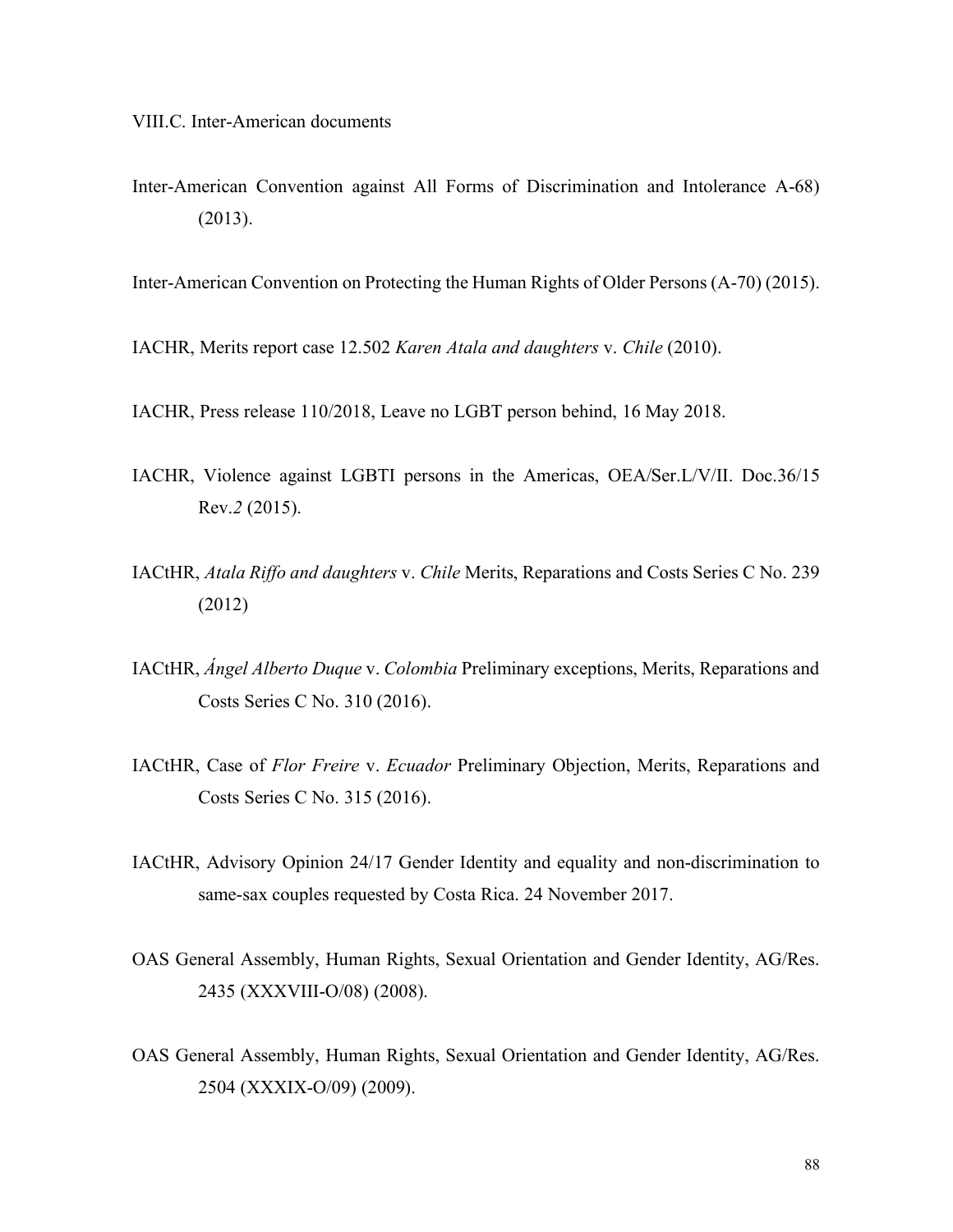VIII.C. Inter-American documents

Inter-American Convention against All Forms of Discrimination and Intolerance A-68) (2013).

Inter-American Convention on Protecting the Human Rights of Older Persons (A-70) (2015).

IACHR, Merits report case 12.502 *Karen Atala and daughters* v. *Chile* (2010).

- IACHR, Press release 110/2018, Leave no LGBT person behind, 16 May 2018.
- IACHR, Violence against LGBTI persons in the Americas, OEA/Ser.L/V/II. Doc.36/15 Rev.*2* (2015).
- IACtHR, *Atala Riffo and daughters* v. *Chile* Merits, Reparations and Costs Series C No. 239 (2012)
- IACtHR, *Ángel Alberto Duque* v. *Colombia* Preliminary exceptions, Merits, Reparations and Costs Series C No. 310 (2016).
- IACtHR, Case of *Flor Freire* v. *Ecuador* Preliminary Objection, Merits, Reparations and Costs Series C No. 315 (2016).
- IACtHR, Advisory Opinion 24/17 Gender Identity and equality and non-discrimination to same-sax couples requested by Costa Rica. 24 November 2017.
- OAS General Assembly, Human Rights, Sexual Orientation and Gender Identity, AG/Res. 2435 (XXXVIII-O/08) (2008).
- OAS General Assembly, Human Rights, Sexual Orientation and Gender Identity, AG/Res. 2504 (XXXIX-O/09) (2009).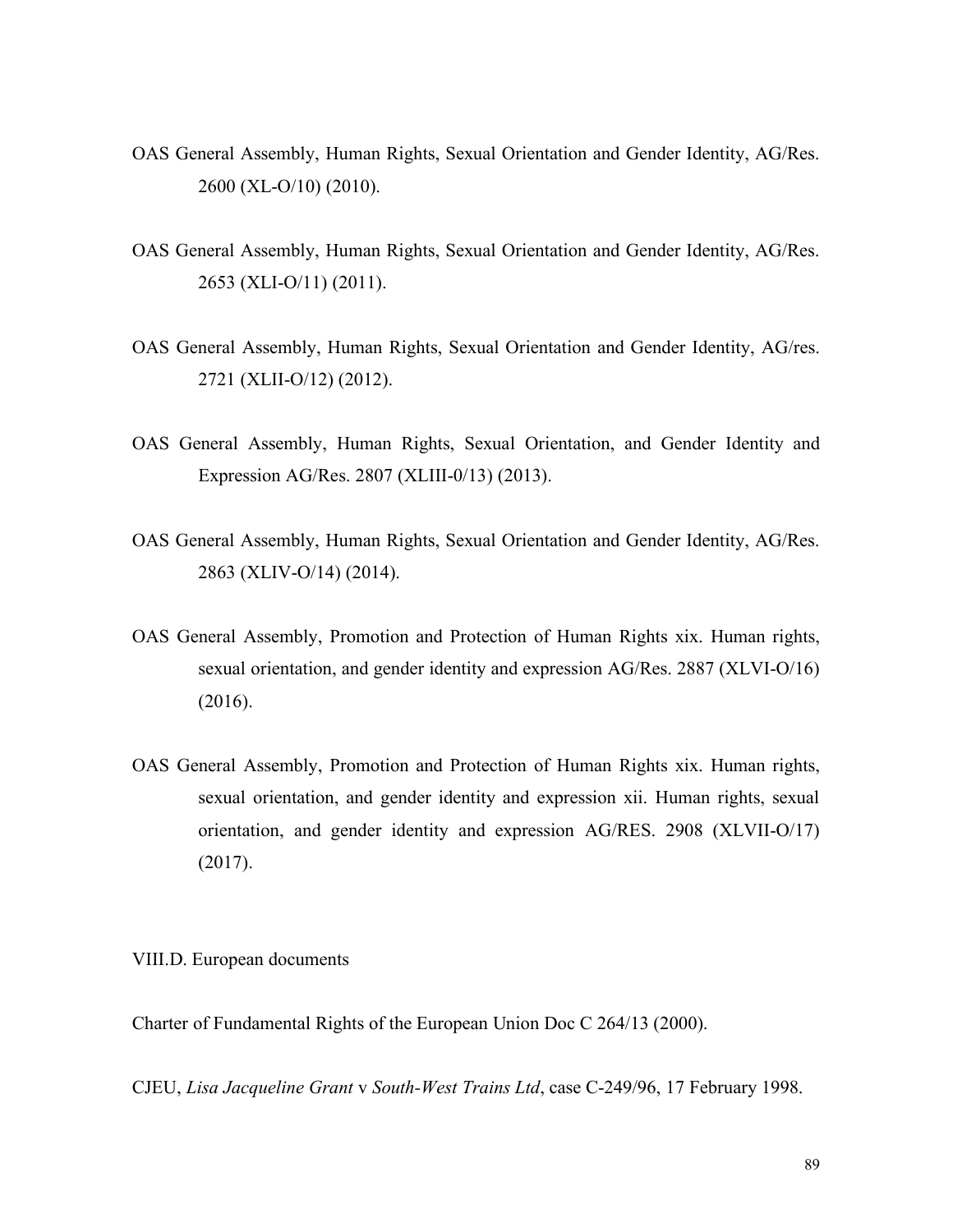- OAS General Assembly, Human Rights, Sexual Orientation and Gender Identity, AG/Res. 2600 (XL-O/10) (2010).
- OAS General Assembly, Human Rights, Sexual Orientation and Gender Identity, AG/Res. 2653 (XLI-O/11) (2011).
- OAS General Assembly, Human Rights, Sexual Orientation and Gender Identity, AG/res. 2721 (XLII-O/12) (2012).
- OAS General Assembly, Human Rights, Sexual Orientation, and Gender Identity and Expression AG/Res. 2807 (XLIII-0/13) (2013).
- OAS General Assembly, Human Rights, Sexual Orientation and Gender Identity, AG/Res. 2863 (XLIV-O/14) (2014).
- OAS General Assembly, Promotion and Protection of Human Rights xix. Human rights, sexual orientation, and gender identity and expression AG/Res. 2887 (XLVI-O/16) (2016).
- OAS General Assembly, Promotion and Protection of Human Rights xix. Human rights, sexual orientation, and gender identity and expression xii. Human rights, sexual orientation, and gender identity and expression AG/RES. 2908 (XLVII-O/17) (2017).

VIII.D. European documents

Charter of Fundamental Rights of the European Union Doc C 264/13 (2000).

CJEU, *Lisa Jacqueline Grant* v *South-West Trains Ltd*, case C-249/96, 17 February 1998.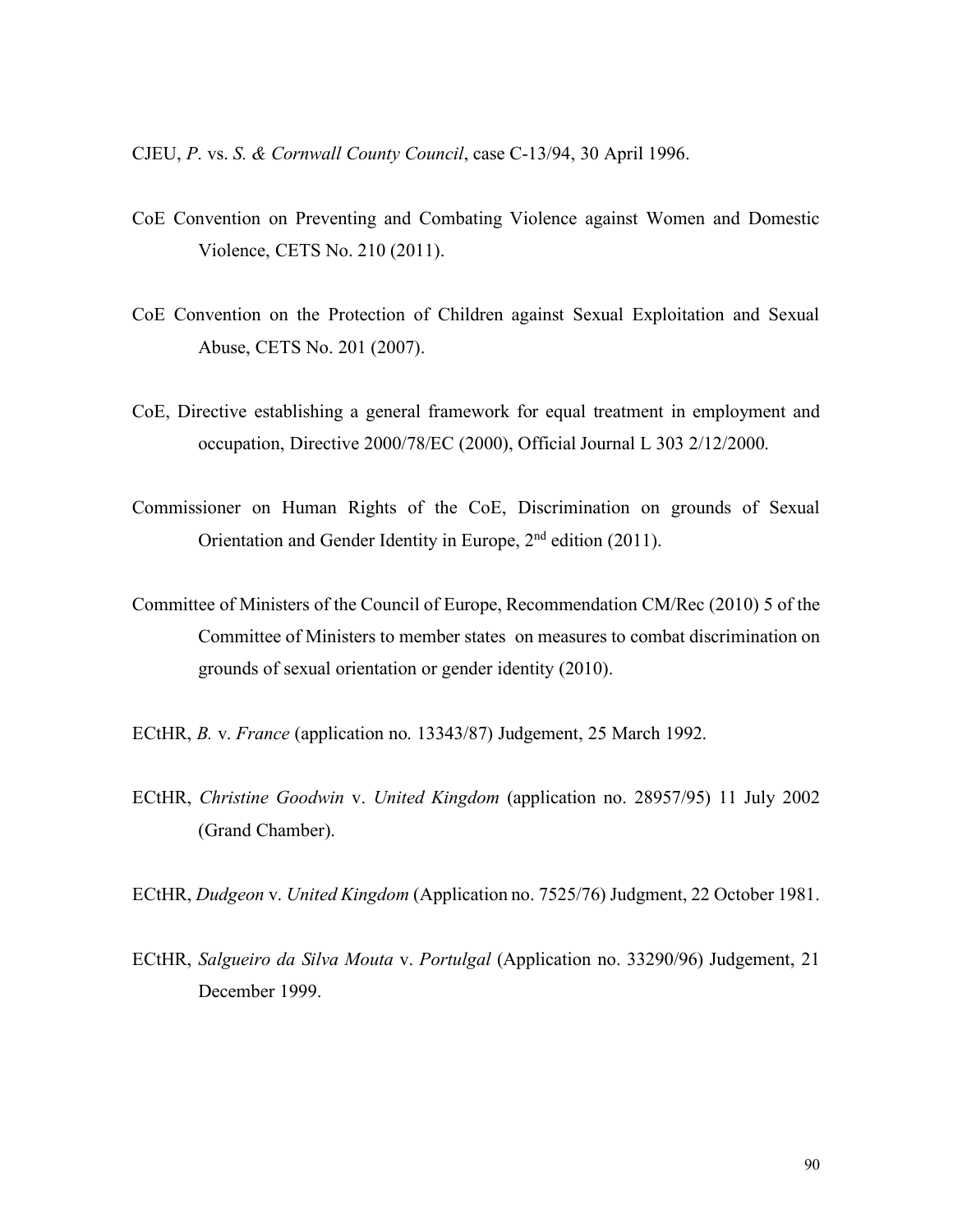CJEU, *P*. vs. *S. & Cornwall County Council*, case C-13/94, 30 April 1996.

- CoE Convention on Preventing and Combating Violence against Women and Domestic Violence, CETS No. 210 (2011).
- CoE Convention on the Protection of Children against Sexual Exploitation and Sexual Abuse, CETS No. 201 (2007).
- CoE, Directive establishing a general framework for equal treatment in employment and occupation, Directive 2000/78/EC (2000), Official Journal L 303 2/12/2000.
- Commissioner on Human Rights of the CoE, Discrimination on grounds of Sexual Orientation and Gender Identity in Europe, 2nd edition (2011).
- Committee of Ministers of the Council of Europe, Recommendation CM/Rec (2010) 5 of the Committee of Ministers to member states on measures to combat discrimination on grounds of sexual orientation or gender identity (2010).
- ECtHR, *B.* v. *France* (application no. 13343/87) Judgement, 25 March 1992.
- ECtHR, *Christine Goodwin* v. *United Kingdom* (application no. 28957/95) 11 July 2002 (Grand Chamber).
- ECtHR, *Dudgeon* v. *United Kingdom* (Application no. 7525/76) Judgment, 22 October 1981.
- ECtHR, *Salgueiro da Silva Mouta* v. *Portulgal* (Application no. 33290/96) Judgement, 21 December 1999.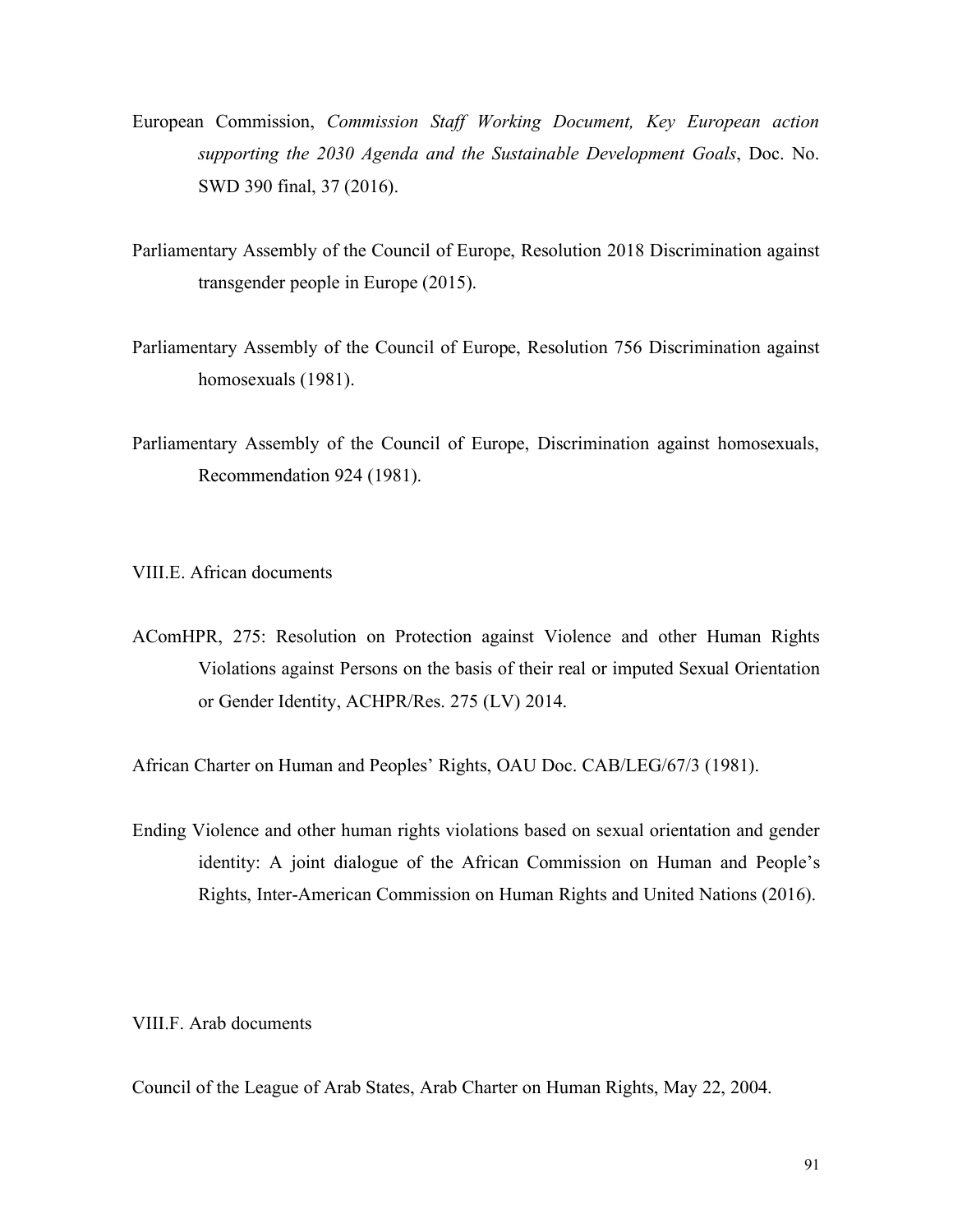- European Commission, *Commission Staff Working Document, Key European action supporting the 2030 Agenda and the Sustainable Development Goals*, Doc. No. SWD 390 final, 37 (2016).
- Parliamentary Assembly of the Council of Europe, Resolution 2018 Discrimination against transgender people in Europe (2015).
- Parliamentary Assembly of the Council of Europe, Resolution 756 Discrimination against homosexuals (1981).
- Parliamentary Assembly of the Council of Europe, Discrimination against homosexuals, Recommendation 924 (1981).

VIII.E. African documents

AComHPR, 275: Resolution on Protection against Violence and other Human Rights Violations against Persons on the basis of their real or imputed Sexual Orientation or Gender Identity, ACHPR/Res. 275 (LV) 2014.

African Charter on Human and Peoples' Rights, OAU Doc. CAB/LEG/67/3 (1981).

Ending Violence and other human rights violations based on sexual orientation and gender identity: A joint dialogue of the African Commission on Human and People's Rights, Inter-American Commission on Human Rights and United Nations (2016).

VIII.F. Arab documents

Council of the League of Arab States, Arab Charter on Human Rights, May 22, 2004.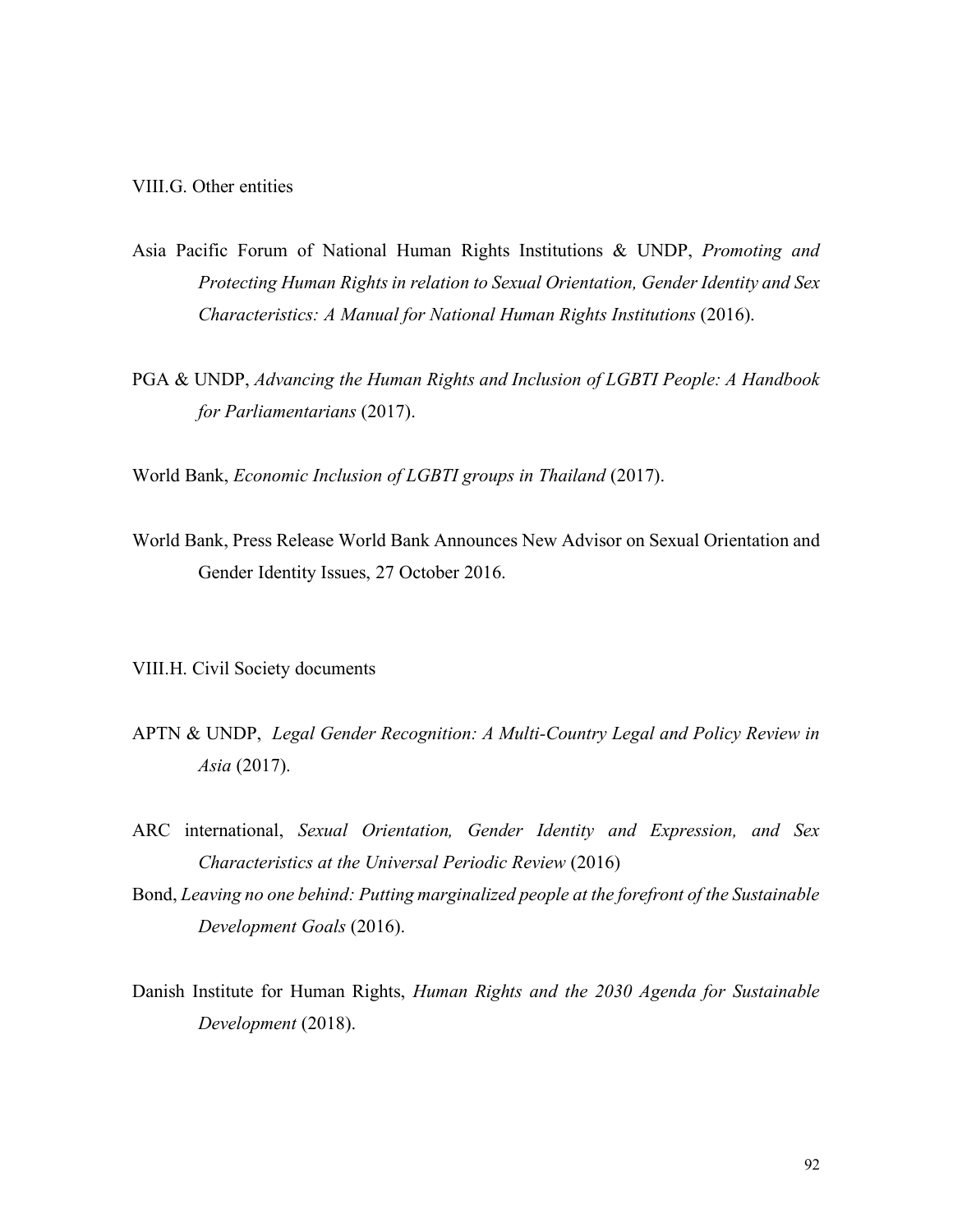VIII.G. Other entities

- Asia Pacific Forum of National Human Rights Institutions & UNDP, *Promoting and Protecting Human Rights in relation to Sexual Orientation, Gender Identity and Sex Characteristics: A Manual for National Human Rights Institutions* (2016).
- PGA & UNDP, *Advancing the Human Rights and Inclusion of LGBTI People: A Handbook for Parliamentarians* (2017).

World Bank, *Economic Inclusion of LGBTI groups in Thailand* (2017).

World Bank, Press Release World Bank Announces New Advisor on Sexual Orientation and Gender Identity Issues, 27 October 2016.

VIII.H. Civil Society documents

- APTN & UNDP, *Legal Gender Recognition: A Multi-Country Legal and Policy Review in Asia* (2017).
- ARC international, *Sexual Orientation, Gender Identity and Expression, and Sex Characteristics at the Universal Periodic Review* (2016)
- Bond, *Leaving no one behind: Putting marginalized people at the forefront of the Sustainable Development Goals* (2016).
- Danish Institute for Human Rights, *Human Rights and the 2030 Agenda for Sustainable Development* (2018).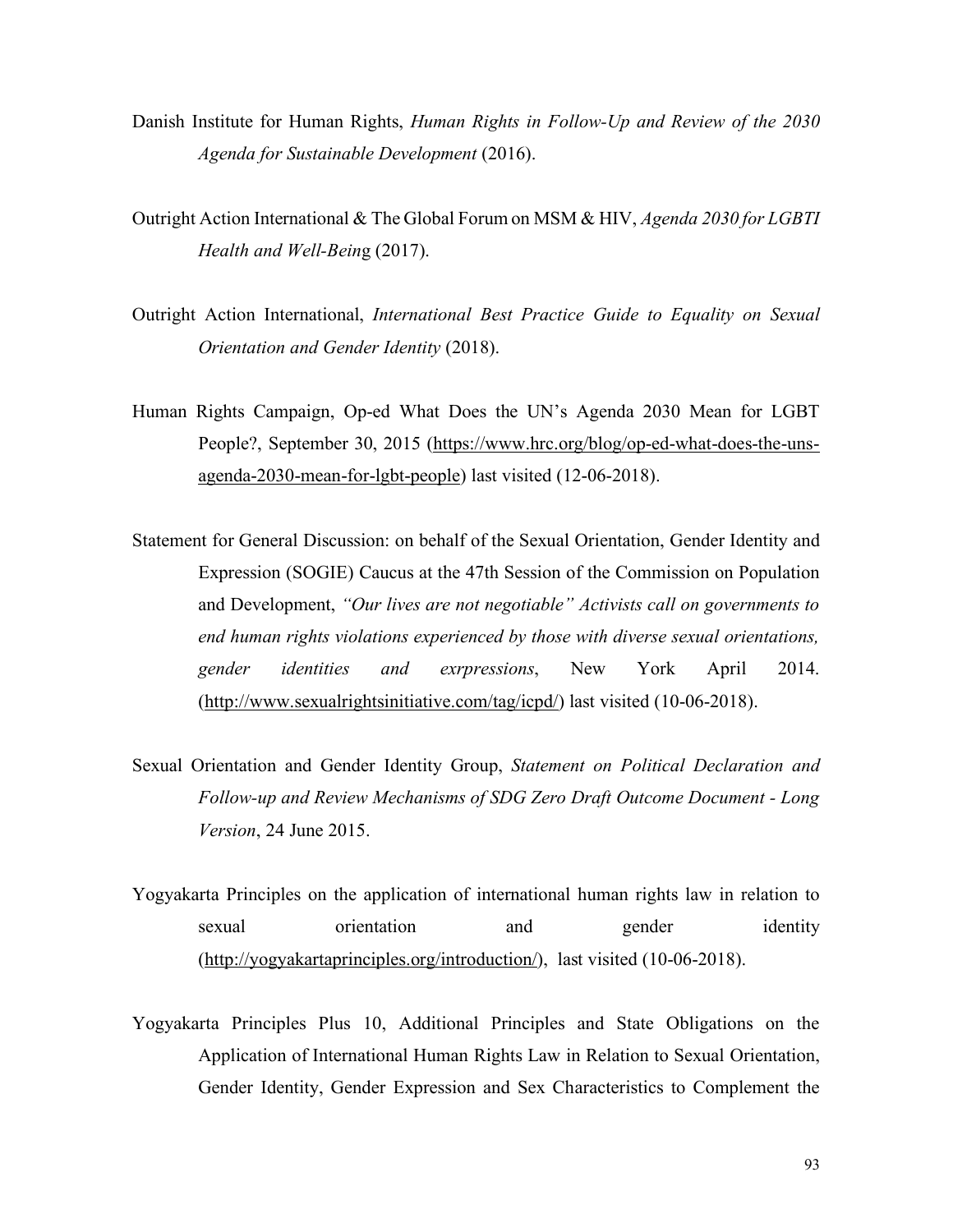- Danish Institute for Human Rights, *Human Rights in Follow-Up and Review of the 2030 Agenda for Sustainable Development* (2016).
- Outright Action International & The Global Forum on MSM & HIV, *Agenda 2030 for LGBTI Health and Well-Bein*g (2017).
- Outright Action International, *International Best Practice Guide to Equality on Sexual Orientation and Gender Identity* (2018).
- Human Rights Campaign, Op-ed What Does the UN's Agenda 2030 Mean for LGBT People?, September 30, 2015 (https://www.hrc.org/blog/op-ed-what-does-the-unsagenda-2030-mean-for-lgbt-people) last visited (12-06-2018).
- Statement for General Discussion: on behalf of the Sexual Orientation, Gender Identity and Expression (SOGIE) Caucus at the 47th Session of the Commission on Population and Development, *"Our lives are not negotiable" Activists call on governments to end human rights violations experienced by those with diverse sexual orientations, gender identities and exrpressions*, New York April 2014. (http://www.sexualrightsinitiative.com/tag/icpd/) last visited (10-06-2018).
- Sexual Orientation and Gender Identity Group, *Statement on Political Declaration and Follow-up and Review Mechanisms of SDG Zero Draft Outcome Document - Long Version*, 24 June 2015.
- Yogyakarta Principles on the application of international human rights law in relation to sexual orientation and gender identity (http://yogyakartaprinciples.org/introduction/), last visited (10-06-2018).
- Yogyakarta Principles Plus 10, Additional Principles and State Obligations on the Application of International Human Rights Law in Relation to Sexual Orientation, Gender Identity, Gender Expression and Sex Characteristics to Complement the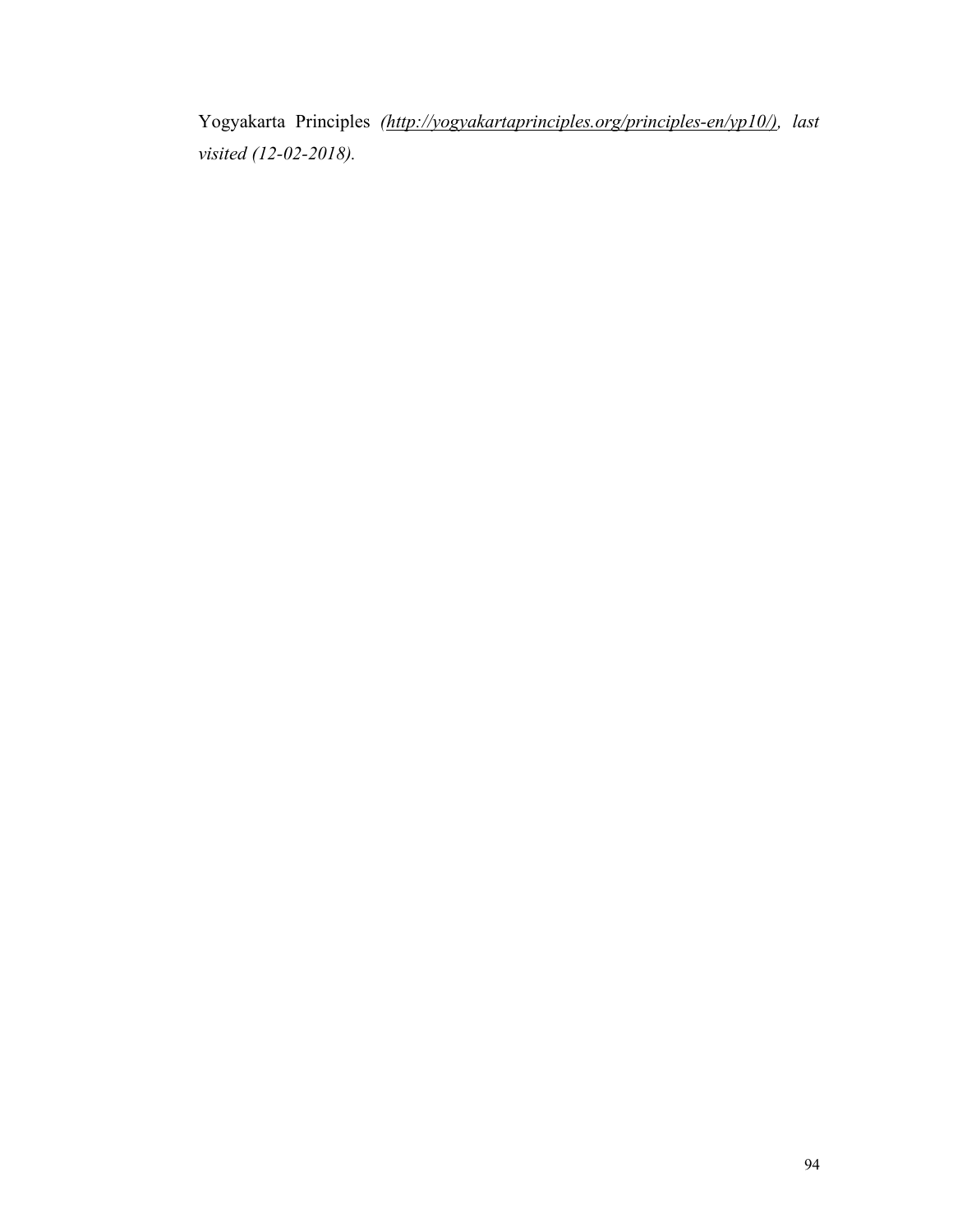Yogyakarta Principles *(http://yogyakartaprinciples.org/principles-en/yp10/), last visited (12-02-2018).*